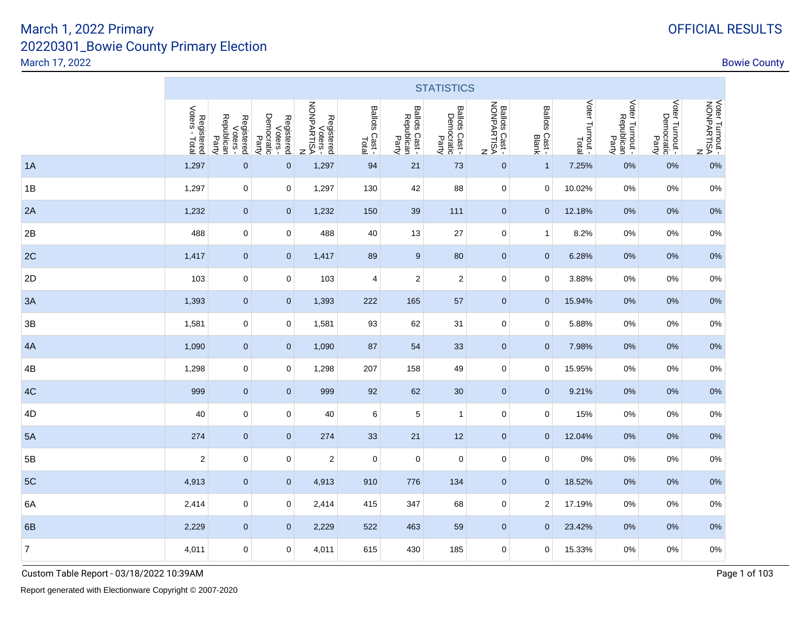|                          |                              |                                               |                                               |                                                    |                         |                                       | <b>STATISTICS</b>                     |                                          |                                  |                 |                                        |                                        |                                             |
|--------------------------|------------------------------|-----------------------------------------------|-----------------------------------------------|----------------------------------------------------|-------------------------|---------------------------------------|---------------------------------------|------------------------------------------|----------------------------------|-----------------|----------------------------------------|----------------------------------------|---------------------------------------------|
|                          | Registered<br>Voters - Total | Registered<br>Voters -<br>Republican<br>Party | Registered<br>Voters -<br>Democratic<br>Party | Registered<br>Voters -<br>NONPARTISA<br>NONPARTISA | Ballots Cast -<br>Total | Ballots Cast -<br>Republican<br>Party | Ballots Cast -<br>Democratic<br>Party | Ballots Cast<br>NONPARTISA<br>NONPARTISA | Ballots Cast -<br>Ballots Cast - | Voter Turnout - | Voter Turnout -<br>Republican<br>Party | Voter Turnout -<br>Democratic<br>Party | VOter Turnout -<br>AONPARTISA<br>NONPARTISA |
| 1A                       | 1,297                        | $\mathbf 0$                                   | 0                                             | 1,297                                              | 94                      | 21                                    | 73                                    | $\pmb{0}$                                | $\mathbf{1}$                     | 7.25%           | 0%                                     | 0%                                     | 0%                                          |
| 1B                       | 1,297                        | $\mathbf 0$                                   | 0                                             | 1,297                                              | 130                     | 42                                    | 88                                    | $\pmb{0}$                                | 0                                | 10.02%          | 0%                                     | $0\%$                                  | 0%                                          |
| 2A                       | 1,232                        | $\mathbf{0}$                                  | $\mathbf{0}$                                  | 1,232                                              | 150                     | 39                                    | 111                                   | $\mathbf 0$                              | $\mathbf 0$                      | 12.18%          | 0%                                     | 0%                                     | 0%                                          |
| 2B                       | 488                          | $\mathbf 0$                                   | 0                                             | 488                                                | 40                      | 13                                    | 27                                    | $\mathbf 0$                              | $\mathbf{1}$                     | 8.2%            | 0%                                     | 0%                                     | 0%                                          |
| 2C                       | 1,417                        | $\mathbf{0}$                                  | $\mathbf 0$                                   | 1,417                                              | 89                      | 9                                     | 80                                    | $\mathbf 0$                              | $\mathbf{0}$                     | 6.28%           | 0%                                     | 0%                                     | 0%                                          |
| 2D                       | 103                          | $\mathbf 0$                                   | 0                                             | 103                                                | 4                       | $\overline{2}$                        | $\overline{\mathbf{c}}$               | $\mathbf 0$                              | 0                                | 3.88%           | 0%                                     | 0%                                     | 0%                                          |
| 3A                       | 1,393                        | $\pmb{0}$                                     | 0                                             | 1,393                                              | 222                     | 165                                   | 57                                    | $\pmb{0}$                                | $\mathbf 0$                      | 15.94%          | 0%                                     | 0%                                     | 0%                                          |
| 3B                       | 1,581                        | $\mathbf 0$                                   | 0                                             | 1,581                                              | 93                      | 62                                    | 31                                    | $\mathbf 0$                              | 0                                | 5.88%           | 0%                                     | 0%                                     | 0%                                          |
| 4A                       | 1,090                        | $\pmb{0}$                                     | 0                                             | 1,090                                              | 87                      | 54                                    | 33                                    | $\pmb{0}$                                | $\mathbf 0$                      | 7.98%           | 0%                                     | 0%                                     | 0%                                          |
| 4B                       | 1,298                        | 0                                             | 0                                             | 1,298                                              | 207                     | 158                                   | 49                                    | $\pmb{0}$                                | 0                                | 15.95%          | 0%                                     | 0%                                     | 0%                                          |
| 4C                       | 999                          | $\mathbf{0}$                                  | $\mathbf 0$                                   | 999                                                | 92                      | 62                                    | 30                                    | $\mathbf 0$                              | $\mathbf 0$                      | 9.21%           | 0%                                     | 0%                                     | 0%                                          |
| 4D                       | 40                           | $\mathbf 0$                                   | 0                                             | 40                                                 | 6                       | 5                                     | 1                                     | $\mathbf 0$                              | $\mathbf 0$                      | 15%             | 0%                                     | 0%                                     | 0%                                          |
| 5A                       | 274                          | $\mathbf{0}$                                  | $\mathbf 0$                                   | 274                                                | 33                      | 21                                    | 12                                    | $\mathbf 0$                              | $\mathbf{0}$                     | 12.04%          | 0%                                     | 0%                                     | 0%                                          |
| 5B                       | $\overline{\mathbf{c}}$      | $\mathbf 0$                                   | 0                                             | $\overline{\mathbf{c}}$                            | 0                       | 0                                     | 0                                     | $\mathbf 0$                              | 0                                | 0%              | 0%                                     | 0%                                     | 0%                                          |
| 5C                       | 4,913                        | $\mathbf{0}$                                  | $\mathbf 0$                                   | 4,913                                              | 910                     | 776                                   | 134                                   | $\mathbf 0$                              | $\mathbf 0$                      | 18.52%          | 0%                                     | 0%                                     | 0%                                          |
| 6A                       | 2,414                        | $\mathbf 0$                                   | 0                                             | 2,414                                              | 415                     | 347                                   | 68                                    | 0                                        | $\overline{2}$                   | 17.19%          | 0%                                     | 0%                                     | 0%                                          |
| 6B                       | 2,229                        | $\mathbf{0}$                                  | 0                                             | 2,229                                              | 522                     | 463                                   | 59                                    | $\mathbf 0$                              | $\mathbf{0}$                     | 23.42%          | 0%                                     | 0%                                     | 0%                                          |
| $\overline{\mathcal{I}}$ | 4,011                        | $\mathbf 0$                                   | 0                                             | 4,011                                              | 615                     | 430                                   | 185                                   | 0                                        | 0                                | 15.33%          | 0%                                     | $0\%$                                  | 0%                                          |

Custom Table Report - 03/18/2022 10:39AM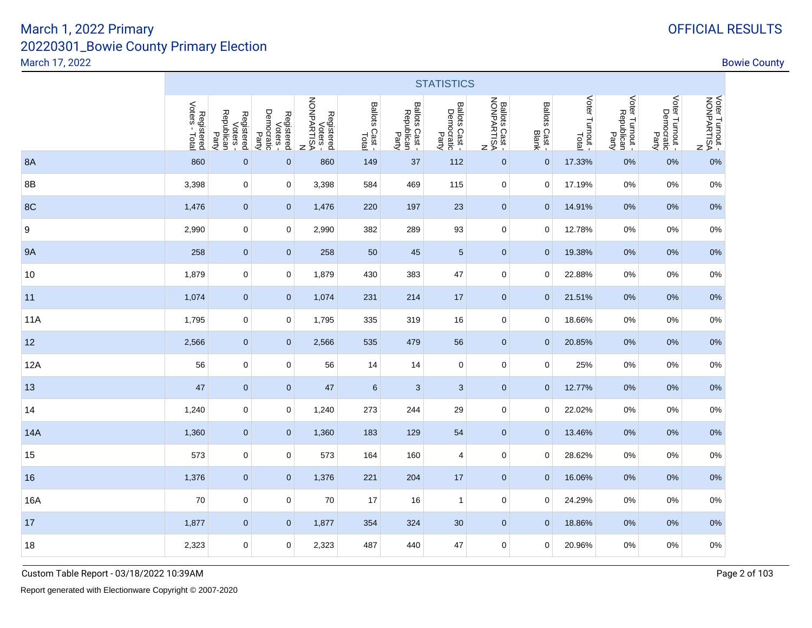|           |                              |                                               |                                               |                                                      |                         |                                       | <b>STATISTICS</b>                   |                                          |                                  |                 |                                        |                                        |                                             |
|-----------|------------------------------|-----------------------------------------------|-----------------------------------------------|------------------------------------------------------|-------------------------|---------------------------------------|-------------------------------------|------------------------------------------|----------------------------------|-----------------|----------------------------------------|----------------------------------------|---------------------------------------------|
|           | Voters - Total<br>Registered | Republican<br>Registered<br>Voters -<br>Party | Democratic<br>Party<br>Registered<br>Voters - | Registered<br>Voters -<br>NONPARTISA<br>$\mathsf{z}$ | Ballots Cast -<br>Total | Ballots Cast -<br>Republican<br>Party | Ballots Cast<br>Democratic<br>Party | Ballots Cast<br>NONPARTISA<br>NONPARTISA | Ballots Cast -<br>Ballots Cast - | Voter Turnout - | Voter Turnout -<br>Republican<br>Party | Voter Turnout -<br>Democratic<br>Party | Voter Turnout -<br>RONPARTISA<br>NONPARTISA |
| <b>8A</b> | 860                          | $\mathbf 0$                                   | $\mathbf 0$                                   | 860                                                  | 149                     | 37                                    | 112                                 | $\mathbf{0}$                             | $\mathbf{0}$                     | 17.33%          | 0%                                     | 0%                                     | 0%                                          |
| 8B        | 3,398                        | 0                                             | 0                                             | 3,398                                                | 584                     | 469                                   | 115                                 | 0                                        | 0                                | 17.19%          | 0%                                     | 0%                                     | $0\%$                                       |
| 8C        | 1,476                        | $\mathbf 0$                                   | $\mathbf{0}$                                  | 1,476                                                | 220                     | 197                                   | 23                                  | $\mathbf{0}$                             | $\mathbf{0}$                     | 14.91%          | $0\%$                                  | 0%                                     | 0%                                          |
| 9         | 2,990                        | $\mathbf 0$                                   | 0                                             | 2,990                                                | 382                     | 289                                   | 93                                  | $\mathbf 0$                              | 0                                | 12.78%          | 0%                                     | 0%                                     | 0%                                          |
| <b>9A</b> | 258                          | $\mathbf 0$                                   | $\pmb{0}$                                     | 258                                                  | 50                      | 45                                    | $\overline{5}$                      | $\mathbf{0}$                             | $\mathbf{0}$                     | 19.38%          | 0%                                     | 0%                                     | $0\%$                                       |
| 10        | 1,879                        | 0                                             | 0                                             | 1,879                                                | 430                     | 383                                   | 47                                  | 0                                        | 0                                | 22.88%          | 0%                                     | 0%                                     | $0\%$                                       |
| 11        | 1,074                        | $\mathbf 0$                                   | $\mathbf 0$                                   | 1,074                                                | 231                     | 214                                   | 17                                  | $\mathbf{0}$                             | $\mathbf{0}$                     | 21.51%          | $0\%$                                  | 0%                                     | 0%                                          |
| 11A       | 1,795                        | $\mathbf 0$                                   | $\mathbf 0$                                   | 1,795                                                | 335                     | 319                                   | 16                                  | 0                                        | 0                                | 18.66%          | 0%                                     | 0%                                     | $0\%$                                       |
| 12        | 2,566                        | $\mathbf 0$                                   | $\pmb{0}$                                     | 2,566                                                | 535                     | 479                                   | 56                                  | $\mathbf{0}$                             | $\mathbf{0}$                     | 20.85%          | 0%                                     | 0%                                     | $0\%$                                       |
| 12A       | 56                           | 0                                             | 0                                             | 56                                                   | 14                      | 14                                    | 0                                   | 0                                        | 0                                | 25%             | 0%                                     | 0%                                     | 0%                                          |
| 13        | 47                           | $\mathbf 0$                                   | $\mathbf{0}$                                  | 47                                                   | $6\phantom{a}$          | 3                                     | 3                                   | $\mathbf{0}$                             | $\mathbf 0$                      | 12.77%          | $0\%$                                  | 0%                                     | 0%                                          |
| 14        | 1,240                        | $\mathbf 0$                                   | 0                                             | 1,240                                                | 273                     | 244                                   | 29                                  | 0                                        | 0                                | 22.02%          | 0%                                     | 0%                                     | $0\%$                                       |
| 14A       | 1,360                        | $\mathbf 0$                                   | $\pmb{0}$                                     | 1,360                                                | 183                     | 129                                   | 54                                  | $\mathbf{0}$                             | $\mathbf{0}$                     | 13.46%          | 0%                                     | 0%                                     | $0\%$                                       |
| 15        | 573                          | 0                                             | 0                                             | 573                                                  | 164                     | 160                                   | 4                                   | 0                                        | 0                                | 28.62%          | 0%                                     | 0%                                     | 0%                                          |
| 16        | 1,376                        | $\mathbf 0$                                   | $\mathbf{0}$                                  | 1,376                                                | 221                     | 204                                   | 17                                  | $\mathbf{0}$                             | $\mathbf 0$                      | 16.06%          | $0\%$                                  | 0%                                     | 0%                                          |
| 16A       | 70                           | $\mathbf 0$                                   | 0                                             | 70                                                   | 17                      | 16                                    | $\mathbf{1}$                        | 0                                        | 0                                | 24.29%          | 0%                                     | 0%                                     | 0%                                          |
| 17        | 1,877                        | $\mathbf 0$                                   | $\pmb{0}$                                     | 1,877                                                | 354                     | 324                                   | 30                                  | $\mathbf{0}$                             | $\mathbf{0}$                     | 18.86%          | 0%                                     | 0%                                     | $0\%$                                       |
| 18        | 2,323                        | 0                                             | 0                                             | 2,323                                                | 487                     | 440                                   | 47                                  | 0                                        | 0                                | 20.96%          | 0%                                     | 0%                                     | $0\%$                                       |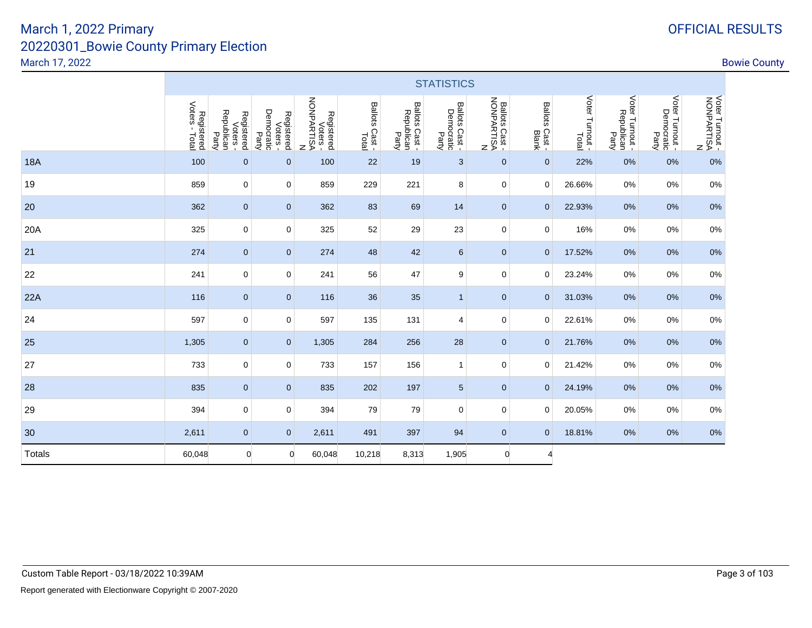| OFFICIAL RESULTS |
|------------------|
|------------------|

|            |                              |                                               |                                             |                                                        |                         |                                       | <b>STATISTICS</b>                     |                                            |                                |                 |                                        |                                        |                                             |
|------------|------------------------------|-----------------------------------------------|---------------------------------------------|--------------------------------------------------------|-------------------------|---------------------------------------|---------------------------------------|--------------------------------------------|--------------------------------|-----------------|----------------------------------------|----------------------------------------|---------------------------------------------|
|            | Registered<br>Voters - Total | Voters -<br>Republican<br>Registered<br>Party | Democratic<br>Registered<br>Voters<br>Party | Registered<br>Voters -<br>NONPARTISA<br>$\overline{z}$ | Ballots Cast -<br>Total | Ballots Cast -<br>Republican<br>Party | Ballots Cast -<br>Democratic<br>Party | Ballots Cast -<br>NONPARTISA<br>NONPARTISA | Ballots Cast -<br>Blots Cast - | Voter Turnout - | Voter Turnout -<br>Republican<br>Party | Voter Turnout -<br>Democratic<br>Party | VOter Turnout -<br>AONPARTISA<br>NONPARTISA |
| <b>18A</b> | 100                          | $\mathbf{0}$                                  | $\mathbf 0$                                 | 100                                                    | 22                      | 19                                    | 3                                     | $\mathbf 0$                                | $\mathbf{0}$                   | 22%             | 0%                                     | 0%                                     | 0%                                          |
| 19         | 859                          | $\mathbf 0$                                   | 0                                           | 859                                                    | 229                     | 221                                   | 8                                     | $\mathbf 0$                                | $\mathbf 0$                    | 26.66%          | 0%                                     | 0%                                     | $0\%$                                       |
| 20         | 362                          | $\mathbf 0$                                   | $\mathbf{0}$                                | 362                                                    | 83                      | 69                                    | 14                                    | $\mathbf 0$                                | $\mathbf{0}$                   | 22.93%          | $0\%$                                  | 0%                                     | 0%                                          |
| 20A        | 325                          | $\mathbf 0$                                   | 0                                           | 325                                                    | 52                      | 29                                    | 23                                    | $\mathbf 0$                                | $\mathbf 0$                    | 16%             | $0\%$                                  | 0%                                     | $0\%$                                       |
| 21         | 274                          | $\mathbf 0$                                   | $\pmb{0}$                                   | 274                                                    | 48                      | 42                                    | $\,6\,$                               | $\mathbf 0$                                | $\mathbf 0$                    | 17.52%          | $0\%$                                  | 0%                                     | 0%                                          |
| 22         | 241                          | 0                                             | 0                                           | 241                                                    | 56                      | 47                                    | 9                                     | $\mathbf 0$                                | $\mathbf 0$                    | 23.24%          | 0%                                     | 0%                                     | 0%                                          |
| 22A        | 116                          | $\pmb{0}$                                     | $\mathbf 0$                                 | 116                                                    | 36                      | 35                                    | $\mathbf{1}$                          | $\mathbf{0}$                               | $\mathbf{0}$                   | 31.03%          | 0%                                     | 0%                                     | 0%                                          |
| 24         | 597                          | $\mathbf 0$                                   | 0                                           | 597                                                    | 135                     | 131                                   | $\overline{4}$                        | $\mathbf 0$                                | $\mathbf 0$                    | 22.61%          | $0\%$                                  | 0%                                     | $0\%$                                       |
| 25         | 1,305                        | $\mathbf{0}$                                  | $\overline{0}$                              | 1,305                                                  | 284                     | 256                                   | 28                                    | $\mathbf{0}$                               | $\mathbf{0}$                   | 21.76%          | 0%                                     | 0%                                     | 0%                                          |
| 27         | 733                          | $\mathbf 0$                                   | 0                                           | 733                                                    | 157                     | 156                                   | $\mathbf{1}$                          | $\mathbf 0$                                | $\mathbf 0$                    | 21.42%          | 0%                                     | 0%                                     | 0%                                          |
| 28         | 835                          | $\mathbf 0$                                   | $\overline{0}$                              | 835                                                    | 202                     | 197                                   | $\overline{5}$                        | $\pmb{0}$                                  | $\mathbf{0}$                   | 24.19%          | $0\%$                                  | 0%                                     | 0%                                          |
| 29         | 394                          | 0                                             | 0                                           | 394                                                    | 79                      | 79                                    | $\mathbf 0$                           | $\mathbf 0$                                | $\mathbf 0$                    | 20.05%          | 0%                                     | 0%                                     | 0%                                          |
| 30         | 2,611                        | $\mathbf{0}$                                  | $\overline{0}$                              | 2,611                                                  | 491                     | 397                                   | 94                                    | $\mathbf{0}$                               | $\mathbf{0}$                   | 18.81%          | 0%                                     | 0%                                     | 0%                                          |
| Totals     | 60,048                       | 0                                             | $\mathbf 0$                                 | 60,048                                                 | 10,218                  | 8,313                                 | 1,905                                 | $\mathbf{0}$                               | 4                              |                 |                                        |                                        |                                             |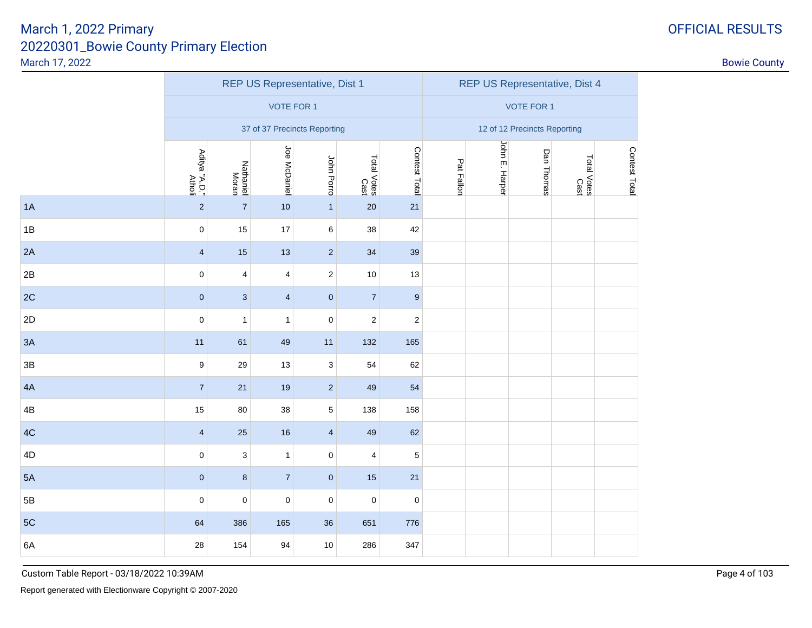|               |                         |                         |                         | REP US Representative, Dist 1 |                     |                  |                              |                |                   | REP US Representative, Dist 4 |               |  |  |
|---------------|-------------------------|-------------------------|-------------------------|-------------------------------|---------------------|------------------|------------------------------|----------------|-------------------|-------------------------------|---------------|--|--|
|               |                         |                         | <b>VOTE FOR 1</b>       |                               |                     |                  |                              |                | <b>VOTE FOR 1</b> |                               |               |  |  |
|               |                         |                         |                         | 37 of 37 Precincts Reporting  |                     |                  | 12 of 12 Precincts Reporting |                |                   |                               |               |  |  |
|               | Aditya "A.D."<br>Atholi | Nathaniel<br>Moran      | Joe McDaniel            | John Porro                    | Total Votes<br>Cast | Contest Total    | Pat Fallon                   | John E. Harper | Dan Thomas        | Total Votes<br>Cast           | Contest Total |  |  |
| 1A            | $\sqrt{2}$              | $\overline{7}$          | 10                      | $\mathbf{1}$                  | 20                  | 21               |                              |                |                   |                               |               |  |  |
| 1B            | $\pmb{0}$               | 15                      | 17                      | 6                             | 38                  | 42               |                              |                |                   |                               |               |  |  |
| 2A            | $\overline{4}$          | 15                      | 13                      | $\sqrt{2}$                    | 34                  | 39               |                              |                |                   |                               |               |  |  |
| 2B            | $\pmb{0}$               | $\overline{\mathbf{4}}$ | $\overline{\mathbf{4}}$ | $\overline{c}$                | 10                  | 13               |                              |                |                   |                               |               |  |  |
| 2C            | $\pmb{0}$               | $\sqrt{3}$              | $\overline{\mathbf{4}}$ | $\pmb{0}$                     | $\overline{7}$      | $\boldsymbol{9}$ |                              |                |                   |                               |               |  |  |
| 2D            | $\pmb{0}$               | $\mathbf{1}$            | $\mathbf{1}$            | $\mathsf 0$                   | $\overline{c}$      | $\sqrt{2}$       |                              |                |                   |                               |               |  |  |
| 3A            | 11                      | 61                      | 49                      | 11                            | 132                 | 165              |                              |                |                   |                               |               |  |  |
| 3B            | $\boldsymbol{9}$        | 29                      | 13                      | $\mathbf{3}$                  | 54                  | 62               |                              |                |                   |                               |               |  |  |
| 4A            | $\sqrt{7}$              | 21                      | $19$                    | $\sqrt{2}$                    | 49                  | 54               |                              |                |                   |                               |               |  |  |
| 4B            | 15                      | 80                      | 38                      | $5\,$                         | 138                 | 158              |                              |                |                   |                               |               |  |  |
| 4C            | $\overline{\mathbf{4}}$ | 25                      | 16                      | $\overline{\mathbf{4}}$       | 49                  | 62               |                              |                |                   |                               |               |  |  |
| 4D            | $\pmb{0}$               | $\sqrt{3}$              | $\mathbf 1$             | $\pmb{0}$                     | 4                   | $\mathbf 5$      |                              |                |                   |                               |               |  |  |
| 5A            | $\pmb{0}$               | $\bf 8$                 | $\overline{7}$          | $\pmb{0}$                     | 15                  | 21               |                              |                |                   |                               |               |  |  |
| $5\mathsf{B}$ | $\pmb{0}$               | $\pmb{0}$               | $\pmb{0}$               | $\mathsf 0$                   | $\pmb{0}$           | $\pmb{0}$        |                              |                |                   |                               |               |  |  |
| 5C            | 64                      | 386                     | 165                     | 36                            | 651                 | 776              |                              |                |                   |                               |               |  |  |
| 6A            | 28                      | 154                     | 94                      | $10$                          | 286                 | 347              |                              |                |                   |                               |               |  |  |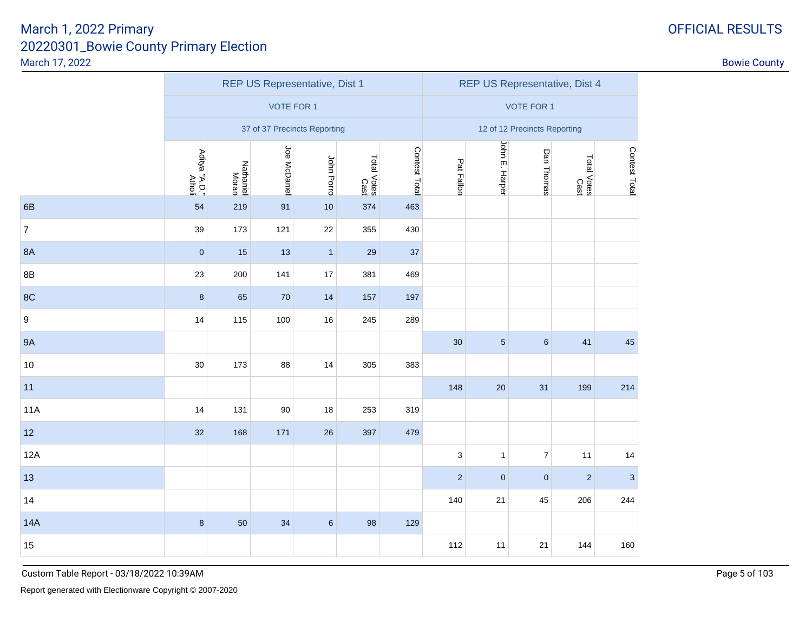| <b>OFFICIAL RESULTS</b> |
|-------------------------|
|-------------------------|

|                  |                         |                    |                   | REP US Representative, Dist 1 | REP US Representative, Dist 4 |               |                              |                |                |                     |                           |  |  |
|------------------|-------------------------|--------------------|-------------------|-------------------------------|-------------------------------|---------------|------------------------------|----------------|----------------|---------------------|---------------------------|--|--|
|                  |                         |                    | <b>VOTE FOR 1</b> |                               |                               |               | <b>VOTE FOR 1</b>            |                |                |                     |                           |  |  |
|                  |                         |                    |                   | 37 of 37 Precincts Reporting  |                               |               | 12 of 12 Precincts Reporting |                |                |                     |                           |  |  |
|                  | Aditya "A.D."<br>Atholi | Nathaniel<br>Moran | Joe McDaniel      | John Porro                    | Total Votes<br>Cast           | Contest Total | Pat Fallon                   | John E. Harper | Dan Thomas     | Total Votes<br>Cast | Contest Total             |  |  |
| 6B               | 54                      | 219                | 91                | 10                            | 374                           | 463           |                              |                |                |                     |                           |  |  |
| $\boldsymbol{7}$ | 39                      | 173                | 121               | 22                            | 355                           | 430           |                              |                |                |                     |                           |  |  |
| <b>8A</b>        | $\pmb{0}$               | 15                 | 13                | $\mathbf{1}$                  | 29                            | 37            |                              |                |                |                     |                           |  |  |
| 8B               | 23                      | 200                | 141               | 17                            | 381                           | 469           |                              |                |                |                     |                           |  |  |
| 8C               | $\bf 8$                 | 65                 | $70\,$            | 14                            | 157                           | 197           |                              |                |                |                     |                           |  |  |
| 9                | 14                      | 115                | 100               | 16                            | 245                           | 289           |                              |                |                |                     |                           |  |  |
| <b>9A</b>        |                         |                    |                   |                               |                               |               | 30                           | $\sqrt{5}$     | $\,6\,$        | 41                  | 45                        |  |  |
| $10$             | 30                      | 173                | 88                | 14                            | 305                           | 383           |                              |                |                |                     |                           |  |  |
| 11               |                         |                    |                   |                               |                               |               | 148                          | 20             | 31             | 199                 | 214                       |  |  |
| <b>11A</b>       | 14                      | 131                | 90                | 18                            | 253                           | 319           |                              |                |                |                     |                           |  |  |
| 12               | 32                      | 168                | 171               | 26                            | 397                           | 479           |                              |                |                |                     |                           |  |  |
| 12A              |                         |                    |                   |                               |                               |               | 3                            | $\mathbf{1}$   | $\overline{7}$ | 11                  | 14                        |  |  |
| 13               |                         |                    |                   |                               |                               |               | $\overline{c}$               | $\mathbf 0$    | $\pmb{0}$      | $\sqrt{2}$          | $\ensuremath{\mathsf{3}}$ |  |  |
| 14               |                         |                    |                   |                               |                               |               | 140                          | 21             | 45             | 206                 | 244                       |  |  |
| 14A              | $\bf 8$                 | 50                 | 34                | $\,6\,$                       | 98                            | 129           |                              |                |                |                     |                           |  |  |
| 15               |                         |                    |                   |                               |                               |               | 112                          | 11             | 21             | 144                 | 160                       |  |  |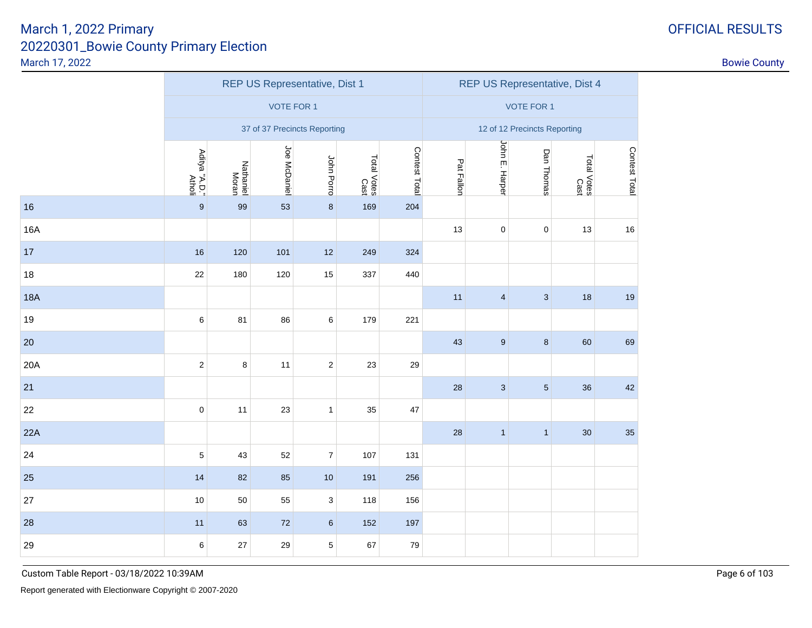| <b>OFFICIAL RESULTS</b> |
|-------------------------|
|-------------------------|

|            |                         |                    |                   | REP US Representative, Dist 1 |                     |               | REP US Representative, Dist 4 |                         |                              |                     |               |  |
|------------|-------------------------|--------------------|-------------------|-------------------------------|---------------------|---------------|-------------------------------|-------------------------|------------------------------|---------------------|---------------|--|
|            |                         |                    | <b>VOTE FOR 1</b> |                               |                     |               |                               |                         | <b>VOTE FOR 1</b>            |                     |               |  |
|            |                         |                    |                   | 37 of 37 Precincts Reporting  |                     |               |                               |                         | 12 of 12 Precincts Reporting |                     |               |  |
|            | Aditya "A.D."<br>Atholi | Nathaniel<br>Moran | Joe McDaniel      | John Porro                    | Total Votes<br>Cast | Contest Total | Pat Fallon                    | John E. Harper          | Dan Thomas                   | Total Votes<br>Cast | Contest Total |  |
| 16         | $\boldsymbol{9}$        | 99                 | 53                | $\bf{8}$                      | 169                 | 204           |                               |                         |                              |                     |               |  |
| 16A        |                         |                    |                   |                               |                     |               | 13                            | $\pmb{0}$               | $\pmb{0}$                    | 13                  | 16            |  |
| 17         | 16                      | 120                | 101               | 12                            | 249                 | 324           |                               |                         |                              |                     |               |  |
| 18         | 22                      | 180                | 120               | 15                            | 337                 | 440           |                               |                         |                              |                     |               |  |
| <b>18A</b> |                         |                    |                   |                               |                     |               | 11                            | $\overline{\mathbf{4}}$ | $\mathbf{3}$                 | 18                  | 19            |  |
| 19         | $\,6\,$                 | 81                 | 86                | 6                             | 179                 | 221           |                               |                         |                              |                     |               |  |
| $20\,$     |                         |                    |                   |                               |                     |               | 43                            | $9\,$                   | $\bf 8$                      | 60                  | 69            |  |
| 20A        | $\overline{c}$          | $\bf8$             | 11                | $\sqrt{2}$                    | 23                  | 29            |                               |                         |                              |                     |               |  |
| 21         |                         |                    |                   |                               |                     |               | 28                            | $\sqrt{3}$              | $\sqrt{5}$                   | 36                  | 42            |  |
| 22         | $\mathsf{O}\xspace$     | 11                 | 23                | $\mathbf{1}$                  | 35                  | 47            |                               |                         |                              |                     |               |  |
| 22A        |                         |                    |                   |                               |                     |               | 28                            | $\mathbf{1}$            | $\mathbf{1}$                 | 30                  | 35            |  |
| 24         | $\mathbf 5$             | 43                 | 52                | $\boldsymbol{7}$              | 107                 | 131           |                               |                         |                              |                     |               |  |
| 25         | 14                      | 82                 | 85                | $10$                          | 191                 | 256           |                               |                         |                              |                     |               |  |
| 27         | 10                      | 50                 | 55                | $\mathbf{3}$                  | 118                 | 156           |                               |                         |                              |                     |               |  |
| 28         | 11                      | 63                 | $72\,$            | $6\phantom{.}$                | 152                 | 197           |                               |                         |                              |                     |               |  |
| 29         | $\,6$                   | 27                 | 29                | 5                             | 67                  | $\bf 79$      |                               |                         |                              |                     |               |  |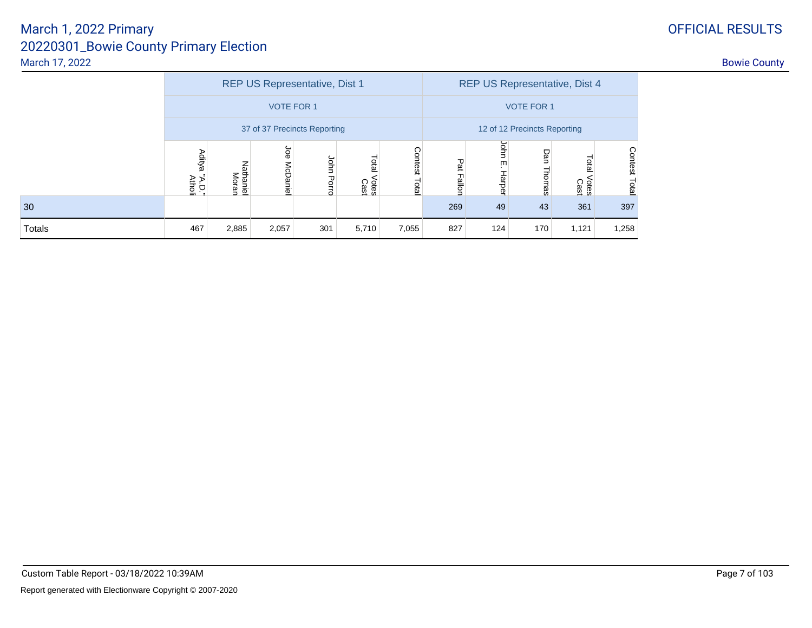|        |                            |                    |                        | REP US Representative, Dist 1 |                              |                   | REP US Representative, Dist 4 |                      |               |                        |                  |  |  |
|--------|----------------------------|--------------------|------------------------|-------------------------------|------------------------------|-------------------|-------------------------------|----------------------|---------------|------------------------|------------------|--|--|
|        |                            |                    | <b>VOTE FOR 1</b>      |                               |                              | <b>VOTE FOR 1</b> |                               |                      |               |                        |                  |  |  |
|        |                            |                    |                        | 37 of 37 Precincts Reporting  | 12 of 12 Precincts Reporting |                   |                               |                      |               |                        |                  |  |  |
|        | Aditya<br>"A.D."<br>Atholi | Nathaniel<br>Moran | Joe<br><b>McDaniel</b> | John<br>Porro                 | <b>Dial</b><br>Votes<br>Cast | Contest<br>Total  | Pat Fallon                    | John<br>ŢΠ<br>Harper | Dan<br>Thomas | Total<br>Votes<br>Cast | Contest<br>Total |  |  |
| 30     |                            |                    |                        |                               |                              |                   | 269                           | 49                   | 43            | 361                    | 397              |  |  |
| Totals | 467                        | 2,885              | 2,057                  | 301                           | 5,710                        | 7,055             | 827                           | 124                  | 170           | 1,121                  | 1,258            |  |  |

# OFFICIAL RESULTS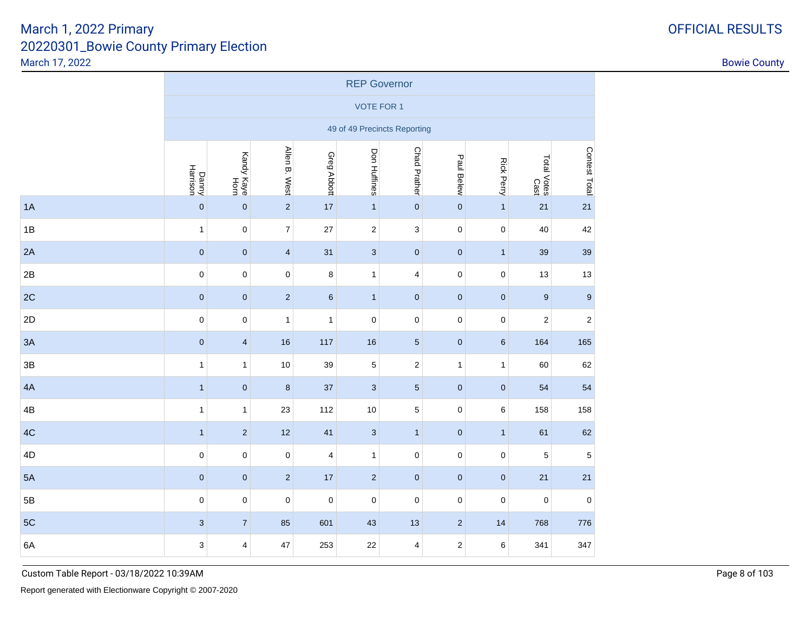|               | <b>REP Governor</b>       |                         |                         |              |                              |                           |                |                     |                     |                  |  |  |  |
|---------------|---------------------------|-------------------------|-------------------------|--------------|------------------------------|---------------------------|----------------|---------------------|---------------------|------------------|--|--|--|
|               |                           |                         |                         |              | <b>VOTE FOR 1</b>            |                           |                |                     |                     |                  |  |  |  |
|               |                           |                         |                         |              | 49 of 49 Precincts Reporting |                           |                |                     |                     |                  |  |  |  |
|               | Danny<br>Harrison         | Kandy Kaye<br>Horn      | Allen B. West           | Greg Abbott  | Don Huffines                 | <b>Chad Prather</b>       | Paul Belew     | <b>Rick Perry</b>   | Total Votes<br>Cast | Contest Total    |  |  |  |
| 1A            | $\pmb{0}$                 | $\pmb{0}$               | $\overline{c}$          | $17$         | $\mathbf{1}$                 | $\pmb{0}$                 | $\pmb{0}$      | $\mathbf{1}$        | 21                  | 21               |  |  |  |
| 1B            | $\mathbf{1}$              | $\pmb{0}$               | $\overline{7}$          | 27           | $\overline{\mathbf{c}}$      | $\ensuremath{\mathsf{3}}$ | $\mathbf 0$    | $\mathsf{O}\xspace$ | 40                  | 42               |  |  |  |
| 2A            | $\pmb{0}$                 | $\pmb{0}$               | $\overline{\mathbf{4}}$ | 31           | 3                            | $\pmb{0}$                 | $\pmb{0}$      | $\mathbf{1}$        | 39                  | 39               |  |  |  |
| 2B            | $\pmb{0}$                 | $\pmb{0}$               | 0                       | 8            | 1                            | $\overline{\mathbf{4}}$   | $\pmb{0}$      | 0                   | 13                  | 13               |  |  |  |
| 2C            | $\pmb{0}$                 | $\pmb{0}$               | $\overline{c}$          | $\,6\,$      | $\mathbf{1}$                 | $\pmb{0}$                 | $\pmb{0}$      | $\pmb{0}$           | $\boldsymbol{9}$    | $\boldsymbol{9}$ |  |  |  |
| 2D            | $\pmb{0}$                 | $\pmb{0}$               | $\mathbf{1}$            | $\mathbf{1}$ | $\mathbf 0$                  | $\pmb{0}$                 | $\pmb{0}$      | 0                   | $\overline{c}$      | $\sqrt{2}$       |  |  |  |
| 3A            | $\pmb{0}$                 | $\overline{\mathbf{4}}$ | 16                      | 117          | 16                           | $\sqrt{5}$                | $\pmb{0}$      | $\,6\,$             | 164                 | 165              |  |  |  |
| $3\mathsf{B}$ | $\mathbf{1}$              | $\mathbf{1}$            | 10                      | 39           | $\mathbf 5$                  | $\sqrt{2}$                | $\mathbf{1}$   | $\mathbf{1}$        | 60                  | 62               |  |  |  |
| 4A            | $\mathbf{1}$              | $\pmb{0}$               | $\bf 8$                 | 37           | $\mathbf{3}$                 | $\sqrt{5}$                | $\pmb{0}$      | $\pmb{0}$           | 54                  | 54               |  |  |  |
| 4B            | $\mathbf{1}$              | $\mathbf{1}$            | 23                      | 112          | $10$                         | $\mathbf 5$               | $\pmb{0}$      | 6                   | 158                 | 158              |  |  |  |
| 4C            | $\mathbf{1}$              | $\sqrt{2}$              | 12                      | 41           | 3                            | $\mathbf{1}$              | $\pmb{0}$      | $\mathbf{1}$        | 61                  | 62               |  |  |  |
| 4D            | $\pmb{0}$                 | $\pmb{0}$               | 0                       | 4            | 1                            | $\pmb{0}$                 | $\pmb{0}$      | 0                   | 5                   | 5                |  |  |  |
| 5A            | $\pmb{0}$                 | $\pmb{0}$               | $\overline{2}$          | 17           | $\overline{2}$               | $\pmb{0}$                 | $\pmb{0}$      | $\pmb{0}$           | 21                  | 21               |  |  |  |
| $5\mathsf{B}$ | $\pmb{0}$                 | $\pmb{0}$               | $\pmb{0}$               | $\pmb{0}$    | 0                            | $\pmb{0}$                 | $\pmb{0}$      | $\pmb{0}$           | $\mathbf 0$         | $\pmb{0}$        |  |  |  |
| 5C            | $\ensuremath{\mathsf{3}}$ | $\boldsymbol{7}$        | 85                      | 601          | 43                           | 13                        | $\overline{2}$ | 14                  | 768                 | 776              |  |  |  |
| 6A            | $\ensuremath{\mathsf{3}}$ | $\overline{\mathbf{4}}$ | 47                      | 253          | 22                           | $\overline{\mathbf{4}}$   | $\mathbf 2$    | 6                   | 341                 | 347              |  |  |  |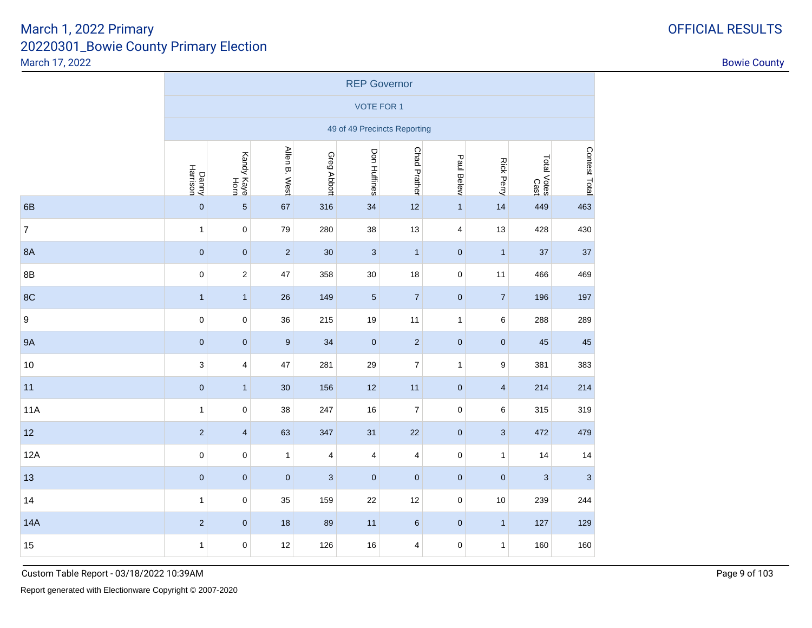|                  | <b>REP Governor</b>       |                         |                |                           |                              |                         |                         |                   |                     |               |  |  |  |
|------------------|---------------------------|-------------------------|----------------|---------------------------|------------------------------|-------------------------|-------------------------|-------------------|---------------------|---------------|--|--|--|
|                  |                           |                         |                |                           | <b>VOTE FOR 1</b>            |                         |                         |                   |                     |               |  |  |  |
|                  |                           |                         |                |                           | 49 of 49 Precincts Reporting |                         |                         |                   |                     |               |  |  |  |
|                  | Danny<br>Harrison         | Kandy Kaye<br>Horn      | Allen B. West  | Greg Abbott               | Don Huffines                 | <b>Chad Prather</b>     | Paul Belew              | <b>Rick Perry</b> | Total Votes<br>Cast | Contest Total |  |  |  |
| 6B               | $\pmb{0}$                 | $\overline{5}$          | 67             | 316                       | 34                           | 12                      | $\mathbf{1}$            | 14                | 449                 | 463           |  |  |  |
| $\overline{7}$   | $\mathbf{1}$              | $\mathbf 0$             | 79             | 280                       | 38                           | 13                      | $\overline{\mathbf{4}}$ | 13                | 428                 | 430           |  |  |  |
| 8A               | $\pmb{0}$                 | $\pmb{0}$               | $\overline{2}$ | 30                        | $\mathbf{3}$                 | $\mathbf{1}$            | $\pmb{0}$               | $\mathbf{1}$      | 37                  | 37            |  |  |  |
| 8B               | $\mathbf 0$               | $\boldsymbol{2}$        | 47             | 358                       | 30                           | 18                      | $\mathsf 0$             | 11                | 466                 | 469           |  |  |  |
| 8C               | $\mathbf{1}$              | $\mathbf{1}$            | 26             | 149                       | $\overline{5}$               | $\sqrt{7}$              | $\pmb{0}$               | $\overline{7}$    | 196                 | 197           |  |  |  |
| $\boldsymbol{9}$ | $\pmb{0}$                 | $\pmb{0}$               | 36             | 215                       | 19                           | 11                      | $\mathbf{1}$            | 6                 | 288                 | 289           |  |  |  |
| <b>9A</b>        | $\pmb{0}$                 | $\pmb{0}$               | 9              | 34                        | $\pmb{0}$                    | $\overline{2}$          | $\mathbf 0$             | $\mathbf 0$       | 45                  | 45            |  |  |  |
| 10               | $\ensuremath{\mathsf{3}}$ | 4                       | 47             | 281                       | 29                           | $\boldsymbol{7}$        | $\mathbf{1}$            | 9                 | 381                 | 383           |  |  |  |
| 11               | $\pmb{0}$                 | $\mathbf{1}$            | $30\,$         | 156                       | 12                           | 11                      | $\pmb{0}$               | $\overline{4}$    | 214                 | 214           |  |  |  |
| <b>11A</b>       | $\mathbf{1}$              | 0                       | 38             | 247                       | 16                           | $\boldsymbol{7}$        | $\pmb{0}$               | 6                 | 315                 | 319           |  |  |  |
| 12               | $\sqrt{2}$                | $\overline{\mathbf{4}}$ | 63             | 347                       | 31                           | 22                      | $\pmb{0}$               | $\sqrt{3}$        | 472                 | 479           |  |  |  |
| 12A              | $\pmb{0}$                 | $\pmb{0}$               | $\mathbf{1}$   | 4                         | 4                            | $\overline{\mathbf{4}}$ | $\pmb{0}$               | $\mathbf{1}$      | 14                  | 14            |  |  |  |
| 13               | $\pmb{0}$                 | $\pmb{0}$               | $\pmb{0}$      | $\ensuremath{\mathsf{3}}$ | $\pmb{0}$                    | $\pmb{0}$               | $\pmb{0}$               | $\pmb{0}$         | $\sqrt{3}$          | $\sqrt{3}$    |  |  |  |
| 14               | $\mathbf{1}$              | $\pmb{0}$               | 35             | 159                       | 22                           | 12                      | $\pmb{0}$               | 10                | 239                 | 244           |  |  |  |
| <b>14A</b>       | $\sqrt{2}$                | $\pmb{0}$               | 18             | 89                        | 11                           | $\,6\,$                 | $\pmb{0}$               | $\mathbf{1}$      | 127                 | 129           |  |  |  |
| 15               | $\mathbf{1}$              | $\mathbf 0$             | 12             | 126                       | $16\,$                       | $\pmb{4}$               | $\mathbf 0$             | $\mathbf{1}$      | 160                 | 160           |  |  |  |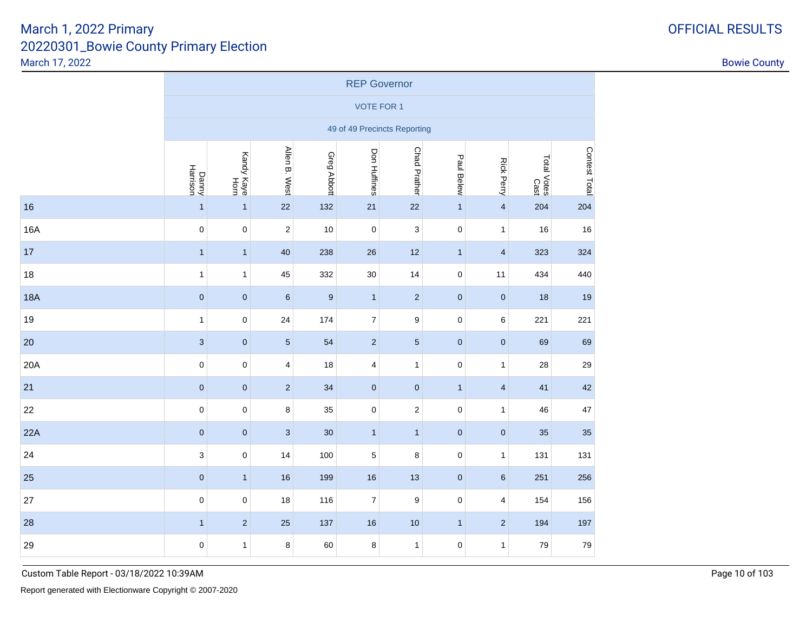|            | <b>REP Governor</b>       |                    |                |                  |                  |                              |              |                         |                     |               |  |  |  |
|------------|---------------------------|--------------------|----------------|------------------|------------------|------------------------------|--------------|-------------------------|---------------------|---------------|--|--|--|
|            | <b>VOTE FOR 1</b>         |                    |                |                  |                  |                              |              |                         |                     |               |  |  |  |
|            |                           |                    |                |                  |                  | 49 of 49 Precincts Reporting |              |                         |                     |               |  |  |  |
|            | Danny<br>Harrison         | Kandy Kaye<br>Horn | Allen B. West  | Greg Abbott      | Don Huffines     | <b>Chad Prather</b>          | Paul Belew   | <b>Rick Perry</b>       | Total Votes<br>Cast | Contest Total |  |  |  |
| 16         | $\overline{1}$            | $\mathbf{1}$       | 22             | 132              | 21               | 22                           | $\mathbf{1}$ | $\overline{\mathbf{4}}$ | 204                 | 204           |  |  |  |
| 16A        | $\mathbf 0$               | $\mathbf 0$        | $\overline{c}$ | 10               | $\mathsf 0$      | $\ensuremath{\mathsf{3}}$    | $\mathbf 0$  | $\mathbf{1}$            | 16                  | 16            |  |  |  |
| 17         | $\mathbf{1}$              | $\mathbf{1}$       | 40             | 238              | 26               | 12                           | $\mathbf{1}$ | $\overline{\mathbf{4}}$ | 323                 | 324           |  |  |  |
| 18         | $\mathbf{1}$              | $\mathbf{1}$       | 45             | 332              | 30               | 14                           | $\mathbf 0$  | 11                      | 434                 | 440           |  |  |  |
| <b>18A</b> | $\pmb{0}$                 | $\pmb{0}$          | $\, 6$         | $\boldsymbol{9}$ | $\mathbf{1}$     | $\sqrt{2}$                   | $\pmb{0}$    | $\pmb{0}$               | 18                  | 19            |  |  |  |
| 19         | $\mathbf{1}$              | $\pmb{0}$          | 24             | 174              | $\overline{7}$   | $\boldsymbol{9}$             | $\mathsf 0$  | 6                       | 221                 | 221           |  |  |  |
| 20         | $\sqrt{3}$                | $\pmb{0}$          | $\overline{5}$ | 54               | $\overline{c}$   | $\sqrt{5}$                   | $\pmb{0}$    | $\mathbf{0}$            | 69                  | 69            |  |  |  |
| 20A        | $\mathbf 0$               | $\pmb{0}$          | 4              | 18               | 4                | $\mathbf{1}$                 | $\pmb{0}$    | $\mathbf{1}$            | 28                  | 29            |  |  |  |
| 21         | $\mathbf{0}$              | $\pmb{0}$          | $\overline{c}$ | 34               | $\pmb{0}$        | $\mathbf 0$                  | $\mathbf{1}$ | $\overline{4}$          | 41                  | 42            |  |  |  |
| 22         | $\pmb{0}$                 | $\pmb{0}$          | 8              | 35               | 0                | $\sqrt{2}$                   | $\pmb{0}$    | $\mathbf{1}$            | 46                  | $47\,$        |  |  |  |
| 22A        | $\pmb{0}$                 | $\pmb{0}$          | $\mathbf{3}$   | 30               | $\mathbf{1}$     | $\mathbf{1}$                 | $\pmb{0}$    | $\pmb{0}$               | 35                  | 35            |  |  |  |
| 24         | $\ensuremath{\mathsf{3}}$ | $\pmb{0}$          | 14             | 100              | 5                | 8                            | $\pmb{0}$    | $\mathbf{1}$            | 131                 | 131           |  |  |  |
| 25         | $\pmb{0}$                 | $\mathbf{1}$       | $16\,$         | 199              | 16               | 13                           | $\pmb{0}$    | $\,6\,$                 | 251                 | 256           |  |  |  |
| 27         | $\mathbf 0$               | $\pmb{0}$          | 18             | 116              | $\boldsymbol{7}$ | $\boldsymbol{9}$             | $\mathbf 0$  | $\overline{\mathbf{4}}$ | 154                 | 156           |  |  |  |
| 28         | $\mathbf{1}$              | $\sqrt{2}$         | 25             | 137              | 16               | 10                           | $\mathbf{1}$ | $\overline{2}$          | 194                 | 197           |  |  |  |
| 29         | $\mathbf 0$               | $\mathbf{1}$       | 8              | 60               | 8                | $\mathbf{1}$                 | $\mathbf 0$  | $\mathbf{1}$            | 79                  | 79            |  |  |  |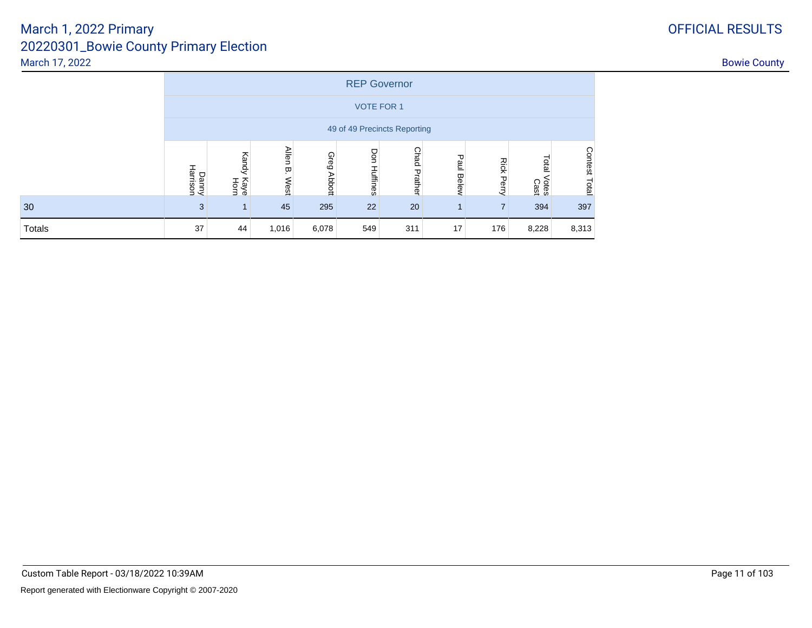|        |                              |                       |                           |             |              | <b>REP Governor</b> |            |                   |                        |                         |  |  |  |
|--------|------------------------------|-----------------------|---------------------------|-------------|--------------|---------------------|------------|-------------------|------------------------|-------------------------|--|--|--|
|        | <b>VOTE FOR 1</b>            |                       |                           |             |              |                     |            |                   |                        |                         |  |  |  |
|        | 49 of 49 Precincts Reporting |                       |                           |             |              |                     |            |                   |                        |                         |  |  |  |
|        | Danny<br>Harrison            | Kandy<br>Kaye<br>Horn | <b>Allen</b><br>Ţ<br>West | Greg Abbott | Don Huffines | <b>Chad Prather</b> | Paul Belew | <b>Rick Perry</b> | Total<br>Votes<br>Cast | <b>Contest</b><br>Total |  |  |  |
| 30     | 3                            |                       | 45                        | 295         | 22           | 20                  |            | $\overline{ }$    | 394                    | 397                     |  |  |  |
| Totals | 37                           | 44                    | 1,016                     | 6,078       | 549          | 311                 | 17         | 176               | 8,228                  | 8,313                   |  |  |  |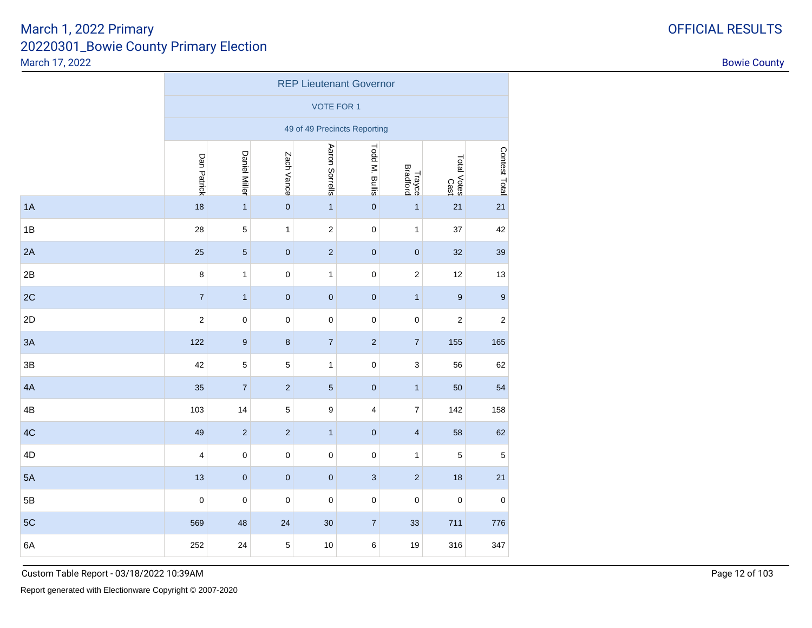|    | <b>REP Lieutenant Governor</b> |                  |                |                   |                              |                         |                            |                  |  |  |  |  |  |
|----|--------------------------------|------------------|----------------|-------------------|------------------------------|-------------------------|----------------------------|------------------|--|--|--|--|--|
|    |                                |                  |                | <b>VOTE FOR 1</b> |                              |                         |                            |                  |  |  |  |  |  |
|    |                                |                  |                |                   | 49 of 49 Precincts Reporting |                         |                            |                  |  |  |  |  |  |
|    | Dan Patrick                    | Daniel Miller    | Zach Vance     | Aaron Sorrells    | Todd M. Bullis               | Trayce<br>Bradford      | Total Votes<br>Total Votes | Contest Total    |  |  |  |  |  |
| 1A | 18                             | $\mathbf{1}$     | $\pmb{0}$      | $\mathbf{1}$      | $\pmb{0}$                    | $\mathbf{1}$            | 21                         | 21               |  |  |  |  |  |
| 1B | 28                             | $\sqrt{5}$       | $\mathbf{1}$   | $\sqrt{2}$        | $\pmb{0}$                    | 1                       | 37                         | 42               |  |  |  |  |  |
| 2A | 25                             | $\sqrt{5}$       | $\pmb{0}$      | $\sqrt{2}$        | $\pmb{0}$                    | $\pmb{0}$               | 32                         | 39               |  |  |  |  |  |
| 2B | $\bf 8$                        | $\mathbf{1}$     | $\mathbf 0$    | $\mathbf{1}$      | $\pmb{0}$                    | $\mathbf 2$             | 12                         | 13               |  |  |  |  |  |
| 2C | $\overline{7}$                 | $\mathbf{1}$     | $\pmb{0}$      | $\pmb{0}$         | $\pmb{0}$                    | $\mathbf{1}$            | $\boldsymbol{9}$           | $\boldsymbol{9}$ |  |  |  |  |  |
| 2D | $\mathbf 2$                    | $\mathbf 0$      | $\mathbf 0$    | $\pmb{0}$         | $\pmb{0}$                    | $\pmb{0}$               | $\sqrt{2}$                 | $\sqrt{2}$       |  |  |  |  |  |
| 3A | 122                            | $\boldsymbol{9}$ | $\bf 8$        | $\boldsymbol{7}$  | $\sqrt{2}$                   | $\boldsymbol{7}$        | 155                        | 165              |  |  |  |  |  |
| 3B | 42                             | $\sqrt{5}$       | $\overline{5}$ | $\mathbf{1}$      | $\pmb{0}$                    | 3                       | 56                         | 62               |  |  |  |  |  |
| 4A | 35                             | $\sqrt{7}$       | $\sqrt{2}$     | $\sqrt{5}$        | $\pmb{0}$                    | $\mathbf{1}$            | 50                         | 54               |  |  |  |  |  |
| 4B | 103                            | 14               | $\sqrt{5}$     | 9                 | 4                            | $\overline{\mathbf{7}}$ | 142                        | 158              |  |  |  |  |  |
| 4C | 49                             | $\sqrt{2}$       | $\sqrt{2}$     | $\mathbf{1}$      | $\pmb{0}$                    | $\overline{\mathbf{4}}$ | 58                         | 62               |  |  |  |  |  |
| 4D | 4                              | $\mathbf 0$      | $\mathsf 0$    | $\pmb{0}$         | $\mathbf 0$                  | $\mathbf{1}$            | $\sqrt{5}$                 | $\mathbf 5$      |  |  |  |  |  |
| 5A | 13                             | $\pmb{0}$        | $\pmb{0}$      | $\pmb{0}$         | $\ensuremath{\mathsf{3}}$    | $\sqrt{2}$              | 18                         | 21               |  |  |  |  |  |
| 5B | $\pmb{0}$                      | $\pmb{0}$        | $\pmb{0}$      | $\pmb{0}$         | $\mathbf 0$                  | $\pmb{0}$               | $\pmb{0}$                  | $\pmb{0}$        |  |  |  |  |  |
| 5C | 569                            | 48               | 24             | 30                | $\overline{7}$               | 33                      | 711                        | 776              |  |  |  |  |  |
| 6A | 252                            | 24               | $\sqrt{5}$     | 10                | 6                            | 19                      | 316                        | 347              |  |  |  |  |  |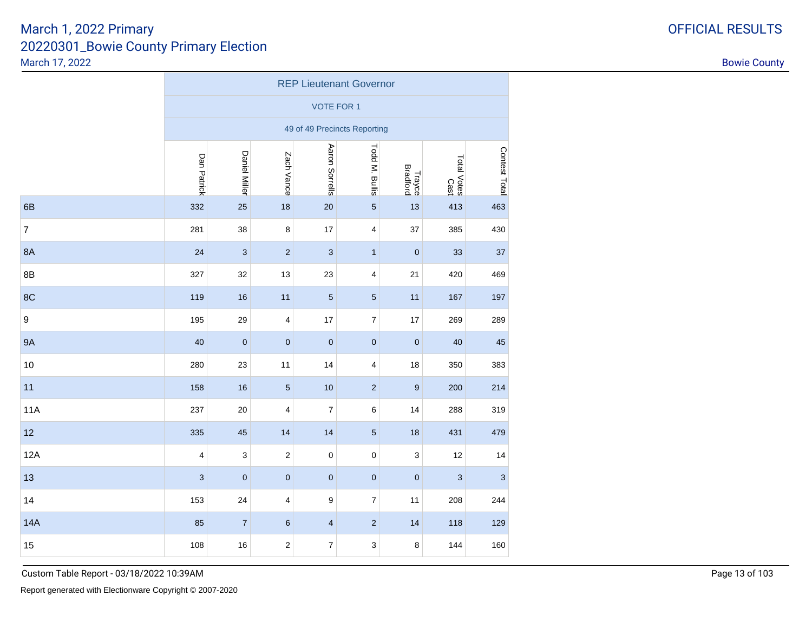|            | <b>REP Lieutenant Governor</b> |                      |                         |                         |                              |                    |                     |               |  |  |  |  |  |
|------------|--------------------------------|----------------------|-------------------------|-------------------------|------------------------------|--------------------|---------------------|---------------|--|--|--|--|--|
|            |                                |                      |                         | <b>VOTE FOR 1</b>       |                              |                    |                     |               |  |  |  |  |  |
|            |                                |                      |                         |                         | 49 of 49 Precincts Reporting |                    |                     |               |  |  |  |  |  |
|            | Dan Patrick                    | <b>Daniel Miller</b> | Zach Vance              | Aaron Sorrells          | Todd M. Bullis               | Trayce<br>Bradford | Total Votes<br>Cast | Contest Total |  |  |  |  |  |
| 6B         | 332                            | 25                   | 18                      | 20                      | $\overline{5}$               | 13                 | 413                 | 463           |  |  |  |  |  |
| 7          | 281                            | 38                   | $\,8\,$                 | 17                      | 4                            | 37                 | 385                 | 430           |  |  |  |  |  |
| 8A         | 24                             | $\mathbf{3}$         | $\overline{2}$          | $\sqrt{3}$              | $\mathbf{1}$                 | $\mathbf 0$        | 33                  | 37            |  |  |  |  |  |
| 8B         | 327                            | 32                   | 13                      | 23                      | 4                            | 21                 | 420                 | 469           |  |  |  |  |  |
| 8C         | 119                            | 16                   | 11                      | $\sqrt{5}$              | $\sqrt{5}$                   | 11                 | 167                 | 197           |  |  |  |  |  |
| 9          | 195                            | 29                   | $\overline{\mathbf{4}}$ | 17                      | $\boldsymbol{7}$             | 17                 | 269                 | 289           |  |  |  |  |  |
| <b>9A</b>  | 40                             | $\pmb{0}$            | $\mathbf 0$             | $\pmb{0}$               | $\pmb{0}$                    | $\mathbf 0$        | 40                  | 45            |  |  |  |  |  |
| 10         | 280                            | 23                   | 11                      | 14                      | 4                            | 18                 | 350                 | 383           |  |  |  |  |  |
| 11         | 158                            | 16                   | $\sqrt{5}$              | 10                      | $\sqrt{2}$                   | 9                  | 200                 | 214           |  |  |  |  |  |
| <b>11A</b> | 237                            | 20                   | 4                       | $\boldsymbol{7}$        | 6                            | 14                 | 288                 | 319           |  |  |  |  |  |
| 12         | 335                            | 45                   | 14                      | 14                      | $\overline{5}$               | 18                 | 431                 | 479           |  |  |  |  |  |
| 12A        | 4                              | $\mathsf 3$          | $\sqrt{2}$              | $\pmb{0}$               | $\pmb{0}$                    | 3                  | 12                  | 14            |  |  |  |  |  |
| 13         | $\ensuremath{\mathsf{3}}$      | $\pmb{0}$            | $\pmb{0}$               | $\pmb{0}$               | $\pmb{0}$                    | $\pmb{0}$          | 3                   | 3             |  |  |  |  |  |
| 14         | 153                            | 24                   | 4                       | 9                       | $\boldsymbol{7}$             | 11                 | 208                 | 244           |  |  |  |  |  |
| <b>14A</b> | 85                             | $\overline{7}$       | $6\phantom{1}6$         | $\overline{\mathbf{4}}$ | $\overline{2}$               | 14                 | 118                 | 129           |  |  |  |  |  |
| 15         | 108                            | 16                   | $\sqrt{2}$              | $\boldsymbol{7}$        | 3                            | 8                  | 144                 | 160           |  |  |  |  |  |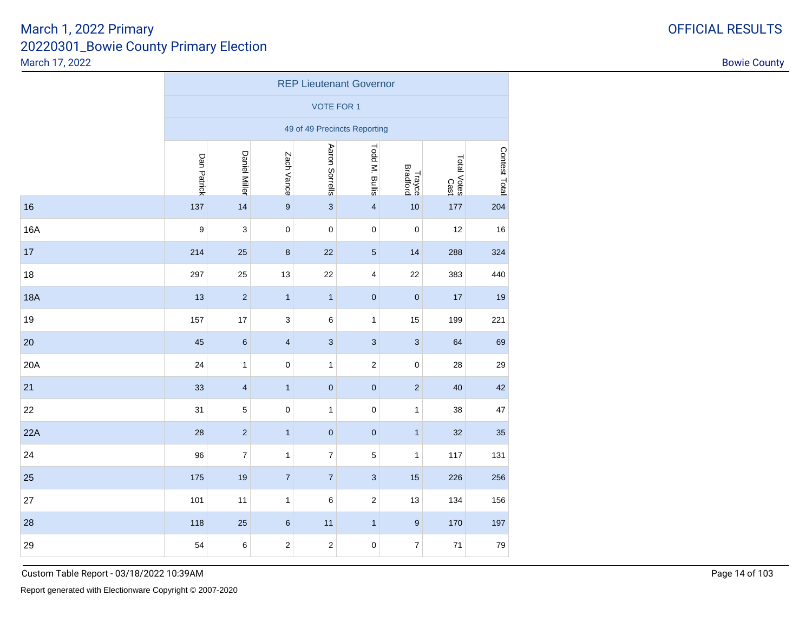|            | <b>REP Lieutenant Governor</b> |                      |                         |                           |                              |                    |                     |               |  |  |  |  |  |
|------------|--------------------------------|----------------------|-------------------------|---------------------------|------------------------------|--------------------|---------------------|---------------|--|--|--|--|--|
|            |                                |                      |                         | <b>VOTE FOR 1</b>         |                              |                    |                     |               |  |  |  |  |  |
|            |                                |                      |                         |                           | 49 of 49 Precincts Reporting |                    |                     |               |  |  |  |  |  |
|            | Dan Patrick                    | <b>Daniel Miller</b> | Zach Vance              | Aaron Sorrells            | Todd M. Bullis               | Trayce<br>Bradford | Total Votes<br>Cast | Contest Total |  |  |  |  |  |
| 16         | 137                            | 14                   | $\boldsymbol{9}$        | $\ensuremath{\mathsf{3}}$ | $\overline{\mathbf{4}}$      | 10                 | 177                 | 204           |  |  |  |  |  |
| 16A        | 9                              | 3                    | $\pmb{0}$               | $\pmb{0}$                 | $\pmb{0}$                    | $\pmb{0}$          | 12                  | 16            |  |  |  |  |  |
| 17         | 214                            | 25                   | $\boldsymbol{8}$        | 22                        | 5                            | 14                 | 288                 | 324           |  |  |  |  |  |
| 18         | 297                            | 25                   | 13                      | 22                        | $\overline{4}$               | 22                 | 383                 | 440           |  |  |  |  |  |
| <b>18A</b> | 13                             | $\sqrt{2}$           | $\mathbf{1}$            | $\mathbf{1}$              | $\pmb{0}$                    | $\pmb{0}$          | 17                  | 19            |  |  |  |  |  |
| 19         | 157                            | 17                   | 3                       | $\,6$                     | $\mathbf{1}$                 | 15                 | 199                 | 221           |  |  |  |  |  |
| 20         | 45                             | $\,6\,$              | $\overline{\mathbf{4}}$ | $\ensuremath{\mathsf{3}}$ | $\sqrt{3}$                   | $\mathbf{3}$       | 64                  | 69            |  |  |  |  |  |
| 20A        | 24                             | $\mathbf{1}$         | $\pmb{0}$               | $\mathbf{1}$              | $\sqrt{2}$                   | $\mathbf 0$        | 28                  | 29            |  |  |  |  |  |
| 21         | 33                             | $\overline{4}$       | $\mathbf{1}$            | $\pmb{0}$                 | $\bf{0}$                     | $\sqrt{2}$         | 40                  | 42            |  |  |  |  |  |
| 22         | 31                             | $\mathbf 5$          | $\pmb{0}$               | $\mathbf{1}$              | $\pmb{0}$                    | $\mathbf{1}$       | 38                  | 47            |  |  |  |  |  |
| 22A        | 28                             | $\sqrt{2}$           | $\mathbf{1}$            | $\pmb{0}$                 | $\pmb{0}$                    | $\mathbf{1}$       | 32                  | 35            |  |  |  |  |  |
| 24         | 96                             | $\boldsymbol{7}$     | $\mathbf{1}$            | $\boldsymbol{7}$          | 5                            | 1                  | 117                 | 131           |  |  |  |  |  |
| 25         | 175                            | 19                   | $\overline{7}$          | $\overline{7}$            | $\mathbf{3}$                 | 15                 | 226                 | 256           |  |  |  |  |  |
| 27         | 101                            | 11                   | $\mathbf{1}$            | 6                         | $\sqrt{2}$                   | 13                 | 134                 | 156           |  |  |  |  |  |
| 28         | 118                            | 25                   | $\,6$                   | 11                        | $\mathbf{1}$                 | $\boldsymbol{9}$   | 170                 | 197           |  |  |  |  |  |
| 29         | 54                             | 6                    | $\boldsymbol{2}$        | $\boldsymbol{2}$          | $\pmb{0}$                    | $\boldsymbol{7}$   | 71                  | 79            |  |  |  |  |  |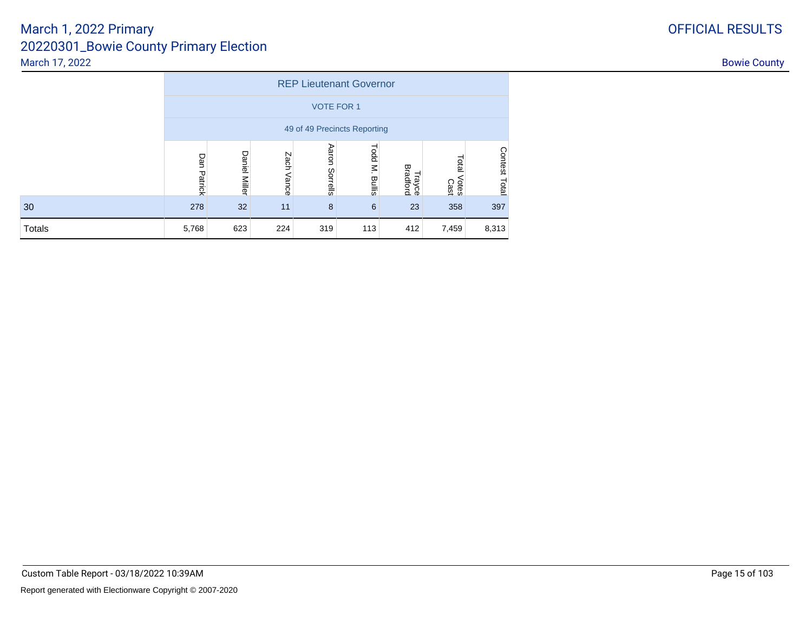|               |                                               |                      |               |                   | <b>REP Lieutenant Governor</b> |                    |                        |                         |  |  |  |  |
|---------------|-----------------------------------------------|----------------------|---------------|-------------------|--------------------------------|--------------------|------------------------|-------------------------|--|--|--|--|
|               | <b>VOTE FOR 1</b>                             |                      |               |                   |                                |                    |                        |                         |  |  |  |  |
|               | 49 of 49 Precincts Reporting                  |                      |               |                   |                                |                    |                        |                         |  |  |  |  |
|               | Dan<br>Patrick                                | <b>Daniel Miller</b> | Zach<br>Vance | Aaron<br>Sorrells | Todd M.<br>Bullis              | Trayce<br>Bradford | Total<br>Votes<br>Cast | <b>Contest</b><br>Total |  |  |  |  |
| 30            | 8<br>397<br>278<br>32<br>358<br>11<br>6<br>23 |                      |               |                   |                                |                    |                        |                         |  |  |  |  |
| <b>Totals</b> | 5,768                                         | 623                  | 224           | 319               | 113                            | 412                | 7,459                  | 8,313                   |  |  |  |  |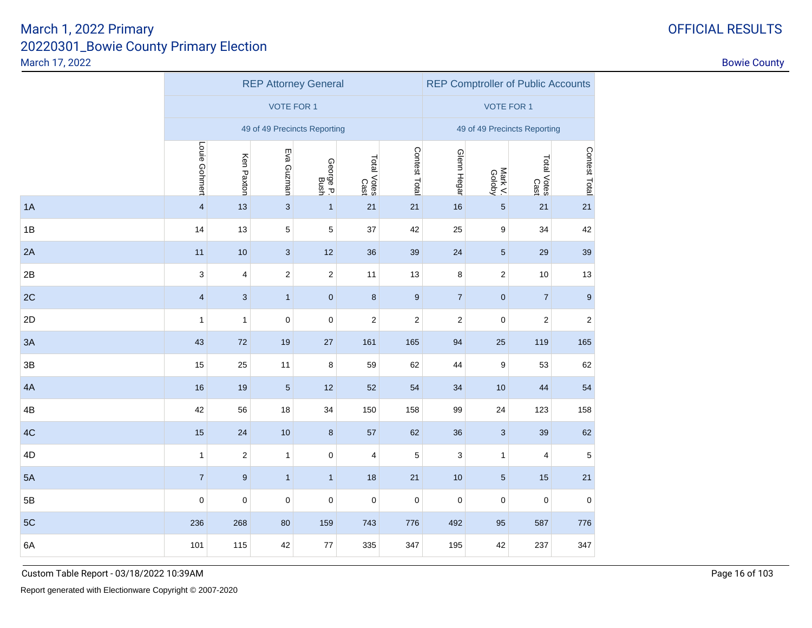|    |                         |                | <b>REP Attorney General</b> | <b>REP Comptroller of Public Accounts</b> |                         |                  |                              |                   |                     |                  |  |  |
|----|-------------------------|----------------|-----------------------------|-------------------------------------------|-------------------------|------------------|------------------------------|-------------------|---------------------|------------------|--|--|
|    |                         |                | <b>VOTE FOR 1</b>           |                                           |                         |                  |                              | <b>VOTE FOR 1</b> |                     |                  |  |  |
|    |                         |                |                             | 49 of 49 Precincts Reporting              |                         |                  | 49 of 49 Precincts Reporting |                   |                     |                  |  |  |
|    | Louie Gohmert           | Ken Paxton     | Eva Guzman                  | George P.<br>Bush                         | Total Votes<br>Cast     | Contest Total    | Glenn Hegar                  | Mark V.           | Total Votes<br>Cast | Contest Total    |  |  |
| 1A | $\overline{\mathbf{4}}$ | 13             | $\ensuremath{\mathsf{3}}$   | $\mathbf{1}$                              | $21$                    | 21               | 16                           | $\sqrt{5}$        | $21$                | 21               |  |  |
| 1B | 14                      | 13             | 5                           | 5                                         | 37                      | 42               | 25                           | $\boldsymbol{9}$  | 34                  | 42               |  |  |
| 2A | 11                      | $10$           | $\ensuremath{\mathsf{3}}$   | $12$                                      | 36                      | 39               | 24                           | $\sqrt{5}$        | 29                  | 39               |  |  |
| 2B | 3                       | 4              | $\overline{2}$              | $\overline{2}$                            | 11                      | 13               | 8                            | $\overline{2}$    | 10                  | 13               |  |  |
| 2C | $\overline{4}$          | $\sqrt{3}$     | $\mathbf{1}$                | $\overline{0}$                            | 8                       | $\boldsymbol{9}$ | $\overline{7}$               | $\mathbf 0$       | $\overline{7}$      | $\boldsymbol{9}$ |  |  |
| 2D | $\mathbf{1}$            | 1              | 0                           | 0                                         | $\sqrt{2}$              | 2                | 2                            | $\pmb{0}$         | 2                   | $\sqrt{2}$       |  |  |
| 3A | 43                      | 72             | $19$                        | $27\,$                                    | 161                     | 165              | 94                           | 25                | 119                 | 165              |  |  |
| 3B | 15                      | 25             | 11                          | 8                                         | 59                      | 62               | 44                           | 9                 | 53                  | 62               |  |  |
| 4A | 16                      | 19             | $\sqrt{5}$                  | 12                                        | 52                      | 54               | 34                           | 10                | 44                  | 54               |  |  |
| 4B | 42                      | 56             | 18                          | 34                                        | 150                     | 158              | 99                           | 24                | 123                 | 158              |  |  |
| 4C | 15                      | 24             | 10                          | 8                                         | 57                      | 62               | 36                           | $\sqrt{3}$        | 39                  | 62               |  |  |
| 4D | $\mathbf{1}$            | $\overline{c}$ | $\mathbf{1}$                | $\mathbf 0$                               | $\overline{\mathbf{4}}$ | $\mathbf 5$      | 3                            | $\mathbf{1}$      | 4                   | 5                |  |  |
| 5A | $\overline{7}$          | 9              | $\mathbf{1}$                | $\mathbf{1}$                              | 18                      | 21               | 10                           | $\sqrt{5}$        | 15                  | 21               |  |  |
| 5B | $\mathbf 0$             | $\mathbf 0$    | $\pmb{0}$                   | $\mathbf 0$                               | $\mathbf 0$             | $\pmb{0}$        | $\mathbf 0$                  | $\pmb{0}$         | $\pmb{0}$           | $\pmb{0}$        |  |  |
| 5C | 236                     | 268            | 80                          | 159                                       | 743                     | 776              | 492                          | 95                | 587                 | 776              |  |  |
| 6A | 101                     | 115            | 42                          | 77                                        | 335                     | 347              | 195                          | 42                | 237                 | 347              |  |  |
|    |                         |                |                             |                                           |                         |                  |                              |                   |                     |                  |  |  |

Custom Table Report - 03/18/2022 10:39AM

# OFFICIAL RESULTS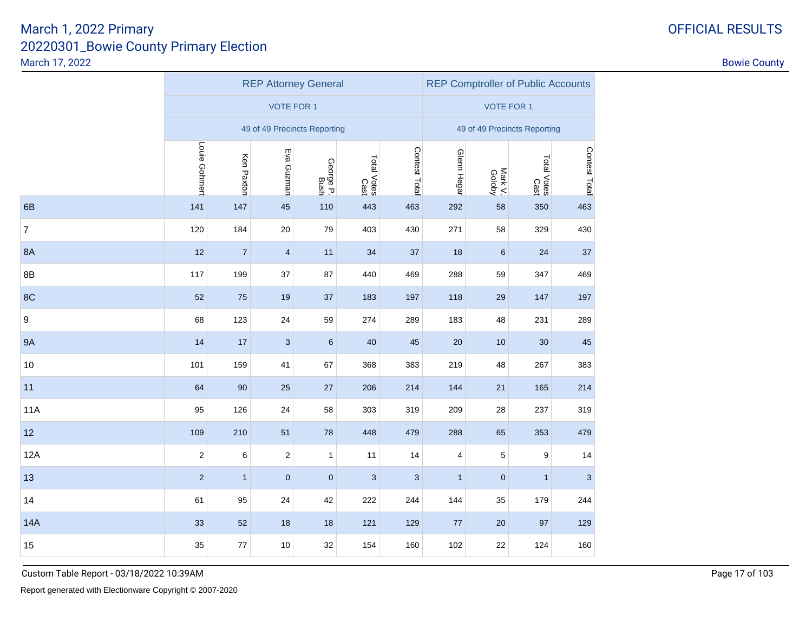|                  |                  |                                                                                      | <b>REP Attorney General</b>  | <b>REP Comptroller of Public Accounts</b> |                           |              |                    |                         |                     |               |
|------------------|------------------|--------------------------------------------------------------------------------------|------------------------------|-------------------------------------------|---------------------------|--------------|--------------------|-------------------------|---------------------|---------------|
|                  |                  |                                                                                      | <b>VOTE FOR 1</b>            | <b>VOTE FOR 1</b>                         |                           |              |                    |                         |                     |               |
|                  |                  |                                                                                      | 49 of 49 Precincts Reporting | 49 of 49 Precincts Reporting              |                           |              |                    |                         |                     |               |
|                  | Louie Gohmert    | Contest Total<br>Eva Guzman<br>Ken Paxton<br>Total Votes<br>Cast<br>George P<br>Bush |                              |                                           |                           |              |                    |                         | Total Votes<br>Cast | Contest Total |
| 6B               | 141              | 147                                                                                  | 45                           | 110                                       | 443                       | 463          | Glenn Hegar<br>292 | Mark V.<br>Goloby<br>58 | 350                 | 463           |
| $\boldsymbol{7}$ | 120              | 184                                                                                  | 20                           | 79                                        | 403                       | 430          | 271                | 58                      | 329                 | 430           |
| <b>8A</b>        | 12               | $\overline{7}$                                                                       | $\overline{4}$               | 11                                        | 34                        | 37           | 18                 | $\,6$                   | 24                  | 37            |
| 8B               | 117              | 199                                                                                  | 37                           | 87                                        | 440                       | 469          | 288                | 59                      | 347                 | 469           |
| 8C               | 52               | 75                                                                                   | 19                           | 37                                        | 183                       | 197          | 118                | 29                      | 147                 | 197           |
| $\boldsymbol{9}$ | 68               | 123                                                                                  | 24                           | 59                                        | 274                       | 289          | 183                | 48                      | 231                 | 289           |
| <b>9A</b>        | 14               | 17                                                                                   | $\sqrt{3}$                   | $\,6$                                     | 40                        | 45           | 20                 | 10                      | 30                  | 45            |
| 10               | 101              | 159                                                                                  | 41                           | 67                                        | 368                       | 383          | 219                | 48                      | 267                 | 383           |
| 11               | 64               | 90                                                                                   | 25                           | 27                                        | 206                       | 214          | 144                | 21                      | 165                 | 214           |
| <b>11A</b>       | 95               | 126                                                                                  | 24                           | 58                                        | 303                       | 319          | 209                | 28                      | 237                 | 319           |
| 12               | 109              | 210                                                                                  | 51                           | 78                                        | 448                       | 479          | 288                | 65                      | 353                 | 479           |
| 12A              | $\boldsymbol{2}$ | 6                                                                                    | $\sqrt{2}$                   | $\mathbf{1}$                              | 11                        | 14           | 4                  | 5                       | 9                   | 14            |
| 13               | $\sqrt{2}$       | $\mathbf{1}$                                                                         | $\pmb{0}$                    | $\pmb{0}$                                 | $\ensuremath{\mathsf{3}}$ | $\mathbf{3}$ | $\mathbf{1}$       | $\pmb{0}$               | $\mathbf{1}$        | $\sqrt{3}$    |
| 14               | 61               | 95                                                                                   | 24                           | 42                                        | 222                       | 244          | 144                | 35                      | 179                 | 244           |
| <b>14A</b>       | 33               | 52                                                                                   | 18                           | 18                                        | 121                       | 129          | 77                 | 20                      | 97                  | 129           |
| 15               | 35               | $77\,$                                                                               | 10                           | 32                                        | 154                       | 160          | 102                | 22                      | 124                 | 160           |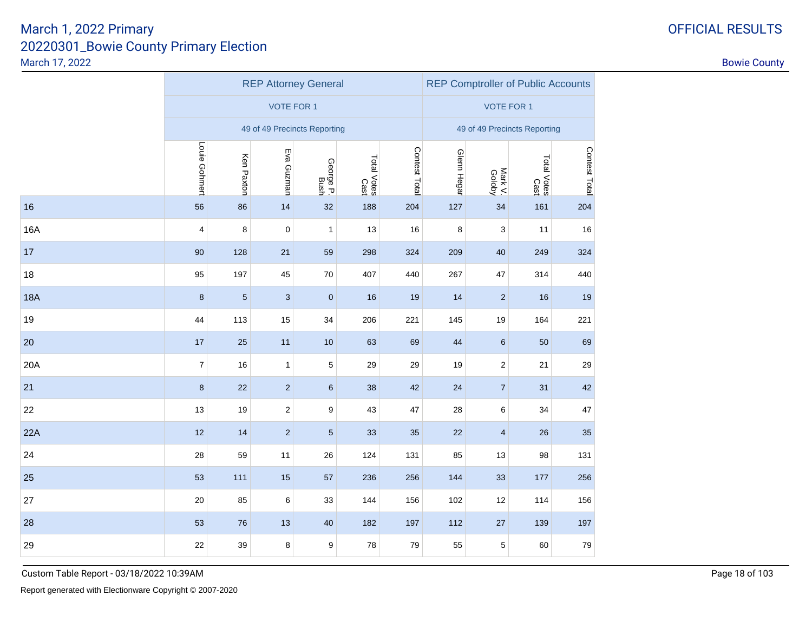|            |                |                                                                                       | <b>REP Attorney General</b>  | <b>REP Comptroller of Public Accounts</b> |     |     |                    |                         |                     |               |
|------------|----------------|---------------------------------------------------------------------------------------|------------------------------|-------------------------------------------|-----|-----|--------------------|-------------------------|---------------------|---------------|
|            |                |                                                                                       | <b>VOTE FOR 1</b>            | <b>VOTE FOR 1</b>                         |     |     |                    |                         |                     |               |
|            |                |                                                                                       | 49 of 49 Precincts Reporting | 49 of 49 Precincts Reporting              |     |     |                    |                         |                     |               |
|            | Louie Gohmert  | Contest Total<br>Eva Guzman<br>Ken Paxton<br>Total Votes<br>Cast<br>George P.<br>Bush |                              |                                           |     |     |                    |                         | Total Votes<br>Cast | Contest Total |
| 16         | 56             | 86                                                                                    | 14                           | 32                                        | 188 | 204 | Glenn Hegar<br>127 | Mark V.<br>Goloby<br>34 | 161                 | 204           |
| <b>16A</b> | $\overline{4}$ | 8                                                                                     | $\mathbf 0$                  | $\mathbf{1}$                              | 13  | 16  | 8                  | 3                       | 11                  | 16            |
| 17         | 90             | 128                                                                                   | 21                           | 59                                        | 298 | 324 | 209                | 40                      | 249                 | 324           |
| 18         | 95             | 197                                                                                   | 45                           | 70                                        | 407 | 440 | 267                | 47                      | 314                 | 440           |
| <b>18A</b> | 8              | $\sqrt{5}$                                                                            | 3                            | $\mathbf 0$                               | 16  | 19  | 14                 | $\overline{2}$          | 16                  | 19            |
| 19         | 44             | 113                                                                                   | 15                           | 34                                        | 206 | 221 | 145                | 19                      | 164                 | 221           |
| 20         | 17             | 25                                                                                    | 11                           | 10                                        | 63  | 69  | 44                 | 6                       | 50                  | 69            |
| 20A        | $\overline{7}$ | 16                                                                                    | 1                            | $\,$ 5 $\,$                               | 29  | 29  | 19                 | $\overline{c}$          | 21                  | 29            |
| 21         | $\bf8$         | 22                                                                                    | $\overline{2}$               | $\,6\,$                                   | 38  | 42  | 24                 | $\overline{7}$          | 31                  | 42            |
| 22         | 13             | 19                                                                                    | $\overline{\mathbf{c}}$      | 9                                         | 43  | 47  | 28                 | 6                       | 34                  | $47\,$        |
| 22A        | 12             | 14                                                                                    | $\overline{2}$               | $5\phantom{.0}$                           | 33  | 35  | 22                 | $\overline{\mathbf{4}}$ | 26                  | 35            |
| 24         | 28             | 59                                                                                    | 11                           | 26                                        | 124 | 131 | 85                 | 13                      | 98                  | 131           |
| 25         | 53             | 111                                                                                   | 15                           | 57                                        | 236 | 256 | 144                | 33                      | 177                 | 256           |
| 27         | 20             | 85                                                                                    | 6                            | 33                                        | 144 | 156 | 102                | 12                      | 114                 | 156           |
| 28         | 53             | 76                                                                                    | 13                           | 40                                        | 182 | 197 | 112                | 27                      | 139                 | 197           |
| 29         | 22             | 39                                                                                    | 8                            | 9                                         | 78  | 79  | 55                 | 5                       | 60                  | 79            |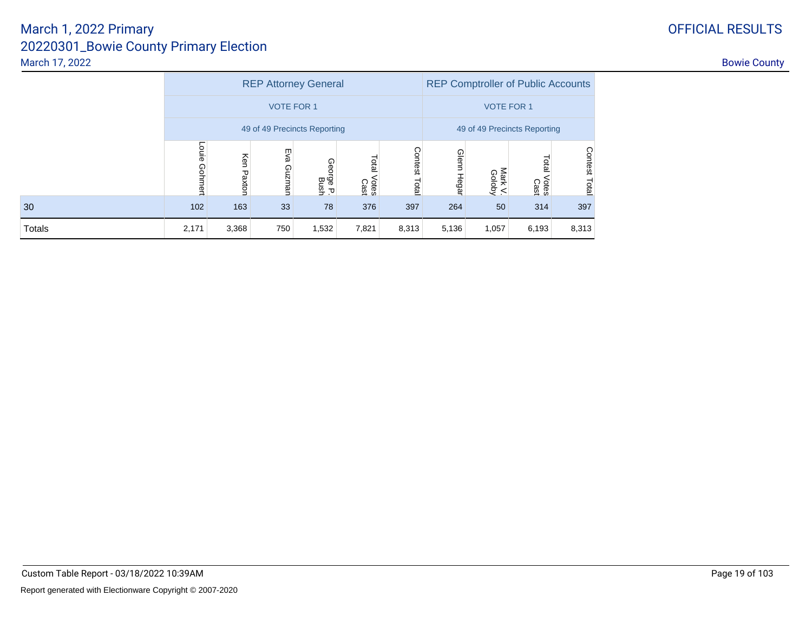|        |                  |               | <b>REP Attorney General</b>  |                   |                        | <b>REP Comptroller of Public Accounts</b> |                       |                   |                        |                  |  |  |
|--------|------------------|---------------|------------------------------|-------------------|------------------------|-------------------------------------------|-----------------------|-------------------|------------------------|------------------|--|--|
|        |                  |               | <b>VOTE FOR 1</b>            |                   |                        |                                           | <b>VOTE FOR 1</b>     |                   |                        |                  |  |  |
|        |                  |               | 49 of 49 Precincts Reporting |                   |                        | 49 of 49 Precincts Reporting              |                       |                   |                        |                  |  |  |
|        | Louie<br>Gohmert | Ken<br>Paxton | Eva<br>Guznan                | George P.<br>Bush | Total<br>Votes<br>Cast | Contest<br>Total                          | Glenn<br><b>Hegar</b> | Mark V.<br>Goloby | Total<br>Votes<br>Cast | Contest<br>Total |  |  |
| 30     | 102              | 163           | 33                           | 78                | 376                    | 397                                       | 264                   | 50                | 314                    | 397              |  |  |
| Totals | 2,171            | 3,368         | 750                          | 1,532             | 8,313                  | 5,136                                     | 1,057                 | 6,193             | 8,313                  |                  |  |  |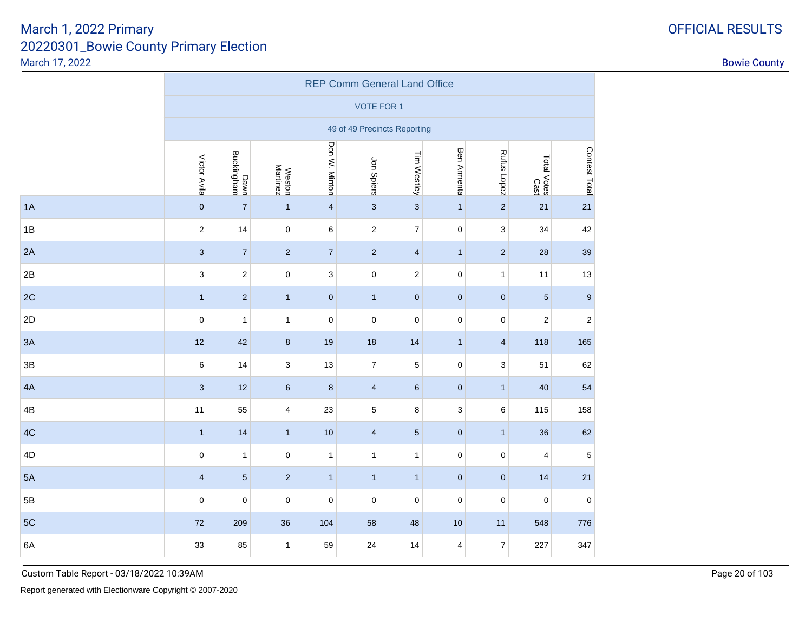|    | <b>REP Comm General Land Office</b> |                          |                           |                         |                              |                         |                         |                         |                     |                  |  |  |  |
|----|-------------------------------------|--------------------------|---------------------------|-------------------------|------------------------------|-------------------------|-------------------------|-------------------------|---------------------|------------------|--|--|--|
|    |                                     |                          |                           |                         | <b>VOTE FOR 1</b>            |                         |                         |                         |                     |                  |  |  |  |
|    |                                     |                          |                           |                         | 49 of 49 Precincts Reporting |                         |                         |                         |                     |                  |  |  |  |
|    | Victor Avila                        | Dawn<br>Buckingham       | <b>Weston</b><br>Martinez | Don W. Minton           | Jon Spiers                   | Tim Westley             | Ben Armenta             | Rufus Lopez             | Total Votes<br>Cast | Contest Total    |  |  |  |
| 1A | $\pmb{0}$                           | $\overline{\mathcal{I}}$ | $\mathbf{1}$              | $\overline{\mathbf{4}}$ | $\mathbf{3}$                 | $\sqrt{3}$              | $\mathbf{1}$            | $\sqrt{2}$              | 21                  | 21               |  |  |  |
| 1B | $\sqrt{2}$                          | 14                       | $\pmb{0}$                 | 6                       | $\overline{c}$               | $\boldsymbol{7}$        | 0                       | $\sqrt{3}$              | 34                  | 42               |  |  |  |
| 2A | $\mathbf{3}$                        | $\boldsymbol{7}$         | $\mathbf 2$               | $\boldsymbol{7}$        | $\overline{\mathbf{c}}$      | $\overline{\mathbf{4}}$ | $\mathbf{1}$            | $\sqrt{2}$              | $28\,$              | 39               |  |  |  |
| 2B | $\mathsf 3$                         | $\sqrt{2}$               | $\pmb{0}$                 | $\mathsf 3$             | $\mathbf 0$                  | $\sqrt{2}$              | 0                       | $\mathbf{1}$            | 11                  | 13               |  |  |  |
| 2C | $\mathbf{1}$                        | $\sqrt{2}$               | $\mathbf{1}$              | $\pmb{0}$               | $\mathbf{1}$                 | $\mathbf 0$             | $\pmb{0}$               | $\pmb{0}$               | $\sqrt{5}$          | $\boldsymbol{9}$ |  |  |  |
| 2D | $\mathbf 0$                         | $\mathbf{1}$             | $\mathbf{1}$              | $\pmb{0}$               | $\mathbf 0$                  | $\pmb{0}$               | $\mathsf 0$             | $\mathbf 0$             | $\overline{c}$      | $\overline{c}$   |  |  |  |
| 3A | 12                                  | 42                       | $\bf 8$                   | 19                      | 18                           | 14                      | $\mathbf{1}$            | $\overline{\mathbf{4}}$ | 118                 | 165              |  |  |  |
| 3B | 6                                   | 14                       | 3                         | 13                      | $\boldsymbol{7}$             | $\mathbf 5$             | 0                       | $\mathsf 3$             | 51                  | 62               |  |  |  |
| 4A | $\sqrt{3}$                          | 12                       | $\,6$                     | $\bf 8$                 | 4                            | $\,6\,$                 | $\pmb{0}$               | $\mathbf{1}$            | 40                  | 54               |  |  |  |
| 4B | 11                                  | 55                       | $\overline{\mathbf{4}}$   | 23                      | 5                            | $\bf8$                  | 3                       | $\,6$                   | 115                 | 158              |  |  |  |
| 4C | $\mathbf{1}$                        | 14                       | $\mathbf{1}$              | $10$                    | $\overline{\mathbf{4}}$      | $\sqrt{5}$              | $\pmb{0}$               | $\mathbf{1}$            | 36                  | 62               |  |  |  |
| 4D | $\mathbf 0$                         | $\mathbf{1}$             | 0                         | $\mathbf{1}$            | $\mathbf{1}$                 | $\mathbf{1}$            | 0                       | $\pmb{0}$               | 4                   | $\mathbf 5$      |  |  |  |
| 5A | $\overline{\mathbf{4}}$             | $\sqrt{5}$               | $\overline{2}$            | $\mathbf{1}$            | $\mathbf{1}$                 | $\mathbf{1}$            | $\pmb{0}$               | $\pmb{0}$               | 14                  | 21               |  |  |  |
| 5B | $\pmb{0}$                           | $\mathbf 0$              | 0                         | $\mathbf 0$             | $\pmb{0}$                    | $\mathbf 0$             | 0                       | $\mathbf 0$             | $\mathbf 0$         | $\mathbf 0$      |  |  |  |
| 5C | 72                                  | 209                      | 36                        | 104                     | 58                           | 48                      | 10                      | 11                      | 548                 | 776              |  |  |  |
| 6A | 33                                  | 85                       | $\mathbf{1}$              | 59                      | 24                           | 14                      | $\overline{\mathbf{4}}$ | $\overline{\mathbf{7}}$ | 227                 | 347              |  |  |  |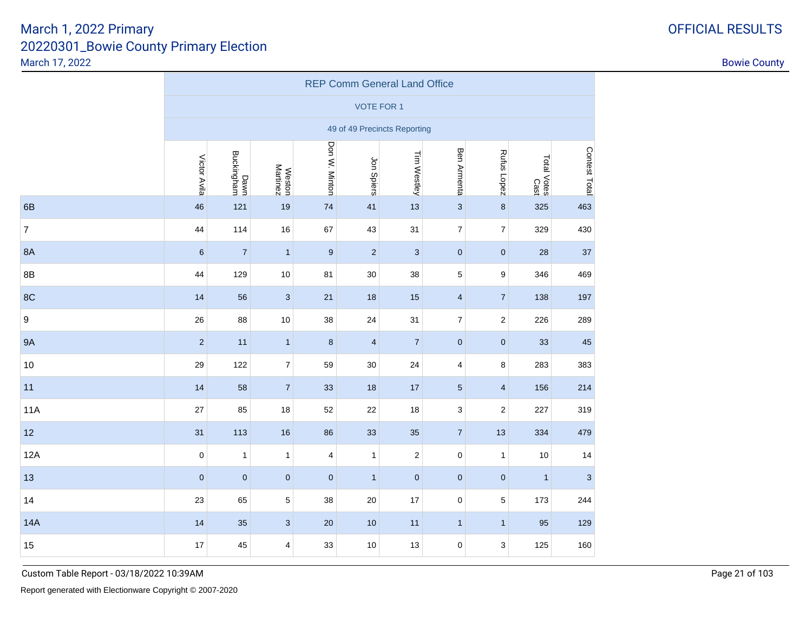|                | <b>REP Comm General Land Office</b> |                    |                           |                  |                              |                |                         |                         |                     |               |  |  |  |
|----------------|-------------------------------------|--------------------|---------------------------|------------------|------------------------------|----------------|-------------------------|-------------------------|---------------------|---------------|--|--|--|
|                |                                     |                    |                           |                  | <b>VOTE FOR 1</b>            |                |                         |                         |                     |               |  |  |  |
|                |                                     |                    |                           |                  | 49 of 49 Precincts Reporting |                |                         |                         |                     |               |  |  |  |
|                | Victor Avila                        | Dawn<br>Buckingham | <b>Weston</b><br>Martinez | Don W. Minton    | Jon Spiers                   | Tim Westley    | Ben Armenta             | Rufus Lopez             | Total Votes<br>Cast | Contest Total |  |  |  |
| 6B             | 46                                  | 121                | 19                        | 74               | 41                           | 13             | $\mathbf{3}$            | $\bf 8$                 | 325                 | 463           |  |  |  |
| $\overline{7}$ | 44                                  | 114                | 16                        | 67               | 43                           | 31             | $\boldsymbol{7}$        | $\overline{7}$          | 329                 | 430           |  |  |  |
| <b>8A</b>      | $6\phantom{1}$                      | $\overline{7}$     | $\mathbf{1}$              | $\boldsymbol{9}$ | $\overline{2}$               | $\sqrt{3}$     | $\pmb{0}$               | $\mathbf 0$             | 28                  | 37            |  |  |  |
| 8B             | 44                                  | 129                | $10$                      | 81               | 30                           | 38             | 5                       | 9                       | 346                 | 469           |  |  |  |
| 8C             | 14                                  | 56                 | $\mathbf{3}$              | 21               | 18                           | 15             | $\overline{\mathbf{4}}$ | $\overline{7}$          | 138                 | 197           |  |  |  |
| 9              | 26                                  | 88                 | $10$                      | 38               | 24                           | 31             | $\overline{\mathbf{7}}$ | $\overline{c}$          | 226                 | 289           |  |  |  |
| <b>9A</b>      | $\sqrt{2}$                          | 11                 | $\mathbf{1}$              | $\bf 8$          | $\overline{\mathbf{4}}$      | $\overline{7}$ | $\pmb{0}$               | $\pmb{0}$               | 33                  | 45            |  |  |  |
| 10             | 29                                  | 122                | $\overline{7}$            | 59               | 30                           | 24             | $\overline{\mathbf{4}}$ | 8                       | 283                 | 383           |  |  |  |
| 11             | 14                                  | 58                 | $\overline{7}$            | 33               | 18                           | $17$           | $\overline{5}$          | $\overline{\mathbf{4}}$ | 156                 | 214           |  |  |  |
| <b>11A</b>     | 27                                  | 85                 | 18                        | 52               | 22                           | 18             | 3                       | $\mathbf 2$             | 227                 | 319           |  |  |  |
| 12             | 31                                  | 113                | 16                        | 86               | 33                           | 35             | 7 <sup>1</sup>          | 13                      | 334                 | 479           |  |  |  |
| 12A            | $\mathbf 0$                         | $\mathbf{1}$       | $\mathbf{1}$              | 4                | 1                            | $\sqrt{2}$     | $\pmb{0}$               | $\mathbf{1}$            | 10                  | 14            |  |  |  |
| 13             | $\pmb{0}$                           | $\mathbf 0$        | $\pmb{0}$                 | $\pmb{0}$        | $\mathbf{1}$                 | $\pmb{0}$      | $\pmb{0}$               | $\pmb{0}$               | $\mathbf{1}$        | $\mathbf{3}$  |  |  |  |
| 14             | 23                                  | 65                 | 5                         | 38               | 20                           | 17             | $\mathbf 0$             | 5                       | 173                 | 244           |  |  |  |
| <b>14A</b>     | 14                                  | 35                 | $\mathbf{3}$              | 20               | 10                           | 11             | $\mathbf{1}$            | $\mathbf{1}$            | 95                  | 129           |  |  |  |
| 15             | 17                                  | 45                 | $\overline{\mathbf{4}}$   | 33               | $10$                         | 13             | $\mathbf 0$             | 3                       | 125                 | 160           |  |  |  |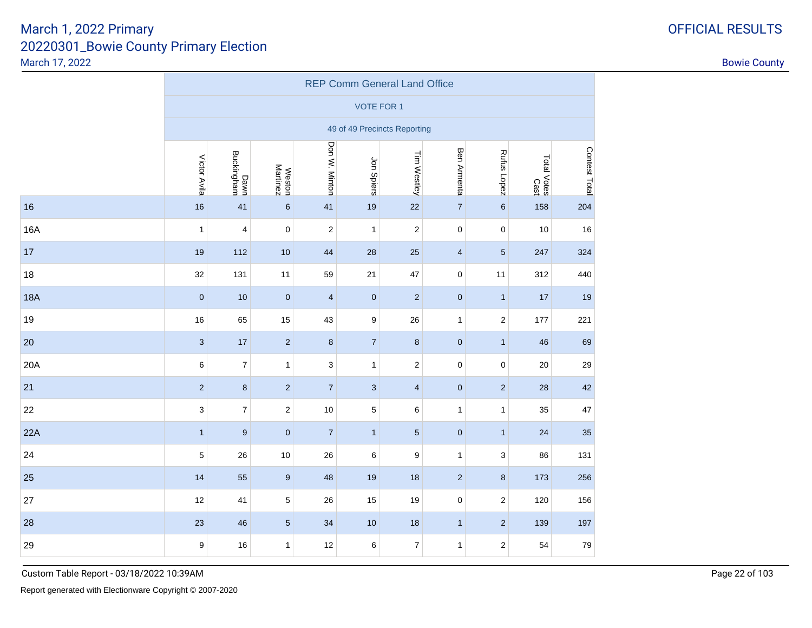|            | <b>REP Comm General Land Office</b> |                    |                           |                |                              |                         |                |                  |                     |               |  |  |  |
|------------|-------------------------------------|--------------------|---------------------------|----------------|------------------------------|-------------------------|----------------|------------------|---------------------|---------------|--|--|--|
|            |                                     |                    |                           |                | <b>VOTE FOR 1</b>            |                         |                |                  |                     |               |  |  |  |
|            |                                     |                    |                           |                | 49 of 49 Precincts Reporting |                         |                |                  |                     |               |  |  |  |
|            | Victor Avila                        | Dawn<br>Buckingham | <b>Weston</b><br>Martinez | Don W. Minton  | Jon Spiers                   | Tim Westley             | Ben Armenta    | Rufus Lopez      | Total Votes<br>Cast | Contest Total |  |  |  |
| 16         | 16                                  | 41                 | $\boldsymbol{6}$          | 41             | 19                           | 22                      | $\overline{7}$ | $\boldsymbol{6}$ | 158                 | 204           |  |  |  |
| <b>16A</b> | $\mathbf{1}$                        | 4                  | $\pmb{0}$                 | $\overline{c}$ | $\mathbf{1}$                 | $\boldsymbol{2}$        | $\mathsf 0$    | $\pmb{0}$        | 10                  | 16            |  |  |  |
| 17         | 19                                  | 112                | 10                        | 44             | 28                           | 25                      | $\overline{4}$ | $\sqrt{5}$       | 247                 | 324           |  |  |  |
| 18         | 32                                  | 131                | 11                        | 59             | 21                           | 47                      | $\mathbf 0$    | 11               | 312                 | 440           |  |  |  |
| <b>18A</b> | $\pmb{0}$                           | 10                 | $\pmb{0}$                 | $\overline{4}$ | $\pmb{0}$                    | $\overline{2}$          | $\pmb{0}$      | $\mathbf{1}$     | 17                  | 19            |  |  |  |
| 19         | 16                                  | 65                 | 15                        | 43             | $\boldsymbol{9}$             | 26                      | $\mathbf{1}$   | $\overline{c}$   | 177                 | 221           |  |  |  |
| 20         | $\mathbf{3}$                        | 17                 | $\sqrt{2}$                | $\bf 8$        | $\overline{7}$               | $\bf 8$                 | $\mathbf 0$    | $\mathbf{1}$     | 46                  | 69            |  |  |  |
| 20A        | 6                                   | $\boldsymbol{7}$   | $\mathbf{1}$              | 3              | $\mathbf{1}$                 | $\sqrt{2}$              | $\mathsf 0$    | $\mathbf 0$      | 20                  | 29            |  |  |  |
| 21         | $\sqrt{2}$                          | $\bf 8$            | $\sqrt{2}$                | $\overline{7}$ | $\mathbf{3}$                 | $\overline{\mathbf{4}}$ | $\pmb{0}$      | $\overline{2}$   | 28                  | 42            |  |  |  |
| 22         | 3                                   | $\overline{7}$     | $\sqrt{2}$                | $10$           | 5                            | $\,6$                   | $\mathbf{1}$   | $\mathbf{1}$     | 35                  | 47            |  |  |  |
| 22A        | $\mathbf{1}$                        | 9                  | $\pmb{0}$                 | $\overline{7}$ | $\mathbf{1}$                 | $\sqrt{5}$              | $\mathbf 0$    | $\mathbf{1}$     | 24                  | 35            |  |  |  |
| 24         | $\sqrt{5}$                          | 26                 | $10$                      | 26             | 6                            | 9                       | $\mathbf{1}$   | 3                | 86                  | 131           |  |  |  |
| 25         | 14                                  | 55                 | $\boldsymbol{9}$          | 48             | 19                           | 18                      | $\overline{2}$ | $\bf 8$          | 173                 | 256           |  |  |  |
| 27         | 12                                  | 41                 | $\,$ 5 $\,$               | 26             | 15                           | 19                      | $\pmb{0}$      | $\overline{c}$   | 120                 | 156           |  |  |  |
| 28         | 23                                  | 46                 | $\sqrt{5}$                | 34             | 10                           | 18                      | 1              | $\overline{2}$   | 139                 | 197           |  |  |  |
| 29         | 9                                   | 16                 | $\mathbf{1}$              | 12             | 6                            | $\boldsymbol{7}$        | $\mathbf{1}$   | $\overline{c}$   | 54                  | 79            |  |  |  |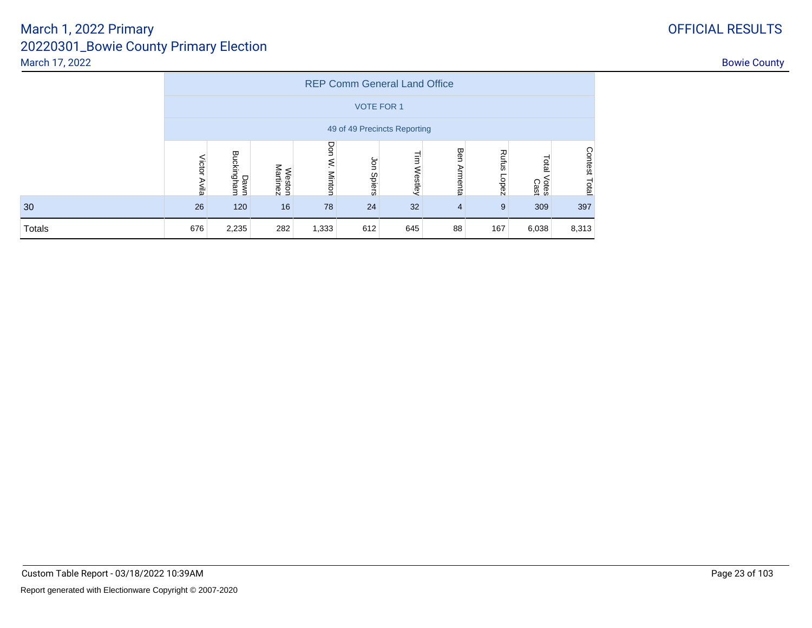|        | <b>REP Comm General Land Office</b> |                              |                           |                      |                    |                               |                |                |                        |                  |  |  |  |
|--------|-------------------------------------|------------------------------|---------------------------|----------------------|--------------------|-------------------------------|----------------|----------------|------------------------|------------------|--|--|--|
|        | <b>VOTE FOR 1</b>                   |                              |                           |                      |                    |                               |                |                |                        |                  |  |  |  |
|        |                                     | 49 of 49 Precincts Reporting |                           |                      |                    |                               |                |                |                        |                  |  |  |  |
|        | Victor<br>Avila                     | Dawn<br>Buckingham           | <b>Weston</b><br>Martinez | Don<br><b>Minton</b> | g<br><b>Spiers</b> | $\bar{\mathbf{z}}$<br>Westley | Ben<br>Armenta | Rufus<br>Lopez | Total<br>Votes<br>Cast | Contest<br>Total |  |  |  |
| 30     | 26                                  | 120                          | 16                        | 78                   | 24                 | 32                            | $\overline{4}$ | 9              | 309                    | 397              |  |  |  |
| Totals | 676                                 | 2,235                        | 282                       | 1,333                | 612                | 645                           | 88             | 167            | 6,038                  | 8,313            |  |  |  |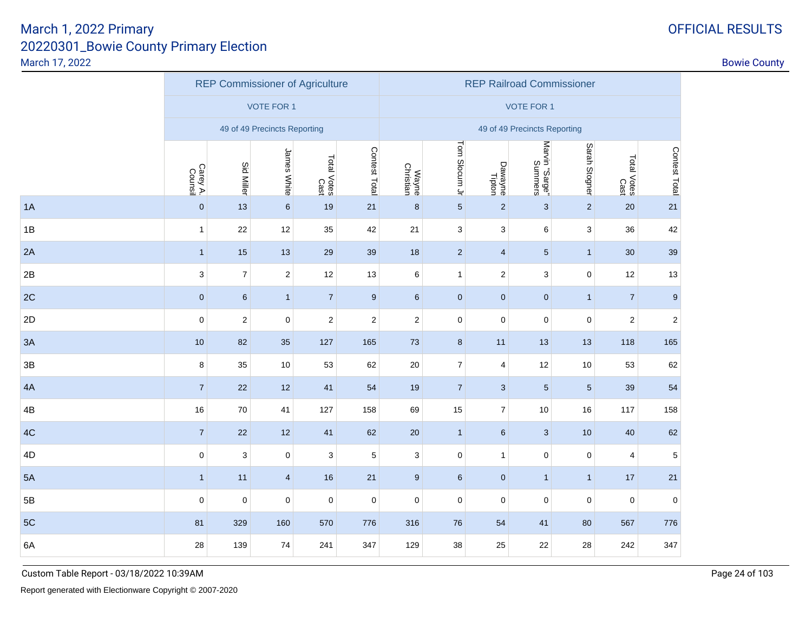|    |                     | <b>REP Commissioner of Agriculture</b> |                              |                     |               | <b>REP Railroad Commissioner</b> |                          |                         |                              |                |                         |                  |  |
|----|---------------------|----------------------------------------|------------------------------|---------------------|---------------|----------------------------------|--------------------------|-------------------------|------------------------------|----------------|-------------------------|------------------|--|
|    |                     |                                        | <b>VOTE FOR 1</b>            |                     |               |                                  |                          |                         | <b>VOTE FOR 1</b>            |                |                         |                  |  |
|    |                     |                                        | 49 of 49 Precincts Reporting |                     |               |                                  |                          |                         | 49 of 49 Precincts Reporting |                |                         |                  |  |
|    | Carey A.<br>Counsil | <b>Sid Miller</b>                      | James White                  | Total Votes<br>Cast | Contest Total | Wayne<br>Christian               | Tom Slocum Jr            | Dawayne<br>Tipton       | Marvin "Sarge"<br>Summers    | Sarah Stogner  | Total Votes<br>Cast     | Contest Total    |  |
| 1A | $\pmb{0}$           | 13                                     | $\,6\,$                      | 19                  | 21            | 8                                | $\overline{5}$           | $\sqrt{2}$              | $\sqrt{3}$                   | $\overline{2}$ | 20                      | 21               |  |
| 1B | $\mathbf{1}$        | 22                                     | 12                           | 35                  | 42            | 21                               | $\sqrt{3}$               | 3                       | 6                            | 3              | 36                      | 42               |  |
| 2A | $\mathbf{1}$        | 15                                     | 13                           | 29                  | 39            | 18                               | $\overline{2}$           | $\overline{4}$          | $\sqrt{5}$                   | $\mathbf{1}$   | 30                      | 39               |  |
| 2B | 3                   | $\overline{7}$                         | $\boldsymbol{2}$             | 12                  | 13            | 6                                | $\mathbf{1}$             | $\overline{\mathbf{c}}$ | $\ensuremath{\mathsf{3}}$    | 0              | 12                      | 13               |  |
| 2C | $\pmb{0}$           | 6                                      | $\mathbf{1}$                 | $\overline{7}$      | 9             | 6                                | $\mathbf 0$              | $\overline{0}$          | $\pmb{0}$                    | $\mathbf{1}$   | $\overline{7}$          | $\boldsymbol{9}$ |  |
| 2D | $\mathbf 0$         | $\sqrt{2}$                             | $\pmb{0}$                    | $\overline{c}$      | $\sqrt{2}$    | $\overline{c}$                   | $\pmb{0}$                | $\mathbf 0$             | $\mathbf 0$                  | 0              | $\overline{\mathbf{c}}$ | $\sqrt{2}$       |  |
| 3A | $10$                | 82                                     | 35                           | 127                 | 165           | 73                               | $\bf 8$                  | 11                      | 13                           | 13             | 118                     | 165              |  |
| 3B | 8                   | 35                                     | 10                           | 53                  | 62            | 20                               | $\boldsymbol{7}$         | 4                       | 12                           | 10             | 53                      | 62               |  |
| 4A | $\overline{7}$      | 22                                     | 12                           | 41                  | 54            | 19                               | $\overline{\mathcal{I}}$ | 3                       | $\sqrt{5}$                   | 5              | 39                      | 54               |  |
| 4B | 16                  | 70                                     | 41                           | 127                 | 158           | 69                               | 15                       | $\overline{7}$          | 10                           | 16             | 117                     | 158              |  |
| 4C | $\overline{7}$      | 22                                     | 12                           | 41                  | 62            | 20                               | $\mathbf{1}$             | $\,6\,$                 | $\mathbf{3}$                 | 10             | 40                      | 62               |  |
| 4D | $\pmb{0}$           | 3                                      | 0                            | 3                   | 5             | 3                                | $\mathbf 0$              | $\mathbf{1}$            | $\pmb{0}$                    | 0              | 4                       | $\sqrt{5}$       |  |
| 5A | $\mathbf{1}$        | 11                                     | $\overline{4}$               | 16                  | 21            | 9                                | $\,6\,$                  | $\overline{0}$          | $\mathbf{1}$                 | 1              | 17                      | $21$             |  |
| 5B | $\mathbf 0$         | $\pmb{0}$                              | $\pmb{0}$                    | $\mathbf 0$         | $\mathbf 0$   | $\mathbf 0$                      | $\mathbf 0$              | $\mathbf 0$             | $\mathbf 0$                  | 0              | $\mathbf 0$             | $\pmb{0}$        |  |
| 5C | 81                  | 329                                    | 160                          | 570                 | 776           | 316                              | 76                       | 54                      | 41                           | 80             | 567                     | 776              |  |
| 6A | 28                  | 139                                    | 74                           | 241                 | 347           | 129                              | 38                       | 25                      | 22                           | 28             | 242                     | 347              |  |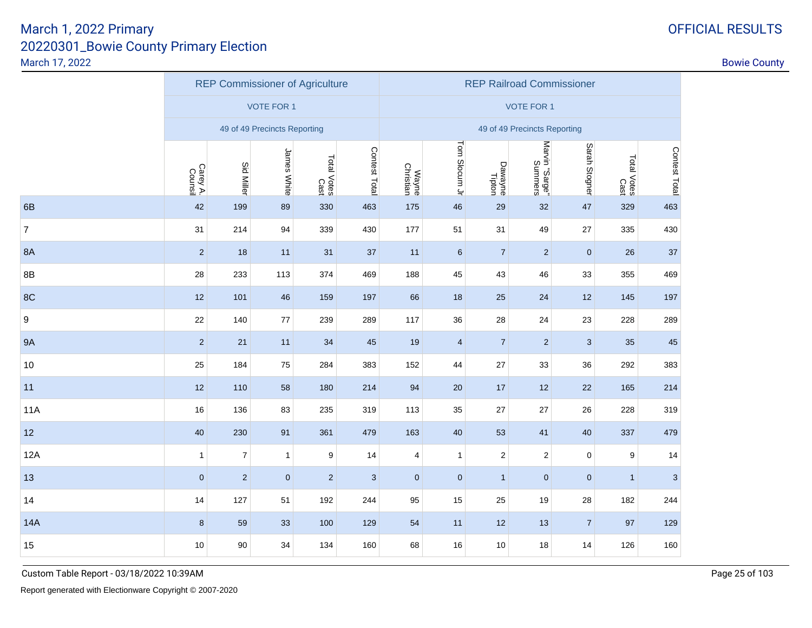|                  |                     |                   | <b>REP Commissioner of Agriculture</b> |                     |               | <b>REP Railroad Commissioner</b> |                |                   |                              |                |                     |               |  |
|------------------|---------------------|-------------------|----------------------------------------|---------------------|---------------|----------------------------------|----------------|-------------------|------------------------------|----------------|---------------------|---------------|--|
|                  |                     |                   | <b>VOTE FOR 1</b>                      |                     |               |                                  |                |                   | <b>VOTE FOR 1</b>            |                |                     |               |  |
|                  |                     |                   | 49 of 49 Precincts Reporting           |                     |               |                                  |                |                   | 49 of 49 Precincts Reporting |                |                     |               |  |
|                  | Carey A.<br>Counsil | <b>Sid Miller</b> | James White                            | Total Votes<br>Cast | Contest Total | Wayne<br>Christian               | Tom Slocum Jr  | Dawayne<br>Tipton | Marvin "Sarge"<br>Summers    | Sarah Stogner  | Total Votes<br>Cast | Contest Total |  |
| 6B               | 42                  | 199               | 89                                     | 330                 | 463           | 175                              | 46             | 29                | 32                           | 47             | 329                 | 463           |  |
| $\overline{7}$   | 31                  | 214               | 94                                     | 339                 | 430           | 177                              | 51             | 31                | 49                           | 27             | 335                 | 430           |  |
| <b>8A</b>        | $\overline{2}$      | 18                | 11                                     | 31                  | 37            | 11                               | $6\phantom{1}$ | $\overline{7}$    | $\sqrt{2}$                   | $\mathbf{0}$   | 26                  | 37            |  |
| 8B               | 28                  | 233               | 113                                    | 374                 | 469           | 188                              | 45             | 43                | 46                           | 33             | 355                 | 469           |  |
| 8C               | 12                  | 101               | 46                                     | 159                 | 197           | 66                               | 18             | 25                | 24                           | 12             | 145                 | 197           |  |
| $\boldsymbol{9}$ | 22                  | 140               | 77                                     | 239                 | 289           | 117                              | 36             | 28                | 24                           | 23             | 228                 | 289           |  |
| <b>9A</b>        | $\overline{2}$      | 21                | 11                                     | 34                  | 45            | 19                               | $\overline{4}$ | $\overline{7}$    | $\sqrt{2}$                   | 3              | 35                  | 45            |  |
| 10               | 25                  | 184               | 75                                     | 284                 | 383           | 152                              | 44             | 27                | 33                           | 36             | 292                 | 383           |  |
| 11               | 12                  | 110               | 58                                     | 180                 | 214           | 94                               | 20             | 17                | 12                           | 22             | 165                 | 214           |  |
| <b>11A</b>       | 16                  | 136               | 83                                     | 235                 | 319           | 113                              | 35             | 27                | 27                           | 26             | 228                 | 319           |  |
| 12               | 40                  | 230               | 91                                     | 361                 | 479           | 163                              | 40             | 53                | 41                           | 40             | 337                 | 479           |  |
| 12A              | $\mathbf{1}$        | $\boldsymbol{7}$  | 1                                      | 9                   | 14            | 4                                | $\mathbf{1}$   | $\mathbf{2}$      | $\overline{c}$               | 0              | 9                   | 14            |  |
| 13               | $\pmb{0}$           | $\sqrt{2}$        | $\mathbf{0}$                           | $\overline{2}$      | $\sqrt{3}$    | $\mathbf{0}$                     | $\pmb{0}$      | $\mathbf{1}$      | $\pmb{0}$                    | $\overline{0}$ | $\mathbf{1}$        | $\mathbf{3}$  |  |
| 14               | 14                  | 127               | 51                                     | 192                 | 244           | 95                               | 15             | 25                | 19                           | 28             | 182                 | 244           |  |
| <b>14A</b>       | $\bf 8$             | 59                | 33                                     | 100                 | 129           | 54                               | 11             | 12                | 13                           | $\overline{7}$ | 97                  | 129           |  |
| 15               | 10                  | 90                | 34                                     | 134                 | 160           | 68                               | 16             | 10                | 18                           | 14             | 126                 | 160           |  |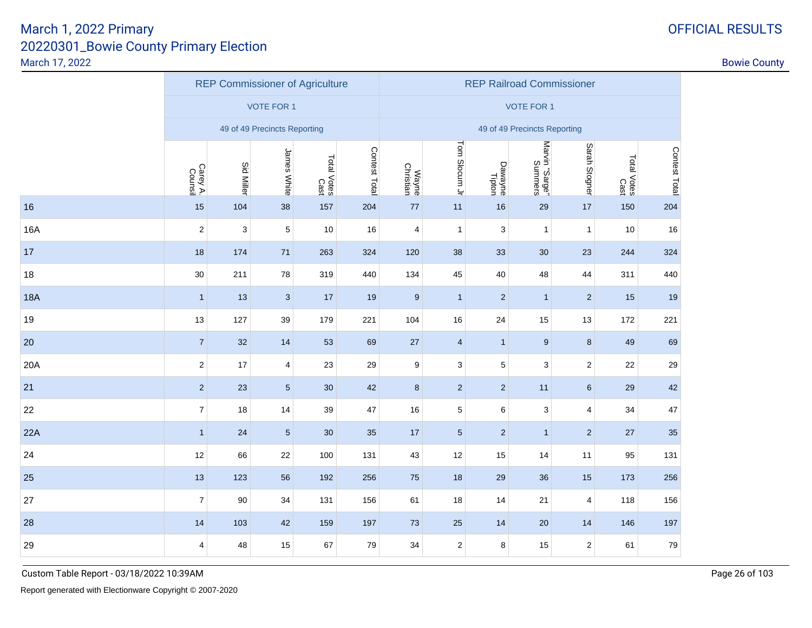|            |                         |                   | <b>REP Commissioner of Agriculture</b> |                     |               | <b>REP Railroad Commissioner</b> |                         |                           |                           |                         |                     |               |  |
|------------|-------------------------|-------------------|----------------------------------------|---------------------|---------------|----------------------------------|-------------------------|---------------------------|---------------------------|-------------------------|---------------------|---------------|--|
|            |                         |                   | <b>VOTE FOR 1</b>                      |                     |               |                                  |                         |                           | <b>VOTE FOR 1</b>         |                         |                     |               |  |
|            |                         |                   | 49 of 49 Precincts Reporting           |                     |               | 49 of 49 Precincts Reporting     |                         |                           |                           |                         |                     |               |  |
|            | Carey A.<br>Counsil     | <b>Sid Miller</b> | James White                            | Total Votes<br>Cast | Contest Total | Wayne                            | Tom Slocum Jr           | Dawayne<br>Tipton         | Marvin "Sarge"<br>Summers | Sarah Stogner           | Total Votes<br>Cast | Contest Total |  |
| 16         | 15                      | 104               | 38                                     | 157                 | 204           | $77$                             | 11                      | 16                        | 29                        | 17                      | 150                 | 204           |  |
| 16A        | $\sqrt{2}$              | 3                 | $\,$ 5 $\,$                            | 10                  | 16            | 4                                | $\mathbf{1}$            | $\ensuremath{\mathsf{3}}$ | $\mathbf{1}$              | $\mathbf{1}$            | 10                  | $16\,$        |  |
| 17         | 18                      | 174               | 71                                     | 263                 | 324           | 120                              | 38                      | 33                        | 30                        | 23                      | 244                 | 324           |  |
| 18         | $30\,$                  | 211               | 78                                     | 319                 | 440           | 134                              | 45                      | 40                        | 48                        | 44                      | 311                 | 440           |  |
| <b>18A</b> | $\mathbf{1}$            | 13                | $\sqrt{3}$                             | $17$                | 19            | $9\,$                            | $\overline{1}$          | $\overline{2}$            | $\overline{1}$            | $\overline{c}$          | 15                  | 19            |  |
| 19         | 13                      | 127               | 39                                     | 179                 | 221           | 104                              | 16                      | 24                        | 15                        | 13                      | 172                 | 221           |  |
| 20         | $\overline{7}$          | 32                | 14                                     | 53                  | 69            | 27                               | $\overline{\mathbf{4}}$ | $\mathbf{1}$              | $\overline{9}$            | $\bf 8$                 | 49                  | 69            |  |
| 20A        | $\sqrt{2}$              | 17                | $\overline{\mathbf{4}}$                | 23                  | 29            | 9                                | $\mathsf 3$             | $5\,$                     | 3                         | $\mathbf 2$             | 22                  | 29            |  |
| 21         | $\sqrt{2}$              | 23                | $\overline{5}$                         | 30                  | 42            | $\bf 8$                          | $\sqrt{2}$              | $\sqrt{2}$                | 11                        | $\,6\,$                 | 29                  | 42            |  |
| 22         | $\boldsymbol{7}$        | 18                | 14                                     | 39                  | 47            | 16                               | $\mathbf 5$             | 6                         | 3                         | $\overline{4}$          | 34                  | 47            |  |
| 22A        | $\mathbf{1}$            | 24                | $\sqrt{5}$                             | 30                  | 35            | 17                               | $\overline{5}$          | $\sqrt{2}$                | $\mathbf{1}$              | $\mathbf 2$             | 27                  | 35            |  |
| 24         | 12                      | 66                | 22                                     | 100                 | 131           | 43                               | 12                      | 15                        | 14                        | 11                      | 95                  | 131           |  |
| 25         | 13                      | 123               | 56                                     | 192                 | 256           | 75                               | 18                      | 29                        | 36                        | 15                      | 173                 | 256           |  |
| 27         | $\boldsymbol{7}$        | 90                | 34                                     | 131                 | 156           | 61                               | 18                      | 14                        | 21                        | $\overline{\mathbf{4}}$ | 118                 | 156           |  |
| 28         | 14                      | 103               | 42                                     | 159                 | 197           | 73                               | 25                      | 14                        | 20                        | 14                      | 146                 | 197           |  |
| 29         | $\overline{\mathbf{4}}$ | 48                | 15                                     | 67                  | 79            | 34                               | $\mathbf 2$             | $\bf8$                    | 15                        | $\mathbf 2$             | 61                  | $\bf 79$      |  |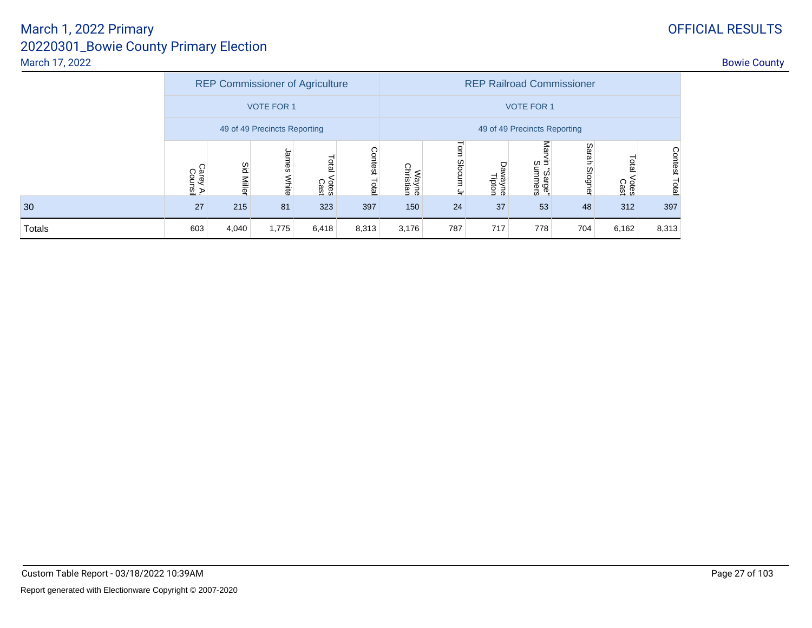|        | <b>REP Commissioner of Agriculture</b> |                 |                |                        |                  | <b>REP Railroad Commissioner</b> |                              |                       |                               |               |                        |                  |  |  |  |
|--------|----------------------------------------|-----------------|----------------|------------------------|------------------|----------------------------------|------------------------------|-----------------------|-------------------------------|---------------|------------------------|------------------|--|--|--|
|        | <b>VOTE FOR 1</b>                      |                 |                |                        |                  |                                  | <b>VOTE FOR 1</b>            |                       |                               |               |                        |                  |  |  |  |
|        | 49 of 49 Precincts Reporting           |                 |                |                        |                  |                                  | 49 of 49 Precincts Reporting |                       |                               |               |                        |                  |  |  |  |
|        | Carey A.<br>Counsil                    | Sid<br>  Miller | James<br>White | Total<br>Votes<br>Cast | Contest<br>Total | Wayne<br>Christian               | Tom<br>Slocum<br>느           | Рã<br>wayne<br>Tipton | Ma<br>Б<br>Summers<br>"sarge" | Sarah Stogner | Total<br>Votes<br>Cast | Contest<br>Total |  |  |  |
| 30     | 27                                     | 215             | 81             | 323                    | 397              | 150                              | 24                           | 37                    | 53                            | 48            | 312                    | 397              |  |  |  |
| Totals | 603                                    | 4,040           | 1,775          | 6,418                  | 8,313            | 3,176                            | 787                          | 717                   | 778                           | 704           | 6,162                  | 8,313            |  |  |  |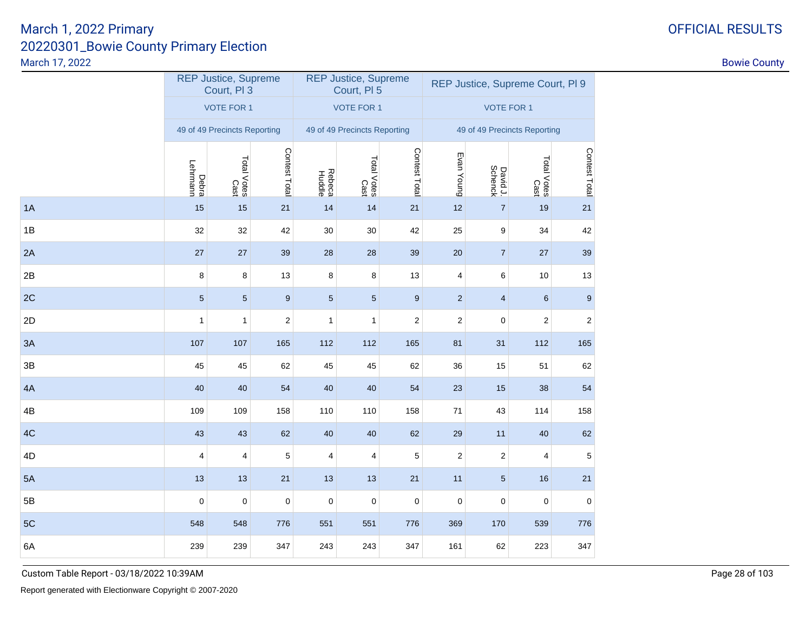|    |                         | <b>REP Justice, Supreme</b><br>Court, PI 3 |                  |                         | <b>REP Justice, Supreme</b><br>Court, PI 5 |                  | REP Justice, Supreme Court, PI 9 |                         |                     |                  |  |
|----|-------------------------|--------------------------------------------|------------------|-------------------------|--------------------------------------------|------------------|----------------------------------|-------------------------|---------------------|------------------|--|
|    |                         | <b>VOTE FOR 1</b>                          |                  |                         | <b>VOTE FOR 1</b>                          |                  | <b>VOTE FOR 1</b>                |                         |                     |                  |  |
|    |                         | 49 of 49 Precincts Reporting               |                  |                         | 49 of 49 Precincts Reporting               |                  | 49 of 49 Precincts Reporting     |                         |                     |                  |  |
|    | Debra<br>Lehrmann       | Total Votes<br>Cast                        | Contest Total    | <b>Rebeca</b><br>Huddle | Total Votes<br>Cast                        | Contest Total    | Evan Young                       | David J.<br>Schenck     | Total Votes<br>Cast | Contest Total    |  |
| 1A | 15                      | 15                                         | 21               | 14                      | 14                                         | 21               | 12                               | $\overline{7}$          | 19                  | 21               |  |
| 1B | 32                      | 32                                         | 42               | $30\,$                  | $30\,$                                     | 42               | 25                               | $\boldsymbol{9}$        | 34                  | 42               |  |
| 2A | 27                      | 27                                         | 39               | 28                      | 28                                         | 39               | 20                               | $\overline{7}$          | 27                  | 39               |  |
| 2B | 8                       | $\bf 8$                                    | 13               | 8                       | 8                                          | 13               | 4                                | 6                       | $10\,$              | 13               |  |
| 2C | $\sqrt{5}$              | $\sqrt{5}$                                 | $\boldsymbol{9}$ | $\sqrt{5}$              | $\sqrt{5}$                                 | $\boldsymbol{9}$ | $\mathbf 2$                      | $\overline{\mathbf{4}}$ | $\,6\,$             | $\boldsymbol{9}$ |  |
| 2D | $\mathbf{1}$            | $\mathbf{1}$                               | $\boldsymbol{2}$ | $\mathbf{1}$            | $\mathbf{1}$                               | $\boldsymbol{2}$ | $\boldsymbol{2}$                 | $\mathbf 0$             | $\sqrt{2}$          | $\sqrt{2}$       |  |
| 3A | 107                     | 107                                        | 165              | 112                     | 112                                        | 165              | 81                               | 31                      | 112                 | 165              |  |
| 3B | 45                      | 45                                         | 62               | 45                      | 45                                         | 62               | 36                               | 15                      | 51                  | 62               |  |
| 4A | 40                      | 40                                         | 54               | 40                      | 40                                         | 54               | 23                               | 15                      | 38                  | 54               |  |
| 4B | 109                     | 109                                        | 158              | 110                     | 110                                        | 158              | $71$                             | 43                      | 114                 | 158              |  |
| 4C | 43                      | 43                                         | 62               | 40                      | 40                                         | 62               | 29                               | 11                      | 40                  | 62               |  |
| 4D | $\overline{\mathbf{4}}$ | $\overline{\mathbf{4}}$                    | 5                | $\overline{\mathbf{4}}$ | $\overline{\mathbf{4}}$                    | 5                | $\sqrt{2}$                       | $\sqrt{2}$              |                     | $\,$ 5 $\,$      |  |
| 5A | 13                      | 13                                         | 21               | 13                      | 13                                         | 21               | 11                               | $\sqrt{5}$              | 16                  | 21               |  |
| 5B | $\mathbf 0$             | $\pmb{0}$                                  | $\mathsf 0$      | $\pmb{0}$               | $\pmb{0}$                                  | $\pmb{0}$        | $\pmb{0}$                        | $\pmb{0}$               | $\pmb{0}$           | $\pmb{0}$        |  |
| 5C | 548                     | 548                                        | 776              | 551                     | 551                                        | 776              | 369                              | 170                     | 539                 | 776              |  |
| 6A | 239                     | 239                                        | 347              | 243                     | 243                                        | 347              | 161                              | 62                      | 223                 | 347              |  |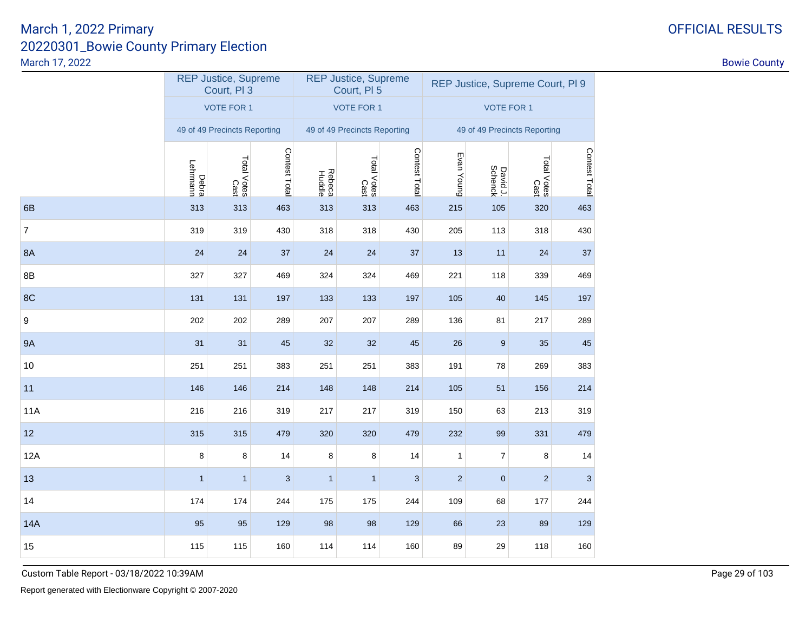|                  |                   | <b>REP Justice, Supreme</b><br>Court, PI 3 |               |                         | <b>REP Justice, Supreme</b><br>Court, PI 5 |               | REP Justice, Supreme Court, PI 9 |                     |                     |               |  |
|------------------|-------------------|--------------------------------------------|---------------|-------------------------|--------------------------------------------|---------------|----------------------------------|---------------------|---------------------|---------------|--|
|                  |                   | <b>VOTE FOR 1</b>                          |               |                         | <b>VOTE FOR 1</b>                          |               | <b>VOTE FOR 1</b>                |                     |                     |               |  |
|                  |                   | 49 of 49 Precincts Reporting               |               |                         | 49 of 49 Precincts Reporting               |               | 49 of 49 Precincts Reporting     |                     |                     |               |  |
|                  | Debra<br>Lehrmann | Total Votes<br>Cast                        | Contest Total | <b>Rebeca</b><br>Huddle | Total Votes<br>Cast                        | Contest Total | Evan Young                       | David J.<br>Schenck | Total Votes<br>Cast | Contest Total |  |
| 6B               | 313               | 313                                        | 463           | 313                     | 313                                        | 463           | 215                              | 105                 | 320                 | 463           |  |
| $\boldsymbol{7}$ | 319               | 319                                        | 430           | 318                     | 318                                        | 430           | 205                              | 113                 | 318                 | 430           |  |
| 8A               | 24                | 24                                         | 37            | 24                      | 24                                         | 37            | 13                               | 11                  | 24                  | 37            |  |
| 8B               | 327               | 327                                        | 469           | 324                     | 324                                        | 469           | 221                              | 118                 | 339                 | 469           |  |
| 8C               | 131               | 131                                        | 197           | 133                     | 133                                        | 197           | 105                              | 40                  | 145                 | 197           |  |
| 9                | 202               | 202                                        | 289           | 207                     | 207                                        | 289           | 136                              | 81                  | 217                 | 289           |  |
| <b>9A</b>        | 31                | 31                                         | 45            | 32                      | $32\,$                                     | 45            | $26\,$                           | 9                   | 35                  | 45            |  |
| 10               | 251               | 251                                        | 383           | 251                     | 251                                        | 383           | 191                              | 78                  | 269                 | 383           |  |
| 11               | 146               | 146                                        | 214           | 148                     | 148                                        | 214           | 105                              | 51                  | 156                 | 214           |  |
| 11A              | 216               | 216                                        | 319           | 217                     | 217                                        | 319           | 150                              | 63                  | 213                 | 319           |  |
| 12               | 315               | 315                                        | 479           | 320                     | 320                                        | 479           | 232                              | 99                  | 331                 | 479           |  |
| 12A              | 8                 | 8                                          | 14            | 8                       | 8                                          | 14            | $\mathbf{1}$                     | $\overline{7}$      | 8                   | 14            |  |
| 13               | $\mathbf{1}$      | $\mathbf{1}$                               | 3             | $\mathbf{1}$            | $\mathbf{1}$                               | 3             | $\overline{c}$                   | $\bf 0$             | $\overline{2}$      | $\mathbf{3}$  |  |
| 14               | 174               | 174                                        | 244           | 175                     | 175                                        | 244           | 109                              | 68                  | 177                 | 244           |  |
| <b>14A</b>       | 95                | 95                                         | 129           | 98                      | 98                                         | 129           | 66                               | 23                  | 89                  | 129           |  |
| 15               | 115               | 115                                        | 160           | 114                     | 114                                        | 160           | 89                               | 29                  | 118                 | 160           |  |

Custom Table Report - 03/18/2022 10:39AM

# OFFICIAL RESULTS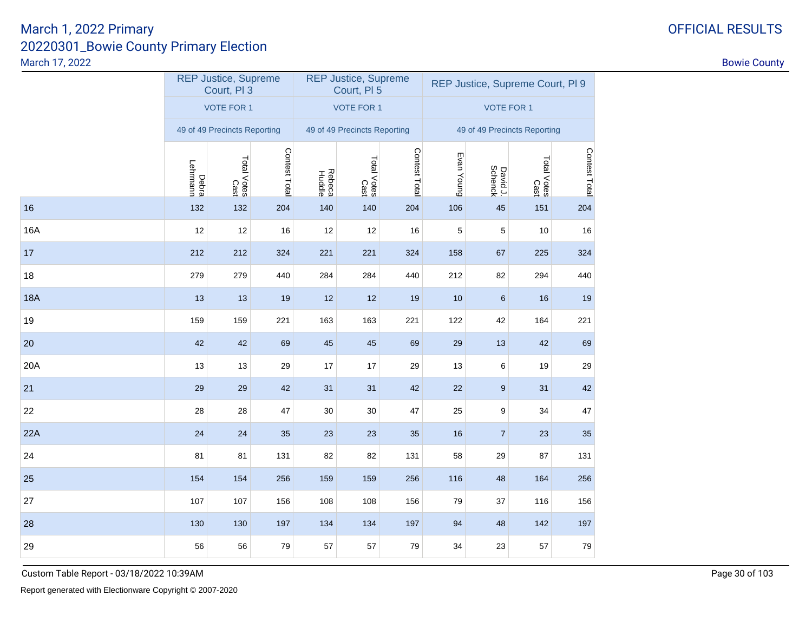|            |                   | <b>REP Justice, Supreme</b><br>Court, PI 3 |               |                         | <b>REP Justice, Supreme</b><br>Court, PI 5 |               | REP Justice, Supreme Court, PI 9 |                     |                     |               |  |
|------------|-------------------|--------------------------------------------|---------------|-------------------------|--------------------------------------------|---------------|----------------------------------|---------------------|---------------------|---------------|--|
|            |                   | <b>VOTE FOR 1</b>                          |               |                         | <b>VOTE FOR 1</b>                          |               | <b>VOTE FOR 1</b>                |                     |                     |               |  |
|            |                   | 49 of 49 Precincts Reporting               |               |                         | 49 of 49 Precincts Reporting               |               | 49 of 49 Precincts Reporting     |                     |                     |               |  |
|            | Debra<br>Lehrmann | Total Votes<br>Cast                        | Contest Total | <b>Rebeca</b><br>Huddle | Total Votes<br>Cast                        | Contest Total | Evan Young                       | David J.<br>Schenck | Total Votes<br>Cast | Contest Total |  |
| 16         | 132               | 132                                        | 204           | 140                     | 140                                        | 204           | 106                              | 45                  | 151                 | 204           |  |
| <b>16A</b> | 12                | 12                                         | $16\,$        | 12                      | 12                                         | 16            | 5                                | 5                   | 10                  | 16            |  |
| 17         | 212               | 212                                        | 324           | 221                     | 221                                        | 324           | 158                              | 67                  | 225                 | 324           |  |
| 18         | 279               | 279                                        | 440           | 284                     | 284                                        | 440           | 212                              | 82                  | 294                 | 440           |  |
| <b>18A</b> | 13                | 13                                         | 19            | 12                      | 12                                         | 19            | 10                               | $\,6\,$             | 16                  | 19            |  |
| 19         | 159               | 159                                        | 221           | 163                     | 163                                        | 221           | 122                              | 42                  | 164                 | 221           |  |
| 20         | 42                | 42                                         | 69            | 45                      | 45                                         | 69            | 29                               | 13                  | 42                  | 69            |  |
| 20A        | 13                | 13                                         | 29            | $17$                    | 17                                         | 29            | 13                               | $\,6$               | 19                  | 29            |  |
| 21         | 29                | 29                                         | 42            | 31                      | 31                                         | 42            | 22                               | $\boldsymbol{9}$    | 31                  | 42            |  |
| 22         | 28                | 28                                         | 47            | 30                      | 30                                         | 47            | 25                               | $\boldsymbol{9}$    | 34                  | $47\,$        |  |
| 22A        | 24                | 24                                         | 35            | 23                      | 23                                         | 35            | 16                               | $\overline{7}$      | 23                  | 35            |  |
| 24         | 81                | 81                                         | 131           | 82                      | 82                                         | 131           | 58                               | 29                  | 87                  | 131           |  |
| 25         | 154               | 154                                        | 256           | 159                     | 159                                        | 256           | 116                              | 48                  | 164                 | 256           |  |
| 27         | 107               | 107                                        | 156           | 108                     | 108                                        | 156           | 79                               | 37                  | 116                 | 156           |  |
| 28         | 130               | 130                                        | 197           | 134                     | 134                                        | 197           | 94                               | 48                  | 142                 | 197           |  |
| 29         | 56                | 56                                         | 79            | 57                      | 57                                         | 79            | 34                               | 23                  | 57                  | 79            |  |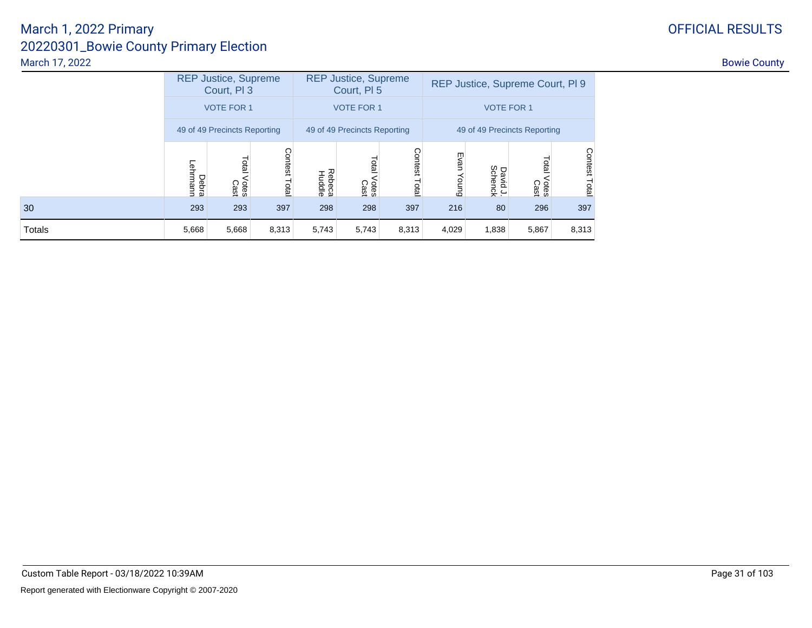|        |                   | <b>REP Justice, Supreme</b><br>Court, PI 3 |                  |                  | <b>REP Justice, Supreme</b><br>Court, PI 5 |                         | REP Justice, Supreme Court, PI 9 |                     |                       |                  |  |  |  |
|--------|-------------------|--------------------------------------------|------------------|------------------|--------------------------------------------|-------------------------|----------------------------------|---------------------|-----------------------|------------------|--|--|--|
|        |                   | <b>VOTE FOR 1</b>                          |                  |                  | <b>VOTE FOR 1</b>                          |                         | <b>VOTE FOR 1</b>                |                     |                       |                  |  |  |  |
|        |                   | 49 of 49 Precincts Reporting               |                  |                  | 49 of 49 Precincts Reporting               |                         | 49 of 49 Precincts Reporting     |                     |                       |                  |  |  |  |
|        | Debra<br>Lehrmann | Total<br>Votes<br>Cast                     | Contest<br>Total | Rebeca<br>Huddle | Total<br>Votes<br>Cast                     | <b>Contest</b><br>Total | Evan<br>Young                    | David J.<br>Schenck | otal<br>Votes<br>Cast | Contest<br>Total |  |  |  |
| 30     | 293               | 293                                        | 397              | 298              | 298                                        | 397                     | 216                              | 80                  | 296                   | 397              |  |  |  |
| Totals | 5,668             | 5,668                                      | 8,313            | 5,743            | 5,743                                      | 8,313                   | 4,029                            | 1,838               | 5,867                 |                  |  |  |  |

# OFFICIAL RESULTS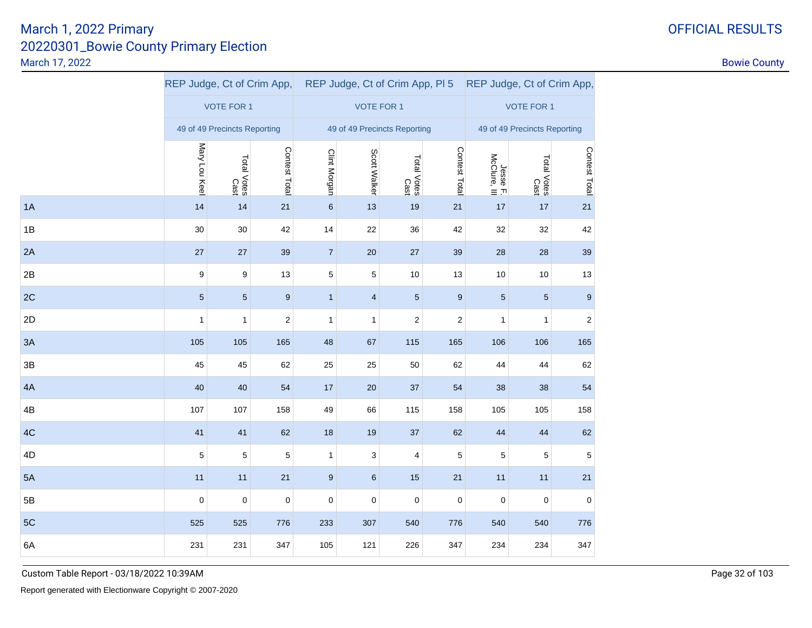|    |               |                              |                  |                  |                              |                     | REP Judge, Ct of Crim App, REP Judge, Ct of Crim App, PI5 REP Judge, Ct of Crim App, |                          |                     |                  |
|----|---------------|------------------------------|------------------|------------------|------------------------------|---------------------|--------------------------------------------------------------------------------------|--------------------------|---------------------|------------------|
|    |               | <b>VOTE FOR 1</b>            |                  |                  | <b>VOTE FOR 1</b>            |                     | <b>VOTE FOR 1</b>                                                                    |                          |                     |                  |
|    |               | 49 of 49 Precincts Reporting |                  |                  | 49 of 49 Precincts Reporting |                     | 49 of 49 Precincts Reporting                                                         |                          |                     |                  |
|    | Mary Lou Keel | Total Votes<br>Cast          | Contest Total    | Clint Morgan     | Scott Walker                 | Total Votes<br>Cast | Contest Total                                                                        | Jesse F.<br>McClure, III | Total Votes<br>Cast | Contest Total    |
| 1A | 14            | 14                           | 21               | $\,6\,$          | 13                           | 19                  | 21                                                                                   | $17$                     | $17$                | 21               |
| 1B | 30            | $30\,$                       | 42               | 14               | 22                           | 36                  | 42                                                                                   | 32                       | 32                  | 42               |
| 2A | 27            | $27\,$                       | 39               | $\sqrt{7}$       | $20\,$                       | $27\,$              | 39                                                                                   | 28                       | 28                  | 39               |
| 2B | 9             | 9                            | 13               | $\sqrt{5}$       | 5                            | 10                  | 13                                                                                   | 10                       | $10$                | 13               |
| 2C | $\sqrt{5}$    | $\sqrt{5}$                   | $\boldsymbol{9}$ | $\mathbf{1}$     | $\overline{\mathbf{4}}$      | $\sqrt{5}$          | $\boldsymbol{9}$                                                                     | $\sqrt{5}$               | $\sqrt{5}$          | $\boldsymbol{9}$ |
| 2D | $\mathbf{1}$  | $\mathbf{1}$                 | $\overline{c}$   | $\mathbf{1}$     | $\mathbf{1}$                 | $\overline{c}$      | $\overline{\mathbf{c}}$                                                              | $\mathbf{1}$             | $\mathbf{1}$        | $\boldsymbol{2}$ |
| 3A | 105           | 105                          | 165              | 48               | 67                           | 115                 | 165                                                                                  | 106                      | 106                 | 165              |
| 3B | 45            | 45                           | 62               | 25               | 25                           | 50                  | 62                                                                                   | 44                       | 44                  | 62               |
| 4A | 40            | 40                           | 54               | 17               | 20                           | $37\,$              | 54                                                                                   | 38                       | 38                  | 54               |
| 4B | 107           | 107                          | 158              | 49               | 66                           | 115                 | 158                                                                                  | 105                      | 105                 | 158              |
| 4C | 41            | 41                           | 62               | 18               | 19                           | $37\,$              | 62                                                                                   | 44                       | 44                  | 62               |
| 4D | $\mathbf 5$   | 5                            | 5                | $\mathbf{1}$     | 3                            | 4                   | 5                                                                                    | 5                        | 5                   | 5                |
| 5A | 11            | 11                           | 21               | $\boldsymbol{9}$ | $\,6\,$                      | 15                  | 21                                                                                   | 11                       | 11                  | 21               |
| 5B | $\pmb{0}$     | $\mathbf 0$                  | $\mathsf 0$      | $\mathbf 0$      | $\pmb{0}$                    | $\mathbf 0$         | $\mathbf 0$                                                                          | $\mathbf 0$              | $\pmb{0}$           | $\pmb{0}$        |
| 5C | 525           | 525                          | 776              | 233              | 307                          | 540                 | 776                                                                                  | 540                      | 540                 | 776              |
| 6A | 231           | 231                          | 347              | 105              | 121                          | 226                 | 347                                                                                  | 234                      | 234                 | 347              |

### Custom Table Report - 03/18/2022 10:39AM

## OFFICIAL RESULTS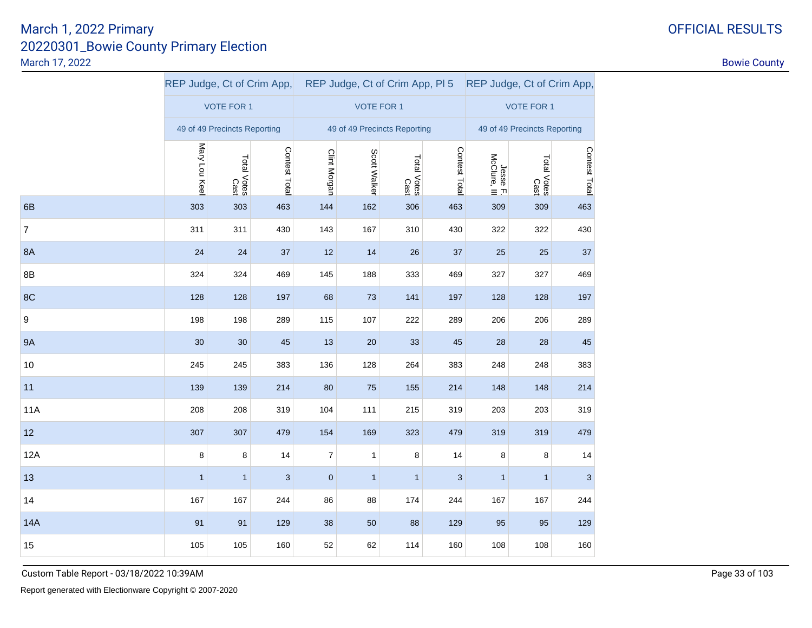|                |               |                              | REP Judge, Ct of Crim App, |                |                              |                     | REP Judge, Ct of Crim App, PI 5 REP Judge, Ct of Crim App, |                          |                     |                           |
|----------------|---------------|------------------------------|----------------------------|----------------|------------------------------|---------------------|------------------------------------------------------------|--------------------------|---------------------|---------------------------|
|                |               | <b>VOTE FOR 1</b>            |                            |                | <b>VOTE FOR 1</b>            |                     | <b>VOTE FOR 1</b>                                          |                          |                     |                           |
|                |               | 49 of 49 Precincts Reporting |                            |                | 49 of 49 Precincts Reporting |                     | 49 of 49 Precincts Reporting                               |                          |                     |                           |
|                | Mary Lou Keel | Total Votes<br>Cast          | Contest Total              | Clint Morgan   | Scott Walker                 | Total Votes<br>Cast | Contest Total                                              | Jesse F.<br>McClure, III | Total Votes<br>Cast | Contest Total             |
| 6B             | 303           | 303                          | 463                        | 144            | 162                          | 306                 | 463                                                        | 309                      | 309                 | 463                       |
| $\overline{7}$ | 311           | 311                          | 430                        | 143            | 167                          | 310                 | 430                                                        | 322                      | 322                 | 430                       |
| 8A             | 24            | 24                           | 37                         | 12             | 14                           | 26                  | 37                                                         | 25                       | 25                  | 37                        |
| 8B             | 324           | 324                          | 469                        | 145            | 188                          | 333                 | 469                                                        | 327                      | 327                 | 469                       |
| 8C             | 128           | 128                          | 197                        | 68             | 73                           | 141                 | 197                                                        | 128                      | 128                 | 197                       |
| 9              | 198           | 198                          | 289                        | 115            | 107                          | 222                 | 289                                                        | 206                      | 206                 | 289                       |
| <b>9A</b>      | 30            | 30                           | 45                         | 13             | 20                           | 33                  | 45                                                         | 28                       | 28                  | 45                        |
| 10             | 245           | 245                          | 383                        | 136            | 128                          | 264                 | 383                                                        | 248                      | 248                 | 383                       |
| 11             | 139           | 139                          | 214                        | 80             | 75                           | 155                 | 214                                                        | 148                      | 148                 | 214                       |
| 11A            | 208           | 208                          | 319                        | 104            | 111                          | 215                 | 319                                                        | 203                      | 203                 | 319                       |
| 12             | 307           | 307                          | 479                        | 154            | 169                          | 323                 | 479                                                        | 319                      | 319                 | 479                       |
| 12A            | 8             | 8                            | 14                         | $\overline{7}$ | $\mathbf{1}$                 | 8                   | 14                                                         | 8                        | 8                   | 14                        |
| 13             | $\mathbf{1}$  | $\mathbf{1}$                 | $\sqrt{3}$                 | $\mathbf 0$    | $\mathbf{1}$                 | $\mathbf{1}$        | $\ensuremath{\mathsf{3}}$                                  | $\mathbf{1}$             | $\mathbf{1}$        | $\ensuremath{\mathsf{3}}$ |
| 14             | 167           | 167                          | 244                        | 86             | 88                           | 174                 | 244                                                        | 167                      | 167                 | 244                       |
| <b>14A</b>     | 91            | 91                           | 129                        | 38             | 50                           | 88                  | 129                                                        | 95                       | 95                  | 129                       |
| 15             | 105           | 105                          | 160                        | 52             | 62                           | 114                 | 160                                                        | 108                      | 108                 | 160                       |

Custom Table Report - 03/18/2022 10:39AM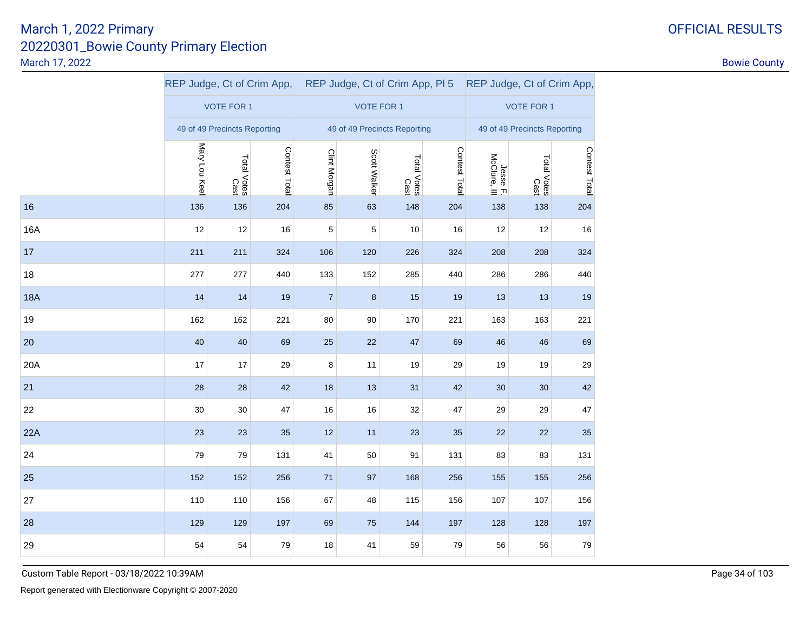|            |               |                              |               |                |                              |                     | REP Judge, Ct of Crim App, REP Judge, Ct of Crim App, PI 5 REP Judge, Ct of Crim App, |                          |                     |               |
|------------|---------------|------------------------------|---------------|----------------|------------------------------|---------------------|---------------------------------------------------------------------------------------|--------------------------|---------------------|---------------|
|            |               | <b>VOTE FOR 1</b>            |               |                | <b>VOTE FOR 1</b>            |                     | <b>VOTE FOR 1</b>                                                                     |                          |                     |               |
|            |               | 49 of 49 Precincts Reporting |               |                | 49 of 49 Precincts Reporting |                     | 49 of 49 Precincts Reporting                                                          |                          |                     |               |
|            | Mary Lou Keel | Total Votes<br>Cast          | Contest Total | Clint Morgan   | Scott Walker                 | Total Votes<br>Cast | Contest Total                                                                         | Jesse F.<br>McClure, III | Total Votes<br>Cast | Contest Total |
| 16         | 136           | 136                          | 204           | 85             | 63                           | 148                 | 204                                                                                   | 138                      | 138                 | 204           |
| <b>16A</b> | 12            | 12                           | 16            | 5              | 5                            | 10                  | 16                                                                                    | 12                       | 12                  | 16            |
| 17         | 211           | 211                          | 324           | 106            | 120                          | 226                 | 324                                                                                   | 208                      | 208                 | 324           |
| 18         | 277           | 277                          | 440           | 133            | 152                          | 285                 | 440                                                                                   | 286                      | 286                 | 440           |
| <b>18A</b> | 14            | 14                           | 19            | $\overline{7}$ | 8                            | 15                  | 19                                                                                    | 13                       | 13                  | 19            |
| 19         | 162           | 162                          | 221           | $80\,$         | 90                           | 170                 | 221                                                                                   | 163                      | 163                 | 221           |
| 20         | 40            | 40                           | 69            | 25             | 22                           | 47                  | 69                                                                                    | 46                       | 46                  | 69            |
| 20A        | 17            | 17                           | 29            | 8              | 11                           | 19                  | 29                                                                                    | 19                       | 19                  | 29            |
| 21         | 28            | 28                           | 42            | 18             | 13                           | 31                  | 42                                                                                    | 30                       | 30                  | 42            |
| 22         | 30            | 30                           | 47            | 16             | 16                           | 32                  | 47                                                                                    | 29                       | 29                  | 47            |
| 22A        | 23            | 23                           | 35            | 12             | 11                           | 23                  | 35                                                                                    | 22                       | 22                  | 35            |
| 24         | 79            | 79                           | 131           | 41             | 50                           | 91                  | 131                                                                                   | 83                       | 83                  | 131           |
| 25         | 152           | 152                          | 256           | 71             | 97                           | 168                 | 256                                                                                   | 155                      | 155                 | 256           |
| 27         | 110           | 110                          | 156           | 67             | 48                           | 115                 | 156                                                                                   | 107                      | 107                 | 156           |
| 28         | 129           | 129                          | 197           | 69             | 75                           | 144                 | 197                                                                                   | 128                      | 128                 | 197           |
| 29         | 54            | 54                           | 79            | 18             | 41                           | 59                  | 79                                                                                    | 56                       | 56                  | 79            |

Custom Table Report - 03/18/2022 10:39AM

## OFFICIAL RESULTS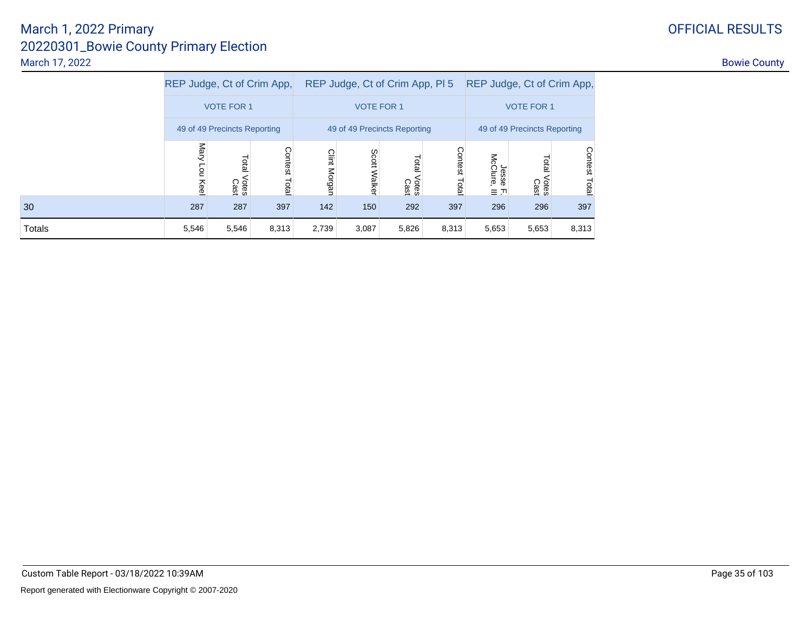# OFFICIAL RESULTS

### 20220301\_Bowie County Primary ElectionMarch 17, 2022entry of the country of the country of the country of the country of the country of the country of the country of the country of the country of the country of the country of the country of the country of the country of the March 1, 2022 Primary

|               | REP Judge, Ct of Crim App, |                              |               |              |                   | REP Judge, Ct of Crim App, PI 5 |                   | REP Judge, Ct of Crim App,           |                        |                  |  |
|---------------|----------------------------|------------------------------|---------------|--------------|-------------------|---------------------------------|-------------------|--------------------------------------|------------------------|------------------|--|
|               | <b>VOTE FOR 1</b>          |                              |               |              | <b>VOTE FOR 1</b> |                                 | <b>VOTE FOR 1</b> |                                      |                        |                  |  |
|               |                            | 49 of 49 Precincts Reporting |               |              |                   | 49 of 49 Precincts Reporting    |                   | 49 of 49 Precincts Reporting         |                        |                  |  |
|               | Mary<br><b>Pou</b><br>Keel | Total<br>Votes<br>Cast       | Contest Total | Clint Morgan | Scott<br>Walker   | Total<br>Votes<br>Cast          | Contest<br>Total  | Jesse<br>McClure,<br>$\equiv$ $\Box$ | Total<br>Votes<br>Cast | Contest<br>Total |  |
| 30            | 287                        | 287                          | 397           | 142          | 150               | 292                             | 397               | 296                                  | 296                    | 397              |  |
| <b>Totals</b> | 5,546                      | 5,546                        | 8,313         | 2,739        | 3,087             | 5,826                           | 8,313             | 5,653                                | 5,653                  | 8,313            |  |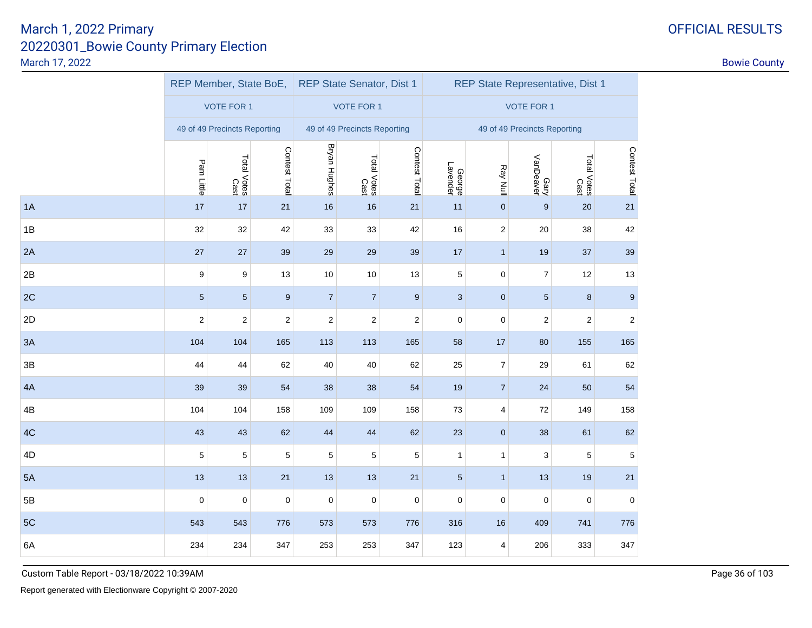|    |                  | REP Member, State BoE,       |                  |                         | <b>REP State Senator, Dist 1</b> |                         | <b>REP State Representative, Dist 1</b> |                         |                   |                     |                  |  |  |
|----|------------------|------------------------------|------------------|-------------------------|----------------------------------|-------------------------|-----------------------------------------|-------------------------|-------------------|---------------------|------------------|--|--|
|    |                  | <b>VOTE FOR 1</b>            |                  |                         | <b>VOTE FOR 1</b>                |                         | <b>VOTE FOR 1</b>                       |                         |                   |                     |                  |  |  |
|    |                  | 49 of 49 Precincts Reporting |                  |                         | 49 of 49 Precincts Reporting     |                         | 49 of 49 Precincts Reporting            |                         |                   |                     |                  |  |  |
|    | Pam Little       | Total Votes<br>Cast          | Contest Total    | <b>Bryan Hughes</b>     | Total Votes<br>Cast              | Contest Total           | George<br>Lavender                      | Ray Null                | Gary<br>VanDeaver | Total Votes<br>Cast | Contest Total    |  |  |
| 1A | 17               | $17$                         | 21               | 16                      | 16                               | 21                      | 11                                      | $\pmb{0}$               | $\boldsymbol{9}$  | 20                  | 21               |  |  |
| 1B | 32               | 32                           | 42               | 33                      | 33                               | 42                      | 16                                      | $\overline{\mathbf{c}}$ | 20                | 38                  | 42               |  |  |
| 2A | 27               | 27                           | 39               | 29                      | 29                               | 39                      | 17                                      | $\mathbf{1}$            | 19                | $37$                | 39               |  |  |
| 2B | $\boldsymbol{9}$ | $\boldsymbol{9}$             | 13               | $10$                    | $10$                             | 13                      | $\,$ 5 $\,$                             | $\pmb{0}$               | $\boldsymbol{7}$  | 12                  | 13               |  |  |
| 2C | $\sqrt{5}$       | $\sqrt{5}$                   | $\boldsymbol{9}$ | $\overline{7}$          | $\overline{7}$                   | $\boldsymbol{9}$        | $\sqrt{3}$                              | $\pmb{0}$               | $\sqrt{5}$        | $\bf 8$             | $\boldsymbol{9}$ |  |  |
| 2D | $\mathbf 2$      | $\boldsymbol{2}$             | $\boldsymbol{2}$ | $\overline{\mathbf{c}}$ | $\sqrt{2}$                       | $\overline{\mathbf{c}}$ | $\mathsf 0$                             | $\pmb{0}$               | $\boldsymbol{2}$  | $\overline{c}$      | $\boldsymbol{2}$ |  |  |
| 3A | 104              | 104                          | 165              | 113                     | 113                              | 165                     | 58                                      | $17$                    | 80                | 155                 | 165              |  |  |
| 3B | 44               | 44                           | 62               | 40                      | 40                               | 62                      | 25                                      | $\overline{\mathbf{7}}$ | 29                | 61                  | 62               |  |  |
| 4A | 39               | 39                           | 54               | 38                      | 38                               | 54                      | 19                                      | $\overline{7}$          | 24                | 50                  | 54               |  |  |
| 4B | 104              | 104                          | 158              | 109                     | 109                              | 158                     | 73                                      | $\overline{\mathbf{4}}$ | $72\,$            | 149                 | 158              |  |  |
| 4C | 43               | 43                           | 62               | 44                      | 44                               | 62                      | 23                                      | $\pmb{0}$               | 38                | 61                  | 62               |  |  |
| 4D | $\mathbf 5$      | $\,$ 5 $\,$                  | 5                | $\sqrt{5}$              | $\,$ 5 $\,$                      | 5                       | $\mathbf{1}$                            | $\mathbf{1}$            | $\sqrt{3}$        | $\mathbf 5$         | 5                |  |  |
| 5A | 13               | 13                           | 21               | 13                      | 13                               | 21                      | $\sqrt{5}$                              | $\mathbf{1}$            | 13                | 19                  | 21               |  |  |
| 5B | $\pmb{0}$        | $\mathbf 0$                  | $\mathbf 0$      | $\mathsf 0$             | 0                                | $\mathsf 0$             | $\mathbf 0$                             | $\pmb{0}$               | $\mathbf 0$       | 0                   | $\mathbf 0$      |  |  |
| 5C | 543              | 543                          | 776              | 573                     | 573                              | 776                     | 316                                     | 16                      | 409               | 741                 | 776              |  |  |
| 6A | 234              | 234                          | 347              | 253                     | 253                              | 347                     | 123                                     | 4                       | 206               | 333                 | 347              |  |  |
|    |                  |                              |                  |                         |                                  |                         |                                         |                         |                   |                     |                  |  |  |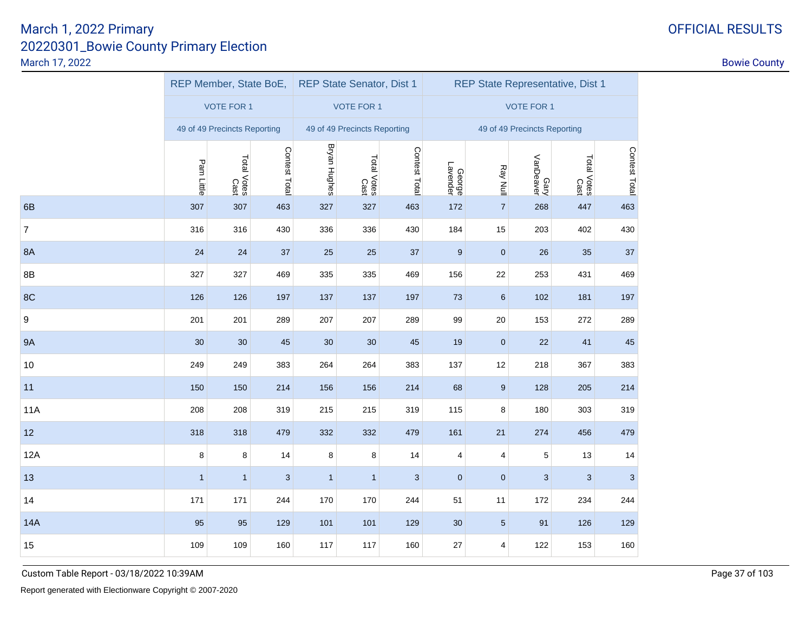|              |              |              |                                                                                           |                     |                     | REP State Representative, Dist 1                                                                                       |                         |          |                   |                                                     |  |
|--------------|--------------|--------------|-------------------------------------------------------------------------------------------|---------------------|---------------------|------------------------------------------------------------------------------------------------------------------------|-------------------------|----------|-------------------|-----------------------------------------------------|--|
|              |              |              |                                                                                           |                     |                     | <b>VOTE FOR 1</b>                                                                                                      |                         |          |                   |                                                     |  |
|              |              |              |                                                                                           |                     |                     |                                                                                                                        |                         |          |                   |                                                     |  |
| Pam Little   |              |              |                                                                                           |                     |                     |                                                                                                                        |                         |          |                   | Contest Total                                       |  |
| 307          | 307          | 463          | 327                                                                                       | 327                 | 463                 | 172                                                                                                                    | $\overline{7}$          | 268      | 447               | 463                                                 |  |
| 316          | 316          | 430          | 336                                                                                       | 336                 | 430                 | 184                                                                                                                    | 15                      | 203      | 402               | 430                                                 |  |
| 24           | 24           | 37           | 25                                                                                        | 25                  | 37                  | $\boldsymbol{9}$                                                                                                       | $\bf 0$                 | 26       | 35                | 37                                                  |  |
| 327          | 327          | 469          | 335                                                                                       | 335                 | 469                 | 156                                                                                                                    | 22                      | 253      | 431               | 469                                                 |  |
| 126          | 126          | 197          | 137                                                                                       | 137                 | 197                 | 73                                                                                                                     | $6\phantom{1}6$         | 102      | 181               | 197                                                 |  |
| 201          | 201          | 289          | 207                                                                                       | 207                 | 289                 | 99                                                                                                                     | 20                      | 153      | 272               | 289                                                 |  |
| 30           | 30           | 45           | 30                                                                                        | 30                  | 45                  | $19$                                                                                                                   | $\bf 0$                 | 22       | 41                | 45                                                  |  |
| 249          | 249          | 383          | 264                                                                                       | 264                 | 383                 | 137                                                                                                                    | 12                      | 218      | 367               | 383                                                 |  |
| 150          | 150          | 214          | 156                                                                                       | 156                 | 214                 | 68                                                                                                                     | $9$                     | 128      | 205               | 214                                                 |  |
| 208          | 208          | 319          | 215                                                                                       | 215                 | 319                 | 115                                                                                                                    | 8                       | 180      | 303               | 319                                                 |  |
| 318          | 318          | 479          | 332                                                                                       | 332                 | 479                 | 161                                                                                                                    | 21                      | 274      | 456               | 479                                                 |  |
| 8            | 8            | 14           | 8                                                                                         | 8                   | 14                  | 4                                                                                                                      | 4                       | 5        | 13                | 14                                                  |  |
| $\mathbf{1}$ | $\mathbf{1}$ | $\mathbf{3}$ | $\mathbf{1}$                                                                              | $\mathbf{1}$        | 3                   | 0                                                                                                                      | $\bf 0$                 | 3        | 3                 | 3                                                   |  |
| 171          | 171          | 244          | 170                                                                                       | 170                 | 244                 | 51                                                                                                                     | 11                      | 172      | 234               | 244                                                 |  |
| 95           | 95           | 129          | 101                                                                                       | 101                 | 129                 | $30\,$                                                                                                                 | $\sqrt{5}$              | 91       | 126               | 129                                                 |  |
| 109          | 109          | 160          | 117                                                                                       | 117                 | 160                 | 27                                                                                                                     | $\overline{\mathbf{4}}$ | 122      | 153               | 160                                                 |  |
|              |              |              | <b>VOTE FOR 1</b><br>49 of 49 Precincts Reporting<br>Contest Total<br>Total Votes<br>Cast | <b>Bryan Hughes</b> | Total Votes<br>Cast | REP Member, State BoE, REP State Senator, Dist 1<br><b>VOTE FOR 1</b><br>49 of 49 Precincts Reporting<br>Contest Total | George<br>Lavender      | Ray Null | Gary<br>VanDeaver | 49 of 49 Precincts Reporting<br>Total Votes<br>Cast |  |

Custom Table Report - 03/18/2022 10:39AM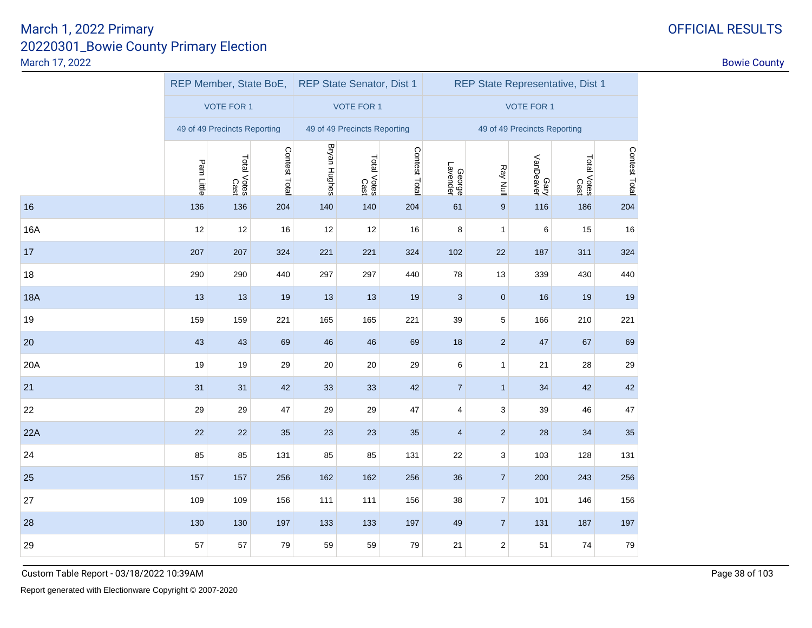|            |            | REP Member, State BoE, REP State Senator, Dist 1 |               |                     |                              |               | REP State Representative, Dist 1 |                           |                              |                     |               |  |
|------------|------------|--------------------------------------------------|---------------|---------------------|------------------------------|---------------|----------------------------------|---------------------------|------------------------------|---------------------|---------------|--|
|            |            | <b>VOTE FOR 1</b>                                |               |                     | <b>VOTE FOR 1</b>            |               |                                  |                           | <b>VOTE FOR 1</b>            |                     |               |  |
|            |            | 49 of 49 Precincts Reporting                     |               |                     | 49 of 49 Precincts Reporting |               |                                  |                           | 49 of 49 Precincts Reporting |                     |               |  |
|            | Pam Little | Total Votes<br>Cast                              | Contest Total | <b>Bryan Hughes</b> | Total Votes<br>Cast          | Contest Total | George<br>Lavender               | Ray Null                  | Gary<br>VanDeaver            | Total Votes<br>Cast | Contest Total |  |
| 16         | 136        | 136                                              | 204           | 140                 | 140                          | 204           | 61                               | $\boldsymbol{9}$          | 116                          | 186                 | 204           |  |
| 16A        | 12         | 12                                               | $16\,$        | 12                  | 12                           | $16\,$        | 8                                | $\mathbf{1}$              | 6                            | 15                  | 16            |  |
| $17$       | 207        | 207                                              | 324           | 221                 | 221                          | 324           | 102                              | $22\,$                    | 187                          | 311                 | 324           |  |
| 18         | 290        | 290                                              | 440           | 297                 | 297                          | 440           | 78                               | 13                        | 339                          | 430                 | 440           |  |
| <b>18A</b> | 13         | 13                                               | 19            | 13                  | 13                           | 19            | $\ensuremath{\mathsf{3}}$        | $\pmb{0}$                 | $16$                         | 19                  | 19            |  |
| 19         | 159        | 159                                              | 221           | 165                 | 165                          | 221           | 39                               | $\mathbf 5$               | 166                          | 210                 | 221           |  |
| $20\,$     | 43         | 43                                               | 69            | 46                  | 46                           | 69            | 18                               | $\sqrt{2}$                | 47                           | 67                  | 69            |  |
| 20A        | 19         | 19                                               | 29            | 20                  | 20                           | 29            | 6                                | $\mathbf{1}$              | 21                           | 28                  | 29            |  |
| 21         | 31         | 31                                               | 42            | 33                  | 33                           | 42            | $\overline{7}$                   | $\mathbf{1}$              | 34                           | 42                  | 42            |  |
| 22         | 29         | 29                                               | 47            | 29                  | 29                           | 47            | 4                                | $\ensuremath{\mathsf{3}}$ | 39                           | 46                  | 47            |  |
| 22A        | 22         | 22                                               | 35            | 23                  | 23                           | 35            | $\overline{4}$                   | $\sqrt{2}$                | 28                           | 34                  | 35            |  |
| 24         | 85         | 85                                               | 131           | 85                  | 85                           | 131           | 22                               | $\ensuremath{\mathsf{3}}$ | 103                          | 128                 | 131           |  |
| 25         | 157        | 157                                              | 256           | 162                 | 162                          | 256           | 36                               | $\boldsymbol{7}$          | 200                          | 243                 | 256           |  |
| 27         | 109        | 109                                              | 156           | 111                 | 111                          | 156           | 38                               | $\overline{\mathcal{I}}$  | 101                          | 146                 | 156           |  |
| 28         | 130        | 130                                              | 197           | 133                 | 133                          | 197           | 49                               | $\boldsymbol{7}$          | 131                          | 187                 | 197           |  |
| 29         | 57         | 57                                               | 79            | 59                  | 59                           | 79            | 21                               | $\sqrt{2}$                | 51                           | 74                  | 79            |  |

Custom Table Report - 03/18/2022 10:39AM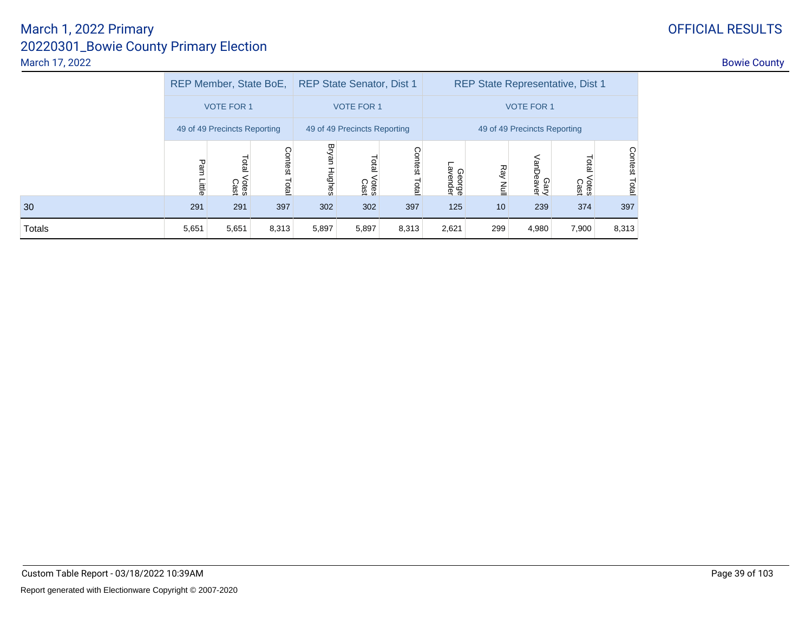30

Totals

|       |                                                                                              | REP Member, State BoE, |                         |                 | <b>REP State Senator, Dist 1</b> |                  | <b>REP State Representative, Dist 1</b> |                 |                   |                        |               |  |
|-------|----------------------------------------------------------------------------------------------|------------------------|-------------------------|-----------------|----------------------------------|------------------|-----------------------------------------|-----------------|-------------------|------------------------|---------------|--|
|       |                                                                                              | <b>VOTE FOR 1</b>      |                         |                 | <b>VOTE FOR 1</b>                |                  |                                         |                 | <b>VOTE FOR 1</b> |                        |               |  |
|       | 49 of 49 Precincts Reporting<br>49 of 49 Precincts Reporting<br>49 of 49 Precincts Reporting |                        |                         |                 |                                  |                  |                                         |                 |                   |                        |               |  |
|       | Pam<br>Little                                                                                | Total<br>Votes<br>Cast | <b>Contest</b><br>Total | Bryan<br>Hughes | Total<br>Votes<br>Cast           | Contest<br>Total | George<br>Javender                      | Ray Null        | Gary<br>VanDeaver | Total<br>Votes<br>Cast | Contest Total |  |
| 0     | 291                                                                                          | 291                    | 397                     | 302             | 302                              | 397              | 125                                     | 10 <sup>°</sup> | 239               | 374                    | 397           |  |
| otals | 5,651                                                                                        | 5,651                  | 8,313                   | 5,897           | 5,897                            | 8,313            | 2,621                                   | 299             | 4,980             | 7,900                  | 8,313         |  |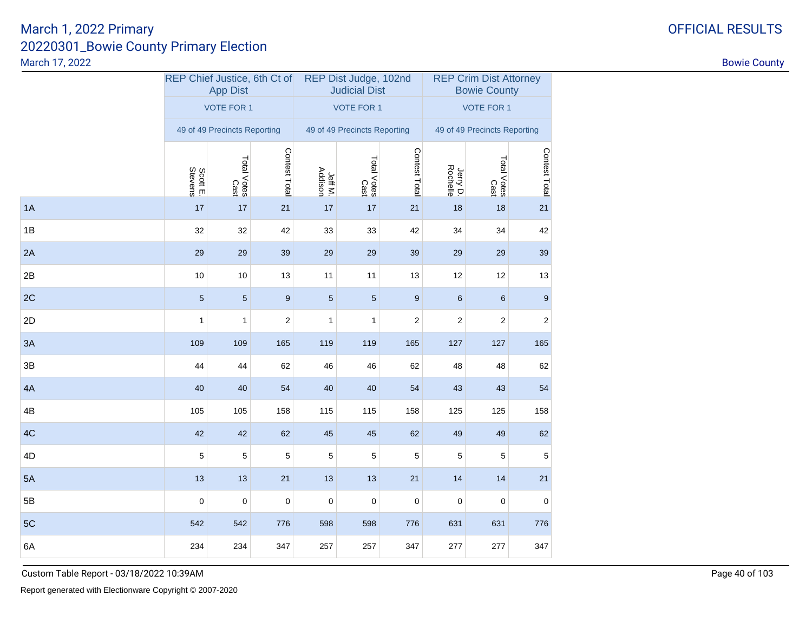|    | REP Chief Justice, 6th Ct of | <b>App Dist</b>              |                  |                    | REP Dist Judge, 102nd<br><b>Judicial Dist</b> |                  | <b>REP Crim Dist Attorney</b><br><b>Bowie County</b> |                              |               |  |
|----|------------------------------|------------------------------|------------------|--------------------|-----------------------------------------------|------------------|------------------------------------------------------|------------------------------|---------------|--|
|    |                              | <b>VOTE FOR 1</b>            |                  |                    | <b>VOTE FOR 1</b>                             |                  |                                                      | <b>VOTE FOR 1</b>            |               |  |
|    |                              | 49 of 49 Precincts Reporting |                  |                    | 49 of 49 Precincts Reporting                  |                  |                                                      | 49 of 49 Precincts Reporting |               |  |
|    | Scott E.<br>Stevens          | Total Votes<br>Cast          | Contest Total    | Jeff M.<br>Addison | Total Votes<br>Total Votes                    | Contest Total    | Jerry D.<br>Rochelle                                 | Total Votes<br>Cast          | Contest Total |  |
| 1A | 17                           | $17$                         | $21$             | 17                 | $17$                                          | 21               | 18                                                   | 18                           | 21            |  |
| 1B | 32                           | 32                           | 42               | 33                 | 33                                            | 42               | 34                                                   | 34                           | 42            |  |
| 2A | 29                           | 29                           | 39               | 29                 | 29                                            | 39               | 29                                                   | 29                           | 39            |  |
| 2B | 10                           | 10                           | 13               | 11                 | 11                                            | 13               | 12                                                   | 12                           | 13            |  |
| 2C | $\sqrt{5}$                   | $5\,$                        | $\boldsymbol{9}$ | $\overline{5}$     | $5\,$                                         | $\boldsymbol{9}$ | 6                                                    | $\,6$                        | 9             |  |
| 2D | 1                            | 1                            | 2                | $\mathbf{1}$       | 1                                             | 2                | 2                                                    | 2                            | 2             |  |
| 3A | 109                          | 109                          | 165              | 119                | 119                                           | 165              | 127                                                  | 127                          | 165           |  |
| 3B | 44                           | 44                           | 62               | 46                 | 46                                            | 62               | 48                                                   | 48                           | 62            |  |
| 4A | 40                           | 40                           | 54               | 40                 | 40                                            | 54               | 43                                                   | 43                           | 54            |  |
| 4B | 105                          | 105                          | 158              | 115                | 115                                           | 158              | 125                                                  | 125                          | 158           |  |
| 4C | 42                           | 42                           | 62               | 45                 | 45                                            | 62               | 49                                                   | 49                           | 62            |  |
| 4D | 5                            | 5                            | $\mathbf 5$      | 5                  | 5                                             | 5                | 5                                                    | $\mathbf 5$                  | 5             |  |
| 5A | 13                           | 13                           | 21               | 13                 | 13                                            | 21               | 14                                                   | 14                           | 21            |  |
| 5B | $\pmb{0}$                    | $\pmb{0}$                    | $\pmb{0}$        | $\pmb{0}$          | $\pmb{0}$                                     | $\pmb{0}$        | $\pmb{0}$                                            | $\pmb{0}$                    | $\mathbf 0$   |  |
| 5C | 542                          | 542                          | 776              | 598                | 598                                           | 776              | 631                                                  | 631                          | 776           |  |
| 6A | 234                          | 234                          | 347              | 257                | 257                                           | 347              | 277                                                  | 277                          | 347           |  |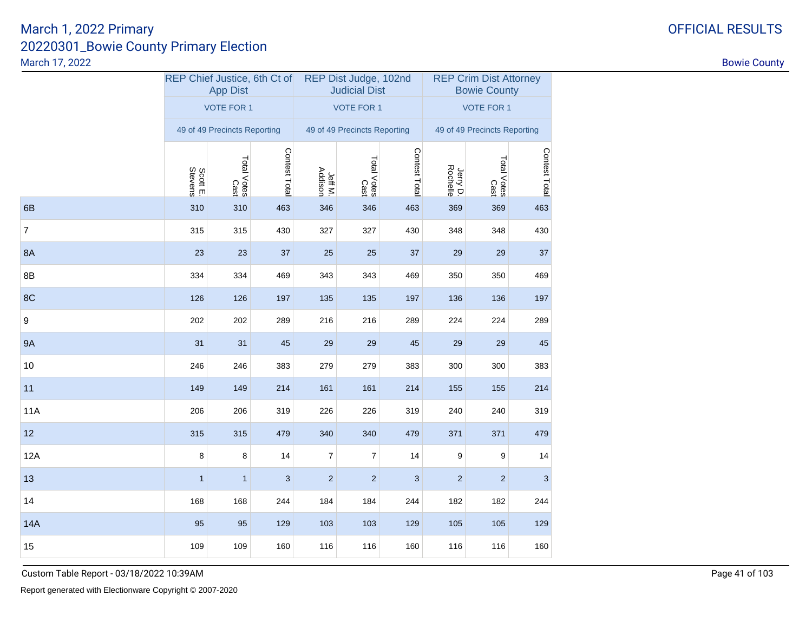|                |              | REP Chief Justice, 6th Ct of<br><b>App Dist</b> |                           |                    | REP Dist Judge, 102nd<br><b>Judicial Dist</b> |               | <b>REP Crim Dist Attorney</b><br><b>Bowie County</b> |                     |               |  |
|----------------|--------------|-------------------------------------------------|---------------------------|--------------------|-----------------------------------------------|---------------|------------------------------------------------------|---------------------|---------------|--|
|                |              | <b>VOTE FOR 1</b>                               |                           |                    | <b>VOTE FOR 1</b>                             |               | <b>VOTE FOR 1</b>                                    |                     |               |  |
|                |              | 49 of 49 Precincts Reporting                    |                           |                    | 49 of 49 Precincts Reporting                  |               | 49 of 49 Precincts Reporting                         |                     |               |  |
|                | Scott E.     | Total Votes<br>Cast                             | Contest Total             | Jeff M.<br>Addison | Total Votes<br>Cast                           | Contest Total | Jerry D.<br>Rochelle                                 | Total Votes<br>Cast | Contest Total |  |
| 6B             | 310          | 310                                             | 463                       | 346                | 346                                           | 463           | 369                                                  | 369                 | 463           |  |
| $\overline{7}$ | 315          | 315                                             | 430                       | 327                | 327                                           | 430           | 348                                                  | 348                 | 430           |  |
| <b>8A</b>      | 23           | 23                                              | 37                        | 25                 | 25                                            | 37            | 29                                                   | 29                  | 37            |  |
| 8B             | 334          | 334                                             | 469                       | 343                | 343                                           | 469           | 350                                                  | 350                 | 469           |  |
| 8C             | 126          | 126                                             | 197                       | 135                | 135                                           | 197           | 136                                                  | 136                 | 197           |  |
| 9              | 202          | 202                                             | 289                       | 216                | 216                                           | 289           | 224                                                  | 224                 | 289           |  |
| <b>9A</b>      | 31           | 31                                              | 45                        | 29                 | 29                                            | 45            | 29                                                   | 29                  | 45            |  |
| 10             | 246          | 246                                             | 383                       | 279                | 279                                           | 383           | 300                                                  | 300                 | 383           |  |
| 11             | 149          | 149                                             | 214                       | 161                | 161                                           | 214           | 155                                                  | 155                 | 214           |  |
| <b>11A</b>     | 206          | 206                                             | 319                       | 226                | 226                                           | 319           | 240                                                  | 240                 | 319           |  |
| 12             | 315          | 315                                             | 479                       | 340                | 340                                           | 479           | 371                                                  | 371                 | 479           |  |
| <b>12A</b>     | 8            | 8                                               | 14                        | $\overline{7}$     | $\overline{7}$                                | 14            | 9                                                    | 9                   | 14            |  |
| 13             | $\mathbf{1}$ | $\mathbf{1}$                                    | $\ensuremath{\mathsf{3}}$ | $\overline{c}$     | $\overline{c}$                                | 3             | $\overline{c}$                                       | $\overline{c}$      | 3             |  |
| 14             | 168          | 168                                             | 244                       | 184                | 184                                           | 244           | 182                                                  | 182                 | 244           |  |
| <b>14A</b>     | 95           | 95                                              | 129                       | 103                | 103                                           | 129           | 105                                                  | 105                 | 129           |  |
| 15             | 109          | 109                                             | 160                       | 116                | 116                                           | 160           | 116                                                  | 116                 | 160           |  |

OFFICIAL RESULTS

Custom Table Report - 03/18/2022 10:39AM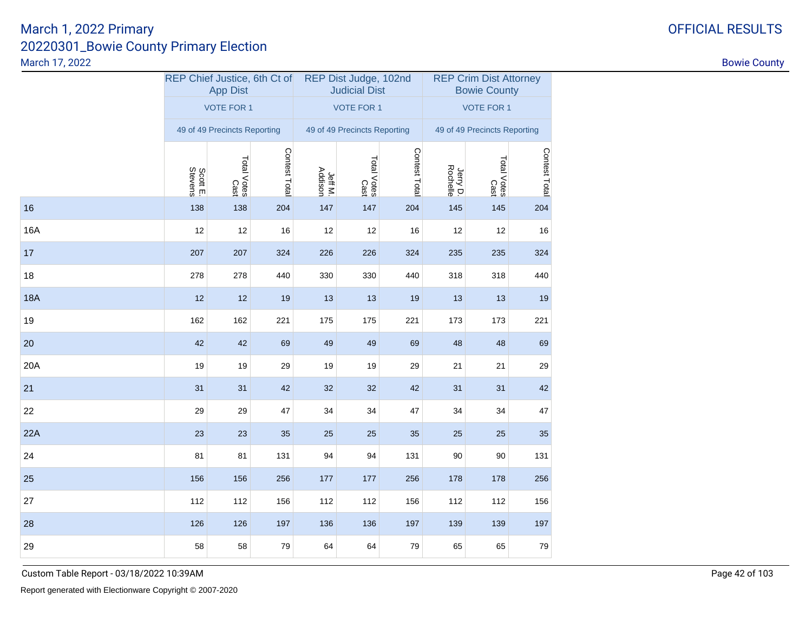|            | REP Chief Justice, 6th Ct of | <b>App Dist</b>              |               |                    | REP Dist Judge, 102nd<br><b>Judicial Dist</b> |               | <b>REP Crim Dist Attorney</b><br><b>Bowie County</b> |                              |               |  |
|------------|------------------------------|------------------------------|---------------|--------------------|-----------------------------------------------|---------------|------------------------------------------------------|------------------------------|---------------|--|
|            |                              | <b>VOTE FOR 1</b>            |               |                    | <b>VOTE FOR 1</b>                             |               | <b>VOTE FOR 1</b>                                    |                              |               |  |
|            |                              | 49 of 49 Precincts Reporting |               |                    | 49 of 49 Precincts Reporting                  |               |                                                      | 49 of 49 Precincts Reporting |               |  |
|            | Scott E.<br>Stevens          | Total Votes<br>Cast          | Contest Total | Jeff M.<br>Addison | Total Votes<br>Cast                           | Contest Total | Jerry D.<br>Rochelle                                 | Total Votes<br>Total Votes   | Contest Total |  |
| 16         | 138                          | 138                          | 204           | 147                | 147                                           | 204           | 145                                                  | 145                          | 204           |  |
| 16A        | 12                           | 12                           | 16            | 12                 | 12                                            | 16            | 12                                                   | 12                           | 16            |  |
| 17         | 207                          | 207                          | 324           | 226                | 226                                           | 324           | 235                                                  | 235                          | 324           |  |
| 18         | 278                          | 278                          | 440           | 330                | 330                                           | 440           | 318                                                  | 318                          | 440           |  |
| <b>18A</b> | 12                           | 12                           | 19            | 13                 | 13                                            | 19            | 13                                                   | 13                           | 19            |  |
| 19         | 162                          | 162                          | 221           | 175                | 175                                           | 221           | 173                                                  | 173                          | 221           |  |
| 20         | 42                           | 42                           | 69            | 49                 | 49                                            | 69            | 48                                                   | 48                           | 69            |  |
| 20A        | 19                           | 19                           | 29            | 19                 | 19                                            | 29            | 21                                                   | 21                           | 29            |  |
| 21         | 31                           | 31                           | 42            | 32                 | 32                                            | 42            | 31                                                   | 31                           | 42            |  |
| 22         | 29                           | 29                           | 47            | 34                 | 34                                            | 47            | 34                                                   | 34                           | 47            |  |
| 22A        | 23                           | 23                           | 35            | 25                 | 25                                            | 35            | 25                                                   | 25                           | 35            |  |
| 24         | 81                           | 81                           | 131           | 94                 | 94                                            | 131           | 90                                                   | 90                           | 131           |  |
| 25         | 156                          | 156                          | 256           | 177                | 177                                           | 256           | 178                                                  | 178                          | 256           |  |
| 27         | 112                          | 112                          | 156           | 112                | 112                                           | 156           | 112                                                  | 112                          | 156           |  |
| 28         | 126                          | 126                          | 197           | 136                | 136                                           | 197           | 139                                                  | 139                          | 197           |  |
| 29         | 58                           | 58                           | 79            | 64                 | 64                                            | 79            | 65                                                   | 65                           | 79            |  |

Custom Table Report - 03/18/2022 10:39AM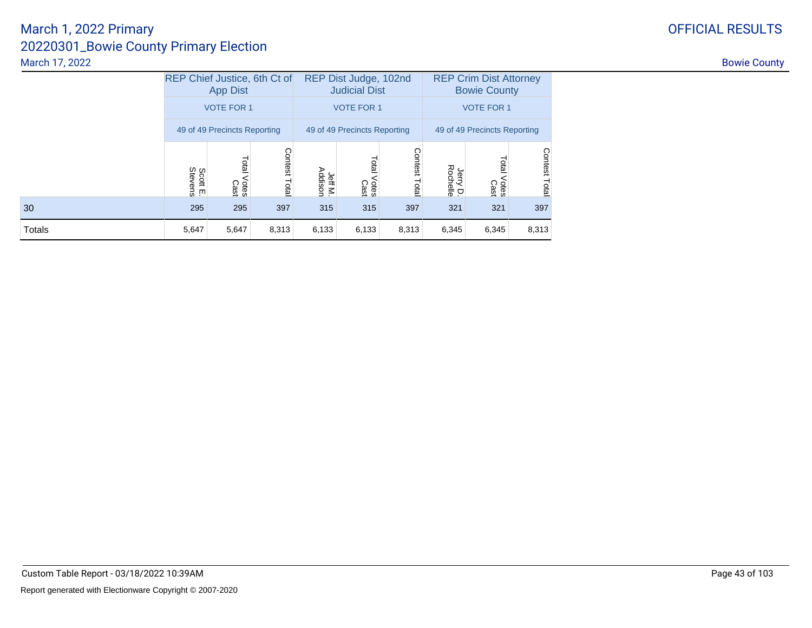|        | REP Chief Justice, 6th Ct of<br><b>App Dist</b> |                        |                  |                    | REP Dist Judge, 102nd<br><b>Judicial Dist</b> |                  | <b>REP Crim Dist Attorney</b><br><b>Bowie County</b> |                        |                  |  |
|--------|-------------------------------------------------|------------------------|------------------|--------------------|-----------------------------------------------|------------------|------------------------------------------------------|------------------------|------------------|--|
|        | <b>VOTE FOR 1</b>                               |                        |                  |                    | <b>VOTE FOR 1</b>                             |                  | <b>VOTE FOR 1</b>                                    |                        |                  |  |
|        | 49 of 49 Precincts Reporting                    |                        |                  |                    | 49 of 49 Precincts Reporting                  |                  | 49 of 49 Precincts Reporting                         |                        |                  |  |
|        | Scott E.<br>Stevens                             | Total<br>Votes<br>Cast | Contest<br>Total | Jeff M.<br>Addison | Total<br>Votes<br>Cast                        | Contest<br>Total | Jerry D.<br>Rochelle                                 | Total<br>Votes<br>Cast | Contest<br>Total |  |
| 30     | 295                                             | 295                    | 397              | 315                | 315                                           | 397              | 321                                                  | 321                    | 397              |  |
| Totals | 5,647                                           | 5,647                  | 8,313            | 6,133              | 6,133                                         | 8,313            | 6,345                                                | 6,345                  | 8,313            |  |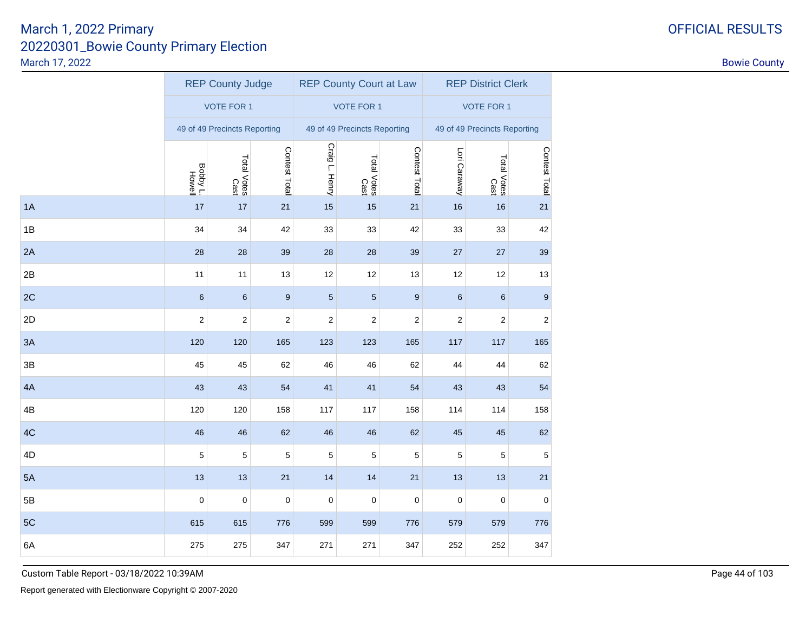|    | <b>REP County Judge</b>    |                              |                  |                | <b>REP County Court at Law</b> |                         | <b>REP District Clerk</b> |                              |                  |  |
|----|----------------------------|------------------------------|------------------|----------------|--------------------------------|-------------------------|---------------------------|------------------------------|------------------|--|
|    |                            | <b>VOTE FOR 1</b>            |                  |                | <b>VOTE FOR 1</b>              |                         |                           | <b>VOTE FOR 1</b>            |                  |  |
|    |                            | 49 of 49 Precincts Reporting |                  |                | 49 of 49 Precincts Reporting   |                         |                           | 49 of 49 Precincts Reporting |                  |  |
|    | Boby L<br>Livell<br>Livell | Total Votes<br>Cast          | Contest Total    | Craig L. Henry | Total Votes<br>Cast            | Contest Total           | Lori Caraway              | Total Votes<br>Cast          | Contest Total    |  |
| 1A | 17                         | 17                           | 21               | 15             | 15                             | 21                      | 16                        | 16                           | 21               |  |
| 1B | 34                         | 34                           | 42               | 33             | 33                             | 42                      | 33                        | 33                           | 42               |  |
| 2A | 28                         | 28                           | 39               | 28             | 28                             | 39                      | 27                        | 27                           | 39               |  |
| 2B | 11                         | 11                           | 13               | 12             | 12                             | 13                      | 12                        | 12                           | 13               |  |
| 2C | $\,6$                      | $\,6$                        | $\boldsymbol{9}$ | $\sqrt{5}$     | $\sqrt{5}$                     | $\boldsymbol{9}$        | $\,6$                     | 6                            | 9                |  |
| 2D | 2                          | $\sqrt{2}$                   | 2                | 2              | 2                              | $\overline{\mathbf{c}}$ | 2                         | 2                            | 2                |  |
| 3A | 120                        | 120                          | 165              | 123            | 123                            | 165                     | 117                       | 117                          | 165              |  |
| 3B | 45                         | 45                           | 62               | 46             | 46                             | 62                      | 44                        | 44                           | 62               |  |
| 4A | 43                         | 43                           | 54               | 41             | 41                             | 54                      | 43                        | 43                           | 54               |  |
| 4B | 120                        | 120                          | 158              | 117            | 117                            | 158                     | 114                       | 114                          | 158              |  |
| 4C | 46                         | 46                           | 62               | 46             | 46                             | 62                      | 45                        | 45                           | 62               |  |
| 4D | $\mathbf 5$                | $\mathbf 5$                  | $\mathbf 5$      | $\mathbf 5$    | 5                              | 5                       | 5                         | 5                            | 5                |  |
| 5A | 13                         | 13                           | 21               | 14             | 14                             | 21                      | 13                        | 13                           | 21               |  |
| 5B | $\mathbf 0$                | 0                            | $\pmb{0}$        | 0              | 0                              | $\pmb{0}$               | 0                         | 0                            | $\boldsymbol{0}$ |  |
| 5C | 615                        | 615                          | 776              | 599            | 599                            | 776                     | 579                       | 579                          | 776              |  |
| 6A | 275                        | 275                          | 347              | 271            | 271                            | 347                     | 252                       | 252                          | 347              |  |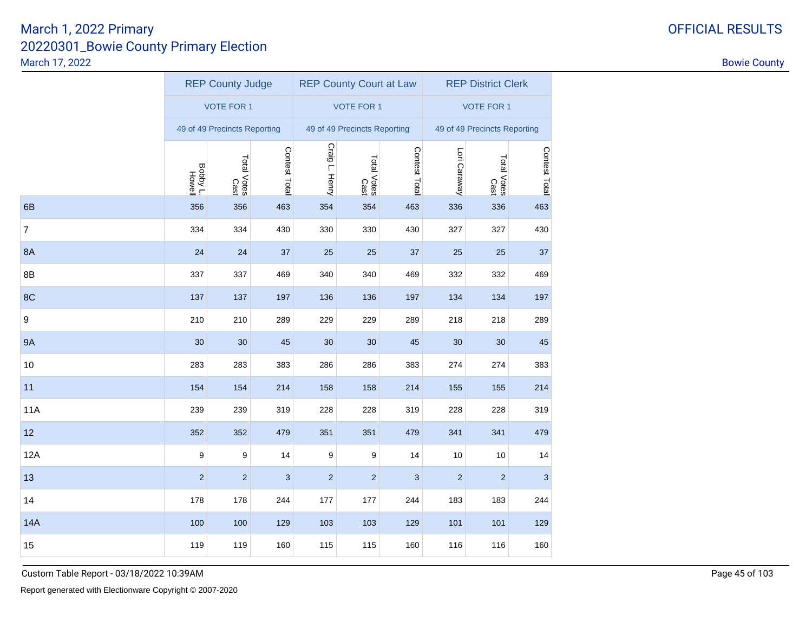|                | <b>REP County Judge</b> |                              |               |                | <b>REP County Court at Law</b> |               | <b>REP District Clerk</b> |                              |               |  |
|----------------|-------------------------|------------------------------|---------------|----------------|--------------------------------|---------------|---------------------------|------------------------------|---------------|--|
|                |                         | <b>VOTE FOR 1</b>            |               |                | <b>VOTE FOR 1</b>              |               |                           | <b>VOTE FOR 1</b>            |               |  |
|                |                         | 49 of 49 Precincts Reporting |               |                | 49 of 49 Precincts Reporting   |               |                           | 49 of 49 Precincts Reporting |               |  |
|                | Boby L<br>Livell        | Total Votes<br>Cast          | Contest Total | Craig L. Henry | Total Votes<br>Cast            | Contest Total | Lori Caraway              | Total Votes<br>Cast          | Contest Total |  |
| 6B             | 356                     | 356                          | 463           | 354            | 354                            | 463           | 336                       | 336                          | 463           |  |
| $\overline{7}$ | 334                     | 334                          | 430           | 330            | 330                            | 430           | 327                       | 327                          | 430           |  |
| 8A             | 24                      | 24                           | 37            | 25             | 25                             | 37            | 25                        | 25                           | 37            |  |
| 8B             | 337                     | 337                          | 469           | 340            | 340                            | 469           | 332                       | 332                          | 469           |  |
| 8C             | 137                     | 137                          | 197           | 136            | 136                            | 197           | 134                       | 134                          | 197           |  |
| 9              | 210                     | 210                          | 289           | 229            | 229                            | 289           | 218                       | 218                          | 289           |  |
| <b>9A</b>      | 30                      | 30                           | 45            | 30             | 30                             | 45            | 30                        | 30                           | 45            |  |
| 10             | 283                     | 283                          | 383           | 286            | 286                            | 383           | 274                       | 274                          | 383           |  |
| 11             | 154                     | 154                          | 214           | 158            | 158                            | 214           | 155                       | 155                          | 214           |  |
| 11A            | 239                     | 239                          | 319           | 228            | 228                            | 319           | 228                       | 228                          | 319           |  |
| 12             | 352                     | 352                          | 479           | 351            | 351                            | 479           | 341                       | 341                          | 479           |  |
| 12A            | 9                       | 9                            | 14            | 9              | 9                              | 14            | 10                        | 10                           | 14            |  |
| 13             | $\overline{2}$          | $\overline{2}$               | 3             | $\overline{2}$ | $\overline{2}$                 | 3             | $\overline{c}$            | $\overline{c}$               | $\mathsf 3$   |  |
| 14             | 178                     | 178                          | 244           | 177            | 177                            | 244           | 183                       | 183                          | 244           |  |
| <b>14A</b>     | 100                     | 100                          | 129           | 103            | 103                            | 129           | 101                       | 101                          | 129           |  |
| 15             | 119                     | 119                          | 160           | 115            | 115                            | 160           | 116                       | 116                          | 160           |  |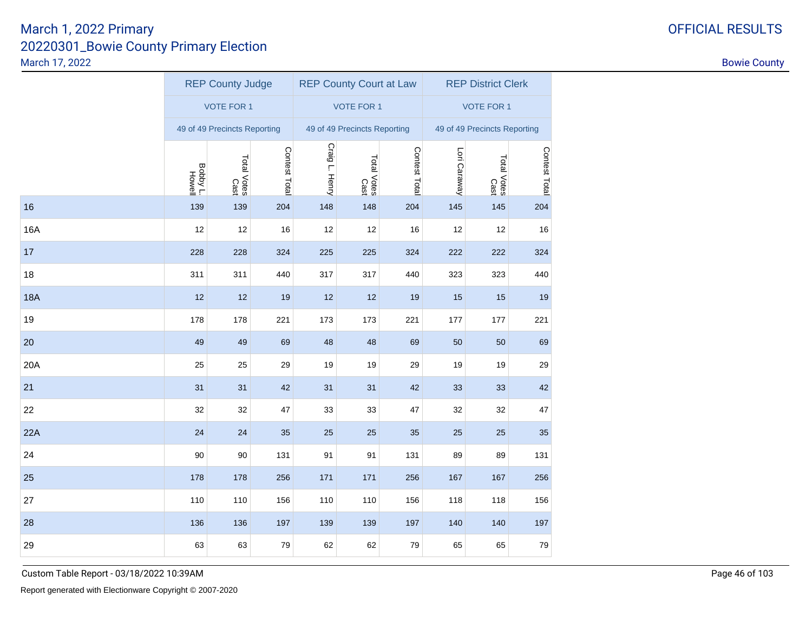|            | <b>REP County Judge</b> |                              |               |                | <b>REP County Court at Law</b> |               | <b>REP District Clerk</b> |                              |               |  |
|------------|-------------------------|------------------------------|---------------|----------------|--------------------------------|---------------|---------------------------|------------------------------|---------------|--|
|            |                         | <b>VOTE FOR 1</b>            |               |                | <b>VOTE FOR 1</b>              |               |                           | <b>VOTE FOR 1</b>            |               |  |
|            |                         | 49 of 49 Precincts Reporting |               |                | 49 of 49 Precincts Reporting   |               |                           | 49 of 49 Precincts Reporting |               |  |
|            | Boby L<br>Lyddog        | Total Votes<br>Cast          | Contest Total | Craig L. Henry | Total Votes<br>Cast            | Contest Total | Lori Caraway              | Total Votes<br>Cast          | Contest Total |  |
| 16         | 139                     | 139                          | 204           | 148            | 148                            | 204           | 145                       | 145                          | 204           |  |
| 16A        | 12                      | 12                           | 16            | 12             | 12                             | 16            | 12                        | 12                           | 16            |  |
| 17         | 228                     | 228                          | 324           | 225            | 225                            | 324           | 222                       | 222                          | 324           |  |
| 18         | 311                     | 311                          | 440           | 317            | 317                            | 440           | 323                       | 323                          | 440           |  |
| <b>18A</b> | 12                      | 12                           | 19            | 12             | 12                             | 19            | 15                        | 15                           | 19            |  |
| 19         | 178                     | 178                          | 221           | 173            | 173                            | 221           | 177                       | 177                          | 221           |  |
| 20         | 49                      | 49                           | 69            | 48             | 48                             | 69            | 50                        | 50                           | 69            |  |
| 20A        | 25                      | 25                           | 29            | 19             | 19                             | 29            | 19                        | 19                           | 29            |  |
| 21         | 31                      | 31                           | 42            | 31             | 31                             | 42            | 33                        | 33                           | 42            |  |
| 22         | 32                      | 32                           | 47            | 33             | 33                             | 47            | 32                        | 32                           | 47            |  |
| 22A        | 24                      | 24                           | 35            | 25             | 25                             | 35            | 25                        | 25                           | 35            |  |
| 24         | 90                      | 90                           | 131           | 91             | 91                             | 131           | 89                        | 89                           | 131           |  |
| 25         | 178                     | 178                          | 256           | 171            | 171                            | 256           | 167                       | 167                          | 256           |  |
| 27         | 110                     | 110                          | 156           | 110            | 110                            | 156           | 118                       | 118                          | 156           |  |
| 28         | 136                     | 136                          | 197           | 139            | 139                            | 197           | 140                       | 140                          | 197           |  |
| 29         | 63                      | 63                           | 79            | 62             | 62                             | 79            | 65                        | 65                           | 79            |  |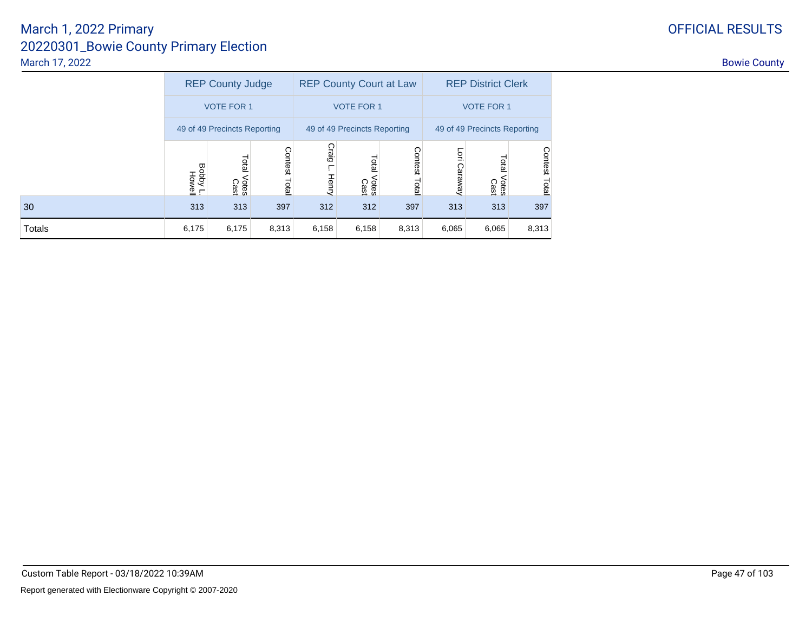|  |  | <b>FFICIAL RESULT:</b> |  |
|--|--|------------------------|--|
|--|--|------------------------|--|

|        | <b>REP County Judge</b>      |                        |                  |                       | <b>REP County Court at Law</b> |                        | <b>REP District Clerk</b>    |                        |                  |  |
|--------|------------------------------|------------------------|------------------|-----------------------|--------------------------------|------------------------|------------------------------|------------------------|------------------|--|
|        | <b>VOTE FOR 1</b>            |                        |                  |                       | <b>VOTE FOR 1</b>              |                        | <b>VOTE FOR 1</b>            |                        |                  |  |
|        | 49 of 49 Precincts Reporting |                        |                  |                       | 49 of 49 Precincts Reporting   |                        | 49 of 49 Precincts Reporting |                        |                  |  |
|        | Bobby L<br>J vddoa           | Total<br>Votes<br>Cast | Contest<br>Total | Craig<br><b>Henry</b> | Total<br>Votes<br>Cast         | Contest<br><b>Tota</b> | $\overline{5}$<br>Caraway    | Total<br>Votes<br>Cast | Contest<br>Total |  |
| 30     | 313                          | 313                    | 397              | 312                   | 312                            | 397                    | 313                          | 313                    | 397              |  |
| Totals | 6,175                        | 6,175                  | 8,313            | 6,158                 | 6,158                          | 8,313                  | 6,065                        | 6,065                  | 8,313            |  |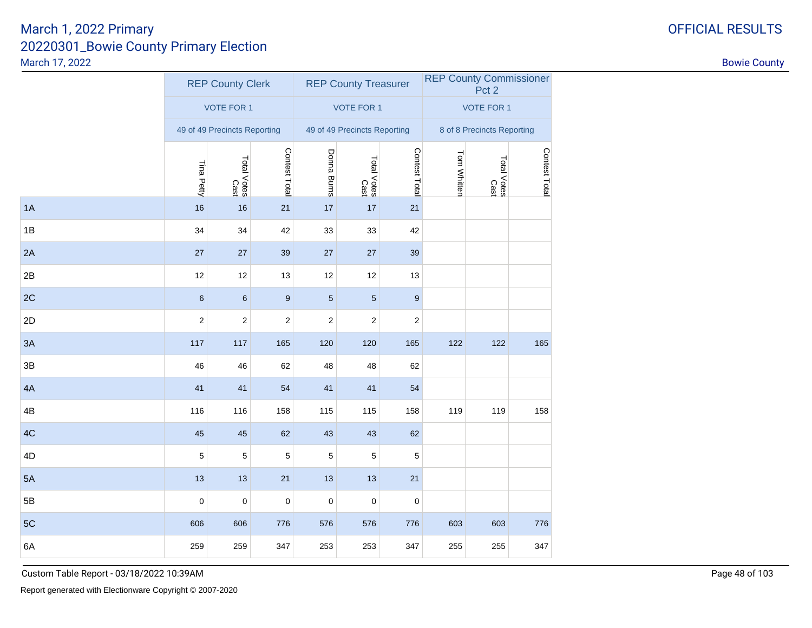|    |                              | <b>REP County Clerk</b> |                  |                  | <b>REP County Treasurer</b>  |                  |                            | <b>REP County Commissioner</b><br>Pct 2 |               |  |
|----|------------------------------|-------------------------|------------------|------------------|------------------------------|------------------|----------------------------|-----------------------------------------|---------------|--|
|    |                              | <b>VOTE FOR 1</b>       |                  |                  | <b>VOTE FOR 1</b>            |                  | <b>VOTE FOR 1</b>          |                                         |               |  |
|    | 49 of 49 Precincts Reporting |                         |                  |                  | 49 of 49 Precincts Reporting |                  | 8 of 8 Precincts Reporting |                                         |               |  |
|    | Tina Petty                   | Total Votes<br>Cast     | Contest Total    | Donna Burns      | Total Votes<br>Cast          | Contest Total    | Tom Whitten                | Total Votes<br>Cast                     | Contest Total |  |
| 1A | 16                           | 16                      | 21               | 17               | 17                           | 21               |                            |                                         |               |  |
| 1B | 34                           | 34                      | 42               | 33               | 33                           | 42               |                            |                                         |               |  |
| 2A | 27                           | 27                      | 39               | 27               | 27                           | 39               |                            |                                         |               |  |
| 2B | 12                           | 12                      | 13               | 12               | 12                           | 13               |                            |                                         |               |  |
| 2C | $\,6\,$                      | $\,6$                   | 9                | $\sqrt{5}$       | $\sqrt{5}$                   | 9                |                            |                                         |               |  |
| 2D | $\boldsymbol{2}$             | $\boldsymbol{2}$        | $\boldsymbol{2}$ | $\boldsymbol{2}$ | $\boldsymbol{2}$             | $\boldsymbol{2}$ |                            |                                         |               |  |
| 3A | 117                          | 117                     | 165              | 120              | 120                          | 165              | 122                        | 122                                     | 165           |  |
| 3B | 46                           | 46                      | 62               | 48               | 48                           | 62               |                            |                                         |               |  |
| 4A | 41                           | 41                      | 54               | 41               | 41                           | 54               |                            |                                         |               |  |
| 4B | 116                          | 116                     | 158              | 115              | 115                          | 158              | 119                        | 119                                     | 158           |  |
| 4C | 45                           | 45                      | 62               | 43               | 43                           | 62               |                            |                                         |               |  |
| 4D | 5                            | 5                       | 5                | 5                | 5                            | 5                |                            |                                         |               |  |
| 5A | 13                           | 13                      | 21               | 13               | 13                           | 21               |                            |                                         |               |  |
| 5B | $\mathbf 0$                  | $\mathbf 0$             | $\mathbf 0$      | $\mathbf 0$      | $\mathbf 0$                  | $\mathbf 0$      |                            |                                         |               |  |
| 5C | 606                          | 606                     | 776              | 576              | 576                          | 776              | 603                        | 603                                     | 776           |  |
| 6A | 259                          | 259                     | 347              | 253              | 253                          | 347              | 255                        | 255                                     | 347           |  |
|    |                              |                         |                  |                  |                              |                  |                            |                                         |               |  |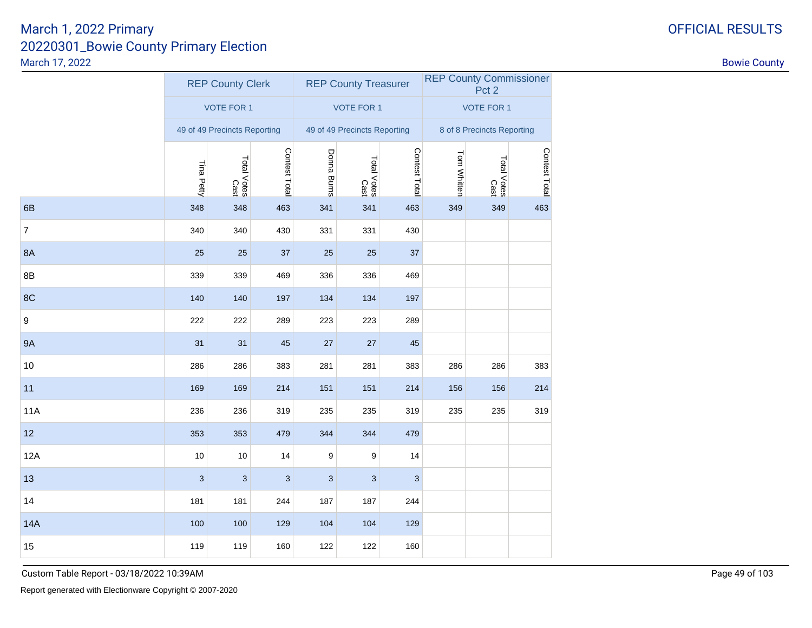| <b>VOTE FOR 1</b><br><b>VOTE FOR 1</b><br><b>VOTE FOR 1</b><br>8 of 8 Precincts Reporting<br>49 of 49 Precincts Reporting<br>49 of 49 Precincts Reporting<br>Contest Total<br>Contest Total<br>Donna Burns<br>Tom Whitten<br>Total Votes<br>Cast<br>Total Votes<br>Cast<br>Total Votes<br>Cast<br>Tina Petty<br>348<br>349<br>6B<br>348<br>463<br>341<br>341<br>463<br>349<br>$\overline{7}$<br>340<br>340<br>430<br>331<br>331<br>430<br>8A<br>25<br>25<br>25<br>25<br>37<br>37<br>8B<br>339<br>339<br>469<br>336<br>336<br>469<br>8C<br>140<br>140<br>197<br>134<br>134<br>197<br>9<br>222<br>222<br>289<br>223<br>223<br>289<br>9A<br>31<br>31<br>45<br>27<br>27<br>45<br>10<br>286<br>286<br>383<br>281<br>281<br>383<br>286<br>286<br>11<br>169<br>169<br>214<br>151<br>151<br>214<br>156<br>156<br>11A<br>236<br>319<br>235<br>235<br>236<br>319<br>235<br>235<br>12<br>353<br>353<br>479<br>344<br>344<br>479<br>12A<br>10<br>10<br>14<br>9<br>9<br>14<br>13<br>$\mathbf{3}$<br>$\mathbf{3}$<br>$\mathbf{3}$<br>$\mathbf{3}$<br>$\mathbf{3}$<br>$\mathbf{3}$<br>14<br>181<br>181<br>244<br>187<br>187<br>244 |               |  | <b>REP County Commissioner</b><br>Pct 2 |  | <b>REP County Treasurer</b> |  | <b>REP County Clerk</b> |  |
|---------------------------------------------------------------------------------------------------------------------------------------------------------------------------------------------------------------------------------------------------------------------------------------------------------------------------------------------------------------------------------------------------------------------------------------------------------------------------------------------------------------------------------------------------------------------------------------------------------------------------------------------------------------------------------------------------------------------------------------------------------------------------------------------------------------------------------------------------------------------------------------------------------------------------------------------------------------------------------------------------------------------------------------------------------------------------------------------------------------------|---------------|--|-----------------------------------------|--|-----------------------------|--|-------------------------|--|
|                                                                                                                                                                                                                                                                                                                                                                                                                                                                                                                                                                                                                                                                                                                                                                                                                                                                                                                                                                                                                                                                                                                     |               |  |                                         |  |                             |  |                         |  |
|                                                                                                                                                                                                                                                                                                                                                                                                                                                                                                                                                                                                                                                                                                                                                                                                                                                                                                                                                                                                                                                                                                                     |               |  |                                         |  |                             |  |                         |  |
|                                                                                                                                                                                                                                                                                                                                                                                                                                                                                                                                                                                                                                                                                                                                                                                                                                                                                                                                                                                                                                                                                                                     | Contest Total |  |                                         |  |                             |  |                         |  |
|                                                                                                                                                                                                                                                                                                                                                                                                                                                                                                                                                                                                                                                                                                                                                                                                                                                                                                                                                                                                                                                                                                                     | 463           |  |                                         |  |                             |  |                         |  |
|                                                                                                                                                                                                                                                                                                                                                                                                                                                                                                                                                                                                                                                                                                                                                                                                                                                                                                                                                                                                                                                                                                                     |               |  |                                         |  |                             |  |                         |  |
|                                                                                                                                                                                                                                                                                                                                                                                                                                                                                                                                                                                                                                                                                                                                                                                                                                                                                                                                                                                                                                                                                                                     |               |  |                                         |  |                             |  |                         |  |
|                                                                                                                                                                                                                                                                                                                                                                                                                                                                                                                                                                                                                                                                                                                                                                                                                                                                                                                                                                                                                                                                                                                     |               |  |                                         |  |                             |  |                         |  |
|                                                                                                                                                                                                                                                                                                                                                                                                                                                                                                                                                                                                                                                                                                                                                                                                                                                                                                                                                                                                                                                                                                                     |               |  |                                         |  |                             |  |                         |  |
|                                                                                                                                                                                                                                                                                                                                                                                                                                                                                                                                                                                                                                                                                                                                                                                                                                                                                                                                                                                                                                                                                                                     |               |  |                                         |  |                             |  |                         |  |
|                                                                                                                                                                                                                                                                                                                                                                                                                                                                                                                                                                                                                                                                                                                                                                                                                                                                                                                                                                                                                                                                                                                     |               |  |                                         |  |                             |  |                         |  |
|                                                                                                                                                                                                                                                                                                                                                                                                                                                                                                                                                                                                                                                                                                                                                                                                                                                                                                                                                                                                                                                                                                                     | 383           |  |                                         |  |                             |  |                         |  |
|                                                                                                                                                                                                                                                                                                                                                                                                                                                                                                                                                                                                                                                                                                                                                                                                                                                                                                                                                                                                                                                                                                                     | 214           |  |                                         |  |                             |  |                         |  |
|                                                                                                                                                                                                                                                                                                                                                                                                                                                                                                                                                                                                                                                                                                                                                                                                                                                                                                                                                                                                                                                                                                                     | 319           |  |                                         |  |                             |  |                         |  |
|                                                                                                                                                                                                                                                                                                                                                                                                                                                                                                                                                                                                                                                                                                                                                                                                                                                                                                                                                                                                                                                                                                                     |               |  |                                         |  |                             |  |                         |  |
|                                                                                                                                                                                                                                                                                                                                                                                                                                                                                                                                                                                                                                                                                                                                                                                                                                                                                                                                                                                                                                                                                                                     |               |  |                                         |  |                             |  |                         |  |
|                                                                                                                                                                                                                                                                                                                                                                                                                                                                                                                                                                                                                                                                                                                                                                                                                                                                                                                                                                                                                                                                                                                     |               |  |                                         |  |                             |  |                         |  |
|                                                                                                                                                                                                                                                                                                                                                                                                                                                                                                                                                                                                                                                                                                                                                                                                                                                                                                                                                                                                                                                                                                                     |               |  |                                         |  |                             |  |                         |  |
| 14A<br>100<br>100<br>129<br>104<br>104<br>129                                                                                                                                                                                                                                                                                                                                                                                                                                                                                                                                                                                                                                                                                                                                                                                                                                                                                                                                                                                                                                                                       |               |  |                                         |  |                             |  |                         |  |
| 15<br>119<br>122<br>122<br>160<br>119<br>160                                                                                                                                                                                                                                                                                                                                                                                                                                                                                                                                                                                                                                                                                                                                                                                                                                                                                                                                                                                                                                                                        |               |  |                                         |  |                             |  |                         |  |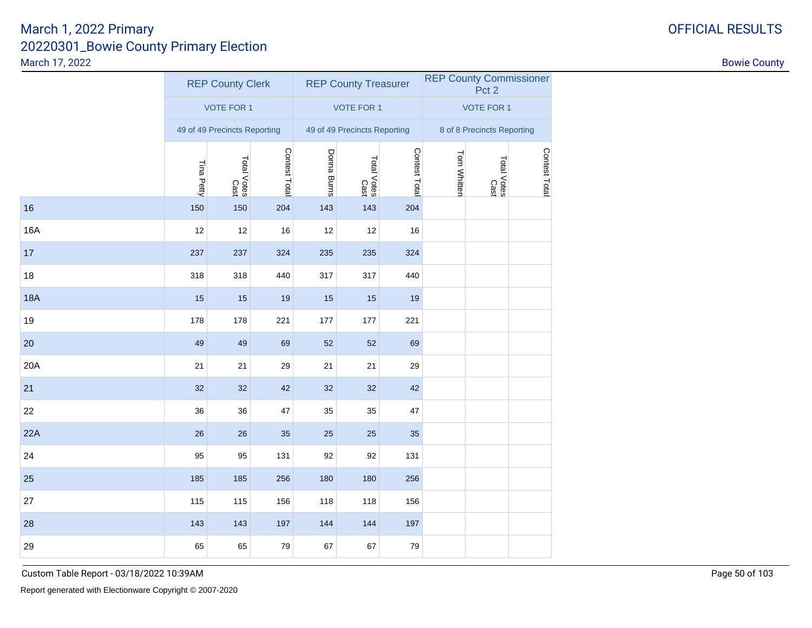|                 |                              | <b>REP County Clerk</b> |               |                              | <b>REP County Treasurer</b> |                            |             | <b>REP County Commissioner</b><br>Pct <sub>2</sub> |               |
|-----------------|------------------------------|-------------------------|---------------|------------------------------|-----------------------------|----------------------------|-------------|----------------------------------------------------|---------------|
|                 |                              | <b>VOTE FOR 1</b>       |               |                              | <b>VOTE FOR 1</b>           |                            |             | <b>VOTE FOR 1</b>                                  |               |
|                 | 49 of 49 Precincts Reporting |                         |               | 49 of 49 Precincts Reporting |                             | 8 of 8 Precincts Reporting |             |                                                    |               |
|                 | Tina Petty                   | Total Votes<br>Cast     | Contest Total | Donna Burns                  | Total Votes<br>Cast         | Contest Total              | Tom Whitten | Total Votes<br>Cast                                | Contest Total |
| 16              | 150                          | 150                     | 204           | 143                          | 143                         | 204                        |             |                                                    |               |
| 16A             | 12                           | 12                      | 16            | 12                           | 12                          | 16                         |             |                                                    |               |
| 17 <sup>2</sup> | 237                          | 237                     | 324           | 235                          | 235                         | 324                        |             |                                                    |               |
| 18              | 318                          | 318                     | 440           | 317                          | 317                         | 440                        |             |                                                    |               |
| 18A             | 15                           | 15                      | 19            | 15                           | 15                          | 19                         |             |                                                    |               |
| 19              | 178                          | 178                     | 221           | 177                          | 177                         | 221                        |             |                                                    |               |
| 20              | 49                           | 49                      | 69            | 52                           | 52                          | 69                         |             |                                                    |               |
| 20A             | 21                           | 21                      | 29            | 21                           | 21                          | 29                         |             |                                                    |               |
| 21              | 32                           | 32                      | 42            | 32                           | $32\,$                      | 42                         |             |                                                    |               |
| 22              | 36                           | 36                      | 47            | 35                           | 35                          | 47                         |             |                                                    |               |
| 22A             | 26                           | 26                      | 35            | 25                           | 25                          | 35                         |             |                                                    |               |
| 24              | 95                           | 95                      | 131           | 92                           | 92                          | 131                        |             |                                                    |               |
| 25              | 185                          | 185                     | 256           | 180                          | 180                         | 256                        |             |                                                    |               |
| 27              | 115                          | 115                     | 156           | 118                          | 118                         | 156                        |             |                                                    |               |
| 28              | 143                          | 143                     | 197           | 144                          | 144                         | 197                        |             |                                                    |               |
| 29              | 65                           | 65                      | 79            | 67                           | 67                          | 79                         |             |                                                    |               |

# Custom Table Report - 03/18/2022 10:39AM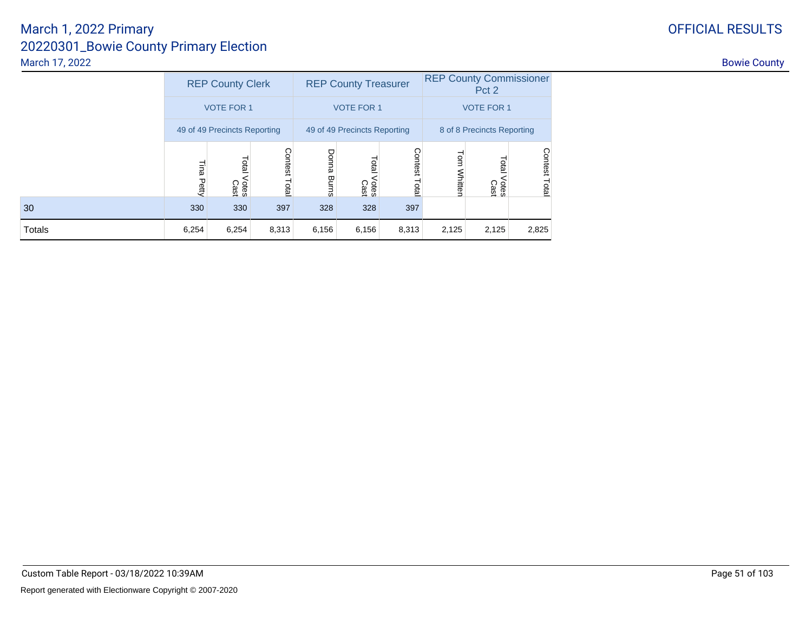|  |  | <b>FFICIAL RESULTS</b> |  |
|--|--|------------------------|--|
|  |  |                        |  |

|        | <b>REP County Clerk</b> |                              |                  |                       | <b>REP County Treasurer</b>  |                 | <b>REP County Commissioner</b><br>Pct 2 |                      |                         |  |
|--------|-------------------------|------------------------------|------------------|-----------------------|------------------------------|-----------------|-----------------------------------------|----------------------|-------------------------|--|
|        | <b>VOTE FOR 1</b>       |                              |                  |                       | <b>VOTE FOR 1</b>            |                 | <b>VOTE FOR 1</b>                       |                      |                         |  |
|        |                         | 49 of 49 Precincts Reporting |                  |                       | 49 of 49 Precincts Reporting |                 | 8 of 8 Precincts Reporting              |                      |                         |  |
|        | Ella<br>Petty           | Total<br>Votes<br>Cast       | Contest<br>Total | Donna<br><b>Burns</b> | Lota<br>Votes<br>Cast        | Contest<br>Tota | Tom<br>Whitten                          | Lota<br>Otes<br>Cast | <b>Contest</b><br>Total |  |
| 30     | 330                     | 330                          | 397              | 328                   | 328                          | 397             |                                         |                      |                         |  |
| Totals | 6,254                   | 6,254                        | 8,313            | 6,156                 | 6,156                        | 8,313           | 2,125                                   | 2,125                | 2,825                   |  |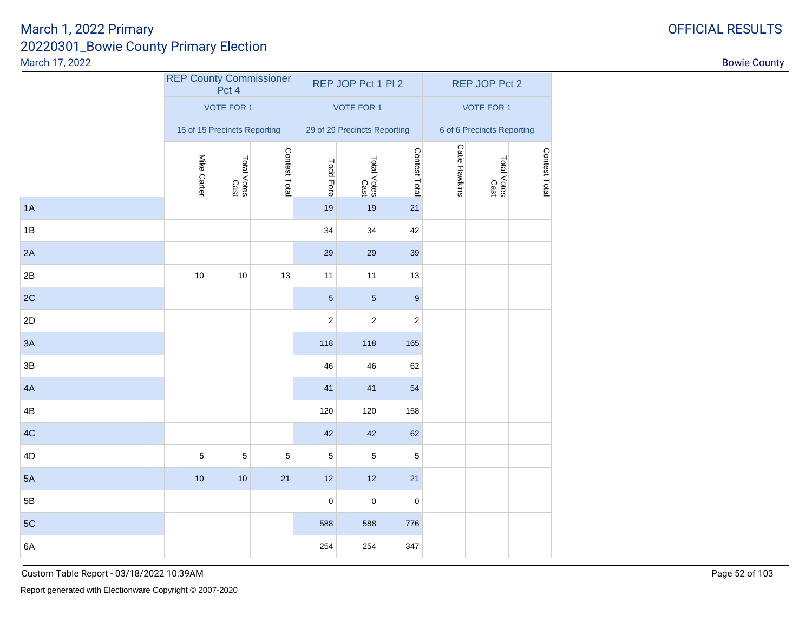## 20220301\_Bowie County Primary ElectionMarch 17, 2022March 1, 2022 PrimaryOFFICIAL RESULTS

| <b>OFFICIAL RESULT</b> |  |
|------------------------|--|
|------------------------|--|

| March 17, 2022 |             |                              |                                |                     |                              |                  |                      |                            |               | <b>Bowie County</b> |
|----------------|-------------|------------------------------|--------------------------------|---------------------|------------------------------|------------------|----------------------|----------------------------|---------------|---------------------|
|                |             | Pct 4                        | <b>REP County Commissioner</b> |                     | REP JOP Pct 1 Pl 2           |                  |                      | REP JOP Pct 2              |               |                     |
|                |             | VOTE FOR 1                   |                                |                     | VOTE FOR 1                   |                  |                      | VOTE FOR 1                 |               |                     |
|                |             | 15 of 15 Precincts Reporting |                                |                     | 29 of 29 Precincts Reporting |                  |                      | 6 of 6 Precincts Reporting |               |                     |
|                | Mike Carter | Total Votes<br>Cast          | Contest Total                  | <b>Todd Fore</b>    | Total Votes<br>Cast          | Contest Total    | <b>Catie Hawkins</b> | Total Votes<br>Cast        | Contest Total |                     |
| 1A             |             |                              |                                | 19                  | 19                           | 21               |                      |                            |               |                     |
| $1B$           |             |                              |                                | 34                  | $34\,$                       | 42               |                      |                            |               |                     |
| 2A             |             |                              |                                | 29                  | 29                           | 39               |                      |                            |               |                     |
| $2\mathsf{B}$  | $10$        | 10                           | 13                             | 11                  | 11                           | 13               |                      |                            |               |                     |
| 2C             |             |                              |                                | $\overline{5}$      | $\sqrt{5}$                   | $\boldsymbol{9}$ |                      |                            |               |                     |
| 2D             |             |                              |                                | $\overline{c}$      | $\overline{2}$               | $\mathbf{2}$     |                      |                            |               |                     |
| 3A             |             |                              |                                | 118                 | 118                          | 165              |                      |                            |               |                     |
| $3\mathsf{B}$  |             |                              |                                | 46                  | 46                           | 62               |                      |                            |               |                     |
| 4A             |             |                              |                                | 41                  | 41                           | 54               |                      |                            |               |                     |
| $4\mathsf{B}$  |             |                              |                                | 120                 | 120                          | 158              |                      |                            |               |                     |
| 4C             |             |                              |                                | 42                  | 42                           | 62               |                      |                            |               |                     |
| 4D             | $\mathbf 5$ | $\sqrt{5}$                   | $\,$ 5 $\,$                    | $\overline{5}$      | $\sqrt{5}$                   | $\overline{5}$   |                      |                            |               |                     |
| 5A             | 10          | $10$                         | 21                             | 12                  | 12                           | 21               |                      |                            |               |                     |
| $5\mathsf{B}$  |             |                              |                                | $\mathsf{O}\xspace$ | $\mathsf 0$                  | $\mathbf 0$      |                      |                            |               |                     |
| 5C             |             |                              |                                | 588                 | 588                          | 776              |                      |                            |               |                     |
| 6A             |             |                              |                                | 254                 | 254                          | 347              |                      |                            |               |                     |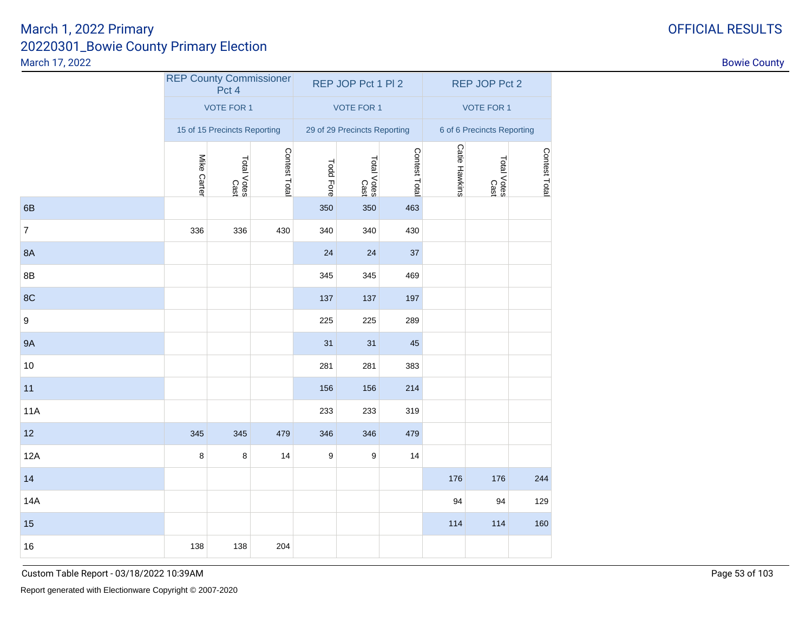|                  | <b>REP County Commissioner</b> | Pct 4                        |               |                  | REP JOP Pct 1 PI 2           |               |                            | REP JOP Pct 2       |               |  |
|------------------|--------------------------------|------------------------------|---------------|------------------|------------------------------|---------------|----------------------------|---------------------|---------------|--|
|                  |                                | <b>VOTE FOR 1</b>            |               |                  | <b>VOTE FOR 1</b>            |               |                            | <b>VOTE FOR 1</b>   |               |  |
|                  |                                | 15 of 15 Precincts Reporting |               |                  | 29 of 29 Precincts Reporting |               | 6 of 6 Precincts Reporting |                     |               |  |
|                  | Mike Carter                    | Total Votes<br>Cast          | Contest Total | <b>Todd Fore</b> | Total Votes<br>Cast          | Contest Total | <b>Catie Hawkins</b>       | Total Votes<br>Sabo | Contest Total |  |
| 6B               |                                |                              |               | 350              | 350                          | 463           |                            |                     |               |  |
| $\overline{7}$   | 336                            | 336                          | 430           | 340              | 340                          | 430           |                            |                     |               |  |
| 8A               |                                |                              |               | 24               | 24                           | 37            |                            |                     |               |  |
| $8\mathsf{B}$    |                                |                              |               | 345              | 345                          | 469           |                            |                     |               |  |
| 8C               |                                |                              |               | 137              | 137                          | 197           |                            |                     |               |  |
| $\boldsymbol{9}$ |                                |                              |               | 225              | 225                          | 289           |                            |                     |               |  |
| <b>9A</b>        |                                |                              |               | 31               | 31                           | 45            |                            |                     |               |  |
| 10               |                                |                              |               | 281              | 281                          | 383           |                            |                     |               |  |
| 11               |                                |                              |               | 156              | 156                          | 214           |                            |                     |               |  |
| <b>11A</b>       |                                |                              |               | 233              | 233                          | 319           |                            |                     |               |  |
| 12               | 345                            | 345                          | 479           | 346              | 346                          | 479           |                            |                     |               |  |
| 12A              | 8                              | 8                            | 14            | 9                | 9                            | 14            |                            |                     |               |  |
| 14               |                                |                              |               |                  |                              |               | 176                        | 176                 | 244           |  |
| 14A              |                                |                              |               |                  |                              |               | 94                         | 94                  | 129           |  |
| 15               |                                |                              |               |                  |                              |               | 114                        | 114                 | 160           |  |
| 16               | 138                            | 138                          | 204           |                  |                              |               |                            |                     |               |  |

Custom Table Report - 03/18/2022 10:39AM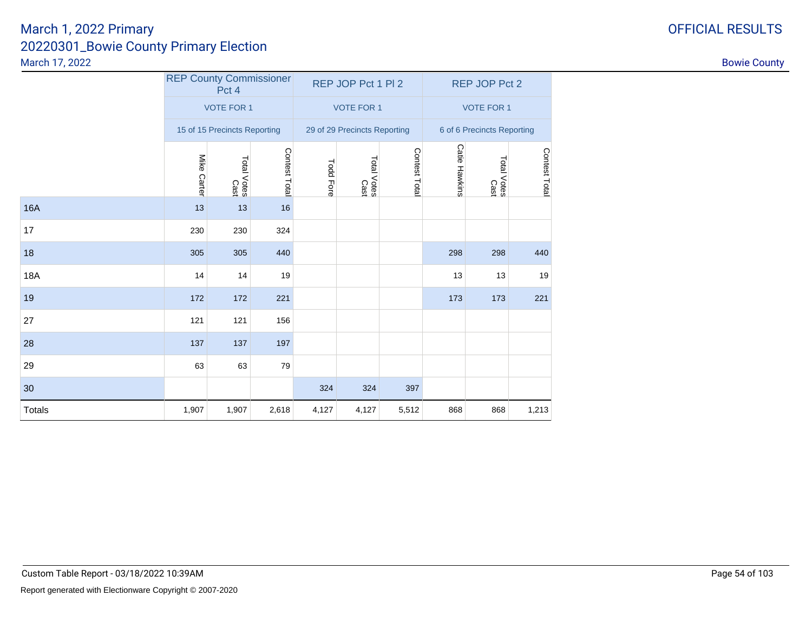# 20220301\_Bowie County Primary ElectionMarch 17, 2022March 1, 2022 Primary

16A

17

18

18A

19

27

28

29

30

**Totals** 

| arch 17, 2022 |             |                                         |               |                  |                              |               |                   |                            |              | <b>Bowie County</b> |  |
|---------------|-------------|-----------------------------------------|---------------|------------------|------------------------------|---------------|-------------------|----------------------------|--------------|---------------------|--|
|               |             | <b>REP County Commissioner</b><br>Pct 4 |               |                  | REP JOP Pct 1 PI 2           |               |                   | REP JOP Pct 2              |              |                     |  |
|               |             | <b>VOTE FOR 1</b>                       |               |                  | <b>VOTE FOR 1</b>            |               | <b>VOTE FOR 1</b> |                            |              |                     |  |
|               |             | 15 of 15 Precincts Reporting            |               |                  | 29 of 29 Precincts Reporting |               |                   | 6 of 6 Precincts Reporting |              |                     |  |
|               | Mike Carter | laid<br>Votes<br>Cast                   | Contest Total | <b>Todd Fore</b> | Total Votes<br>Cast          | Contest Total | Catie Hawkins     | Total Votes<br>Total Votes | Contest Tota |                     |  |
| 6A            | 13          | 13                                      | 16            |                  |                              |               |                   |                            |              |                     |  |
| 7             | 230         | 230                                     | 324           |                  |                              |               |                   |                            |              |                     |  |
| 8             | 305         | 305                                     | 440           |                  |                              |               | 298               | 298                        | 440          |                     |  |
| 8A            | 14          | 14                                      | 19            |                  |                              |               | 13                | 13                         | 19           |                     |  |
| 9             | 172         | 172                                     | 221           |                  |                              |               | 173               | 173                        | 221          |                     |  |
|               | 121         | 121                                     | 156           |                  |                              |               |                   |                            |              |                     |  |
| 8             | 137         | 137                                     | 197           |                  |                              |               |                   |                            |              |                     |  |

1,907 1,907 2,618 4,127 4,127 5,512 <sup>868</sup> <sup>868</sup> 1,213

<sup>63</sup> <sup>63</sup> <sup>79</sup>

0 324 324 397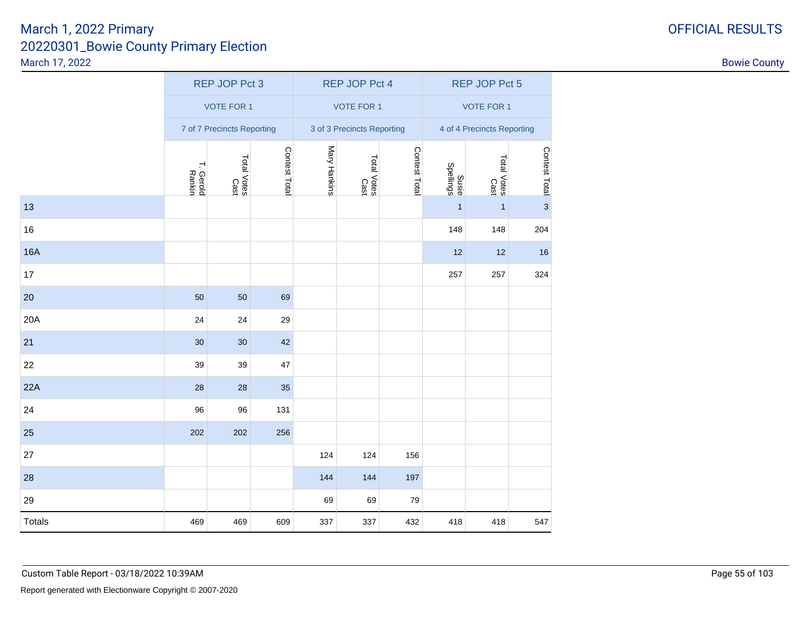|  |  |  | <b>DFFICIAL RESULT</b> |  |
|--|--|--|------------------------|--|
|  |  |  |                        |  |

|               |                            | <b>REP JOP Pct 3</b> |               |              | <b>REP JOP Pct 4</b>       |               |                            | <b>REP JOP Pct 5</b> |                 |  |
|---------------|----------------------------|----------------------|---------------|--------------|----------------------------|---------------|----------------------------|----------------------|-----------------|--|
|               |                            | <b>VOTE FOR 1</b>    |               |              | <b>VOTE FOR 1</b>          |               | <b>VOTE FOR 1</b>          |                      |                 |  |
|               | 7 of 7 Precincts Reporting |                      |               |              | 3 of 3 Precincts Reporting |               | 4 of 4 Precincts Reporting |                      |                 |  |
|               | T. Gerold<br>Rankin        | Total Votes<br>Cast  | Contest Total | Mary Hankins | Total Votes<br>Cast        | Contest Total | Susie<br>Spellings         | Total Votes<br>Cast  | Contest Total m |  |
| 13            |                            |                      |               |              |                            |               | $\mathbf{1}$               | $\mathbf{1}$         |                 |  |
| $16\,$        |                            |                      |               |              |                            |               | 148                        | 148                  | 204             |  |
| <b>16A</b>    |                            |                      |               |              |                            |               | 12                         | 12                   | 16              |  |
| 17            |                            |                      |               |              |                            |               | 257                        | 257                  | 324             |  |
| 20            | 50                         | 50                   | 69            |              |                            |               |                            |                      |                 |  |
| 20A           | 24                         | 24                   | 29            |              |                            |               |                            |                      |                 |  |
| 21            | 30                         | $30\,$               | 42            |              |                            |               |                            |                      |                 |  |
| 22            | 39                         | 39                   | 47            |              |                            |               |                            |                      |                 |  |
| 22A           | 28                         | 28                   | 35            |              |                            |               |                            |                      |                 |  |
| 24            | 96                         | 96                   | 131           |              |                            |               |                            |                      |                 |  |
| 25            | 202                        | 202                  | 256           |              |                            |               |                            |                      |                 |  |
| 27            |                            |                      |               | 124          | 124                        | 156           |                            |                      |                 |  |
| 28            |                            |                      |               | 144          | 144                        | 197           |                            |                      |                 |  |
| 29            |                            |                      |               | 69           | 69                         | 79            |                            |                      |                 |  |
| <b>Totals</b> | 469                        | 469                  | 609           | 337          | 337                        | 432           | 418                        | 418                  | 547             |  |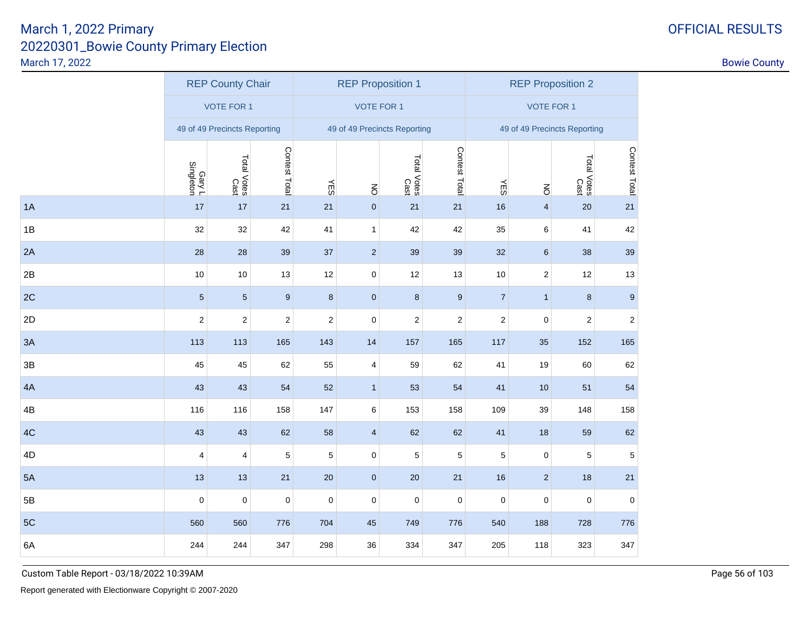| <b>DFFICIAL RESULTS</b> |  |
|-------------------------|--|
|-------------------------|--|

|    | <b>REP County Chair</b>      |                     |                  |                  | <b>REP Proposition 1</b> |                              |                  |                         | <b>REP Proposition 2</b>     |                     |                  |
|----|------------------------------|---------------------|------------------|------------------|--------------------------|------------------------------|------------------|-------------------------|------------------------------|---------------------|------------------|
|    |                              | <b>VOTE FOR 1</b>   |                  |                  | <b>VOTE FOR 1</b>        |                              |                  | <b>VOTE FOR 1</b>       |                              |                     |                  |
|    | 49 of 49 Precincts Reporting |                     |                  |                  |                          | 49 of 49 Precincts Reporting |                  |                         | 49 of 49 Precincts Reporting |                     |                  |
|    | Gary L<br>Singleton          | Total Votes<br>Cast | Contest Total    | ΨES              | $\overline{6}$           | Total Votes<br>Cast          | Contest Total    | YES                     | $\overline{5}$               | Total Votes<br>Cast | Contest Total    |
| 1A | 17                           | 17                  | 21               | 21               | $\pmb{0}$                | 21                           | 21               | 16                      | $\overline{\mathbf{4}}$      | 20                  | 21               |
| 1B | 32                           | 32                  | 42               | 41               | $\mathbf{1}$             | 42                           | 42               | 35                      | 6                            | 41                  | 42               |
| 2A | 28                           | 28                  | 39               | 37               | 2                        | 39                           | 39               | 32                      | $\,6\,$                      | 38                  | 39               |
| 2B | 10                           | 10                  | 13               | 12               | $\mathbf 0$              | 12                           | 13               | 10                      | $\overline{\mathbf{c}}$      | 12                  | 13               |
| 2C | $\overline{5}$               | $\overline{5}$      | $\boldsymbol{9}$ | $\bf 8$          | $\pmb{0}$                | $\bf 8$                      | $\boldsymbol{9}$ | $\overline{7}$          | $\mathbf{1}$                 | 8                   | $\boldsymbol{9}$ |
| 2D | $\boldsymbol{2}$             | $\sqrt{2}$          | $\sqrt{2}$       | $\boldsymbol{2}$ | $\pmb{0}$                | $\sqrt{2}$                   | $\mathbf 2$      | $\overline{\mathbf{c}}$ | $\pmb{0}$                    | $\sqrt{2}$          | $\mathbf 2$      |
| 3A | 113                          | 113                 | 165              | 143              | 14                       | 157                          | 165              | 117                     | 35                           | 152                 | 165              |
| 3B | 45                           | 45                  | 62               | 55               | $\overline{\mathbf{4}}$  | 59                           | 62               | 41                      | 19                           | 60                  | 62               |
| 4A | 43                           | 43                  | 54               | 52               | $\mathbf{1}$             | 53                           | 54               | 41                      | $10$                         | 51                  | 54               |
| 4B | 116                          | 116                 | 158              | 147              | $\,6\,$                  | 153                          | 158              | 109                     | 39                           | 148                 | 158              |
| 4C | 43                           | 43                  | 62               | 58               | $\overline{\mathbf{4}}$  | 62                           | 62               | 41                      | 18                           | 59                  | 62               |
| 4D | $\overline{4}$               | 4                   | $\mathbf 5$      | $\sqrt{5}$       | $\pmb{0}$                | $\mathbf 5$                  | 5                | 5                       | 0                            | $\mathbf 5$         | $\sqrt{5}$       |
| 5A | 13                           | 13                  | 21               | 20               | $\mathbf 0$              | 20                           | 21               | 16                      | $\mathbf 2$                  | 18                  | 21               |
| 5B | $\mathbf 0$                  | $\mathsf 0$         | $\mathbf 0$      | $\mathbf 0$      | $\mathbf 0$              | $\mathbf 0$                  | $\mathbf 0$      | 0                       | $\mathsf 0$                  | $\pmb{0}$           | $\pmb{0}$        |
| 5C | 560                          | 560                 | 776              | 704              | 45                       | 749                          | 776              | 540                     | 188                          | 728                 | 776              |
| 6A | 244                          | 244                 | 347              | 298              | 36                       | 334                          | 347              | 205                     | 118                          | 323                 | 347              |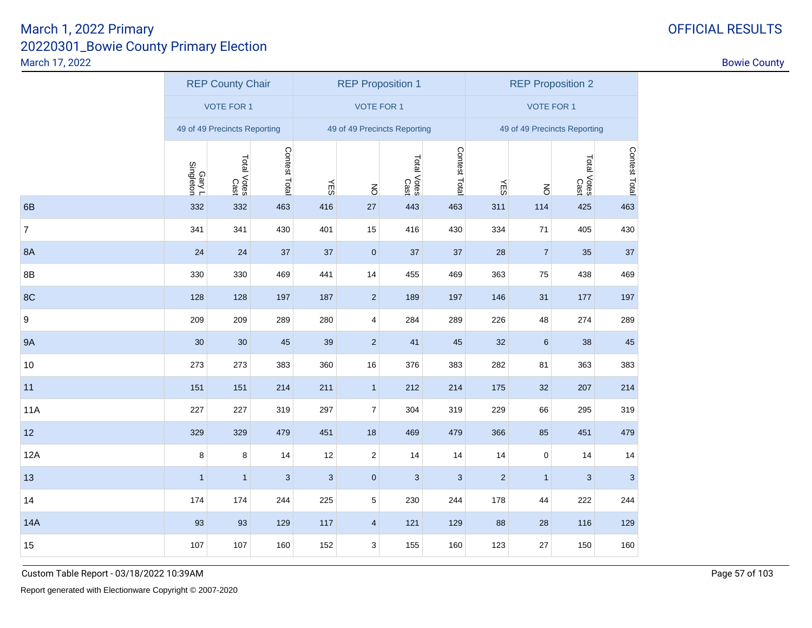|                | <b>REP County Chair</b>      |                     |               |            | <b>REP Proposition 1</b> |                              |               | <b>REP Proposition 2</b> |                              |                     |               |
|----------------|------------------------------|---------------------|---------------|------------|--------------------------|------------------------------|---------------|--------------------------|------------------------------|---------------------|---------------|
|                |                              | <b>VOTE FOR 1</b>   |               |            | <b>VOTE FOR 1</b>        |                              |               | <b>VOTE FOR 1</b>        |                              |                     |               |
|                | 49 of 49 Precincts Reporting |                     |               |            |                          | 49 of 49 Precincts Reporting |               |                          | 49 of 49 Precincts Reporting |                     |               |
|                | Gary L<br>Singleton          | Total Votes<br>Cast | Contest Total | YES        | $\overline{6}$           | Total Votes<br>Cast          | Contest Total | ΨES                      | $\overline{5}$               | Total Votes<br>Cast | Contest Total |
| 6B             | 332                          | 332                 | 463           | 416        | 27                       | 443                          | 463           | 311                      | 114                          | 425                 | 463           |
| $\overline{7}$ | 341                          | 341                 | 430           | 401        | 15                       | 416                          | 430           | 334                      | 71                           | 405                 | 430           |
| <b>8A</b>      | 24                           | 24                  | 37            | 37         | $\pmb{0}$                | 37                           | 37            | 28                       | $\overline{7}$               | 35                  | 37            |
| 8B             | 330                          | 330                 | 469           | 441        | 14                       | 455                          | 469           | 363                      | 75                           | 438                 | 469           |
| 8C             | 128                          | 128                 | 197           | 187        | $\sqrt{2}$               | 189                          | 197           | 146                      | 31                           | 177                 | 197           |
| 9              | 209                          | 209                 | 289           | 280        | $\overline{\mathbf{4}}$  | 284                          | 289           | 226                      | 48                           | 274                 | 289           |
| <b>9A</b>      | 30                           | 30                  | 45            | 39         | $\mathbf 2$              | 41                           | 45            | 32                       | $\,6\,$                      | 38                  | 45            |
| 10             | 273                          | 273                 | 383           | 360        | 16                       | 376                          | 383           | 282                      | 81                           | 363                 | 383           |
| 11             | 151                          | 151                 | 214           | 211        | $\mathbf{1}$             | 212                          | 214           | 175                      | 32                           | 207                 | 214           |
| <b>11A</b>     | 227                          | 227                 | 319           | 297        | $\overline{7}$           | 304                          | 319           | 229                      | 66                           | 295                 | 319           |
| 12             | 329                          | 329                 | 479           | 451        | 18                       | 469                          | 479           | 366                      | 85                           | 451                 | 479           |
| 12A            | 8                            | 8                   | 14            | 12         | $\mathbf 2$              | 14                           | 14            | 14                       | 0                            | 14                  | 14            |
| 13             | $\overline{1}$               | $\mathbf{1}$        | $\mathbf{3}$  | $\sqrt{3}$ | $\pmb{0}$                | 3                            | 3             | $\overline{c}$           | $\mathbf{1}$                 | $\mathbf{3}$        | $\sqrt{3}$    |
| 14             | 174                          | 174                 | 244           | 225        | 5                        | 230                          | 244           | 178                      | 44                           | 222                 | 244           |
| <b>14A</b>     | 93                           | 93                  | 129           | 117        | $\overline{\mathbf{4}}$  | 121                          | 129           | 88                       | 28                           | 116                 | 129           |
| 15             | 107                          | 107                 | 160           | 152        | 3                        | 155                          | 160           | 123                      | 27                           | 150                 | 160           |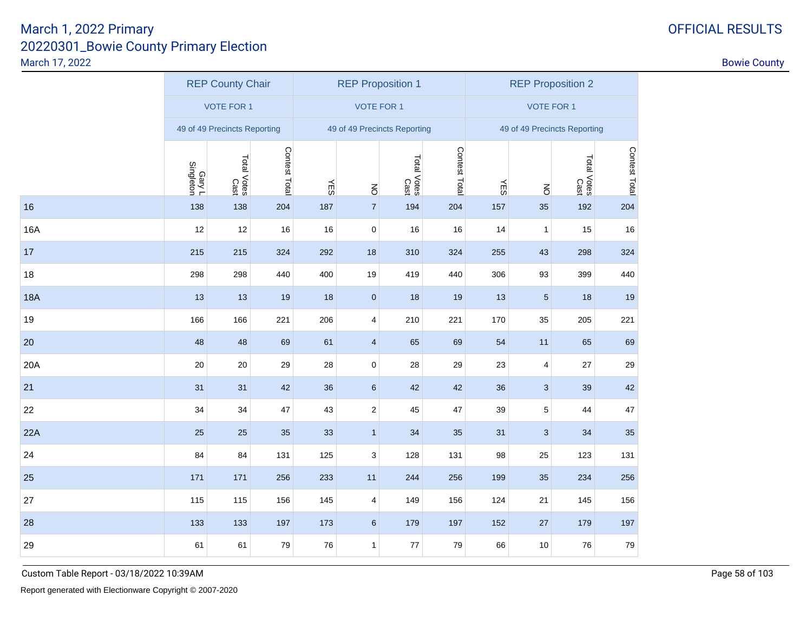| <b>DFFICIAL RESULTS</b> |  |
|-------------------------|--|
|-------------------------|--|

|            | <b>REP County Chair</b>      |                     |               |            | <b>REP Proposition 1</b>     |                     |               |                              | <b>REP Proposition 2</b> |                     |               |
|------------|------------------------------|---------------------|---------------|------------|------------------------------|---------------------|---------------|------------------------------|--------------------------|---------------------|---------------|
|            |                              | <b>VOTE FOR 1</b>   |               |            | <b>VOTE FOR 1</b>            |                     |               | <b>VOTE FOR 1</b>            |                          |                     |               |
|            | 49 of 49 Precincts Reporting |                     |               |            | 49 of 49 Precincts Reporting |                     |               | 49 of 49 Precincts Reporting |                          |                     |               |
|            | Gary L<br>Singleton          | Total Votes<br>Cast | Contest Total | <b>NES</b> | $\overline{6}$               | Total Votes<br>Cast | Contest Total | <b>NES</b>                   | $\overline{6}$           | Total Votes<br>Cast | Contest Total |
| 16         | 138                          | 138                 | 204           | 187        | $\overline{7}$               | 194                 | 204           | 157                          | 35                       | 192                 | 204           |
| 16A        | 12                           | 12                  | 16            | 16         | $\pmb{0}$                    | 16                  | 16            | 14                           | $\mathbf{1}$             | 15                  | 16            |
| 17         | 215                          | 215                 | 324           | 292        | 18                           | 310                 | 324           | 255                          | 43                       | 298                 | 324           |
| 18         | 298                          | 298                 | 440           | 400        | 19                           | 419                 | 440           | 306                          | 93                       | 399                 | 440           |
| <b>18A</b> | 13                           | 13                  | 19            | 18         | $\pmb{0}$                    | 18                  | 19            | 13                           | $\sqrt{5}$               | 18                  | $19$          |
| 19         | 166                          | 166                 | 221           | 206        | $\overline{\mathbf{4}}$      | 210                 | 221           | 170                          | 35                       | 205                 | 221           |
| 20         | 48                           | 48                  | 69            | 61         | $\overline{4}$               | 65                  | 69            | 54                           | 11                       | 65                  | 69            |
| 20A        | 20                           | 20                  | 29            | 28         | $\mathbf 0$                  | 28                  | 29            | 23                           | 4                        | 27                  | 29            |
| 21         | 31                           | 31                  | 42            | 36         | $\,6\,$                      | 42                  | 42            | 36                           | $\overline{3}$           | 39                  | 42            |
| 22         | 34                           | 34                  | 47            | 43         | $\sqrt{2}$                   | 45                  | 47            | 39                           | 5                        | 44                  | 47            |
| 22A        | 25                           | 25                  | 35            | 33         | $\mathbf{1}$                 | 34                  | 35            | 31                           | $\sqrt{3}$               | 34                  | 35            |
| 24         | 84                           | 84                  | 131           | 125        | 3                            | 128                 | 131           | 98                           | 25                       | 123                 | 131           |
| 25         | 171                          | 171                 | 256           | 233        | 11                           | 244                 | 256           | 199                          | 35                       | 234                 | 256           |
| 27         | 115                          | 115                 | 156           | 145        | $\overline{\mathbf{4}}$      | 149                 | 156           | 124                          | 21                       | 145                 | 156           |
| 28         | 133                          | 133                 | 197           | 173        | $6\phantom{.}$               | 179                 | 197           | 152                          | 27                       | 179                 | 197           |
| 29         | 61                           | 61                  | 79            | 76         | $\mathbf{1}$                 | 77                  | 79            | 66                           | 10                       | 76                  | 79            |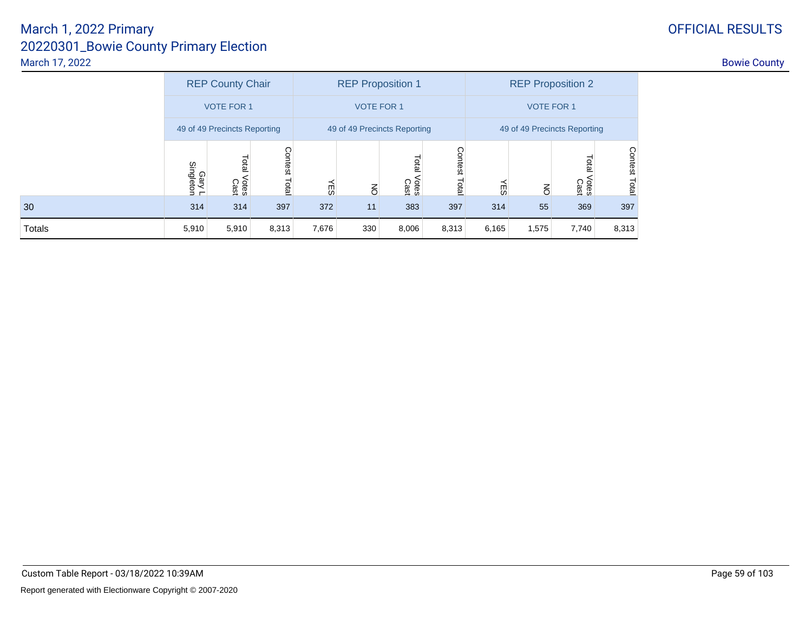|        | <b>REP County Chair</b>      |                        |                              | <b>REP Proposition 1</b> |                |                        |                        | <b>REP Proposition 2</b>     |                |                              |                         |
|--------|------------------------------|------------------------|------------------------------|--------------------------|----------------|------------------------|------------------------|------------------------------|----------------|------------------------------|-------------------------|
|        | <b>VOTE FOR 1</b>            |                        | <b>VOTE FOR 1</b>            |                          |                |                        | <b>VOTE FOR 1</b>      |                              |                |                              |                         |
|        | 49 of 49 Precincts Reporting |                        | 49 of 49 Precincts Reporting |                          |                |                        |                        | 49 of 49 Precincts Reporting |                |                              |                         |
|        | Gary L<br>Singleton          | Lotal<br>Votes<br>Cast | Contest<br>Total             | СŰ                       | $\overline{5}$ | Total<br>Votes<br>Cast | Contest<br><b>Tota</b> | ΨES                          | $\overline{6}$ | <b>Tota</b><br>Votes<br>Cast | <b>Contest</b><br>Total |
| 30     | 314                          | 314                    | 397                          | 372                      | 11             | 383                    | 397                    | 314                          | 55             | 369                          | 397                     |
| Totals | 5,910                        | 5,910                  | 8,313                        | 7,676                    | 330            | 8,006                  | 8,313                  | 6,165                        | 1,575          | 7,740                        | 8,313                   |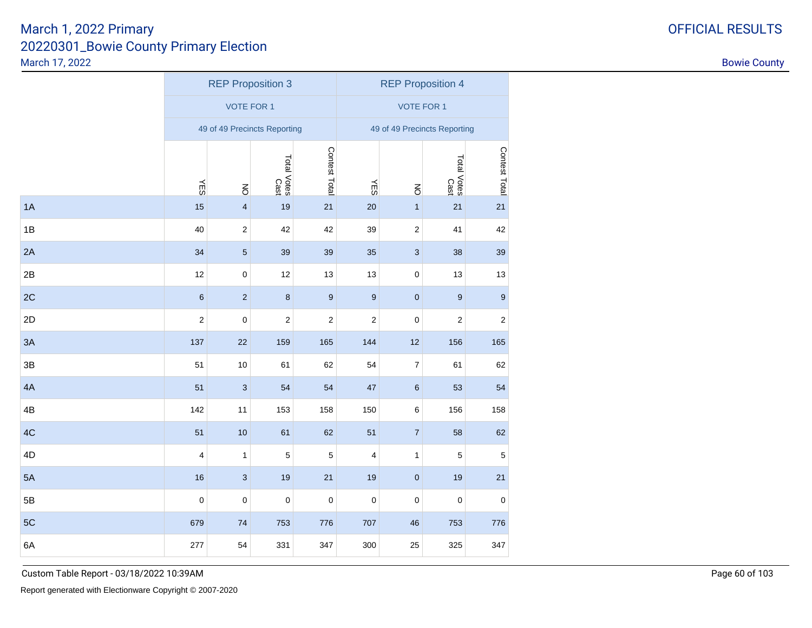|    |            |                         | <b>REP Proposition 3</b>     |                  | <b>REP Proposition 4</b> |                              |                     |                  |
|----|------------|-------------------------|------------------------------|------------------|--------------------------|------------------------------|---------------------|------------------|
|    |            | <b>VOTE FOR 1</b>       |                              |                  |                          | <b>VOTE FOR 1</b>            |                     |                  |
|    |            |                         | 49 of 49 Precincts Reporting |                  |                          | 49 of 49 Precincts Reporting |                     |                  |
|    |            |                         | Total Votes<br>Cast          | Contest Total    |                          |                              | Total Votes<br>Cast | Contest Total    |
|    | <b>NES</b> | $\overline{6}$          |                              |                  | ΨES                      | $\overline{6}$               |                     |                  |
| 1A | 15         | $\overline{\mathbf{4}}$ | 19                           | 21               | 20                       | $\mathbf{1}$                 | 21                  | 21               |
| 1B | 40         | $\sqrt{2}$              | 42                           | 42               | 39                       | $\sqrt{2}$                   | 41                  | 42               |
| 2A | 34         | $\sqrt{5}$              | 39                           | 39               | 35                       | $\ensuremath{\mathsf{3}}$    | 38                  | 39               |
| 2B | 12         | $\pmb{0}$               | 12                           | 13               | 13                       | $\pmb{0}$                    | 13                  | 13               |
| 2C | $\,6\,$    | $\sqrt{2}$              | $\boldsymbol{8}$             | $\boldsymbol{9}$ | $\boldsymbol{9}$         | $\pmb{0}$                    | $\boldsymbol{9}$    | 9                |
| 2D | $\sqrt{2}$ | $\mathbf 0$             | $\boldsymbol{2}$             | $\boldsymbol{2}$ | $\mathbf 2$              | $\mathbf 0$                  | $\boldsymbol{2}$    | $\boldsymbol{2}$ |
| 3A | 137        | 22                      | 159                          | 165              | 144                      | 12                           | 156                 | 165              |
| 3B | 51         | $10$                    | 61                           | 62               | 54                       | $\boldsymbol{7}$             | 61                  | 62               |
| 4A | 51         | $\mathbf{3}$            | 54                           | 54               | 47                       | $\,6\,$                      | 53                  | 54               |
| 4B | 142        | 11                      | 153                          | 158              | 150                      | $\,6$                        | 156                 | 158              |
| 4C | 51         | 10                      | 61                           | 62               | 51                       | $\overline{7}$               | 58                  | 62               |
| 4D | 4          | $\mathbf{1}$            | 5                            | $\mathbf 5$      | 4                        | $\mathbf{1}$                 | 5                   | $\mathbf 5$      |
| 5A | 16         | $\mathbf{3}$            | 19                           | 21               | 19                       | $\pmb{0}$                    | 19                  | 21               |
| 5B | $\pmb{0}$  | $\mathbf 0$             | $\mathbf 0$                  | $\pmb{0}$        | $\pmb{0}$                | $\pmb{0}$                    | $\pmb{0}$           | $\pmb{0}$        |
| 5C | 679        | 74                      | 753                          | 776              | 707                      | 46                           | 753                 | 776              |
| 6A | 277        | 54                      | 331                          | 347              | 300                      | 25                           | 325                 | 347              |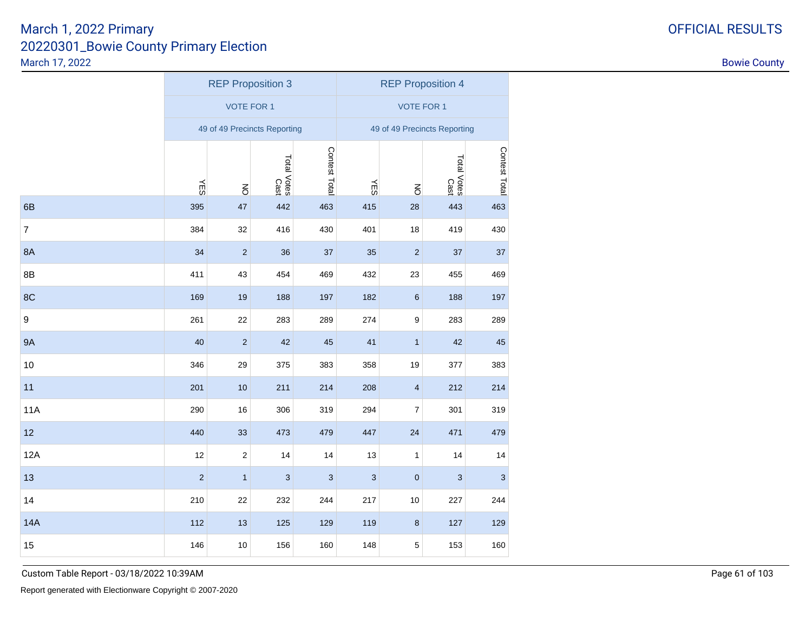|                  |             |                   | <b>REP Proposition 3</b>     |               | <b>REP Proposition 4</b> |                              |                           |               |  |
|------------------|-------------|-------------------|------------------------------|---------------|--------------------------|------------------------------|---------------------------|---------------|--|
|                  |             | <b>VOTE FOR 1</b> |                              |               | <b>VOTE FOR 1</b>        |                              |                           |               |  |
|                  |             |                   | 49 of 49 Precincts Reporting |               |                          | 49 of 49 Precincts Reporting |                           |               |  |
|                  |             |                   | Total Votes<br>Cast          | Contest Total |                          |                              | Total Votes<br>Cast       | Contest Total |  |
|                  | <b>YES</b>  | $\overline{6}$    |                              |               | ΨES                      | $\overline{6}$               |                           |               |  |
| 6B               | 395         | 47                | 442                          | 463           | 415                      | 28                           | 443                       | 463           |  |
| $\boldsymbol{7}$ | 384         | 32                | 416                          | 430           | 401                      | 18                           | 419                       | 430           |  |
| <b>8A</b>        | 34          | $\sqrt{2}$        | 36                           | 37            | 35                       | $\sqrt{2}$                   | 37                        | 37            |  |
| 8B               | 411         | 43                | 454                          | 469           | 432                      | 23                           | 455                       | 469           |  |
| 8C               | 169         | $19$              | 188                          | 197           | 182                      | $\,6\,$                      | 188                       | 197           |  |
| $\boldsymbol{9}$ | 261         | 22                | 283                          | 289           | 274                      | $\boldsymbol{9}$             | 283                       | 289           |  |
| <b>9A</b>        | 40          | $\overline{2}$    | 42                           | 45            | 41                       | $\mathbf{1}$                 | 42                        | 45            |  |
| 10               | 346         | 29                | 375                          | 383           | 358                      | 19                           | 377                       | 383           |  |
| 11               | 201         | $10$              | 211                          | 214           | 208                      | $\overline{\mathbf{4}}$      | 212                       | 214           |  |
| <b>11A</b>       | 290         | 16                | 306                          | 319           | 294                      | $\boldsymbol{7}$             | 301                       | 319           |  |
| 12               | 440         | 33                | 473                          | 479           | 447                      | 24                           | 471                       | 479           |  |
| 12A              | 12          | $\sqrt{2}$        | 14                           | 14            | 13                       | 1                            | 14                        | 14            |  |
| 13               | $\mathbf 2$ | $\mathbf{1}$      | $\ensuremath{\mathsf{3}}$    | $\mathbf{3}$  | $\sqrt{3}$               | $\pmb{0}$                    | $\ensuremath{\mathsf{3}}$ | 3             |  |
| 14               | 210         | 22                | 232                          | 244           | 217                      | 10                           | 227                       | 244           |  |
| <b>14A</b>       | 112         | 13                | 125                          | 129           | 119                      | $\bf 8$                      | 127                       | 129           |  |
| 15               | 146         | 10                | 156                          | 160           | 148                      | 5                            | 153                       | 160           |  |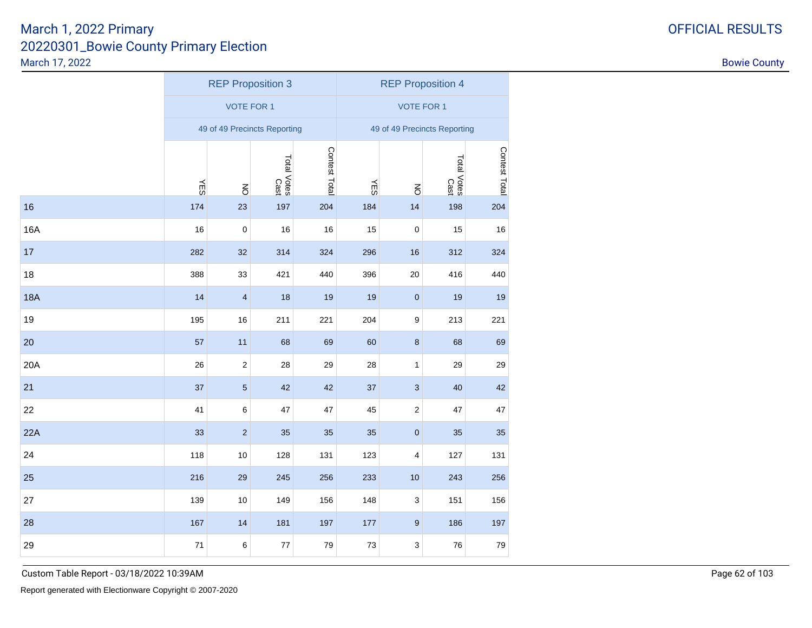|            |            |                         | <b>REP Proposition 3</b>     |               | <b>REP Proposition 4</b> |                              |                     |               |
|------------|------------|-------------------------|------------------------------|---------------|--------------------------|------------------------------|---------------------|---------------|
|            |            | <b>VOTE FOR 1</b>       |                              |               |                          | <b>VOTE FOR 1</b>            |                     |               |
|            |            |                         | 49 of 49 Precincts Reporting |               |                          | 49 of 49 Precincts Reporting |                     |               |
|            |            |                         | Total Votes<br>Cast          | Contest Total |                          |                              | Total Votes<br>Cast | Contest Total |
|            | <b>YES</b> | $\overline{6}$          |                              |               | <b>NES</b>               | $\overline{6}$               |                     |               |
| 16         | 174        | 23                      | 197                          | 204           | 184                      | 14                           | 198                 | 204           |
| 16A        | 16         | $\mathbf 0$             | 16                           | 16            | 15                       | $\pmb{0}$                    | 15                  | 16            |
| 17         | 282        | 32                      | 314                          | 324           | 296                      | 16                           | 312                 | 324           |
| 18         | 388        | 33                      | 421                          | 440           | 396                      | $20\,$                       | 416                 | 440           |
| <b>18A</b> | 14         | $\overline{\mathbf{4}}$ | 18                           | 19            | 19                       | $\pmb{0}$                    | 19                  | 19            |
| 19         | 195        | $16$                    | 211                          | 221           | 204                      | $\boldsymbol{9}$             | 213                 | 221           |
| 20         | 57         | 11                      | 68                           | 69            | 60                       | $\bf 8$                      | 68                  | 69            |
| 20A        | 26         | $\sqrt{2}$              | 28                           | 29            | 28                       | $\mathbf{1}$                 | 29                  | 29            |
| 21         | 37         | $\overline{5}$          | 42                           | 42            | 37                       | $\mathbf{3}$                 | 40                  | 42            |
| 22         | 41         | 6                       | 47                           | 47            | 45                       | $\sqrt{2}$                   | 47                  | 47            |
| 22A        | 33         | $\overline{2}$          | 35                           | 35            | 35                       | $\pmb{0}$                    | 35                  | 35            |
| 24         | 118        | $10$                    | 128                          | 131           | 123                      | 4                            | 127                 | 131           |
| 25         | 216        | 29                      | 245                          | 256           | 233                      | 10                           | 243                 | 256           |
| 27         | 139        | $10$                    | 149                          | 156           | 148                      | $\ensuremath{\mathsf{3}}$    | 151                 | 156           |
| 28         | 167        | 14                      | 181                          | 197           | 177                      | $\boldsymbol{9}$             | 186                 | 197           |
| 29         | 71         | $\,6$                   | 77                           | $\bf 79$      | $73\,$                   | 3                            | 76                  | $\bf 79$      |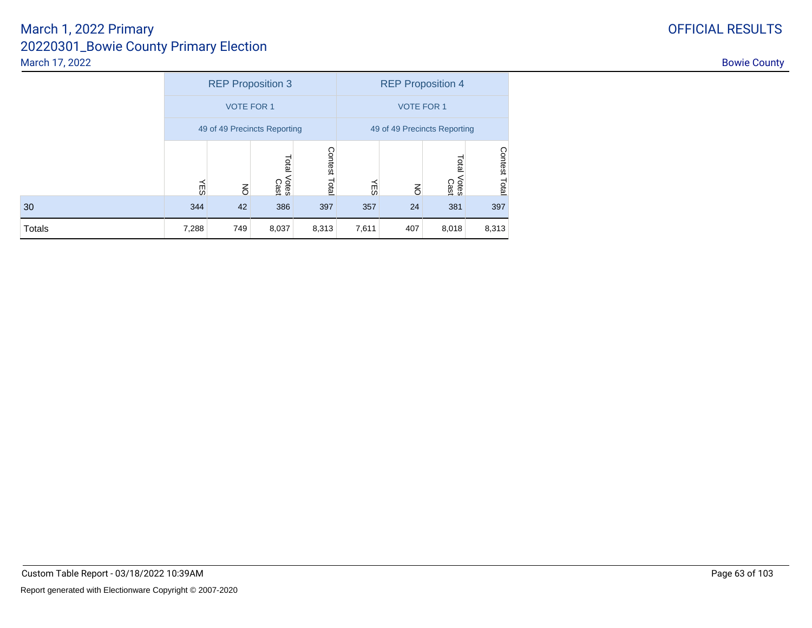|        |       |                   | <b>REP Proposition 3</b>     |                  | <b>REP Proposition 4</b> |                              |                        |               |  |
|--------|-------|-------------------|------------------------------|------------------|--------------------------|------------------------------|------------------------|---------------|--|
|        |       | <b>VOTE FOR 1</b> |                              |                  | <b>VOTE FOR 1</b>        |                              |                        |               |  |
|        |       |                   | 49 of 49 Precincts Reporting |                  |                          | 49 of 49 Precincts Reporting |                        |               |  |
|        | ΨE    | $\overline{6}$    | Total<br>Votes<br>Cast       | Contest<br>Total | ΨES                      | $\overline{6}$               | Total<br>Votes<br>Cast | Contest Total |  |
| 30     | 344   | 42                | 386                          | 397              | 357                      | 24                           | 381                    | 397           |  |
| Totals | 7,288 | 749               | 8,037                        | 8,313            | 7,611                    | 407                          | 8,018                  | 8,313         |  |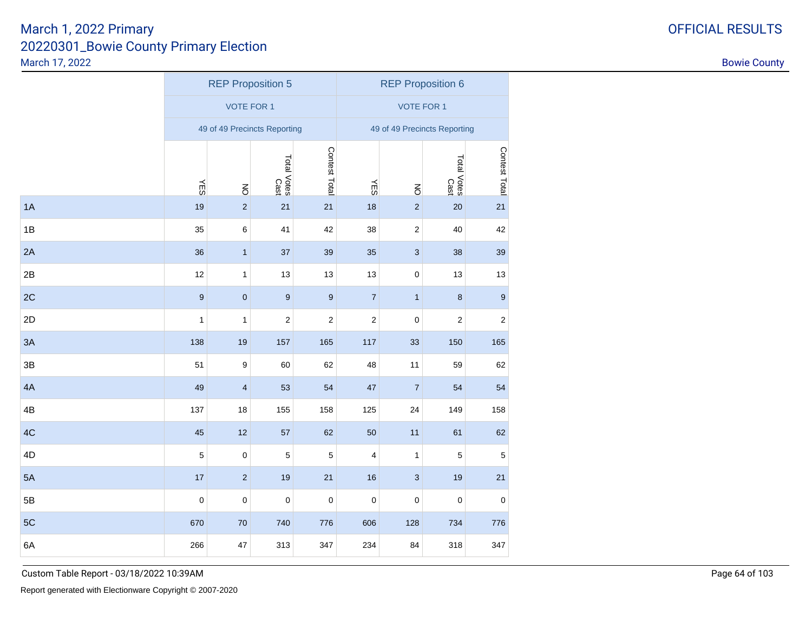|               |                  |                               | <b>REP Proposition 5</b>     |                  | <b>REP Proposition 6</b> |                              |                     |                  |
|---------------|------------------|-------------------------------|------------------------------|------------------|--------------------------|------------------------------|---------------------|------------------|
|               |                  | <b>VOTE FOR 1</b>             |                              |                  |                          | <b>VOTE FOR 1</b>            |                     |                  |
|               |                  |                               | 49 of 49 Precincts Reporting |                  |                          | 49 of 49 Precincts Reporting |                     |                  |
|               |                  |                               | Total Votes<br>Cast          | Contest Total    |                          |                              | Total Votes<br>Cast | Contest Total    |
| 1A            | <b>NES</b><br>19 | $\overline{6}$<br>$\mathbf 2$ | 21                           | 21               | <b>NES</b><br>18         | $\overline{6}$<br>$\sqrt{2}$ | 20                  | 21               |
| 1B            | 35               | $\,6\,$                       | 41                           | 42               | 38                       | $\mathbf 2$                  | 40                  | 42               |
| 2A            | 36               | $\mathbf{1}$                  | 37                           | 39               | 35                       | $\ensuremath{\mathsf{3}}$    | 38                  | 39               |
| 2B            | 12               | 1                             | 13                           | 13               | 13                       | $\pmb{0}$                    | 13                  | 13               |
| 2C            | $\boldsymbol{9}$ | $\pmb{0}$                     | $\overline{9}$               | $\boldsymbol{9}$ | $\sqrt{7}$               | $\mathbf{1}$                 | $\bf 8$             | $\boldsymbol{9}$ |
| 2D            | 1                | 1                             | $\boldsymbol{2}$             | $\sqrt{2}$       | $\sqrt{2}$               | $\mathbf 0$                  | $\boldsymbol{2}$    | $\boldsymbol{2}$ |
| 3A            | 138              | 19                            | 157                          | 165              | 117                      | 33                           | 150                 | 165              |
| $3\mathsf{B}$ | 51               | $\boldsymbol{9}$              | 60                           | 62               | 48                       | 11                           | 59                  | 62               |
| 4A            | 49               | $\overline{\mathbf{4}}$       | 53                           | 54               | 47                       | $\overline{7}$               | 54                  | 54               |
| 4B            | 137              | 18                            | 155                          | 158              | 125                      | 24                           | 149                 | 158              |
| 4C            | 45               | 12                            | 57                           | 62               | 50                       | 11                           | 61                  | 62               |
| 4D            | $\mathbf 5$      | $\mathbf 0$                   | 5                            | $\mathbf 5$      | 4                        | $\mathbf{1}$                 | 5                   | $\mathbf 5$      |
| 5A            | 17               | $\sqrt{2}$                    | 19                           | 21               | 16                       | $\ensuremath{\mathsf{3}}$    | 19                  | 21               |
| 5B            | $\pmb{0}$        | $\mathbf 0$                   | $\pmb{0}$                    | $\pmb{0}$        | $\pmb{0}$                | $\mathbf 0$                  | $\pmb{0}$           | $\pmb{0}$        |
| 5C            | 670              | $70\,$                        | 740                          | 776              | 606                      | 128                          | 734                 | 776              |
| 6A            | 266              | 47                            | 313                          | 347              | 234                      | 84                           | 318                 | 347              |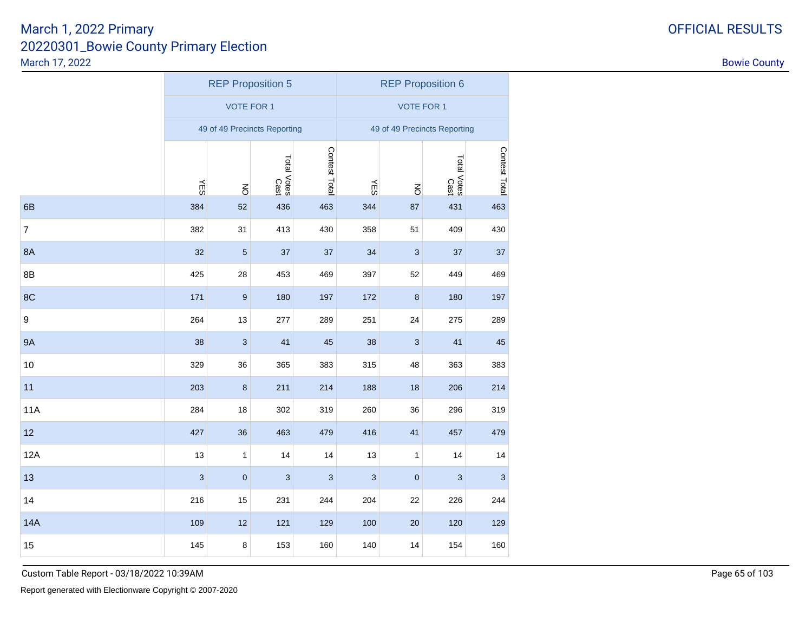|                  |                           | <b>REP Proposition 5</b> |                              |                           | <b>REP Proposition 6</b> |                           |                              |               |  |
|------------------|---------------------------|--------------------------|------------------------------|---------------------------|--------------------------|---------------------------|------------------------------|---------------|--|
|                  |                           | <b>VOTE FOR 1</b>        |                              |                           | <b>VOTE FOR 1</b>        |                           |                              |               |  |
|                  |                           |                          | 49 of 49 Precincts Reporting |                           |                          |                           | 49 of 49 Precincts Reporting |               |  |
|                  |                           |                          | Total Votes<br>Cast          | Contest Total             |                          |                           | Total Votes<br>Cast          | Contest Total |  |
| 6B               | <b>NES</b><br>384         | $\overline{6}$<br>52     | 436                          | 463                       | <b>NES</b><br>344        | $\overline{6}$<br>87      | 431                          | 463           |  |
| $\overline{7}$   | 382                       | 31                       | 413                          | 430                       | 358                      | 51                        | 409                          | 430           |  |
| <b>8A</b>        | 32                        | $\sqrt{5}$               | 37                           | 37                        | 34                       | $\ensuremath{\mathsf{3}}$ | 37                           | 37            |  |
| 8B               | 425                       | 28                       | 453                          | 469                       | 397                      | 52                        | 449                          | 469           |  |
| 8C               | 171                       | $\boldsymbol{9}$         | 180                          | 197                       | 172                      | $\bf 8$                   | 180                          | 197           |  |
| $\boldsymbol{9}$ | 264                       | 13                       | 277                          | 289                       | 251                      | 24                        | 275                          | 289           |  |
| <b>9A</b>        | 38                        | $\mathbf{3}$             | 41                           | 45                        | 38                       | 3                         | 41                           | 45            |  |
| 10               | 329                       | 36                       | 365                          | 383                       | 315                      | 48                        | 363                          | 383           |  |
| 11               | 203                       | $\bf 8$                  | 211                          | 214                       | 188                      | 18                        | 206                          | 214           |  |
| <b>11A</b>       | 284                       | 18                       | 302                          | 319                       | 260                      | 36                        | 296                          | 319           |  |
| 12               | 427                       | 36                       | 463                          | 479                       | 416                      | 41                        | 457                          | 479           |  |
| 12A              | 13                        | $\mathbf{1}$             | 14                           | 14                        | 13                       | $\mathbf{1}$              | 14                           | 14            |  |
| 13               | $\ensuremath{\mathsf{3}}$ | $\pmb{0}$                | $\ensuremath{\mathsf{3}}$    | $\ensuremath{\mathsf{3}}$ | 3                        | $\pmb{0}$                 | 3                            | $\sqrt{3}$    |  |
| 14               | 216                       | 15                       | 231                          | 244                       | 204                      | 22                        | 226                          | 244           |  |
| <b>14A</b>       | 109                       | 12                       | 121                          | 129                       | 100                      | 20                        | 120                          | 129           |  |
| 15               | 145                       | 8                        | 153                          | 160                       | 140                      | 14                        | 154                          | 160           |  |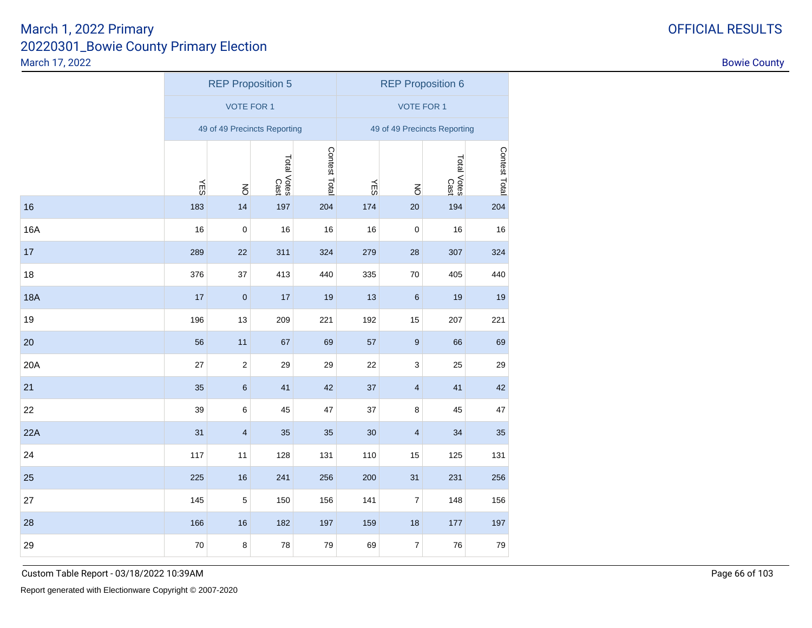|  | OFFICIAL RESULTS |  |
|--|------------------|--|
|  |                  |  |

|            | <b>REP Proposition 5</b> |                         |                              |               | <b>REP Proposition 6</b>     |                         |                     |               |  |
|------------|--------------------------|-------------------------|------------------------------|---------------|------------------------------|-------------------------|---------------------|---------------|--|
|            | <b>VOTE FOR 1</b>        |                         |                              |               | <b>VOTE FOR 1</b>            |                         |                     |               |  |
|            |                          |                         | 49 of 49 Precincts Reporting |               | 49 of 49 Precincts Reporting |                         |                     |               |  |
|            |                          |                         | Total Votes<br>Cast          | Contest Total |                              |                         | Total Votes<br>Cast | Contest Total |  |
|            | ΨES                      | $\overline{6}$          |                              |               | ΨES                          | $\overline{6}$          |                     |               |  |
| 16         | 183                      | 14                      | 197                          | 204           | 174                          | 20                      | 194                 | 204           |  |
| <b>16A</b> | 16                       | $\mathbf 0$             | 16                           | 16            | 16                           | $\pmb{0}$               | 16                  | 16            |  |
| 17         | 289                      | 22                      | 311                          | 324           | 279                          | 28                      | 307                 | 324           |  |
| 18         | 376                      | 37                      | 413                          | 440           | 335                          | 70                      | 405                 | 440           |  |
| <b>18A</b> | 17                       | $\pmb{0}$               | 17                           | 19            | 13                           | $\,6\,$                 | 19                  | 19            |  |
| 19         | 196                      | 13                      | 209                          | 221           | 192                          | 15                      | 207                 | 221           |  |
| 20         | 56                       | 11                      | 67                           | 69            | 57                           | $\boldsymbol{9}$        | 66                  | 69            |  |
| 20A        | 27                       | $\overline{\mathbf{c}}$ | 29                           | 29            | 22                           | 3                       | 25                  | 29            |  |
| 21         | 35                       | 6                       | 41                           | 42            | 37                           | $\overline{\mathbf{4}}$ | 41                  | 42            |  |
| 22         | 39                       | 6                       | 45                           | 47            | 37                           | 8                       | 45                  | 47            |  |
| 22A        | 31                       | $\overline{\mathbf{4}}$ | 35                           | 35            | 30                           | $\overline{\mathbf{4}}$ | 34                  | 35            |  |
| 24         | 117                      | 11                      | 128                          | 131           | 110                          | 15                      | 125                 | 131           |  |
| 25         | 225                      | 16                      | 241                          | 256           | 200                          | 31                      | 231                 | 256           |  |
| 27         | 145                      | $\mathbf 5$             | 150                          | 156           | 141                          | $\boldsymbol{7}$        | 148                 | 156           |  |
| 28         | 166                      | 16                      | 182                          | 197           | 159                          | 18                      | 177                 | 197           |  |
| 29         | 70                       | 8                       | 78                           | $\bf 79$      | 69                           | $\boldsymbol{7}$        | 76                  | $\bf 79$      |  |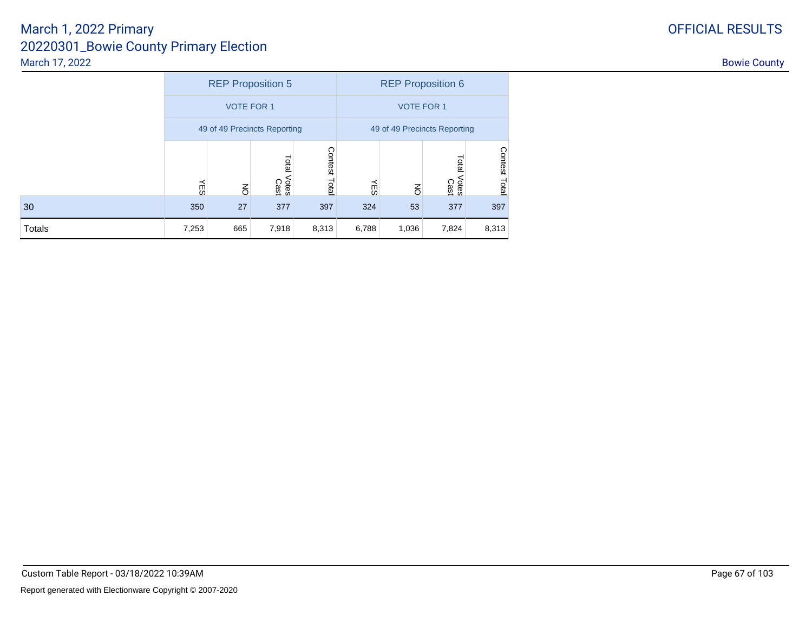|        | <b>REP Proposition 5</b>     |                |                        |                  | <b>REP Proposition 6</b>     |                |                              |                         |  |
|--------|------------------------------|----------------|------------------------|------------------|------------------------------|----------------|------------------------------|-------------------------|--|
|        | <b>VOTE FOR 1</b>            |                |                        |                  | <b>VOTE FOR 1</b>            |                |                              |                         |  |
|        | 49 of 49 Precincts Reporting |                |                        |                  | 49 of 49 Precincts Reporting |                |                              |                         |  |
|        | ÆS                           | $\overline{6}$ | Total<br>Votes<br>Cast | Contest<br>Total | ΨES                          | $\overline{6}$ | <b>Tota</b><br>Votes<br>Cast | <b>Contest</b><br>Total |  |
| 30     | 350                          | 27             | 377                    | 397              | 324                          | 53             | 377                          | 397                     |  |
| Totals | 7,253                        | 665            | 7,918                  | 8,313            | 6,788                        | 1,036          | 7,824                        | 8,313                   |  |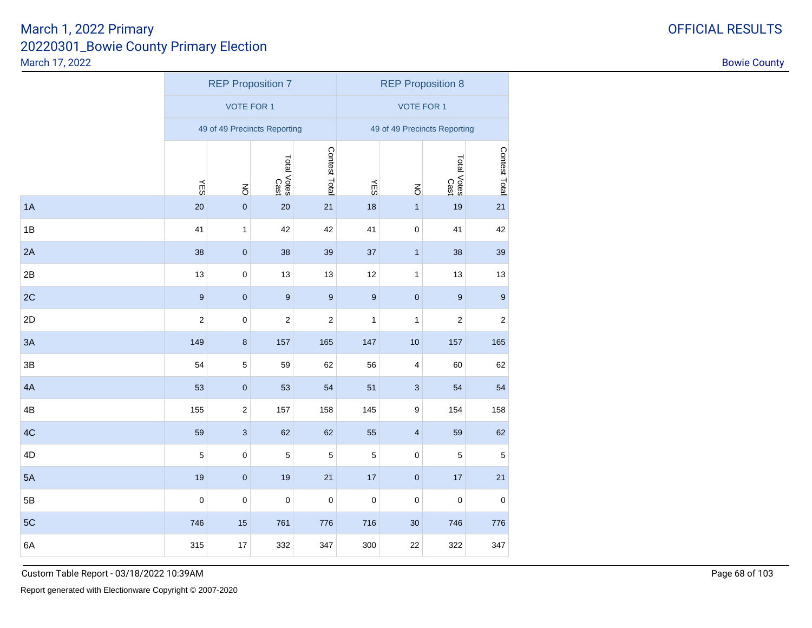|    | <b>REP Proposition 7</b> |                |                              |                  | <b>REP Proposition 8</b>     |                           |                     |                  |  |
|----|--------------------------|----------------|------------------------------|------------------|------------------------------|---------------------------|---------------------|------------------|--|
|    | <b>VOTE FOR 1</b>        |                |                              |                  | <b>VOTE FOR 1</b>            |                           |                     |                  |  |
|    |                          |                | 49 of 49 Precincts Reporting |                  | 49 of 49 Precincts Reporting |                           |                     |                  |  |
|    |                          |                | Total Votes<br>Cast          | Contest Total    |                              |                           | Total Votes<br>Cast | Contest Total    |  |
|    | <b>NES</b>               | $\overline{6}$ |                              |                  | <b>NES</b>                   | $\overline{6}$            |                     |                  |  |
| 1A | 20                       | $\pmb{0}$      | 20                           | 21               | 18                           | $\mathbf{1}$              | 19                  | 21               |  |
| 1B | 41                       | $\mathbf{1}$   | 42                           | 42               | 41                           | $\pmb{0}$                 | 41                  | 42               |  |
| 2A | 38                       | $\pmb{0}$      | 38                           | 39               | 37                           | $\mathbf{1}$              | 38                  | 39               |  |
| 2B | 13                       | $\pmb{0}$      | 13                           | 13               | 12                           | $\mathbf{1}$              | 13                  | 13               |  |
| 2C | $\boldsymbol{9}$         | $\pmb{0}$      | $\boldsymbol{9}$             | $\boldsymbol{9}$ | $\boldsymbol{9}$             | $\pmb{0}$                 | $\boldsymbol{9}$    | $\boldsymbol{9}$ |  |
| 2D | $\boldsymbol{2}$         | $\mathbf 0$    | $\boldsymbol{2}$             | $\boldsymbol{2}$ | $\mathbf{1}$                 | $\mathbf{1}$              | $\boldsymbol{2}$    | $\boldsymbol{2}$ |  |
| 3A | 149                      | $\bf 8$        | 157                          | 165              | 147                          | 10                        | 157                 | 165              |  |
| 3B | 54                       | $\,$ 5 $\,$    | 59                           | 62               | 56                           | 4                         | 60                  | 62               |  |
| 4A | 53                       | $\pmb{0}$      | 53                           | 54               | 51                           | $\ensuremath{\mathsf{3}}$ | 54                  | 54               |  |
| 4B | 155                      | $\sqrt{2}$     | 157                          | 158              | 145                          | $\boldsymbol{9}$          | 154                 | 158              |  |
| 4C | 59                       | $\mathsf 3$    | 62                           | 62               | 55                           | $\overline{\mathbf{4}}$   | 59                  | 62               |  |
| 4D | $\mathbf 5$              | $\mathbf 0$    | 5                            | $\sqrt{5}$       | $\mathbf 5$                  | $\mathbf 0$               | 5                   | $\mathbf 5$      |  |
| 5A | 19                       | $\pmb{0}$      | 19                           | 21               | $17\,$                       | $\pmb{0}$                 | 17                  | 21               |  |
| 5B | $\mathbf 0$              | $\pmb{0}$      | $\mathbf 0$                  | $\pmb{0}$        | $\pmb{0}$                    | $\pmb{0}$                 | $\pmb{0}$           | $\mathbf 0$      |  |
| 5C | 746                      | 15             | 761                          | 776              | 716                          | 30                        | 746                 | 776              |  |
| 6A | 315                      | 17             | 332                          | 347              | 300                          | 22                        | 322                 | 347              |  |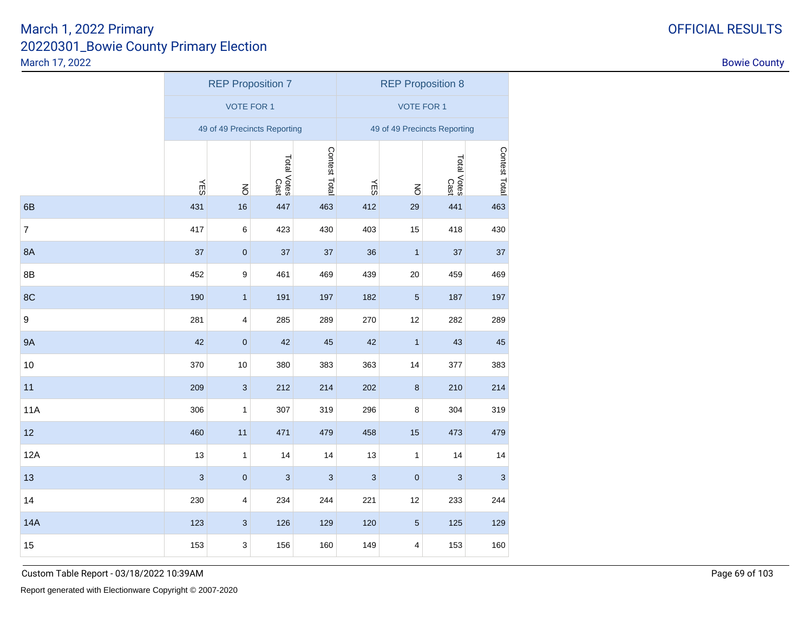|                  | <b>REP Proposition 7</b> |                         |                              |                | <b>REP Proposition 8</b>     |                |                           |               |  |
|------------------|--------------------------|-------------------------|------------------------------|----------------|------------------------------|----------------|---------------------------|---------------|--|
|                  | <b>VOTE FOR 1</b>        |                         |                              |                | <b>VOTE FOR 1</b>            |                |                           |               |  |
|                  |                          |                         | 49 of 49 Precincts Reporting |                | 49 of 49 Precincts Reporting |                |                           |               |  |
|                  |                          |                         | Total Votes<br>Cast          | Contest Total  |                              |                | Total Votes<br>Cast       | Contest Total |  |
|                  | <b>YES</b>               | $\overline{6}$          |                              |                | ΨS                           | $\overline{6}$ |                           |               |  |
| 6B               | 431                      | 16                      | 447                          | 463            | 412                          | 29             | 441                       | 463           |  |
| $\overline{7}$   | 417                      | $\,6$                   | 423                          | 430            | 403                          | 15             | 418                       | 430           |  |
| 8A               | 37                       | $\pmb{0}$               | 37                           | 37             | 36                           | $\mathbf{1}$   | 37                        | 37            |  |
| 8B               | 452                      | $\boldsymbol{9}$        | 461                          | 469            | 439                          | 20             | 459                       | 469           |  |
| 8C               | 190                      | $\mathbf{1}$            | 191                          | 197            | 182                          | $\sqrt{5}$     | 187                       | 197           |  |
| $\boldsymbol{9}$ | 281                      | $\overline{\mathbf{4}}$ | 285                          | 289            | 270                          | 12             | 282                       | 289           |  |
| <b>9A</b>        | 42                       | $\pmb{0}$               | 42                           | 45             | 42                           | $\mathbf{1}$   | 43                        | 45            |  |
| 10               | 370                      | 10                      | 380                          | 383            | 363                          | 14             | 377                       | 383           |  |
| 11               | 209                      | $\mathbf{3}$            | 212                          | 214            | 202                          | $\bf 8$        | 210                       | 214           |  |
| <b>11A</b>       | 306                      | 1                       | 307                          | 319            | 296                          | 8              | 304                       | 319           |  |
| 12               | 460                      | 11                      | 471                          | 479            | 458                          | 15             | 473                       | 479           |  |
| 12A              | 13                       | $\mathbf{1}$            | 14                           | 14             | 13                           | 1              | 14                        | 14            |  |
| 13               | 3                        | $\pmb{0}$               | 3                            | $\overline{3}$ | $\ensuremath{\mathsf{3}}$    | $\pmb{0}$      | $\ensuremath{\mathsf{3}}$ | 3             |  |
| 14               | 230                      | $\overline{\mathbf{4}}$ | 234                          | 244            | 221                          | 12             | 233                       | 244           |  |
| <b>14A</b>       | 123                      | $\sqrt{3}$              | 126                          | 129            | 120                          | $\sqrt{5}$     | 125                       | 129           |  |
| 15               | 153                      | 3                       | 156                          | 160            | 149                          | 4              | 153                       | 160           |  |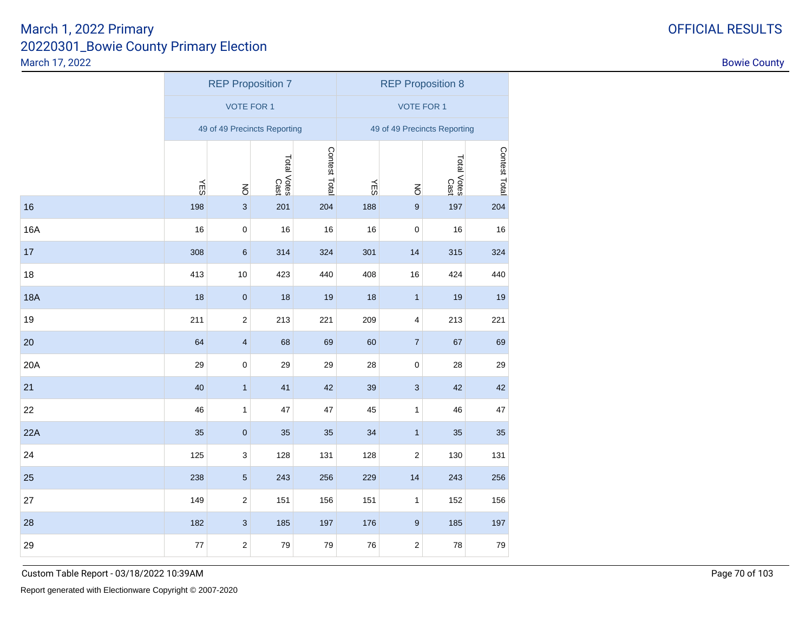|            | <b>REP Proposition 7</b> |                           |                              |               | <b>REP Proposition 8</b>     |                         |                     |               |  |
|------------|--------------------------|---------------------------|------------------------------|---------------|------------------------------|-------------------------|---------------------|---------------|--|
|            | <b>VOTE FOR 1</b>        |                           |                              |               | <b>VOTE FOR 1</b>            |                         |                     |               |  |
|            |                          |                           | 49 of 49 Precincts Reporting |               | 49 of 49 Precincts Reporting |                         |                     |               |  |
|            |                          |                           | Total Votes<br>Cast          | Contest Total |                              |                         | Total Votes<br>Cast | Contest Total |  |
|            | <b>NES</b>               | $\overline{6}$            |                              |               | <b>NES</b>                   | $\overline{6}$          |                     |               |  |
| 16         | 198                      | $\mathbf{3}$              | 201                          | 204           | 188                          | $\boldsymbol{9}$        | 197                 | 204           |  |
| 16A        | 16                       | $\mathbf 0$               | 16                           | 16            | 16                           | $\pmb{0}$               | 16                  | 16            |  |
| 17         | 308                      | $\,6\,$                   | 314                          | 324           | 301                          | 14                      | 315                 | 324           |  |
| 18         | 413                      | $10$                      | 423                          | 440           | 408                          | 16                      | 424                 | 440           |  |
| <b>18A</b> | 18                       | $\pmb{0}$                 | 18                           | 19            | 18                           | $\mathbf{1}$            | 19                  | 19            |  |
| 19         | 211                      | $\sqrt{2}$                | 213                          | 221           | 209                          | $\overline{\mathbf{4}}$ | 213                 | 221           |  |
| 20         | 64                       | $\overline{\mathbf{4}}$   | 68                           | 69            | 60                           | $\overline{7}$          | 67                  | 69            |  |
| 20A        | 29                       | $\mathbf 0$               | 29                           | 29            | 28                           | 0                       | 28                  | 29            |  |
| 21         | 40                       | $\mathbf{1}$              | 41                           | 42            | 39                           | $\mathbf{3}$            | 42                  | 42            |  |
| 22         | 46                       | 1                         | 47                           | 47            | 45                           | 1                       | 46                  | 47            |  |
| 22A        | 35                       | $\pmb{0}$                 | 35                           | 35            | 34                           | $\mathbf{1}$            | 35                  | 35            |  |
| 24         | 125                      | $\ensuremath{\mathsf{3}}$ | 128                          | 131           | 128                          | $\sqrt{2}$              | 130                 | 131           |  |
| 25         | 238                      | $\sqrt{5}$                | 243                          | 256           | 229                          | 14                      | 243                 | 256           |  |
| 27         | 149                      | $\sqrt{2}$                | 151                          | 156           | 151                          | $\mathbf{1}$            | 152                 | 156           |  |
| 28         | 182                      | $\ensuremath{\mathsf{3}}$ | 185                          | 197           | 176                          | $\boldsymbol{9}$        | 185                 | 197           |  |
| 29         | 77                       | $\mathbf 2$               | 79                           | 79            | 76                           | $\sqrt{2}$              | 78                  | 79            |  |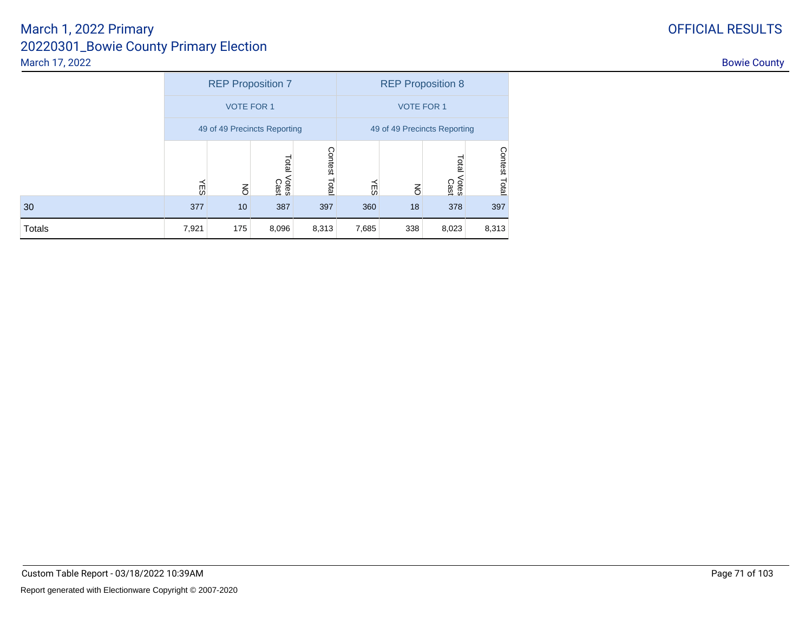|        | <b>REP Proposition 7</b>     |                |                        |                  | <b>REP Proposition 8</b> |                              |                               |               |  |
|--------|------------------------------|----------------|------------------------|------------------|--------------------------|------------------------------|-------------------------------|---------------|--|
|        | <b>VOTE FOR 1</b>            |                |                        |                  | <b>VOTE FOR 1</b>        |                              |                               |               |  |
|        | 49 of 49 Precincts Reporting |                |                        |                  |                          | 49 of 49 Precincts Reporting |                               |               |  |
|        | ΨES                          | $\overline{6}$ | Total<br>Votes<br>Cast | Contest<br>Total | Ψß                       | $\overline{6}$               | <b>Total</b><br>Votes<br>Cast | Contest Total |  |
| 30     | 377                          | 10             | 387                    | 397              | 360                      | 18                           | 378                           | 397           |  |
| Totals | 7,921                        | 175            | 8,096                  | 8,313            | 7,685                    | 338                          | 8,023                         | 8,313         |  |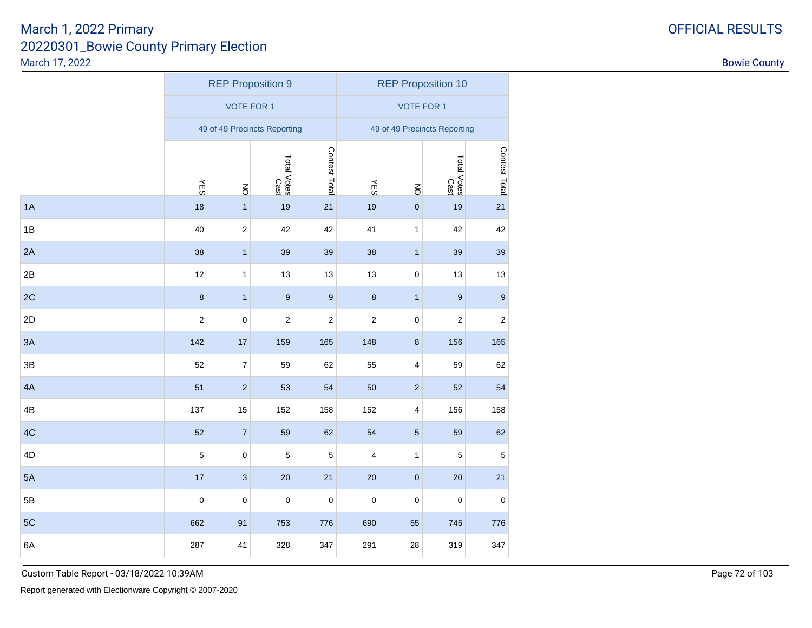|    | <b>REP Proposition 9</b> |                          |                              |                  | <b>REP Proposition 10</b>    |                         |                     |                |  |
|----|--------------------------|--------------------------|------------------------------|------------------|------------------------------|-------------------------|---------------------|----------------|--|
|    | <b>VOTE FOR 1</b>        |                          |                              |                  | <b>VOTE FOR 1</b>            |                         |                     |                |  |
|    |                          |                          | 49 of 49 Precincts Reporting |                  | 49 of 49 Precincts Reporting |                         |                     |                |  |
|    |                          |                          | Total Votes<br>Cast          | Contest Total    |                              |                         | Total Votes<br>Cast | Contest Total  |  |
|    | <b>NES</b>               | $\overline{6}$           |                              |                  | ΨES                          | $\overline{6}$          |                     |                |  |
| 1A | 18                       | $\mathbf{1}$             | 19                           | 21               | 19                           | $\pmb{0}$               | 19                  | 21             |  |
| 1B | 40                       | $\sqrt{2}$               | 42                           | 42               | 41                           | $\mathbf{1}$            | 42                  | 42             |  |
| 2A | 38                       | $\mathbf{1}$             | 39                           | 39               | 38                           | $\mathbf{1}$            | 39                  | 39             |  |
| 2B | 12                       | 1                        | 13                           | 13               | 13                           | $\pmb{0}$               | 13                  | 13             |  |
| 2C | $\boldsymbol{8}$         | $\mathbf{1}$             | $\overline{9}$               | $\boldsymbol{9}$ | $\bf8$                       | $\mathbf{1}$            | $\boldsymbol{9}$    | $\overline{9}$ |  |
| 2D | $\overline{c}$           | $\pmb{0}$                | $\boldsymbol{2}$             | 2                | $\boldsymbol{2}$             | $\pmb{0}$               | $\mathbf 2$         | $\sqrt{2}$     |  |
| 3A | 142                      | $17$                     | 159                          | 165              | 148                          | $\bf 8$                 | 156                 | 165            |  |
| 3B | 52                       | $\overline{\mathcal{I}}$ | 59                           | 62               | 55                           | $\overline{\mathbf{4}}$ | 59                  | 62             |  |
| 4A | 51                       | $\sqrt{2}$               | 53                           | 54               | 50                           | $\sqrt{2}$              | 52                  | 54             |  |
| 4B | 137                      | 15                       | 152                          | 158              | 152                          | $\overline{\mathbf{4}}$ | 156                 | 158            |  |
| 4C | 52                       | $\boldsymbol{7}$         | 59                           | 62               | 54                           | $\sqrt{5}$              | 59                  | 62             |  |
| 4D | $\overline{5}$           | $\pmb{0}$                | 5                            | 5                | $\overline{4}$               | $\mathbf{1}$            | 5                   | $\mathbf 5$    |  |
| 5A | 17                       | $\sqrt{3}$               | 20                           | 21               | 20                           | $\pmb{0}$               | 20                  | 21             |  |
| 5B | $\pmb{0}$                | $\pmb{0}$                | $\mathbf 0$                  | $\pmb{0}$        | $\pmb{0}$                    | $\pmb{0}$               | $\pmb{0}$           | $\pmb{0}$      |  |
| 5C | 662                      | 91                       | 753                          | 776              | 690                          | 55                      | 745                 | 776            |  |
| 6A | 287                      | 41                       | 328                          | 347              | 291                          | 28                      | 319                 | 347            |  |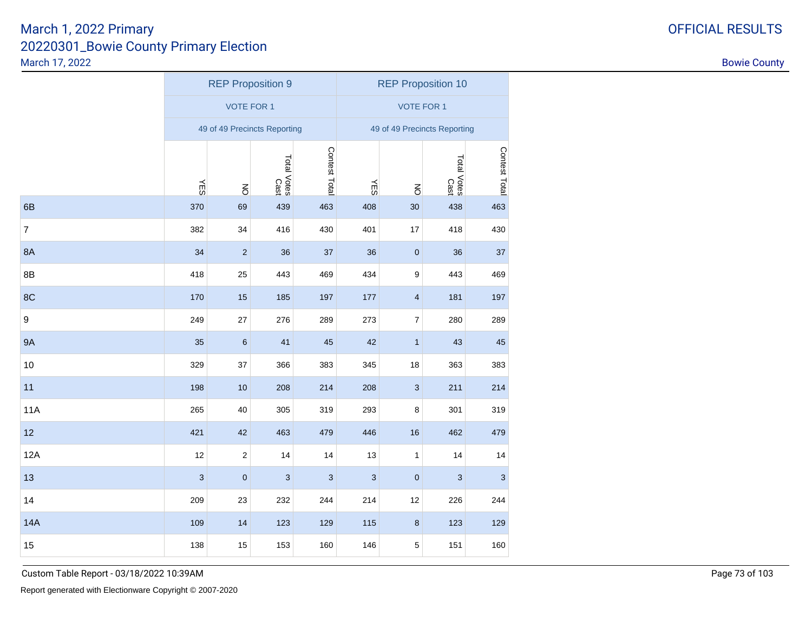|                  |            | <b>REP Proposition 9</b> |                              |                |                           | <b>REP Proposition 10</b>    |                     |                                                                                   |  |  |  |  |  |
|------------------|------------|--------------------------|------------------------------|----------------|---------------------------|------------------------------|---------------------|-----------------------------------------------------------------------------------|--|--|--|--|--|
|                  |            | <b>VOTE FOR 1</b>        |                              |                |                           | <b>VOTE FOR 1</b>            |                     | Contest Total<br>463<br>430<br>37<br>469<br>197<br>289<br>45<br>383<br>214<br>319 |  |  |  |  |  |
|                  |            |                          | 49 of 49 Precincts Reporting |                |                           | 49 of 49 Precincts Reporting |                     |                                                                                   |  |  |  |  |  |
|                  |            |                          | Total Votes<br>Cast          | Contest Total  |                           |                              | Total Votes<br>Cast |                                                                                   |  |  |  |  |  |
|                  | <b>NES</b> | $\overline{6}$           |                              |                | ΨË                        | $\overline{6}$               |                     |                                                                                   |  |  |  |  |  |
| 6B               | 370        | 69                       | 439                          | 463            | 408                       | 30                           | 438                 |                                                                                   |  |  |  |  |  |
| $\overline{7}$   | 382        | 34                       | 416                          | 430            | 401                       | 17                           | 418                 |                                                                                   |  |  |  |  |  |
| <b>8A</b>        | 34         | $\sqrt{2}$               | 36                           | 37             | 36                        | $\pmb{0}$                    | 36                  |                                                                                   |  |  |  |  |  |
| 8B               | 418        | 25                       | 443                          | 469            | 434                       | $\boldsymbol{9}$             | 443                 |                                                                                   |  |  |  |  |  |
| 8C               | 170        | 15                       | 185                          | 197            | 177                       | $\overline{\mathbf{4}}$      | 181                 |                                                                                   |  |  |  |  |  |
| $\boldsymbol{9}$ | 249        | 27                       | 276                          | 289            | 273                       | $\boldsymbol{7}$             | 280                 |                                                                                   |  |  |  |  |  |
| <b>9A</b>        | 35         | $\,6\,$                  | 41                           | 45             | 42                        | $\mathbf{1}$                 | 43                  |                                                                                   |  |  |  |  |  |
| 10               | 329        | 37                       | 366                          | 383            | 345                       | 18                           | 363                 |                                                                                   |  |  |  |  |  |
| 11               | 198        | $10$                     | 208                          | 214            | 208                       | $\mathbf{3}$                 | 211                 |                                                                                   |  |  |  |  |  |
| <b>11A</b>       | 265        | 40                       | 305                          | 319            | 293                       | 8                            | 301                 |                                                                                   |  |  |  |  |  |
| 12               | 421        | 42                       | 463                          | 479            | 446                       | 16                           | 462                 | 479                                                                               |  |  |  |  |  |
| 12A              | 12         | $\sqrt{2}$               | 14                           | 14             | 13                        | $\mathbf{1}$                 | 14                  | 14                                                                                |  |  |  |  |  |
| 13               | 3          | $\pmb{0}$                | 3                            | $\overline{3}$ | $\ensuremath{\mathsf{3}}$ | $\pmb{0}$                    | 3                   | 3                                                                                 |  |  |  |  |  |
| 14               | 209        | 23                       | 232                          | 244            | 214                       | 12                           | 226                 | 244                                                                               |  |  |  |  |  |
| <b>14A</b>       | 109        | 14                       | 123                          | 129            | 115                       | $\bf8$                       | 123                 | 129                                                                               |  |  |  |  |  |
| 15               | 138        | 15                       | 153                          | 160            | 146                       | 5                            | 151                 | 160                                                                               |  |  |  |  |  |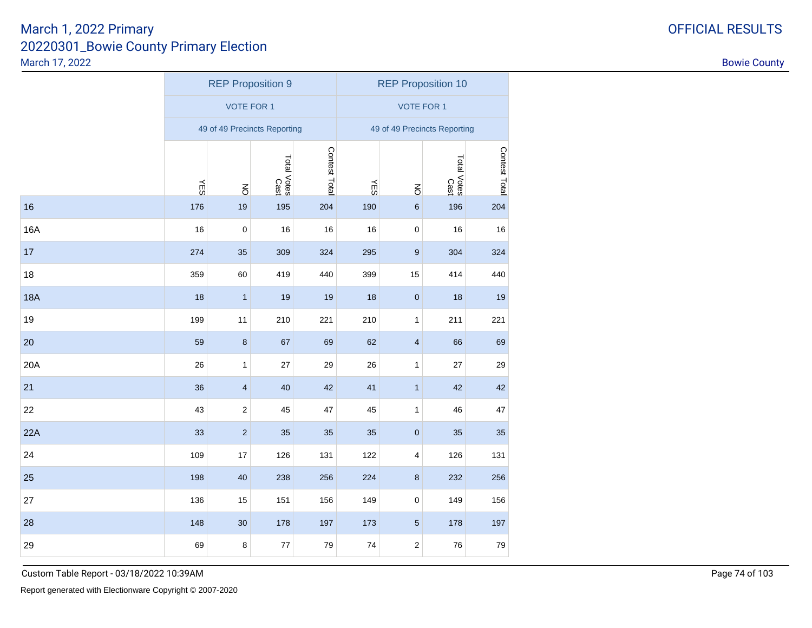|            |                                      | <b>REP Proposition 9</b> |                              |     |            | <b>REP Proposition 10</b>    |                     |                                                                                                                 |  |  |
|------------|--------------------------------------|--------------------------|------------------------------|-----|------------|------------------------------|---------------------|-----------------------------------------------------------------------------------------------------------------|--|--|
|            |                                      | <b>VOTE FOR 1</b>        |                              |     |            | <b>VOTE FOR 1</b>            |                     |                                                                                                                 |  |  |
|            |                                      |                          | 49 of 49 Precincts Reporting |     |            | 49 of 49 Precincts Reporting |                     | Contest Total<br>204<br>16<br>324<br>440<br>19<br>221<br>69<br>29<br>42<br>47<br>35<br>131<br>256<br>156<br>197 |  |  |
|            | Contest Total<br>Total Votes<br>Cast |                          |                              |     |            |                              | Total Votes<br>Cast |                                                                                                                 |  |  |
|            | <b>NES</b>                           | $\overline{6}$           |                              |     | <b>NES</b> | $\overline{6}$               |                     |                                                                                                                 |  |  |
| 16         | 176                                  | 19                       | 195                          | 204 | 190        | 6                            | 196                 |                                                                                                                 |  |  |
| 16A        | 16                                   | $\pmb{0}$                | 16                           | 16  | 16         | $\pmb{0}$                    | 16                  |                                                                                                                 |  |  |
| 17         | 274                                  | 35                       | 309                          | 324 | 295        | 9                            | 304                 |                                                                                                                 |  |  |
| 18         | 359                                  | 60                       | 419                          | 440 | 399        | 15                           | 414                 |                                                                                                                 |  |  |
| <b>18A</b> | 18                                   | $\mathbf{1}$             | 19                           | 19  | 18         | $\pmb{0}$                    | 18                  |                                                                                                                 |  |  |
| 19         | 199                                  | 11                       | 210                          | 221 | 210        | 1                            | 211                 |                                                                                                                 |  |  |
| 20         | 59                                   | $\bf 8$                  | 67                           | 69  | 62         | $\overline{\mathbf{4}}$      | 66                  |                                                                                                                 |  |  |
| 20A        | 26                                   | $\mathbf{1}$             | 27                           | 29  | 26         | 1                            | 27                  |                                                                                                                 |  |  |
| 21         | 36                                   | $\overline{\mathbf{4}}$  | 40                           | 42  | 41         | $\mathbf{1}$                 | 42                  |                                                                                                                 |  |  |
| 22         | 43                                   | 2                        | 45                           | 47  | 45         | 1                            | 46                  |                                                                                                                 |  |  |
| 22A        | 33                                   | $\sqrt{2}$               | 35                           | 35  | 35         | $\pmb{0}$                    | 35                  |                                                                                                                 |  |  |
| 24         | 109                                  | 17                       | 126                          | 131 | 122        | 4                            | 126                 |                                                                                                                 |  |  |
| 25         | 198                                  | 40                       | 238                          | 256 | 224        | $\bf 8$                      | 232                 |                                                                                                                 |  |  |
| 27         | 136                                  | 15                       | 151                          | 156 | 149        | $\pmb{0}$                    | 149                 |                                                                                                                 |  |  |
| 28         | 148                                  | 30 <sub>o</sub>          | 178                          | 197 | 173        | $\sqrt{5}$                   | 178                 |                                                                                                                 |  |  |
| 29         | 69                                   | 8                        | $77$                         | 79  | 74         | $\overline{c}$               | 76                  | 79                                                                                                              |  |  |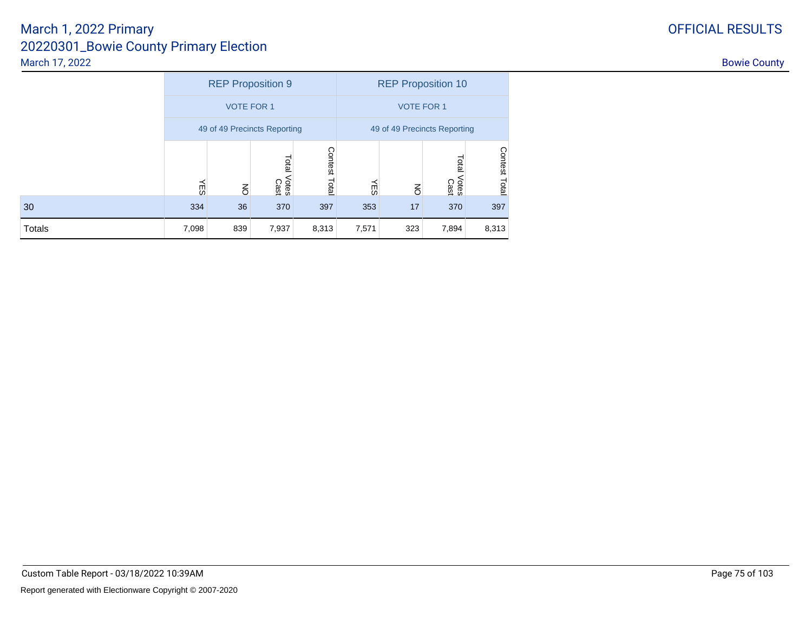|        |       |                   | <b>REP Proposition 9</b>     |                  |       | <b>REP Proposition 10</b>    |                              |               |
|--------|-------|-------------------|------------------------------|------------------|-------|------------------------------|------------------------------|---------------|
|        |       | <b>VOTE FOR 1</b> |                              |                  |       | <b>VOTE FOR 1</b>            |                              |               |
|        |       |                   | 49 of 49 Precincts Reporting |                  |       | 49 of 49 Precincts Reporting |                              |               |
|        | Ψę    | $\overline{6}$    | Total<br>Votes<br>Cast       | Contest<br>Total | ΨË    | $\overline{6}$               | <b>Tota</b><br>Votes<br>Cast | Contest Total |
| 30     | 334   | 36                | 370                          | 397              | 353   | 17                           | 370                          | 397           |
| Totals | 7,098 | 839               | 7,937                        | 8,313            | 7,571 | 323                          | 7,894                        | 8,313         |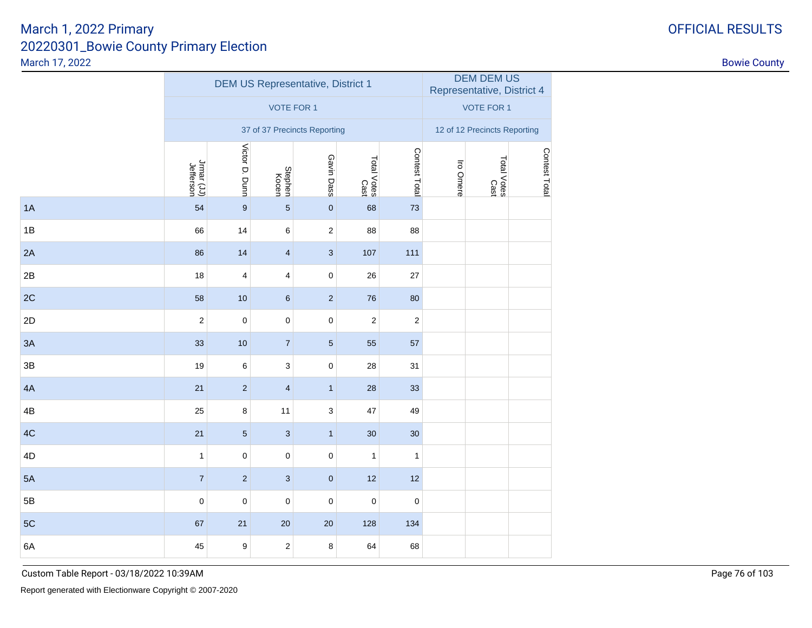|               |                                                                                                                     |                  | <b>DEM US Representative, District 1</b> |                         | DEM DEM US<br>Representative, District 4 |                  |  |                                                                                                        |  |  |  |
|---------------|---------------------------------------------------------------------------------------------------------------------|------------------|------------------------------------------|-------------------------|------------------------------------------|------------------|--|--------------------------------------------------------------------------------------------------------|--|--|--|
|               |                                                                                                                     |                  | <b>VOTE FOR 1</b>                        |                         |                                          |                  |  | <b>VOTE FOR 1</b><br>12 of 12 Precincts Reporting<br>Contest Total<br>Total Votes<br>Cast<br>Iro Omere |  |  |  |
|               |                                                                                                                     |                  | 37 of 37 Precincts Reporting             |                         |                                          |                  |  |                                                                                                        |  |  |  |
|               | Victor D. Dunn<br>Contest Total<br>Gavin Dass<br>Total Votes<br>Cast<br>Jrmar (JJ)<br>Jefferson<br>Stephen<br>Kocen |                  |                                          |                         |                                          |                  |  |                                                                                                        |  |  |  |
| 1A            | 54                                                                                                                  | $\boldsymbol{9}$ | $\overline{5}$                           | $\pmb{0}$               | 68                                       | 73               |  |                                                                                                        |  |  |  |
| 1B            | 66                                                                                                                  | 14               | 6                                        | $\overline{\mathbf{c}}$ | 88                                       | 88               |  |                                                                                                        |  |  |  |
| 2A            | 86                                                                                                                  | 14               | $\overline{4}$                           | 3                       | 107                                      | 111              |  |                                                                                                        |  |  |  |
| 2B            | 18                                                                                                                  | 4                | 4                                        | 0                       | 26                                       | 27               |  |                                                                                                        |  |  |  |
| 2C            | 58                                                                                                                  | 10               | $\,$ 6 $\,$                              | $\mathbf 2$             | 76                                       | 80               |  |                                                                                                        |  |  |  |
| 2D            | $\sqrt{2}$                                                                                                          | $\pmb{0}$        | $\pmb{0}$                                | 0                       | $\boldsymbol{2}$                         | $\boldsymbol{2}$ |  |                                                                                                        |  |  |  |
| 3A            | 33                                                                                                                  | 10               | $\overline{7}$                           | $\sqrt{5}$              | 55                                       | 57               |  |                                                                                                        |  |  |  |
| 3B            | 19                                                                                                                  | 6                | 3                                        | 0                       | 28                                       | 31               |  |                                                                                                        |  |  |  |
| 4A            | 21                                                                                                                  | $\sqrt{2}$       | $\overline{\mathbf{4}}$                  | $\mathbf{1}$            | 28                                       | 33               |  |                                                                                                        |  |  |  |
| 4B            | 25                                                                                                                  | $\bf 8$          | 11                                       | 3                       | 47                                       | 49               |  |                                                                                                        |  |  |  |
| 4C            | 21                                                                                                                  | $\sqrt{5}$       | $\ensuremath{\mathsf{3}}$                | $\mathbf{1}$            | 30                                       | 30               |  |                                                                                                        |  |  |  |
| $4\mathsf{D}$ | $\mathbf{1}$                                                                                                        | $\pmb{0}$        | 0                                        | 0                       | $\mathbf{1}$                             | $\mathbf{1}$     |  |                                                                                                        |  |  |  |
| 5A            | $\overline{7}$                                                                                                      | $\sqrt{2}$       | $\ensuremath{\mathsf{3}}$                | $\pmb{0}$               | 12                                       | 12               |  |                                                                                                        |  |  |  |
| 5B            | $\pmb{0}$                                                                                                           | $\pmb{0}$        | 0                                        | 0                       | $\pmb{0}$                                | $\pmb{0}$        |  |                                                                                                        |  |  |  |
| 5C            | 67                                                                                                                  | 21               | 20                                       | 20                      | 128                                      | 134              |  |                                                                                                        |  |  |  |
| 6A            | 45                                                                                                                  | 9                | $\boldsymbol{2}$                         | 8                       | 64                                       | 68               |  |                                                                                                        |  |  |  |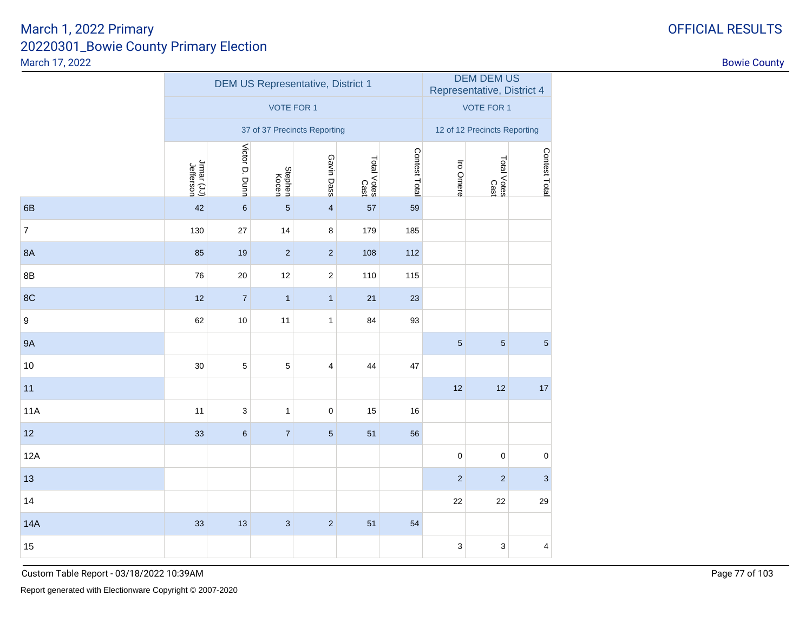|                |                                                                                                                     |                | <b>DEM US Representative, District 1</b> |                         | DEM DEM US<br>Representative, District 4 |     |            |                              |               |
|----------------|---------------------------------------------------------------------------------------------------------------------|----------------|------------------------------------------|-------------------------|------------------------------------------|-----|------------|------------------------------|---------------|
|                |                                                                                                                     |                | <b>VOTE FOR 1</b>                        |                         |                                          |     |            | <b>VOTE FOR 1</b>            |               |
|                |                                                                                                                     |                | 37 of 37 Precincts Reporting             |                         |                                          |     |            | 12 of 12 Precincts Reporting |               |
|                | Victor D. Dunn<br>Contest Total<br>Gavin Dass<br>Total Votes<br>Cast<br>Jrmar (JJ)<br>Jefferson<br>Stephen<br>Kocen |                |                                          |                         |                                          |     |            | Total Votes<br>Cast          | Contest Total |
| 6B             | 42                                                                                                                  | $\,6\,$        | $\overline{5}$                           | $\overline{\mathbf{4}}$ | 57                                       | 59  |            |                              |               |
| $\overline{7}$ | 130                                                                                                                 | 27             | 14                                       | $\bf8$                  | 179                                      | 185 |            |                              |               |
| 8A             | 85                                                                                                                  | 19             | $\sqrt{2}$                               | $\sqrt{2}$              | 108                                      | 112 |            |                              |               |
| 8B             | 76                                                                                                                  | 20             | 12                                       | $\overline{\mathbf{c}}$ | 110                                      | 115 |            |                              |               |
| 8C             | 12                                                                                                                  | $\overline{7}$ | $\mathbf{1}$                             | $\mathbf{1}$            | 21                                       | 23  |            |                              |               |
| 9              | 62                                                                                                                  | $10$           | 11                                       | $\mathbf{1}$            | 84                                       | 93  |            |                              |               |
| <b>9A</b>      |                                                                                                                     |                |                                          |                         |                                          |     | $\sqrt{5}$ | $\sqrt{5}$                   | 5             |
| 10             | $30\,$                                                                                                              | $\mathbf 5$    | $\mathbf 5$                              | 4                       | 44                                       | 47  |            |                              |               |
| 11             |                                                                                                                     |                |                                          |                         |                                          |     | 12         | 12                           | 17            |
| 11A            | 11                                                                                                                  | 3              | $\mathbf{1}$                             | $\pmb{0}$               | 15                                       | 16  |            |                              |               |
| 12             | 33                                                                                                                  | $\,6$          | $\overline{\mathcal{I}}$                 | $\overline{5}$          | 51                                       | 56  |            |                              |               |
| 12A            |                                                                                                                     |                |                                          |                         |                                          |     | $\pmb{0}$  | $\pmb{0}$                    | $\pmb{0}$     |
| 13             |                                                                                                                     |                |                                          |                         |                                          |     | $\sqrt{2}$ | $\sqrt{2}$                   | 3             |
| 14             |                                                                                                                     |                |                                          |                         |                                          |     | 22         | 22                           | 29            |
| <b>14A</b>     | 33                                                                                                                  | 13             | $\mathsf 3$                              | $\sqrt{2}$              | 51                                       | 54  |            |                              |               |
| 15             |                                                                                                                     |                |                                          |                         |                                          |     | 3          | 3                            | 4             |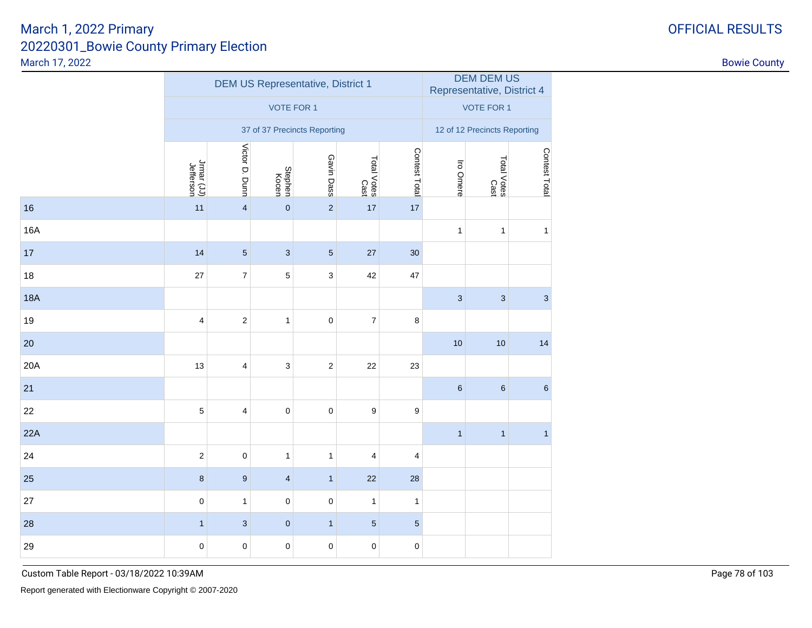|            |                         |                           | <b>DEM US Representative, District 1</b> |                              | DEM DEM US<br>Representative, District 4 |                  |              |                              |                  |
|------------|-------------------------|---------------------------|------------------------------------------|------------------------------|------------------------------------------|------------------|--------------|------------------------------|------------------|
|            |                         |                           | <b>VOTE FOR 1</b>                        |                              |                                          |                  |              | <b>VOTE FOR 1</b>            |                  |
|            |                         |                           |                                          | 37 of 37 Precincts Reporting |                                          |                  |              | 12 of 12 Precincts Reporting |                  |
|            | Jrmar (JJ)<br>Jefferson | Victor D. Dunn            | Stephen<br>Kocen                         | Gavin Dass                   | Total Votes<br>Cast                      | Contest Total    | Iro Omere    | Total Votes<br>Cast          | Contest Total    |
| 16         | 11                      | $\overline{\mathbf{4}}$   | $\pmb{0}$                                | $\sqrt{2}$                   | 17                                       | 17               |              |                              |                  |
| 16A        |                         |                           |                                          |                              |                                          |                  | $\mathbf{1}$ | $\mathbf{1}$                 | $\mathbf{1}$     |
| 17         | 14                      | $\overline{5}$            | $\mathbf{3}$                             | $\overline{5}$               | 27                                       | 30               |              |                              |                  |
| 18         | 27                      | $\boldsymbol{7}$          | $\mathbf 5$                              | $\ensuremath{\mathsf{3}}$    | 42                                       | 47               |              |                              |                  |
| <b>18A</b> |                         |                           |                                          |                              |                                          |                  | $\sqrt{3}$   | $\mathbf{3}$                 | $\sqrt{3}$       |
| 19         | $\overline{\mathbf{4}}$ | $\sqrt{2}$                | $\mathbf{1}$                             | $\pmb{0}$                    | $\overline{\mathcal{I}}$                 | $\bf 8$          |              |                              |                  |
| 20         |                         |                           |                                          |                              |                                          |                  | 10           | 10                           | 14               |
| 20A        | 13                      | $\overline{4}$            | $\sqrt{3}$                               | $\sqrt{2}$                   | 22                                       | 23               |              |                              |                  |
| 21         |                         |                           |                                          |                              |                                          |                  | $\,6\,$      | $\,$ 6 $\,$                  | $\boldsymbol{6}$ |
| 22         | 5                       | $\overline{4}$            | $\pmb{0}$                                | $\pmb{0}$                    | $\boldsymbol{9}$                         | $\boldsymbol{9}$ |              |                              |                  |
| 22A        |                         |                           |                                          |                              |                                          |                  | $\mathbf{1}$ | $\mathbf{1}$                 | $\mathbf{1}$     |
| 24         | $\mathbf 2$             | $\pmb{0}$                 | $\mathbf{1}$                             | $\mathbf{1}$                 | $\overline{4}$                           | $\overline{4}$   |              |                              |                  |
| 25         | $\bf8$                  | $\boldsymbol{9}$          | $\overline{\mathbf{4}}$                  | $\mathbf{1}$                 | 22                                       | 28               |              |                              |                  |
| 27         | $\pmb{0}$               | $\mathbf{1}$              | $\pmb{0}$                                | $\pmb{0}$                    | $\mathbf{1}$                             | $\mathbf{1}$     |              |                              |                  |
| 28         | $\mathbf{1}$            | $\ensuremath{\mathsf{3}}$ | $\pmb{0}$                                | $\mathbf{1}$                 | $\sqrt{5}$                               | $\sqrt{5}$       |              |                              |                  |
| 29         | $\mathbf 0$             | $\mathbf 0$               | $\pmb{0}$                                | $\mathbf 0$                  | $\pmb{0}$                                | $\pmb{0}$        |              |                              |                  |
|            |                         |                           |                                          |                              |                                          |                  |              |                              |                  |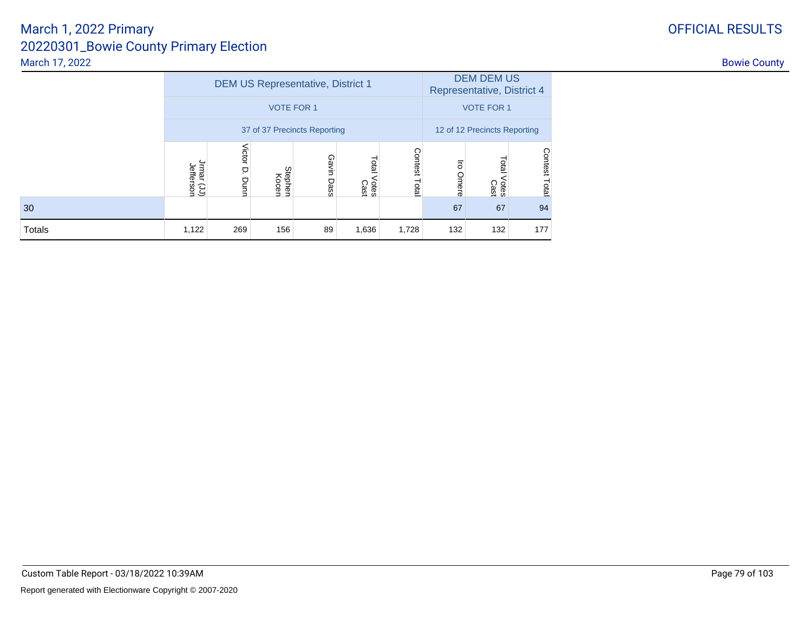|        |                         |                     | DEM US Representative, District 1 |            | <b>DEM DEM US</b><br>Representative, District 4 |                              |                         |                        |                         |
|--------|-------------------------|---------------------|-----------------------------------|------------|-------------------------------------------------|------------------------------|-------------------------|------------------------|-------------------------|
|        |                         |                     | <b>VOTE FOR 1</b>                 |            | <b>VOTE FOR 1</b>                               |                              |                         |                        |                         |
|        |                         |                     | 37 of 37 Precincts Reporting      |            |                                                 | 12 of 12 Precincts Reporting |                         |                        |                         |
|        | Jrmar (JJ)<br>Jefferson | Victor<br>p<br>Dunn | Stephen<br>Kocen                  | Gavin Dass | Total<br><b>Otes</b><br>Cast                    | Contest<br>Total             | $\overline{5}$<br>Omere | Total<br>Votes<br>Cast | <b>Contest</b><br>Total |
| 30     |                         |                     |                                   |            |                                                 |                              | 67                      | 67                     | 94                      |
| Totals | 1,122                   | 269                 | 156                               | 89         | 1,636                                           | 1,728                        | 132                     | 132                    | 177                     |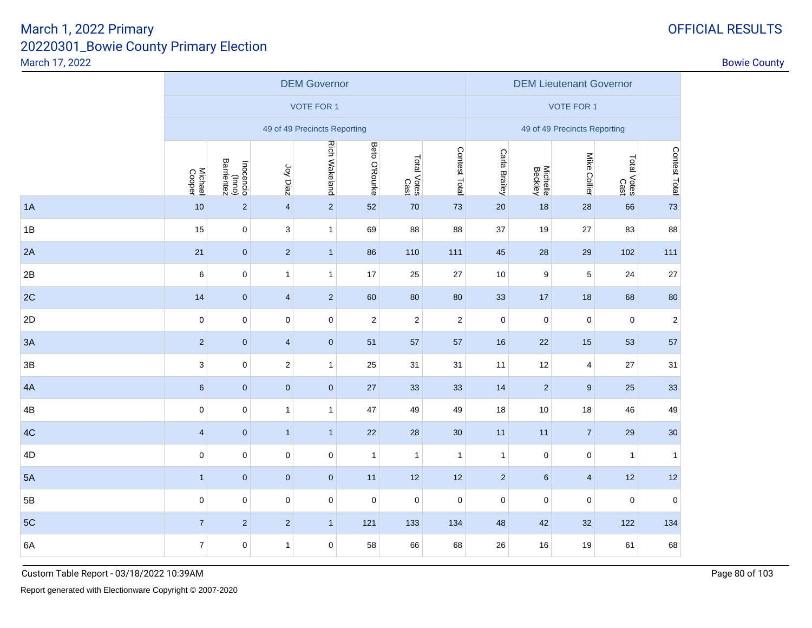|                              | <b>OFFICIAL RESULTS</b> |
|------------------------------|-------------------------|
| <b>Inty Primary Election</b> |                         |

|    |                           |                                   |                         | <b>DEM Governor</b>          |                |                     |                |                | <b>DEM Lieutenant Governor</b> |                              |                     |               |
|----|---------------------------|-----------------------------------|-------------------------|------------------------------|----------------|---------------------|----------------|----------------|--------------------------------|------------------------------|---------------------|---------------|
|    |                           |                                   |                         | <b>VOTE FOR 1</b>            |                |                     |                |                |                                | <b>VOTE FOR 1</b>            |                     |               |
|    |                           |                                   |                         | 49 of 49 Precincts Reporting |                |                     |                |                |                                | 49 of 49 Precincts Reporting |                     |               |
|    | Michael<br>Cooper         | Inocencio<br>(Inno)<br>Barrientez | Joy Diaz                | <b>Rich Wakeland</b>         | Beto O'Rourke  | Total Votes<br>Cast | Contest Total  | Carla Brailey  | Michelle<br>Beckley            | Mike Collier                 | Total Votes<br>Cast | Contest Total |
| 1A | 10                        | $\mathbf 2$                       | $\overline{4}$          | $\sqrt{2}$                   | 52             | 70                  | 73             | 20             | 18                             | 28                           | 66                  | 73            |
| 1B | 15                        | $\mathsf{O}\xspace$               | 3                       | $\mathbf{1}$                 | 69             | 88                  | 88             | 37             | 19                             | 27                           | 83                  | 88            |
| 2A | 21                        | $\pmb{0}$                         | $\overline{2}$          | $\overline{1}$               | 86             | 110                 | 111            | 45             | 28                             | 29                           | 102                 | 111           |
| 2B | $\,6$                     | $\mathsf 0$                       | $\mathbf{1}$            | $\mathbf{1}$                 | 17             | 25                  | 27             | 10             | 9                              | 5                            | 24                  | $27\,$        |
| 2C | 14                        | $\pmb{0}$                         | $\overline{4}$          | $\overline{2}$               | 60             | 80                  | 80             | 33             | 17                             | 18                           | 68                  | $80\,$        |
| 2D | $\pmb{0}$                 | $\pmb{0}$                         | $\pmb{0}$               | $\pmb{0}$                    | $\overline{2}$ | $\overline{2}$      | $\overline{2}$ | $\mathbf 0$    | $\pmb{0}$                      | $\mathbf 0$                  | $\mathbf 0$         | $\sqrt{2}$    |
| 3A | $\sqrt{2}$                | $\pmb{0}$                         | $\overline{4}$          | $\mathbf 0$                  | 51             | 57                  | 57             | 16             | 22                             | 15                           | 53                  | 57            |
| 3B | $\ensuremath{\mathsf{3}}$ | 0                                 | $\overline{\mathbf{c}}$ | $\mathbf{1}$                 | 25             | 31                  | 31             | 11             | 12                             | $\overline{4}$               | 27                  | 31            |
| 4A | $\boldsymbol{6}$          | $\pmb{0}$                         | $\pmb{0}$               | $\mathbf 0$                  | 27             | 33                  | 33             | 14             | $\overline{2}$                 | $9\,$                        | 25                  | 33            |
| 4B | $\pmb{0}$                 | 0                                 | $\mathbf{1}$            | $\overline{1}$               | 47             | 49                  | 49             | 18             | 10                             | 18                           | 46                  | 49            |
| 4C | $\overline{4}$            | $\pmb{0}$                         | $\mathbf{1}$            | $\overline{1}$               | 22             | 28                  | 30             | 11             | 11                             | $\overline{7}$               | 29                  | $30\,$        |
| 4D | $\pmb{0}$                 | $\pmb{0}$                         | $\mathbf 0$             | $\mathbf 0$                  | $\mathbf{1}$   | $\mathbf{1}$        | $\mathbf{1}$   | $\mathbf{1}$   | $\pmb{0}$                      | 0                            | 1                   | $\mathbf{1}$  |
| 5A | $\mathbf{1}$              | $\pmb{0}$                         | $\pmb{0}$               | $\mathbf 0$                  | 11             | 12                  | 12             | $\overline{2}$ | $6\phantom{.}$                 | $\overline{4}$               | 12                  | 12            |
| 5B | $\pmb{0}$                 | 0                                 | $\pmb{0}$               | $\pmb{0}$                    | $\mathbf 0$    | $\pmb{0}$           | $\mathsf 0$    | $\mathbf 0$    | $\pmb{0}$                      | $\mathbf 0$                  | $\mathbf 0$         | $\pmb{0}$     |
| 5C | $\sqrt{7}$                | $\overline{2}$                    | $\overline{2}$          | $\overline{1}$               | 121            | 133                 | 134            | 48             | 42                             | 32                           | 122                 | 134           |
| 6A | $\boldsymbol{7}$          | 0                                 | $\mathbf{1}$            | $\mathbf 0$                  | 58             | 66                  | 68             | 26             | 16                             | 19                           | 61                  | 68            |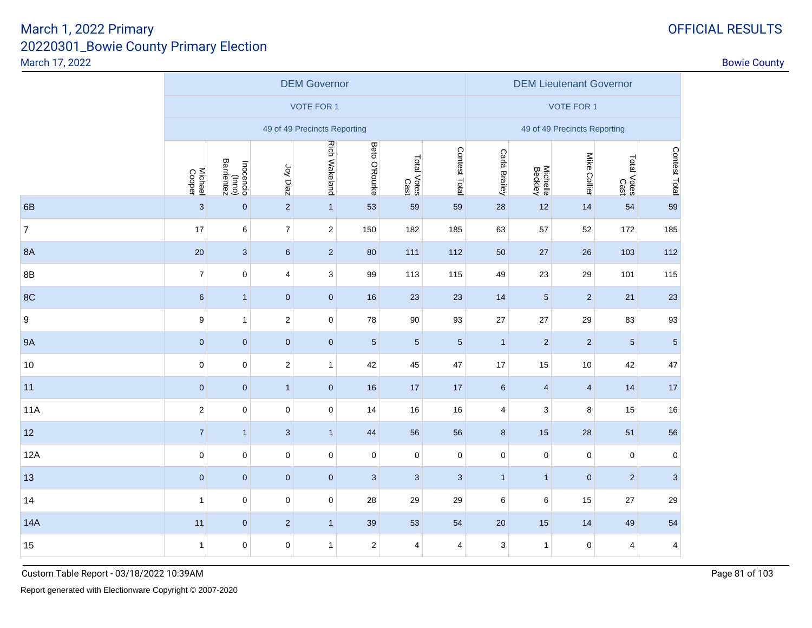|                |                   | <b>DEM Governor</b>               |                |                              |                  |                     |               |               |                     | <b>DEM Lieutenant Governor</b> |                     |                         |  |  |  |  |
|----------------|-------------------|-----------------------------------|----------------|------------------------------|------------------|---------------------|---------------|---------------|---------------------|--------------------------------|---------------------|-------------------------|--|--|--|--|
|                |                   |                                   |                | <b>VOTE FOR 1</b>            |                  |                     |               |               |                     | <b>VOTE FOR 1</b>              |                     |                         |  |  |  |  |
|                |                   |                                   |                | 49 of 49 Precincts Reporting |                  |                     |               |               |                     | 49 of 49 Precincts Reporting   |                     |                         |  |  |  |  |
|                | Michael<br>Cooper | Inocencio<br>(Inno)<br>Barrientez | Joy Diaz       | <b>Rich Wakeland</b>         | Beto O'Rourke    | Total Votes<br>Cast | Contest Total | Carla Brailey | Michelle<br>Beckley | Mike Collier                   | Total Votes<br>Cast | Contest Total           |  |  |  |  |
| 6B             | 3                 | $\mathbf 0$                       | $\overline{2}$ | $\mathbf{1}$                 | 53               | 59                  | 59            | 28            | 12                  | 14                             | 54                  | 59                      |  |  |  |  |
| $\overline{7}$ | 17                | 6                                 | $\overline{7}$ | $\sqrt{2}$                   | 150              | 182                 | 185           | 63            | 57                  | 52                             | 172                 | 185                     |  |  |  |  |
| <b>8A</b>      | $20\,$            | $\mathbf{3}$                      | $\,6\,$        | $\sqrt{2}$                   | 80               | 111                 | 112           | 50            | 27                  | 26                             | 103                 | 112                     |  |  |  |  |
| 8B             | $\overline{7}$    | $\mathbf 0$                       | 4              | $\ensuremath{\mathsf{3}}$    | 99               | 113                 | 115           | 49            | 23                  | 29                             | 101                 | 115                     |  |  |  |  |
| 8C             | $\,6$             | $\mathbf{1}$                      | $\mathbf 0$    | $\mathbf{0}$                 | 16               | 23                  | 23            | 14            | $5\phantom{.0}$     | $\overline{2}$                 | 21                  | 23                      |  |  |  |  |
| 9              | 9                 | $\mathbf{1}$                      | $\sqrt{2}$     | $\pmb{0}$                    | 78               | 90                  | 93            | 27            | 27                  | 29                             | 83                  | 93                      |  |  |  |  |
| <b>9A</b>      | $\pmb{0}$         | $\mathbf{0}$                      | $\mathbf 0$    | $\mathbf{0}$                 | $\sqrt{5}$       | $\sqrt{5}$          | $\sqrt{5}$    | $\mathbf{1}$  | $\overline{a}$      | $\overline{c}$                 | $\sqrt{5}$          | $\sqrt{5}$              |  |  |  |  |
| $10$           | 0                 | $\mathbf 0$                       | $\overline{c}$ | $\mathbf{1}$                 | 42               | 45                  | 47            | 17            | 15                  | $10$                           | 42                  | 47                      |  |  |  |  |
| 11             | $\pmb{0}$         | $\mathbf{0}$                      | $\mathbf{1}$   | $\mathbf 0$                  | 16               | 17                  | 17            | $\,6$         | $\overline{4}$      | $\overline{4}$                 | 14                  | 17                      |  |  |  |  |
| <b>11A</b>     | $\mathbf 2$       | $\pmb{0}$                         | $\pmb{0}$      | $\pmb{0}$                    | 14               | $16\,$              | 16            | 4             | 3                   | 8                              | 15                  | 16                      |  |  |  |  |
| 12             | $\overline{7}$    | $\mathbf{1}$                      | $\mathbf{3}$   | $\mathbf{1}$                 | 44               | 56                  | 56            | $\bf 8$       | $15$                | 28                             | 51                  | 56                      |  |  |  |  |
| 12A            | $\pmb{0}$         | $\pmb{0}$                         | $\pmb{0}$      | $\pmb{0}$                    | $\mathsf 0$      | $\pmb{0}$           | $\pmb{0}$     | $\pmb{0}$     | $\mathbf 0$         | $\pmb{0}$                      | $\mathbf 0$         | $\mathbf 0$             |  |  |  |  |
| 13             | $\pmb{0}$         | $\mathbf{0}$                      | $\pmb{0}$      | $\mathbf 0$                  | $\mathbf{3}$     | $\mathbf{3}$        | $\mathbf{3}$  | $\mathbf{1}$  | $\mathbf{1}$        | $\pmb{0}$                      | $\overline{c}$      | $\sqrt{3}$              |  |  |  |  |
| 14             | $\mathbf{1}$      | 0                                 | $\pmb{0}$      | $\pmb{0}$                    | 28               | 29                  | 29            | 6             | $\,6\,$             | 15                             | 27                  | 29                      |  |  |  |  |
| <b>14A</b>     | 11                | $\pmb{0}$                         | $\sqrt{2}$     | $\mathbf{1}$                 | 39               | 53                  | 54            | 20            | 15                  | 14                             | 49                  | 54                      |  |  |  |  |
| 15             | $\mathbf{1}$      | 0                                 | $\pmb{0}$      | $\mathbf{1}$                 | $\boldsymbol{2}$ | 4                   | 4             | 3             | $\mathbf{1}$        | $\pmb{0}$                      | 4                   | $\overline{\mathbf{4}}$ |  |  |  |  |

Custom Table Report - 03/18/2022 10:39AM

# OFFICIAL RESULTS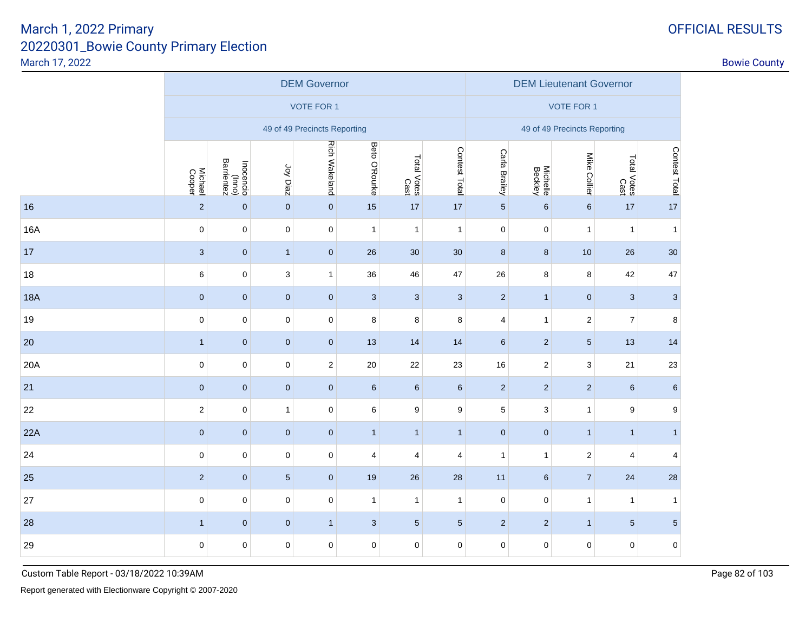|            |                   |                                   |                           | <b>DEM Governor</b>          |                         |                         |                     |                 | <b>DEM Lieutenant Governor</b> |                              |                     |                |  |  |  |  |
|------------|-------------------|-----------------------------------|---------------------------|------------------------------|-------------------------|-------------------------|---------------------|-----------------|--------------------------------|------------------------------|---------------------|----------------|--|--|--|--|
|            |                   |                                   |                           | <b>VOTE FOR 1</b>            |                         |                         |                     |                 |                                | <b>VOTE FOR 1</b>            |                     |                |  |  |  |  |
|            |                   |                                   |                           | 49 of 49 Precincts Reporting |                         |                         |                     |                 |                                | 49 of 49 Precincts Reporting |                     |                |  |  |  |  |
|            | Michael<br>Cooper | Inocencio<br>(Inno)<br>Barrientez | Joy Diaz                  | <b>Rich Wakeland</b>         | Beto O'Rourke           | Total Votes<br>Cast     | Contest Total       | Carla Brailey   | Michelle<br>Beckley            | Mike Collier                 | Total Votes<br>Cast | Contest Total  |  |  |  |  |
| 16         | $\overline{2}$    | $\mathbf 0$                       | $\pmb{0}$                 | $\mathbf{0}$                 | 15                      | 17                      | 17                  | $\overline{5}$  | $\,6\,$                        | $\,6\,$                      | 17                  | 17             |  |  |  |  |
| 16A        | $\mathsf 0$       | $\mathsf 0$                       | $\pmb{0}$                 | $\mathbf 0$                  | $\mathbf{1}$            | $\mathbf{1}$            | $\mathbf{1}$        | $\mathbf 0$     | $\pmb{0}$                      | $\mathbf{1}$                 | $\mathbf{1}$        | $\mathbf{1}$   |  |  |  |  |
| 17         | $\mathbf{3}$      | $\mathbf 0$                       | $\mathbf{1}$              | $\pmb{0}$                    | 26                      | $30\,$                  | 30                  | $\bf 8$         | 8                              | 10                           | 26                  | 30             |  |  |  |  |
| 18         | 6                 | $\mathsf 0$                       | $\ensuremath{\mathsf{3}}$ | $\mathbf{1}$                 | 36                      | 46                      | 47                  | 26              | 8                              | 8                            | 42                  | 47             |  |  |  |  |
| <b>18A</b> | $\pmb{0}$         | $\mathbf 0$                       | $\pmb{0}$                 | $\mathbf{0}$                 | $\sqrt{3}$              | $\mathbf{3}$            | $\mathbf{3}$        | $\overline{2}$  | $\mathbf{1}$                   | $\pmb{0}$                    | $\mathbf{3}$        | $\mathbf{3}$   |  |  |  |  |
| 19         | $\mathsf 0$       | $\mathsf 0$                       | $\pmb{0}$                 | $\mathbf 0$                  | 8                       | 8                       | 8                   | $\overline{4}$  | $\mathbf{1}$                   | $\sqrt{2}$                   | $\boldsymbol{7}$    | 8              |  |  |  |  |
| 20         | $\mathbf{1}$      | $\mathbf 0$                       | $\pmb{0}$                 | $\mathbf{0}$                 | 13                      | 14                      | 14                  | $6\phantom{1}6$ | $\overline{a}$                 | $\sqrt{5}$                   | 13                  | 14             |  |  |  |  |
| 20A        | $\mathsf 0$       | $\mathsf 0$                       | $\pmb{0}$                 | $\mathbf{2}$                 | 20                      | 22                      | 23                  | 16              | $\sqrt{2}$                     | $\ensuremath{\mathsf{3}}$    | 21                  | 23             |  |  |  |  |
| 21         | $\pmb{0}$         | $\pmb{0}$                         | $\pmb{0}$                 | $\mathbf 0$                  | $\,6\,$                 | $6\phantom{.}$          | $\,6\,$             | $\sqrt{2}$      | $\sqrt{2}$                     | $\sqrt{2}$                   | $\,6\,$             | $\,6$          |  |  |  |  |
| 22         | $\boldsymbol{2}$  | $\mathsf 0$                       | $\mathbf{1}$              | $\mathbf 0$                  | $\,6\,$                 | 9                       | $\boldsymbol{9}$    | $\,$ 5 $\,$     | $\ensuremath{\mathsf{3}}$      | $\mathbf{1}$                 | 9                   | 9              |  |  |  |  |
| 22A        | $\pmb{0}$         | $\pmb{0}$                         | $\pmb{0}$                 | $\mathbf{0}$                 | $\mathbf{1}$            | $\mathbf{1}$            | $\mathbf{1}$        | $\pmb{0}$       | $\pmb{0}$                      | $\mathbf{1}$                 | $\mathbf{1}$        | $\mathbf{1}$   |  |  |  |  |
| 24         | $\mathsf 0$       | $\mathsf 0$                       | $\pmb{0}$                 | $\mathbf 0$                  | $\overline{\mathbf{4}}$ | $\overline{\mathbf{4}}$ | $\overline{4}$      | $\mathbf{1}$    | $\mathbf{1}$                   | $\sqrt{2}$                   | 4                   | $\overline{4}$ |  |  |  |  |
| 25         | $\sqrt{2}$        | $\pmb{0}$                         | $\sqrt{5}$                | $\mathbf 0$                  | 19                      | $26\,$                  | 28                  | 11              | $6\phantom{.}6$                | $\boldsymbol{7}$             | 24                  | 28             |  |  |  |  |
| 27         | $\mathsf 0$       | $\pmb{0}$                         | $\pmb{0}$                 | $\mathsf 0$                  | $\mathbf{1}$            | $\mathbf{1}$            | $\mathbf{1}$        | $\mathsf 0$     | $\pmb{0}$                      | $\mathbf{1}$                 | $\mathbf{1}$        | $\mathbf{1}$   |  |  |  |  |
| 28         | $\mathbf{1}$      | $\pmb{0}$                         | $\pmb{0}$                 | $\mathbf{1}$                 | $\sqrt{3}$              | $5\phantom{.0}$         | $\sqrt{5}$          | $\sqrt{2}$      | $\sqrt{2}$                     | $\mathbf{1}$                 | $\sqrt{5}$          | $\overline{5}$ |  |  |  |  |
| 29         | $\mathbf 0$       | $\mathbf 0$                       | $\pmb{0}$                 | $\mathsf 0$                  | $\mathbf 0$             | 0                       | $\mathsf{O}\xspace$ | $\mathbf 0$     | $\mathbf 0$                    | $\mathsf 0$                  | $\mathsf 0$         | $\pmb{0}$      |  |  |  |  |
|            |                   |                                   |                           |                              |                         |                         |                     |                 |                                |                              |                     |                |  |  |  |  |

Report generated with Electionware Copyright © 2007-2020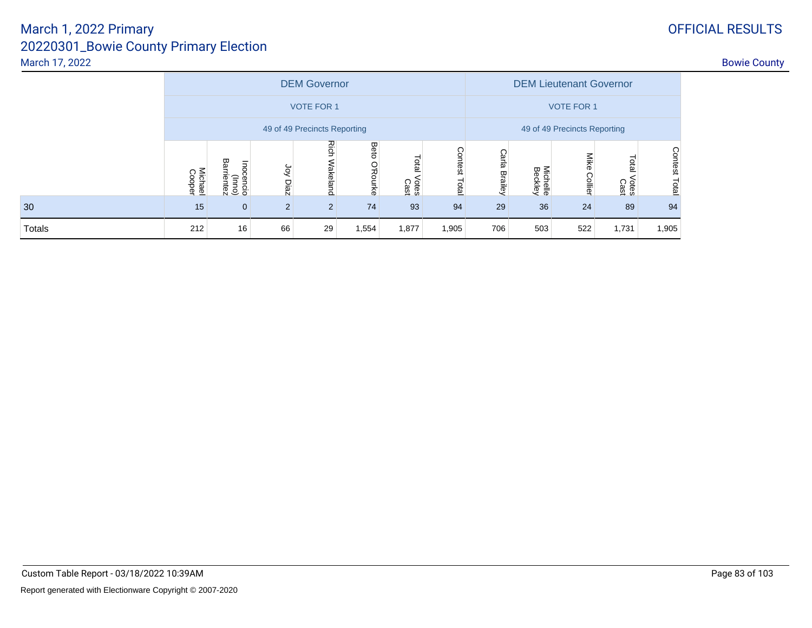|               |                   | <b>DEM Governor</b>               |            |                              |                              |                        |                 |                   |                     | <b>DEM Lieutenant Governor</b> |                        |                                |  |  |  |  |
|---------------|-------------------|-----------------------------------|------------|------------------------------|------------------------------|------------------------|-----------------|-------------------|---------------------|--------------------------------|------------------------|--------------------------------|--|--|--|--|
|               |                   |                                   |            | <b>VOTE FOR 1</b>            |                              |                        |                 | <b>VOTE FOR 1</b> |                     |                                |                        |                                |  |  |  |  |
|               |                   |                                   |            | 49 of 49 Precincts Reporting | 49 of 49 Precincts Reporting |                        |                 |                   |                     |                                |                        |                                |  |  |  |  |
|               | Michael<br>Cooper | Inocencio<br>(Inno)<br>Barrientez | χò<br>Diaz | <b>Rich</b><br>Wakeland      | Beto<br><b>O'Rourke</b>      | Total<br>Votes<br>Cast | Contest<br>Tota | Carla Brailey     | Michelle<br>Beckley | Mike<br>Collier                | Total<br>Votes<br>Cast | <b>Contest</b><br><b>Total</b> |  |  |  |  |
| 30            | 15                | $\mathbf{0}$                      | 2          | 2                            | 74                           | 93                     | 94              | 29                | 36                  | 24                             | 89                     | 94                             |  |  |  |  |
| <b>Totals</b> | 212               | 16                                | 66         | 29                           | 1,554                        | 1,877                  | .905            | 706               | 503                 | 522                            | 1,731                  | 1,905                          |  |  |  |  |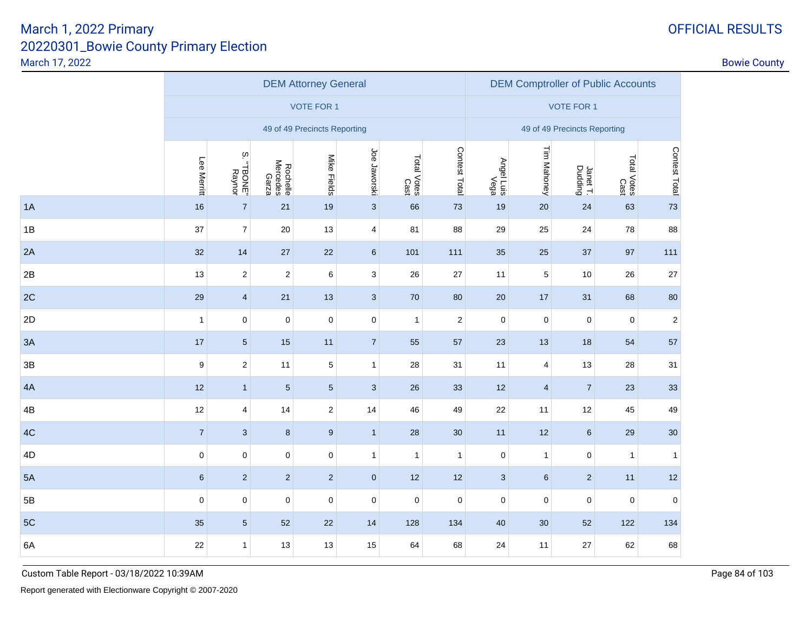|  |  |  |  | OFFICIAL RESULT |
|--|--|--|--|-----------------|
|  |  |  |  |                 |

|    |                |                        |                               | <b>DEM Attorney General</b>  |                |                     |               | <b>DEM Comptroller of Public Accounts</b> |                |                              |                     |               |
|----|----------------|------------------------|-------------------------------|------------------------------|----------------|---------------------|---------------|-------------------------------------------|----------------|------------------------------|---------------------|---------------|
|    |                |                        |                               | VOTE FOR 1                   |                |                     |               |                                           |                | <b>VOTE FOR 1</b>            |                     |               |
|    |                |                        |                               | 49 of 49 Precincts Reporting |                |                     |               |                                           |                | 49 of 49 Precincts Reporting |                     |               |
|    | Lee Merritt    | $\rm \omega$<br>TBONE" | Rochelle<br>Mercedes<br>Garza | Mike Fields                  | Joe Jaworski   | Total Votes<br>Cast | Contest Total | Angel Luis<br>Siu LlegnA                  | Tim Mahoney    | Janet T.<br>Dudding          | Total Votes<br>Cast | Contest Total |
| 1A | 16             | $\overline{7}$         | 21                            | 19                           | $\mathbf{3}$   | 66                  | 73            | 19                                        | 20             | 24                           | 63                  | 73            |
| 1B | 37             | $\overline{7}$         | 20                            | 13                           | $\overline{4}$ | 81                  | 88            | 29                                        | 25             | 24                           | 78                  | 88            |
| 2A | 32             | 14                     | 27                            | 22                           | $6\phantom{.}$ | 101                 | 111           | 35                                        | 25             | 37                           | 97                  | 111           |
| 2B | 13             | $\overline{c}$         | $\sqrt{2}$                    | 6                            | 3              | 26                  | 27            | 11                                        | 5              | 10                           | 26                  | 27            |
| 2C | 29             | $\overline{4}$         | 21                            | 13                           | $\mathbf{3}$   | 70                  | 80            | 20                                        | 17             | 31                           | 68                  | 80            |
| 2D | $\mathbf{1}$   | 0                      | $\pmb{0}$                     | $\pmb{0}$                    | $\mathbf 0$    | $\mathbf{1}$        | $\sqrt{2}$    | $\pmb{0}$                                 | $\mathbf 0$    | $\pmb{0}$                    | $\mathbf{0}$        | $\sqrt{2}$    |
| 3A | 17             | $5\overline{)}$        | 15                            | 11                           | $\overline{7}$ | 55                  | 57            | 23                                        | 13             | 18                           | 54                  | 57            |
| 3B | 9              | $\overline{c}$         | 11                            | $\mathbf 5$                  | 1              | 28                  | 31            | 11                                        | $\overline{4}$ | 13                           | 28                  | 31            |
| 4A | 12             | $\mathbf{1}$           | $\sqrt{5}$                    | $\sqrt{5}$                   | $\mathbf{3}$   | 26                  | 33            | 12                                        | $\overline{4}$ | $\overline{7}$               | 23                  | 33            |
| 4B | 12             | 4                      | 14                            | $\mathbf 2$                  | 14             | 46                  | 49            | 22                                        | 11             | 12                           | 45                  | 49            |
| 4C | $\overline{7}$ | $\mathbf{3}$           | $\bf 8$                       | $\boldsymbol{9}$             | $\mathbf{1}$   | 28                  | 30            | 11                                        | 12             | 6                            | 29                  | 30            |
| 4D | $\pmb{0}$      | $\mathbf 0$            | $\mathbf 0$                   | 0                            | $\mathbf{1}$   | $\overline{1}$      | $\mathbf{1}$  | $\pmb{0}$                                 | $\mathbf{1}$   | $\pmb{0}$                    | $\mathbf{1}$        | $\mathbf{1}$  |
| 5A | $\,6\,$        | $\overline{2}$         | $\sqrt{2}$                    | $\mathbf 2$                  | $\mathbf{0}$   | 12                  | 12            | 3                                         | $\,6\,$        | $\overline{2}$               | 11                  | 12            |
| 5B | $\mathbf 0$    | 0                      | $\pmb{0}$                     | $\pmb{0}$                    | $\mathbf 0$    | $\mathbf 0$         | $\mathbf 0$   | $\mathbf 0$                               | $\pmb{0}$      | 0                            | $\mathbf 0$         | $\mathbf 0$   |
| 5C | 35             | $5\overline{)}$        | 52                            | 22                           | 14             | 128                 | 134           | 40                                        | 30             | 52                           | 122                 | 134           |
| 6A | 22             | $\mathbf{1}$           | 13                            | 13                           | 15             | 64                  | 68            | 24                                        | 11             | 27                           | 62                  | 68            |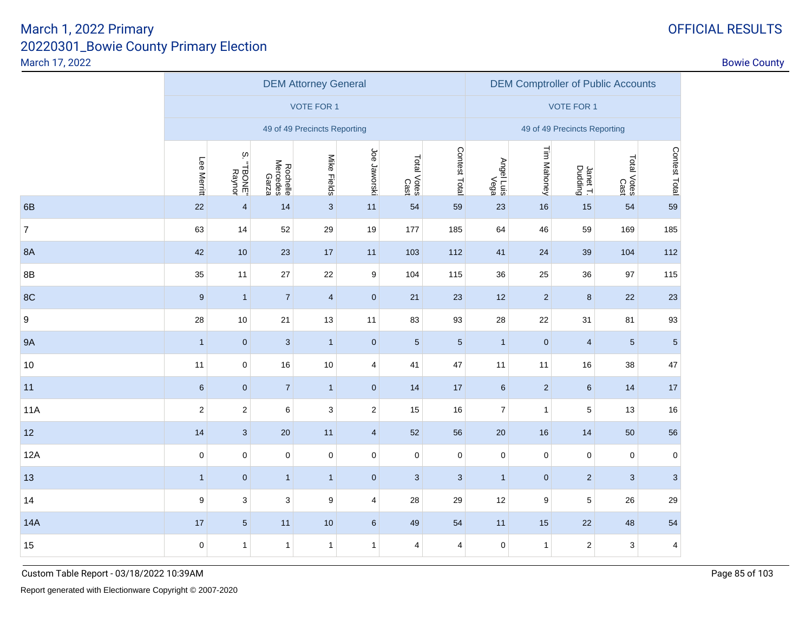| <b>OFFICIAL RESULTS</b> |
|-------------------------|
|-------------------------|

|                |                  | <b>DEM Attorney General</b> |                               |                              |                         |                     |                         |                          |                  | <b>DEM Comptroller of Public Accounts</b> |                     |                         |  |  |  |
|----------------|------------------|-----------------------------|-------------------------------|------------------------------|-------------------------|---------------------|-------------------------|--------------------------|------------------|-------------------------------------------|---------------------|-------------------------|--|--|--|
|                |                  |                             |                               | <b>VOTE FOR 1</b>            |                         |                     |                         |                          |                  | <b>VOTE FOR 1</b>                         |                     |                         |  |  |  |
|                |                  |                             |                               | 49 of 49 Precincts Reporting |                         |                     |                         |                          |                  | 49 of 49 Precincts Reporting              |                     |                         |  |  |  |
|                | Lee Merritt      | S.<br>TBONE"                | Rochelle<br>Mercedes<br>Garza | Mike Fields                  | Joe Jaworski            | Total Votes<br>Cast | Contest Total           | Angel Luis<br>Siu LlegnA | Tim Mahoney      | Janet T.<br>Dudding                       | Total Votes<br>Cast | Contest Total           |  |  |  |
| 6B             | 22               | $\overline{4}$              | 14                            | $\overline{3}$               | 11                      | 54                  | 59                      | 23                       | 16               | 15                                        | 54                  | 59                      |  |  |  |
| $\overline{7}$ | 63               | 14                          | 52                            | 29                           | 19                      | 177                 | 185                     | 64                       | 46               | 59                                        | 169                 | 185                     |  |  |  |
| <b>8A</b>      | 42               | 10                          | 23                            | $17$                         | 11                      | 103                 | 112                     | 41                       | 24               | 39                                        | 104                 | 112                     |  |  |  |
| 8B             | 35               | 11                          | $27\,$                        | 22                           | 9                       | 104                 | 115                     | 36                       | 25               | 36                                        | 97                  | 115                     |  |  |  |
| 8C             | $9$              | $\mathbf{1}$                | $\overline{7}$                | $\overline{\mathbf{4}}$      | $\pmb{0}$               | 21                  | 23                      | 12                       | $\sqrt{2}$       | $\bf 8$                                   | 22                  | 23                      |  |  |  |
| 9              | 28               | $10$                        | 21                            | 13                           | 11                      | 83                  | 93                      | 28                       | $22\,$           | 31                                        | 81                  | 93                      |  |  |  |
| <b>9A</b>      | $\mathbf{1}$     | $\mathbf 0$                 | $\sqrt{3}$                    | $\mathbf{1}$                 | $\pmb{0}$               | $\sqrt{5}$          | $\sqrt{5}$              | $\mathbf{1}$             | $\mathbf 0$      | $\overline{4}$                            | $\overline{5}$      | $\sqrt{5}$              |  |  |  |
| $10$           | 11               | $\mathsf 0$                 | 16                            | 10                           | $\overline{\mathbf{4}}$ | 41                  | 47                      | 11                       | 11               | 16                                        | 38                  | 47                      |  |  |  |
| 11             | $6\phantom{1}6$  | $\mathbf 0$                 | $\overline{7}$                | $\mathbf{1}$                 | $\pmb{0}$               | 14                  | 17                      | $6\phantom{1}6$          | $\overline{2}$   | $\boldsymbol{6}$                          | 14                  | 17                      |  |  |  |
| <b>11A</b>     | $\sqrt{2}$       | $\mathbf 2$                 | 6                             | 3                            | $\mathbf 2$             | 15                  | 16                      | $\boldsymbol{7}$         | $\mathbf{1}$     | $\sqrt{5}$                                | 13                  | 16                      |  |  |  |
| 12             | 14               | $\overline{3}$              | 20                            | 11                           | $\overline{4}$          | 52                  | 56                      | 20                       | 16               | 14                                        | 50                  | 56                      |  |  |  |
| 12A            | $\pmb{0}$        | $\mathsf 0$                 | $\pmb{0}$                     | $\mathsf 0$                  | $\mathsf 0$             | $\pmb{0}$           | $\pmb{0}$               | $\pmb{0}$                | $\mathsf 0$      | $\pmb{0}$                                 | $\pmb{0}$           | $\pmb{0}$               |  |  |  |
| 13             | $\mathbf{1}$     | $\mathbf 0$                 | $\mathbf{1}$                  | 1                            | $\pmb{0}$               | $\sqrt{3}$          | $\sqrt{3}$              | $\mathbf{1}$             | $\mathbf 0$      | $\sqrt{2}$                                | $\overline{3}$      | $\mathbf{3}$            |  |  |  |
| 14             | $\boldsymbol{9}$ | $\mathbf{3}$                | $\sqrt{3}$                    | 9                            | $\overline{4}$          | 28                  | 29                      | 12                       | $\boldsymbol{9}$ | $\sqrt{5}$                                | 26                  | 29                      |  |  |  |
| 14A            | 17               | $5\overline{)}$             | 11                            | 10                           | $\boldsymbol{6}$        | 49                  | 54                      | 11                       | 15               | 22                                        | 48                  | 54                      |  |  |  |
| 15             | $\mathbf 0$      | $\mathbf{1}$                | $\mathbf{1}$                  | $\mathbf{1}$                 | $\mathbf{1}$            | 4                   | $\overline{\mathbf{4}}$ | $\pmb{0}$                | $\mathbf{1}$     | $\sqrt{2}$                                | 3                   | $\overline{\mathbf{4}}$ |  |  |  |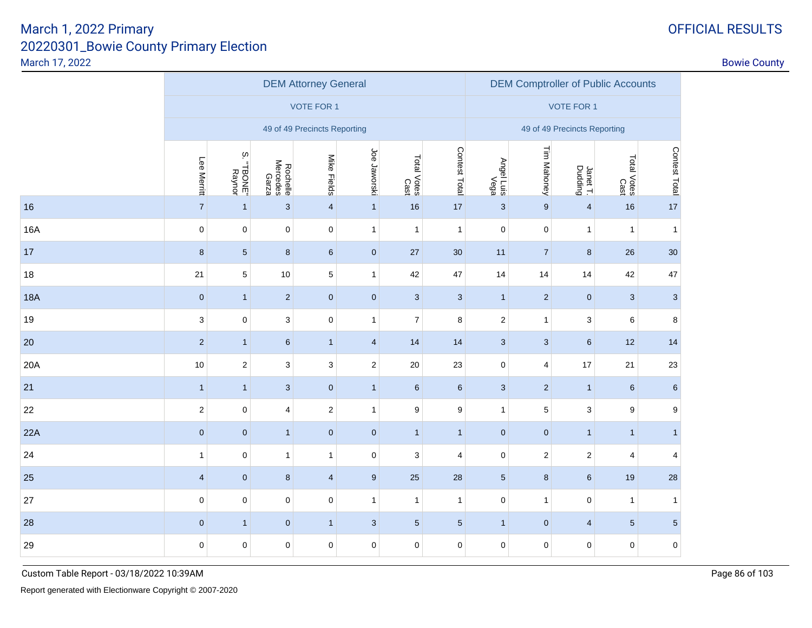|            |                         | <b>DEM Attorney General</b> |                               |                              |                         |                     |                  |                    |                         | <b>DEM Comptroller of Public Accounts</b> |                     |                           |  |  |  |
|------------|-------------------------|-----------------------------|-------------------------------|------------------------------|-------------------------|---------------------|------------------|--------------------|-------------------------|-------------------------------------------|---------------------|---------------------------|--|--|--|
|            |                         |                             |                               | <b>VOTE FOR 1</b>            |                         |                     |                  |                    |                         | <b>VOTE FOR 1</b>                         |                     |                           |  |  |  |
|            |                         |                             |                               | 49 of 49 Precincts Reporting |                         |                     |                  |                    |                         | 49 of 49 Precincts Reporting              |                     |                           |  |  |  |
|            | Lee Merritt             | $\infty$<br>TBONE"          | Rochelle<br>Mercedes<br>Garza | Mike Fields                  | Joe Jaworski            | Total Votes<br>Cast | Contest Total    | Angel Luis<br>Ious | Tim Mahoney             | Janet T.<br>Dudding                       | Total Votes<br>Cast | Contest Total             |  |  |  |
| 16         | $\boldsymbol{7}$        | $\mathbf{1}$                | $\sqrt{3}$                    | $\overline{\mathbf{4}}$      | $\mathbf{1}$            | 16                  | 17               | $\mathbf{3}$       | $9\,$                   | $\overline{\mathbf{4}}$                   | 16                  | 17                        |  |  |  |
| 16A        | $\pmb{0}$               | $\pmb{0}$                   | $\mathsf 0$                   | $\pmb{0}$                    | $\mathbf{1}$            | $\mathbf{1}$        | $\overline{1}$   | $\pmb{0}$          | $\pmb{0}$               | $\mathbf{1}$                              | $\mathbf{1}$        | $\mathbf{1}$              |  |  |  |
| 17         | $\bf8$                  | $\sqrt{5}$                  | $\bf 8$                       | $\boldsymbol{6}$             | $\pmb{0}$               | 27                  | 30               | 11                 | $\sqrt{7}$              | $\bf{8}$                                  | 26                  | 30                        |  |  |  |
| 18         | 21                      | 5                           | 10                            | $\,$ 5 $\,$                  | $\mathbf{1}$            | 42                  | 47               | 14                 | 14                      | 14                                        | 42                  | 47                        |  |  |  |
| <b>18A</b> | $\pmb{0}$               | $\mathbf{1}$                | $\sqrt{2}$                    | $\pmb{0}$                    | $\pmb{0}$               | $\mathbf{3}$        | $\mathbf{3}$     | $\mathbf{1}$       | $\overline{2}$          | $\pmb{0}$                                 | $\mathbf{3}$        | $\ensuremath{\mathsf{3}}$ |  |  |  |
| 19         | 3                       | $\mathbf 0$                 | $\mathbf{3}$                  | $\pmb{0}$                    | $\mathbf{1}$            | $\overline{7}$      | 8                | $\mathbf 2$        | $\mathbf 1$             | 3                                         | $\,6$               | $\bf8$                    |  |  |  |
| 20         | $\overline{2}$          | $\mathbf{1}$                | $\boldsymbol{6}$              | $\mathbf{1}$                 | $\overline{\mathbf{4}}$ | 14                  | 14               | $\mathbf{3}$       | $\mathbf{3}$            | $6\phantom{a}$                            | 12                  | 14                        |  |  |  |
| 20A        | $10$                    | $\sqrt{2}$                  | 3                             | $\mathsf 3$                  | $\overline{c}$          | $20\,$              | 23               | $\mathbf 0$        | $\overline{\mathbf{4}}$ | 17                                        | 21                  | 23                        |  |  |  |
| 21         | $\mathbf{1}$            | $\mathbf{1}$                | $\sqrt{3}$                    | $\pmb{0}$                    | $\mathbf{1}$            | $\boldsymbol{6}$    | $\,6\,$          | $\sqrt{3}$         | $\sqrt{2}$              | 1                                         | $\boldsymbol{6}$    | $\,6\,$                   |  |  |  |
| 22         | $\overline{c}$          | $\pmb{0}$                   | $\overline{4}$                | $\sqrt{2}$                   | $\mathbf{1}$            | $\boldsymbol{9}$    | $\boldsymbol{9}$ | $\mathbf{1}$       | $\sqrt{5}$              | 3                                         | $\boldsymbol{9}$    | $\boldsymbol{9}$          |  |  |  |
| 22A        | $\pmb{0}$               | $\pmb{0}$                   | $\mathbf{1}$                  | $\pmb{0}$                    | $\pmb{0}$               | $\mathbf{1}$        | $\overline{1}$   | $\pmb{0}$          | $\mathbf 0$             | 1                                         | $\overline{1}$      | $\mathbf{1}$              |  |  |  |
| 24         | $\mathbf{1}$            | $\pmb{0}$                   | $\mathbf{1}$                  | $\mathbf{1}$                 | $\pmb{0}$               | 3                   | $\overline{4}$   | $\pmb{0}$          | $\overline{2}$          | $\overline{2}$                            | $\overline{4}$      | 4                         |  |  |  |
| 25         | $\overline{\mathbf{4}}$ | $\pmb{0}$                   | $\bf 8$                       | $\overline{\mathbf{4}}$      | $\boldsymbol{9}$        | 25                  | 28               | $\overline{5}$     | $\bf 8$                 | $6\phantom{a}$                            | 19                  | 28                        |  |  |  |
| 27         | $\mathsf 0$             | $\pmb{0}$                   | $\mathsf 0$                   | $\pmb{0}$                    | $\mathbf{1}$            | $\mathbf{1}$        | $\mathbf{1}$     | $\mathbf 0$        | $\mathbf{1}$            | $\mathsf{O}\xspace$                       | $\mathbf{1}$        | 1                         |  |  |  |
| 28         | $\pmb{0}$               | $\mathbf{1}$                | $\pmb{0}$                     | $\mathbf{1}$                 | $\mathbf{3}$            | $\sqrt{5}$          | $\overline{5}$   | $\mathbf{1}$       | $\mathbf 0$             | $\overline{4}$                            | $\overline{5}$      | $\overline{5}$            |  |  |  |
| 29         | $\mathsf 0$             | $\pmb{0}$                   | 0                             | $\mathbf 0$                  | 0                       | $\pmb{0}$           | $\mathbf 0$      | $\mathbf 0$        | $\pmb{0}$               | $\mathsf{O}\xspace$                       | $\mathbf 0$         | $\bf{0}$                  |  |  |  |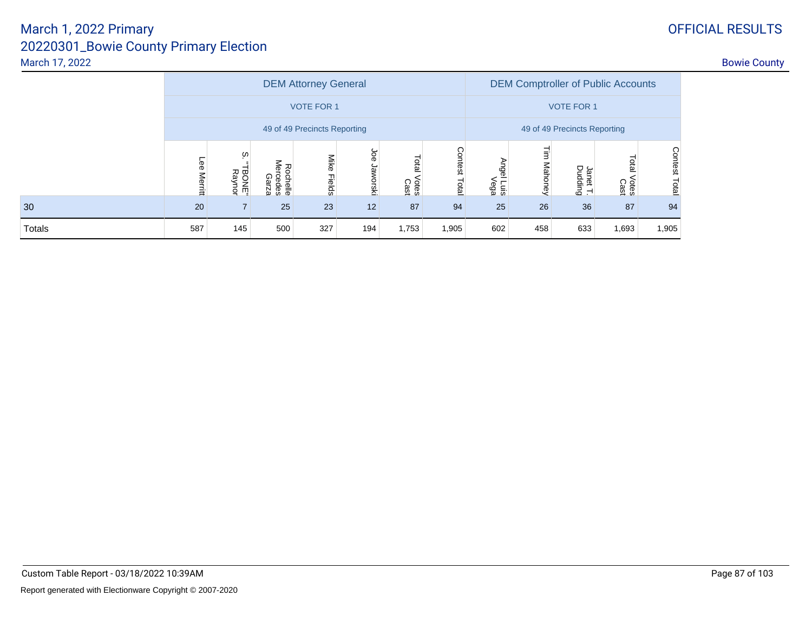# March 1, 2022 Primary

|        |                |                              |                               | <b>DEM Attorney General</b>  | <b>DEM Comptroller of Public Accounts</b> |                              |                  |                           |         |                     |                        |                                |
|--------|----------------|------------------------------|-------------------------------|------------------------------|-------------------------------------------|------------------------------|------------------|---------------------------|---------|---------------------|------------------------|--------------------------------|
|        |                |                              |                               | <b>VOTE FOR 1</b>            |                                           |                              |                  |                           |         | <b>VOTE FOR 1</b>   |                        |                                |
|        |                |                              |                               | 49 of 49 Precincts Reporting |                                           | 49 of 49 Precincts Reporting |                  |                           |         |                     |                        |                                |
|        | Lee<br>Merritt | ഗ<br><b>BONE</b> "<br>Raynor | Rochelle<br>Mercedes<br>Garza | Mike Fields                  | Joe<br>Jaworsk                            | Total<br>Votes<br>Cast       | Contest<br>Total | Angel Luis<br>Siu I legnA | Mahoney | Janet T.<br>Dudding | Total<br>Votes<br>Cast | <b>Contest</b><br><b>Latal</b> |
| 30     | 20             |                              | 25                            | 23                           | 12                                        | 87                           | 94               | 25                        | 26      | 36                  | 87                     | 94                             |
| Totals | 587            | 145                          | 500                           | 327                          | 194                                       | 1,753                        | 1,905            | 602                       | 458     | 633                 | 1,693                  | 1,905                          |

Custom Table Report - 03/18/2022 10:39AM

# 20220301\_Bowie County Primary ElectionMarch 17, 2022entry of the country of the country of the country of the country of the country of the country of the country of the country of the country of the country of the country of the country of the country of the country of the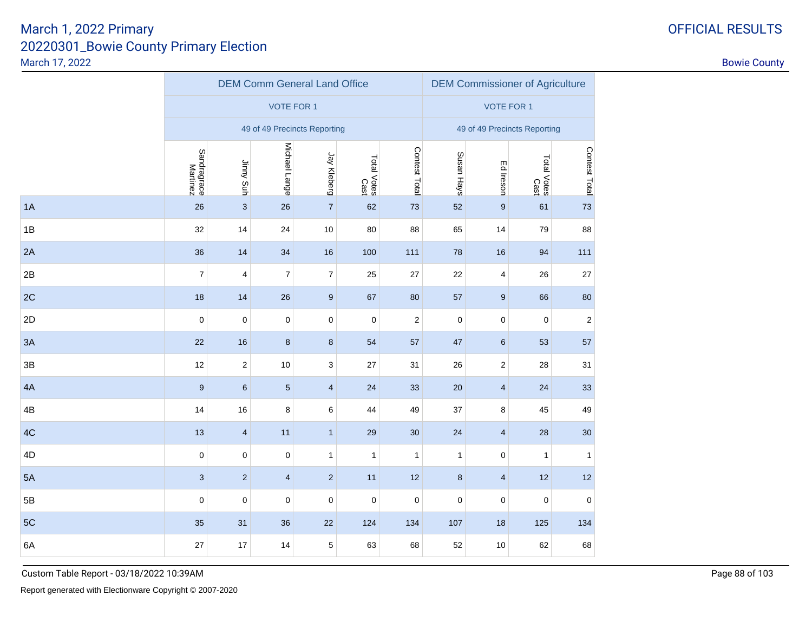1A

1B

2A

 $2B$ 

2C

2D

3A

3B

4A

4B

4C

4D

5A

5B

5C

6A

|   |                         |                           | <b>DEM Comm General Land Office</b> |                |                     |                         |                   | <b>DEM Commissioner of Agriculture</b> |                     |                |  |  |
|---|-------------------------|---------------------------|-------------------------------------|----------------|---------------------|-------------------------|-------------------|----------------------------------------|---------------------|----------------|--|--|
|   |                         |                           | <b>VOTE FOR 1</b>                   |                |                     |                         | <b>VOTE FOR 1</b> |                                        |                     |                |  |  |
|   |                         |                           | 49 of 49 Precincts Reporting        |                |                     |                         |                   | 49 of 49 Precincts Reporting           |                     |                |  |  |
|   | Sandragrace<br>Martinez | Jinny Suh                 | Michael Lange                       | Jay Kleberg    | Total Votes<br>Cast | Contest Total           | Susan Hays        | Ed Ireson                              | Total Votes<br>Cast | Contest Total  |  |  |
| Α | 26                      | $\ensuremath{\mathsf{3}}$ | 26                                  | $\overline{7}$ | 62                  | 73                      | 52                | $\boldsymbol{9}$                       | 61                  | 73             |  |  |
| В | 32                      | 14                        | 24                                  | $10$           | 80                  | 88                      | 65                | 14                                     | 79                  | 88             |  |  |
| A | 36                      | 14                        | 34                                  | 16             | 100                 | 111                     | 78                | 16                                     | 94                  | 111            |  |  |
| B | $\overline{7}$          | 4                         | $\overline{7}$                      | $\overline{7}$ | 25                  | 27                      | 22                | $\overline{4}$                         | 26                  | 27             |  |  |
| C | 18                      | 14                        | 26                                  | 9              | 67                  | 80                      | 57                | 9                                      | 66                  | 80             |  |  |
| D | 0                       | $\pmb{0}$                 | $\mathbf 0$                         | $\pmb{0}$      | $\boldsymbol{0}$    | $\overline{\mathbf{c}}$ | $\mathbf 0$       | $\mathbf 0$                            | $\mathbf 0$         | $\overline{2}$ |  |  |
| A | 22                      | 16                        | $\bf 8$                             | $\bf 8$        | 54                  | 57                      | 47                | $6\phantom{.}6$                        | 53                  | 57             |  |  |
| B | 12                      | $\sqrt{2}$                | 10                                  | $\mathbf{3}$   | 27                  | 31                      | 26                | $\sqrt{2}$                             | 28                  | 31             |  |  |
| Α | 9                       | $\,6\,$                   | $5\phantom{.0}$                     | $\overline{4}$ | 24                  | 33                      | 20                | $\overline{4}$                         | 24                  | 33             |  |  |
| В | 14                      | 16                        | 8                                   | 6              | 44                  | 49                      | 37                | 8                                      | 45                  | 49             |  |  |
| C | 13                      | $\overline{4}$            | 11                                  | $\mathbf{1}$   | 29                  | 30                      | 24                | $\overline{4}$                         | 28                  | 30             |  |  |
| D | 0                       | 0                         | $\mathbf 0$                         | $\mathbf{1}$   | 1                   | $\mathbf{1}$            | $\mathbf{1}$      | $\mathbf 0$                            | $\mathbf{1}$        | 1              |  |  |
| A | $\mathbf{3}$            | $\sqrt{2}$                | $\overline{4}$                      | $\overline{2}$ | 11                  | 12                      | $\bf8$            | $\overline{4}$                         | 12                  | 12             |  |  |
| В | 0                       | $\pmb{0}$                 | $\mathbf 0$                         | 0              | $\pmb{0}$           | $\pmb{0}$               | 0                 | $\mathsf{O}\xspace$                    | $\pmb{0}$           | $\pmb{0}$      |  |  |
|   |                         |                           |                                     |                |                     |                         |                   |                                        |                     |                |  |  |

C 35 31 36 22 124 134 107 18 125 134

A  $27$   $17$   $14$   $5$   $63$   $68$   $52$   $10$   $62$   $68$ 

OFFICIAL RESULTS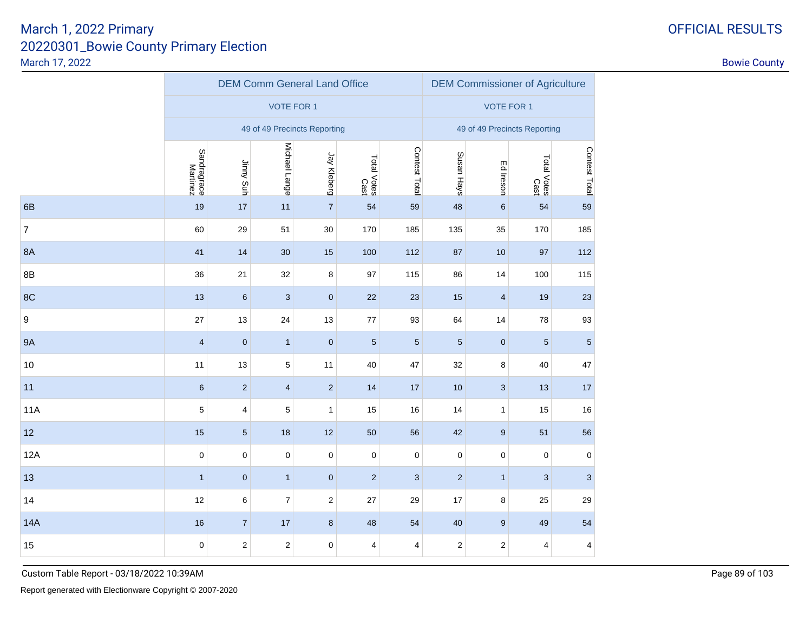|                  |                         |                |                   | <b>DEM Comm General Land Office</b> |                     | <b>DEM Commissioner of Agriculture</b> |                         |                              |                     |                           |
|------------------|-------------------------|----------------|-------------------|-------------------------------------|---------------------|----------------------------------------|-------------------------|------------------------------|---------------------|---------------------------|
|                  |                         |                | <b>VOTE FOR 1</b> |                                     |                     |                                        |                         | <b>VOTE FOR 1</b>            |                     |                           |
|                  |                         |                |                   | 49 of 49 Precincts Reporting        |                     |                                        |                         | 49 of 49 Precincts Reporting |                     |                           |
|                  | Sandragrace<br>Martinez | Jinny Suh      | Michael Lange     | Jay Kleberg                         | Total Votes<br>Cast | Contest Total                          | Susan Hays              | Ed Ireson                    | Total Votes<br>Cast | Contest Total             |
| 6B               | 19                      | 17             | 11                | $\overline{7}$                      | 54                  | 59                                     | 48                      | $\,6\,$                      | 54                  | 59                        |
| $\overline{7}$   | 60                      | 29             | 51                | $30\,$                              | 170                 | 185                                    | 135                     | 35                           | 170                 | 185                       |
| 8A               | 41                      | 14             | 30                | 15                                  | 100                 | 112                                    | 87                      | 10                           | 97                  | 112                       |
| 8B               | 36                      | 21             | 32                | 8                                   | 97                  | 115                                    | 86                      | 14                           | 100                 | 115                       |
| 8C               | 13                      | $\,6\,$        | $\sqrt{3}$        | $\pmb{0}$                           | 22                  | 23                                     | $15$                    | $\overline{\mathbf{4}}$      | 19                  | $23\,$                    |
| $\boldsymbol{9}$ | 27                      | 13             | 24                | 13                                  | $77\,$              | 93                                     | 64                      | 14                           | 78                  | 93                        |
| <b>9A</b>        | $\overline{\mathbf{4}}$ | $\pmb{0}$      | $\mathbf{1}$      | $\pmb{0}$                           | $\sqrt{5}$          | $\sqrt{5}$                             | $\overline{5}$          | $\pmb{0}$                    | 5                   | $\sqrt{5}$                |
| 10               | 11                      | 13             | $\,$ 5 $\,$       | 11                                  | 40                  | 47                                     | 32                      | 8                            | 40                  | 47                        |
| 11               | $\,6\,$                 | $\sqrt{2}$     | $\overline{4}$    | $\overline{2}$                      | 14                  | 17                                     | 10                      | $\sqrt{3}$                   | 13                  | $17\,$                    |
| <b>11A</b>       | 5                       | 4              | $\mathbf 5$       | $\mathbf{1}$                        | 15                  | 16                                     | 14                      | $\mathbf{1}$                 | 15                  | $16$                      |
| 12               | 15                      | $\sqrt{5}$     | 18                | $12$                                | 50                  | 56                                     | 42                      | $\boldsymbol{9}$             | 51                  | 56                        |
| 12A              | $\pmb{0}$               | $\pmb{0}$      | $\pmb{0}$         | 0                                   | $\mathbf 0$         | $\pmb{0}$                              | $\mathbf 0$             | $\pmb{0}$                    | 0                   | $\pmb{0}$                 |
| 13               | $\mathbf{1}$            | $\pmb{0}$      | $\mathbf{1}$      | $\pmb{0}$                           | $\sqrt{2}$          | $\ensuremath{\mathsf{3}}$              | $\mathbf 2$             | $\mathbf{1}$                 | 3                   | $\ensuremath{\mathsf{3}}$ |
| 14               | 12                      | 6              | $\boldsymbol{7}$  | $\overline{\mathbf{c}}$             | 27                  | 29                                     | 17                      | 8                            | 25                  | 29                        |
| <b>14A</b>       | 16                      | $\overline{7}$ | 17                | 8                                   | 48                  | 54                                     | 40                      | $\boldsymbol{9}$             | 49                  | 54                        |
| 15               | $\pmb{0}$               | $\mathbf{2}$   | $\sqrt{2}$        | 0                                   | 4                   | 4                                      | $\overline{\mathbf{c}}$ | $\sqrt{2}$                   | 4                   | 4                         |

Custom Table Report - 03/18/2022 10:39AMManufacturer of the control of the control of the control of the control of the control of the control of the control of the control of the control of the control of the control of the control of the control of the control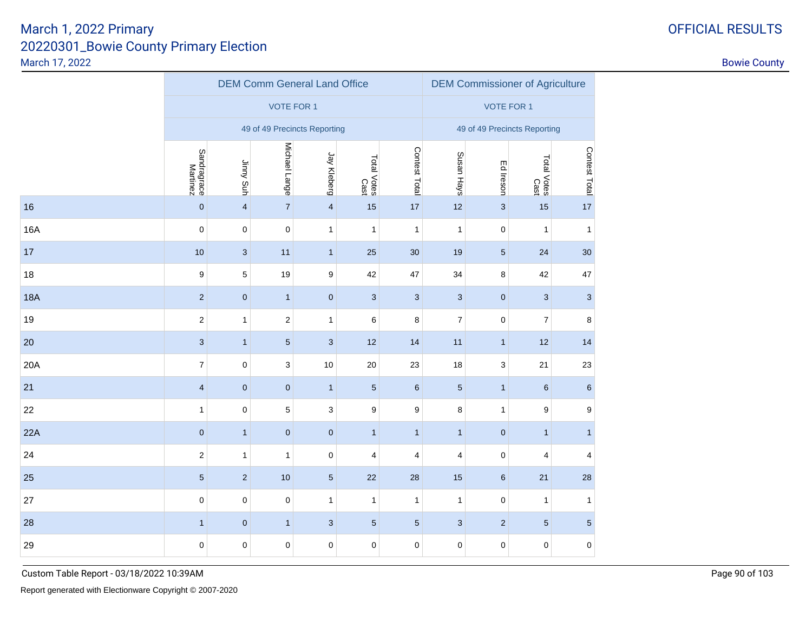|  |  |  | <b>FFICIAL RESULT:</b> |  |  |
|--|--|--|------------------------|--|--|
|--|--|--|------------------------|--|--|

|            |                         |                         | <b>DEM Comm General Land Office</b> |                           |                     |               | <b>DEM Commissioner of Agriculture</b> |                              |                     |                  |  |
|------------|-------------------------|-------------------------|-------------------------------------|---------------------------|---------------------|---------------|----------------------------------------|------------------------------|---------------------|------------------|--|
|            |                         |                         | <b>VOTE FOR 1</b>                   |                           |                     |               |                                        | <b>VOTE FOR 1</b>            |                     |                  |  |
|            |                         |                         | 49 of 49 Precincts Reporting        |                           |                     |               |                                        | 49 of 49 Precincts Reporting |                     |                  |  |
|            | Sandragrace<br>Martinez | Jinny Suh               | Michael Lange                       | Jay Kleberg               | Total Votes<br>Cast | Contest Total | Susan Hays                             | Ed Ireson                    | Total Votes<br>Cast | Contest Total    |  |
| 16         | $\mathbf 0$             | $\overline{\mathbf{4}}$ | $\sqrt{7}$                          | $\overline{\mathbf{4}}$   | 15                  | 17            | 12                                     | $\mathbf{3}$                 | 15                  | 17               |  |
| 16A        | $\mathbf 0$             | $\pmb{0}$               | $\mathbf 0$                         | $\mathbf{1}$              | $\mathbf{1}$        | $\mathbf{1}$  | $\mathbf{1}$                           | $\pmb{0}$                    | 1                   | $\mathbf{1}$     |  |
| 17         | 10                      | $\sqrt{3}$              | 11                                  | $\mathbf{1}$              | 25                  | 30            | 19                                     | $\sqrt{5}$                   | 24                  | 30 <sub>o</sub>  |  |
| 18         | 9                       | 5                       | 19                                  | 9                         | 42                  | 47            | 34                                     | 8                            | 42                  | 47               |  |
| <b>18A</b> | $\overline{2}$          | $\mathbf 0$             | $\mathbf{1}$                        | $\pmb{0}$                 | 3                   | $\mathbf{3}$  | $\mathbf{3}$                           | $\pmb{0}$                    | $\mathbf{3}$        | $\mathbf{3}$     |  |
| 19         | $\overline{2}$          | $\mathbf{1}$            | $\boldsymbol{2}$                    | $\mathbf{1}$              | 6                   | 8             | $\overline{7}$                         | $\mathbf 0$                  | $\overline{7}$      | 8                |  |
| 20         | 3                       | $\mathbf{1}$            | $\sqrt{5}$                          | $\sqrt{3}$                | 12                  | 14            | 11                                     | $\mathbf{1}$                 | 12                  | 14               |  |
| 20A        | $\overline{7}$          | $\mathbf 0$             | 3                                   | 10                        | 20                  | 23            | 18                                     | 3                            | 21                  | 23               |  |
| 21         | $\overline{4}$          | $\pmb{0}$               | $\pmb{0}$                           | $\mathbf{1}$              | $5\phantom{.0}$     | $\,6\,$       | $\sqrt{5}$                             | $\mathbf{1}$                 | $\,6\,$             | $\,6\,$          |  |
| 22         | $\mathbf{1}$            | $\mathbf 0$             | $\,$ 5 $\,$                         | 3                         | 9                   | 9             | 8                                      | $\mathbf{1}$                 | 9                   | $\boldsymbol{9}$ |  |
| 22A        | $\mathbf{0}$            | $\mathbf{1}$            | $\pmb{0}$                           | $\mathbf{0}$              | $\mathbf{1}$        | $\mathbf{1}$  | $\mathbf{1}$                           | $\mathbf 0$                  | $\mathbf{1}$        | $\mathbf{1}$     |  |
| 24         | $\overline{2}$          | $\mathbf{1}$            | $\mathbf{1}$                        | $\pmb{0}$                 | 4                   | 4             | $\overline{4}$                         | $\mathbf 0$                  | 4                   | 4                |  |
| 25         | $5\phantom{.0}$         | $\sqrt{2}$              | 10                                  | $\sqrt{5}$                | 22                  | 28            | 15                                     | $\,6\,$                      | 21                  | 28               |  |
| 27         | $\mathbf 0$             | $\mathbf 0$             | $\mathbf 0$                         | $\mathbf{1}$              | 1                   | $\mathbf{1}$  | $\mathbf{1}$                           | $\pmb{0}$                    | 1                   | $\mathbf{1}$     |  |
| 28         | $\mathbf{1}$            | $\pmb{0}$               | $\mathbf{1}$                        | $\ensuremath{\mathsf{3}}$ | 5                   | $\sqrt{5}$    | $\mathbf{3}$                           | $\sqrt{2}$                   | $\overline{5}$      | $\sqrt{5}$       |  |
| 29         | $\mathbf 0$             | $\pmb{0}$               | $\pmb{0}$                           | $\pmb{0}$                 | 0                   | 0             | $\pmb{0}$                              | $\pmb{0}$                    | $\pmb{0}$           | $\pmb{0}$        |  |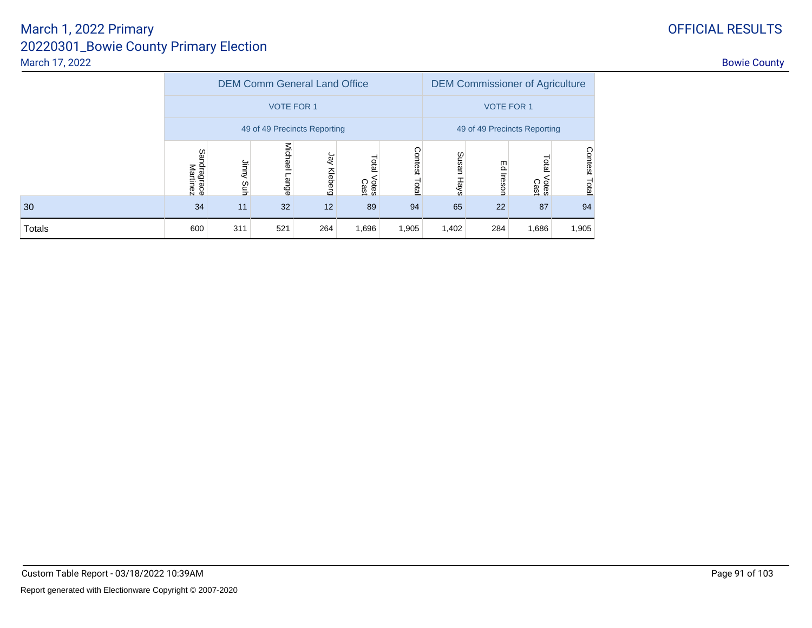|        |                         |                    |                   | <b>DEM Comm General Land Office</b> |                        |                  |                              | <b>DEM Commissioner of Agriculture</b> |                        |                  |
|--------|-------------------------|--------------------|-------------------|-------------------------------------|------------------------|------------------|------------------------------|----------------------------------------|------------------------|------------------|
|        |                         |                    | <b>VOTE FOR 1</b> |                                     |                        |                  |                              | <b>VOTE FOR 1</b>                      |                        |                  |
|        |                         |                    |                   | 49 of 49 Precincts Reporting        |                        |                  | 49 of 49 Precincts Reporting |                                        |                        |                  |
|        | Sandragrace<br>Martinez | <b>Auur</b><br>guh | Michael<br>Lange  | हि<br>Kleberg                       | Total<br>Votes<br>Cast | Contest<br>Total | Susan<br>Hays                | 巴<br>Ireson                            | Total<br>Votes<br>Cast | Contest<br>Total |
| 30     | 34                      | 11                 | 32                | 12                                  | 89                     | 94               | 65                           | 22                                     | 87                     | 94               |
| Totals | 600                     | 311                | 521               | 264                                 | 1,905                  | 1,402            | 284                          | 1,686                                  | 1,905                  |                  |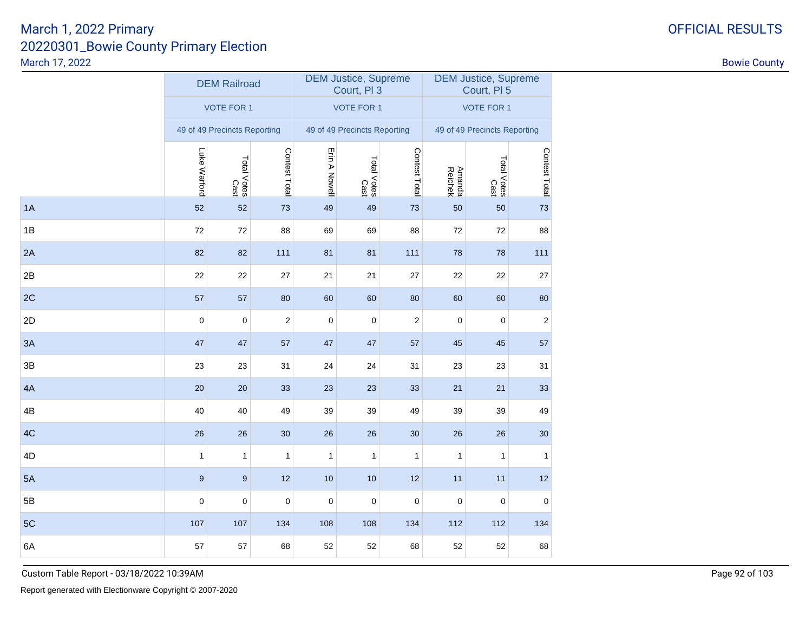|    |              | <b>DEM Railroad</b>          |                |               | <b>DEM Justice, Supreme</b><br>Court, PI 3 |                  | <b>DEM Justice, Supreme</b><br>Court, PI 5 |                              |                |  |
|----|--------------|------------------------------|----------------|---------------|--------------------------------------------|------------------|--------------------------------------------|------------------------------|----------------|--|
|    |              | <b>VOTE FOR 1</b>            |                |               | <b>VOTE FOR 1</b>                          |                  | <b>VOTE FOR 1</b>                          |                              |                |  |
|    |              | 49 of 49 Precincts Reporting |                |               | 49 of 49 Precincts Reporting               |                  |                                            | 49 of 49 Precincts Reporting |                |  |
|    | Luke Warford | Total Votes<br>Cast          | Contest Total  | Erin A Nowell | Total Votes<br>Cast                        | Contest Total    | Amanda<br>Reichek                          | Total Votes<br>Cast          | Contest Total  |  |
| 1A | 52           | 52                           | 73             | 49            | 49                                         | 73               | 50                                         | 50                           | 73             |  |
| 1B | 72           | 72                           | 88             | 69            | 69                                         | 88               | 72                                         | 72                           | 88             |  |
| 2A | 82           | 82                           | 111            | 81            | 81                                         | 111              | 78                                         | 78                           | 111            |  |
| 2B | 22           | 22                           | 27             | 21            | 21                                         | 27               | 22                                         | 22                           | 27             |  |
| 2C | 57           | 57                           | 80             | 60            | 60                                         | 80               | 60                                         | 60                           | 80             |  |
| 2D | $\mathbf 0$  | $\mathbf 0$                  | $\overline{c}$ | $\pmb{0}$     | $\pmb{0}$                                  | $\boldsymbol{2}$ | $\pmb{0}$                                  | $\mathbf 0$                  | $\overline{2}$ |  |
| 3A | 47           | 47                           | 57             | 47            | 47                                         | 57               | 45                                         | 45                           | 57             |  |
| 3B | 23           | 23                           | 31             | 24            | 24                                         | 31               | 23                                         | 23                           | 31             |  |
| 4A | 20           | 20                           | 33             | 23            | 23                                         | 33               | 21                                         | 21                           | 33             |  |
| 4B | 40           | 40                           | 49             | 39            | 39                                         | 49               | 39                                         | 39                           | 49             |  |
| 4C | 26           | 26                           | $30\,$         | 26            | 26                                         | 30               | 26                                         | 26                           | 30             |  |
| 4D | $\mathbf{1}$ | 1                            | $\mathbf{1}$   | 1             | $\mathbf{1}$                               | $\mathbf{1}$     | $\mathbf{1}$                               | $\mathbf{1}$                 | 1              |  |
| 5A | $9\,$        | 9                            | 12             | 10            | 10                                         | 12               | 11                                         | 11                           | 12             |  |
| 5B | $\mathbf 0$  | $\pmb{0}$                    | $\pmb{0}$      | $\pmb{0}$     | $\pmb{0}$                                  | $\pmb{0}$        | $\pmb{0}$                                  | $\mathbf 0$                  | $\mathbf 0$    |  |
| 5C | 107          | 107                          | 134            | 108           | 108                                        | 134              | 112                                        | 112                          | 134            |  |
| 6A | 57           | 57                           | 68             | 52            | 52                                         | 68               | 52                                         | 52                           | 68             |  |
|    |              |                              |                |               |                                            |                  |                                            |                              |                |  |

Custom Table Report - 03/18/2022 10:39AM

# OFFICIAL RESULTS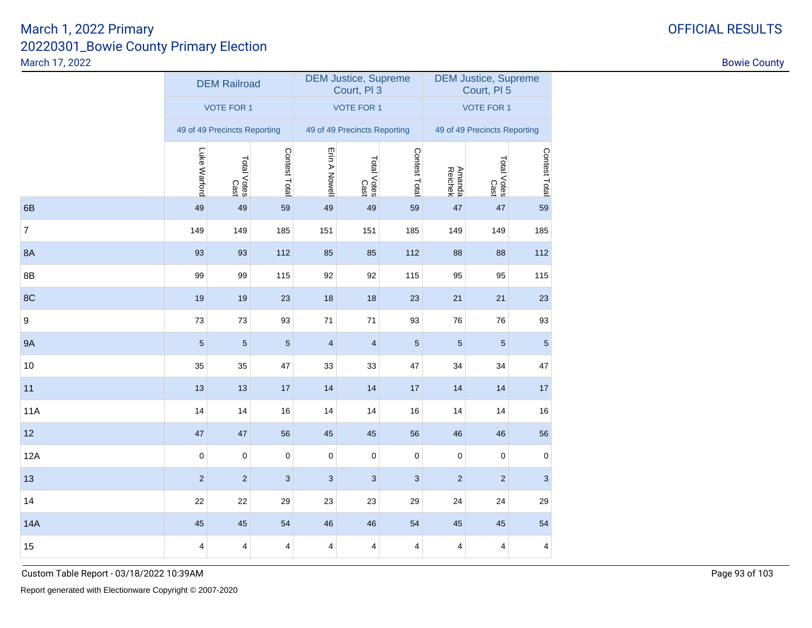|                 |                |                     |                                                                          |                           |                           | <b>DEM Justice, Supreme</b><br>Court, PI 5                                                                                    |                   |                           |  |
|-----------------|----------------|---------------------|--------------------------------------------------------------------------|---------------------------|---------------------------|-------------------------------------------------------------------------------------------------------------------------------|-------------------|---------------------------|--|
|                 |                |                     |                                                                          |                           |                           | <b>VOTE FOR 1</b>                                                                                                             |                   |                           |  |
|                 |                |                     |                                                                          |                           |                           | 49 of 49 Precincts Reporting                                                                                                  |                   |                           |  |
| Luke Warford    |                | Contest Total       | Erin A Nowell                                                            |                           | Contest Total             |                                                                                                                               |                   | Contest Total             |  |
| 49              | 49             | 59                  | 49                                                                       | 49                        | 59                        | 47                                                                                                                            | 47                | 59                        |  |
| 149             | 149            | 185                 | 151                                                                      | 151                       | 185                       | 149                                                                                                                           | 149               | 185                       |  |
| 93              | 93             | 112                 | 85                                                                       | 85                        | 112                       | 88                                                                                                                            | 88                | 112                       |  |
| 99              | 99             | 115                 | 92                                                                       | 92                        | 115                       | 95                                                                                                                            | 95                | 115                       |  |
| 19              | 19             | 23                  | 18                                                                       | 18                        | 23                        | 21                                                                                                                            | 21                | 23                        |  |
| 73              | 73             | 93                  | 71                                                                       | 71                        | 93                        | 76                                                                                                                            | 76                | 93                        |  |
| $5\phantom{.0}$ | $\overline{5}$ | $\sqrt{5}$          | $\overline{4}$                                                           | $\overline{4}$            | $\sqrt{5}$                | $\overline{5}$                                                                                                                | $\sqrt{5}$        | $\sqrt{5}$                |  |
| 35              | 35             | 47                  | 33                                                                       | 33                        | 47                        | 34                                                                                                                            | 34                | 47                        |  |
| 13              | 13             | 17                  | 14                                                                       | 14                        | 17                        | 14                                                                                                                            | 14                | 17                        |  |
| 14              | 14             | 16                  | 14                                                                       | 14                        | $16$                      | 14                                                                                                                            | 14                | 16                        |  |
| 47              | 47             | 56                  | 45                                                                       | 45                        | 56                        | 46                                                                                                                            | 46                | 56                        |  |
| $\pmb{0}$       | $\pmb{0}$      | $\pmb{0}$           | $\pmb{0}$                                                                | 0                         | $\pmb{0}$                 | 0                                                                                                                             | $\pmb{0}$         | $\pmb{0}$                 |  |
| $\overline{2}$  | $\overline{2}$ | 3                   | 3                                                                        | $\ensuremath{\mathsf{3}}$ | $\ensuremath{\mathsf{3}}$ | $\sqrt{2}$                                                                                                                    | $\mathbf 2$       | $\ensuremath{\mathsf{3}}$ |  |
| 22              | 22             | 29                  | 23                                                                       | 23                        | 29                        | 24                                                                                                                            | 24                | 29                        |  |
| 45              | 45             | 54                  | 46                                                                       | 46                        | 54                        | 45                                                                                                                            | 45                | 54                        |  |
| 4               | 4              | 4                   | 4                                                                        | 4                         | 4                         | 4                                                                                                                             | 4                 | 4                         |  |
|                 |                | Total Votes<br>Cast | <b>DEM Railroad</b><br><b>VOTE FOR 1</b><br>49 of 49 Precincts Reporting |                           |                           | <b>DEM Justice, Supreme</b><br>Court, PI 3<br><b>VOTE FOR 1</b><br>49 of 49 Precincts Reporting<br>Total Votes<br>Total Votes | Amanda<br>Reichek | Total Votes<br>Cast       |  |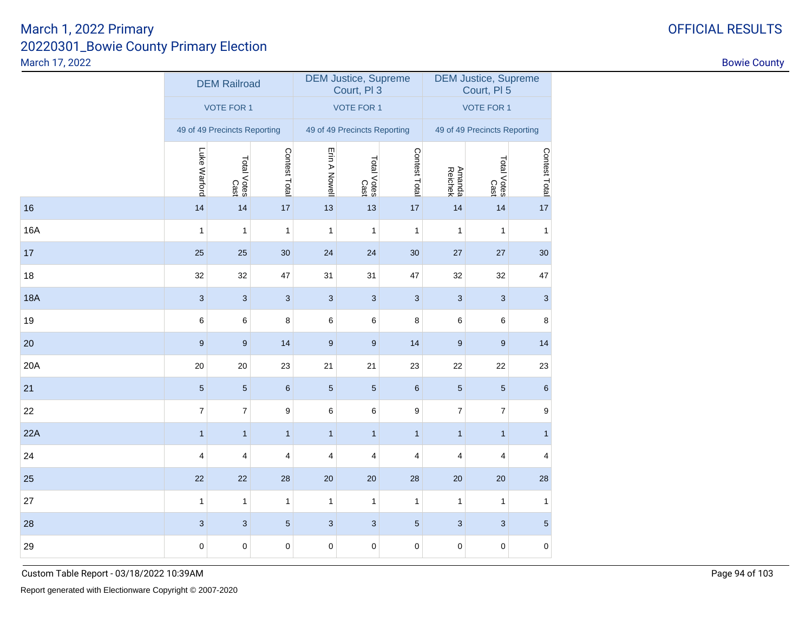|            |                  | <b>DEM Railroad</b>          |                           |                           | <b>DEM Justice, Supreme</b><br>Court, PI 3 |                  | <b>DEM Justice, Supreme</b><br>Court, PI 5 |                     |               |  |
|------------|------------------|------------------------------|---------------------------|---------------------------|--------------------------------------------|------------------|--------------------------------------------|---------------------|---------------|--|
|            |                  | <b>VOTE FOR 1</b>            |                           |                           | <b>VOTE FOR 1</b>                          |                  | <b>VOTE FOR 1</b>                          |                     |               |  |
|            |                  | 49 of 49 Precincts Reporting |                           |                           | 49 of 49 Precincts Reporting               |                  | 49 of 49 Precincts Reporting               |                     |               |  |
|            | Luke Warford     | Total Votes<br>Cast          | Contest Total             | Erin A Nowell             | Total Votes<br>Cast                        | Contest Total    | Amanda<br>Reichek                          | Total Votes<br>Cast | Contest Total |  |
| 16         | 14               | 14                           | 17                        | 13                        | 13                                         | 17               | 14                                         | 14                  | 17            |  |
| 16A        | 1                | 1                            | 1                         | 1                         | 1                                          | 1                | 1                                          | $\mathbf{1}$        | 1             |  |
| 17         | 25               | 25                           | 30                        | 24                        | 24                                         | 30               | 27                                         | 27                  | 30            |  |
| 18         | 32               | 32                           | 47                        | 31                        | 31                                         | 47               | 32                                         | 32                  | 47            |  |
| <b>18A</b> | $\mathbf{3}$     | $\ensuremath{\mathsf{3}}$    | $\ensuremath{\mathsf{3}}$ | 3                         | $\sqrt{3}$                                 | $\sqrt{3}$       | $\sqrt{3}$                                 | 3                   | 3             |  |
| 19         | 6                | 6                            | 8                         | 6                         | 6                                          | 8                | 6                                          | 6                   | 8             |  |
| 20         | 9                | 9                            | 14                        | 9                         | $9\,$                                      | 14               | $\boldsymbol{9}$                           | 9                   | 14            |  |
| 20A        | 20               | 20                           | 23                        | 21                        | 21                                         | 23               | 22                                         | 22                  | 23            |  |
| 21         | $\sqrt{5}$       | $\sqrt{5}$                   | $\,$ 6 $\,$               | $\sqrt{5}$                | $\sqrt{5}$                                 | $\,6\,$          | $\sqrt{5}$                                 | $\sqrt{5}$          | $\,$ 6 $\,$   |  |
| 22         | $\boldsymbol{7}$ | 7                            | 9                         | 6                         | 6                                          | $\boldsymbol{9}$ | $\overline{7}$                             | 7                   | 9             |  |
| 22A        | $\mathbf{1}$     | $\mathbf{1}$                 | $\mathbf{1}$              | $\mathbf{1}$              | $\mathbf{1}$                               | $\mathbf{1}$     | $\mathbf{1}$                               | $\mathbf{1}$        | $\mathbf{1}$  |  |
| 24         | 4                | 4                            | 4                         | 4                         | 4                                          | 4                | 4                                          | 4                   | 4             |  |
| 25         | 22               | 22                           | 28                        | 20                        | 20                                         | 28               | $20\,$                                     | $20\,$              | 28            |  |
| 27         | 1                | $\mathbf{1}$                 | $\mathbf{1}$              | $\mathbf{1}$              | $\mathbf{1}$                               | $\mathbf{1}$     | $\mathbf{1}$                               | $\mathbf{1}$        | $\mathbf{1}$  |  |
| 28         | $\sqrt{3}$       | $\ensuremath{\mathsf{3}}$    | $5\,$                     | $\ensuremath{\mathsf{3}}$ | $\ensuremath{\mathsf{3}}$                  | $\sqrt{5}$       | 3                                          | 3                   | $\sqrt{5}$    |  |
| 29         | $\pmb{0}$        | 0                            | $\pmb{0}$                 | $\pmb{0}$                 | 0                                          | $\pmb{0}$        | 0                                          | 0                   | 0             |  |

Custom Table Report - 03/18/2022 10:39AM

# OFFICIAL RESULTS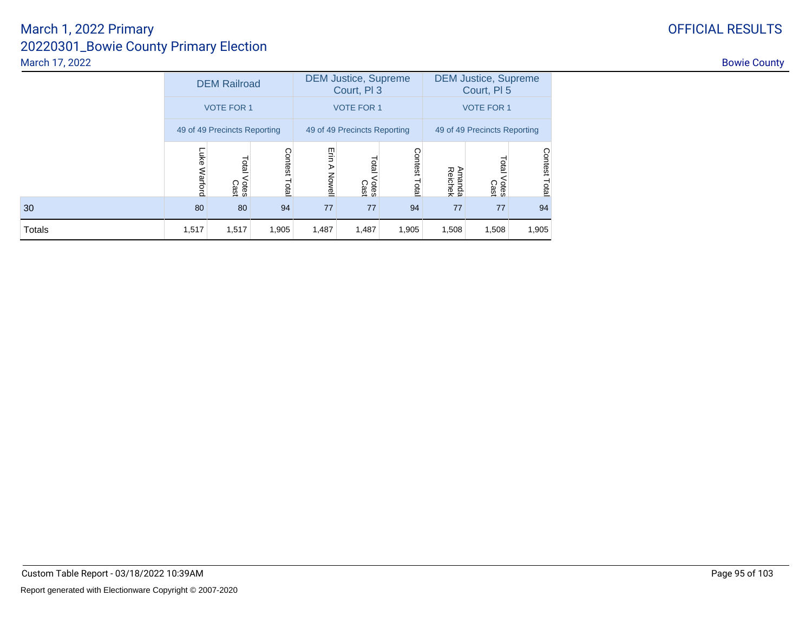|               |                              | <b>DEM Railroad</b>           |                         |                     | <b>DEM Justice, Supreme</b><br>Court, PI 3 |                         | <b>DEM Justice, Supreme</b><br>Court, PI 5 |                        |                         |  |
|---------------|------------------------------|-------------------------------|-------------------------|---------------------|--------------------------------------------|-------------------------|--------------------------------------------|------------------------|-------------------------|--|
|               | <b>VOTE FOR 1</b>            |                               |                         |                     | <b>VOTE FOR 1</b>                          |                         | <b>VOTE FOR 1</b>                          |                        |                         |  |
|               | 49 of 49 Precincts Reporting |                               |                         |                     | 49 of 49 Precincts Reporting               |                         | 49 of 49 Precincts Reporting               |                        |                         |  |
|               | Luke<br>Warford              | <b>Total</b><br>Votes<br>Cast | <b>Contest</b><br>Total | Erin<br>⋗<br>Nowell | Total<br>Votes<br>Cast                     | <b>Contest</b><br>Total | Amanda<br>Reichek                          | Total<br>Votes<br>Cast | <b>Contest</b><br>Total |  |
| 30            | 80                           | 80                            | 94                      | 77                  | 77                                         | 94                      | 77                                         | 77                     | 94                      |  |
| <b>Totals</b> | 1,517                        | 1,517                         | 1,905                   | 1,487               | 1,487                                      | 1,905                   | 1,508                                      | 1,508                  | 1,905                   |  |

# OFFICIAL RESULTS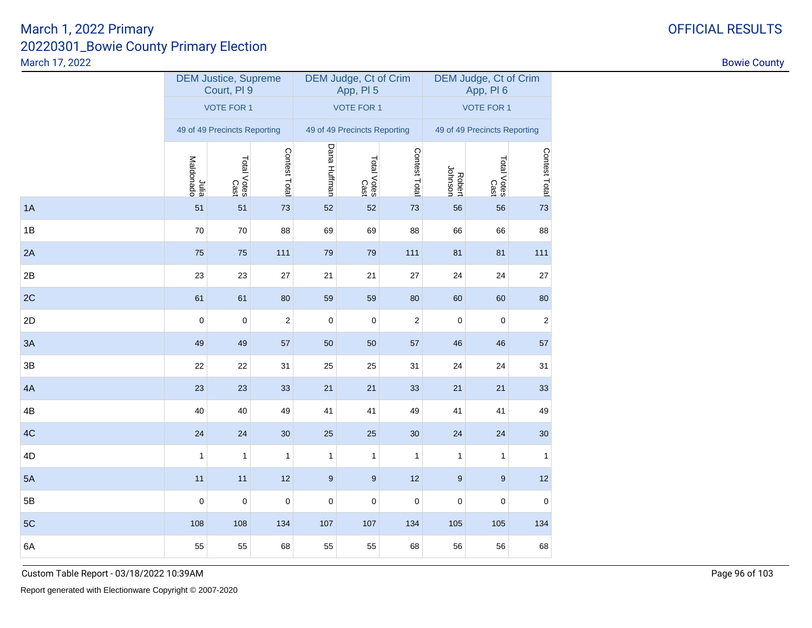|    |                    | <b>DEM Justice, Supreme</b><br>Court, PI 9 |                  |              | DEM Judge, Ct of Crim<br>App, PI 5 |                | DEM Judge, Ct of Crim<br>App, PI6 |                              |               |  |
|----|--------------------|--------------------------------------------|------------------|--------------|------------------------------------|----------------|-----------------------------------|------------------------------|---------------|--|
|    |                    | <b>VOTE FOR 1</b>                          |                  |              | <b>VOTE FOR 1</b>                  |                | <b>VOTE FOR 1</b>                 |                              |               |  |
|    |                    | 49 of 49 Precincts Reporting               |                  |              | 49 of 49 Precincts Reporting       |                |                                   | 49 of 49 Precincts Reporting |               |  |
|    | slulu<br>Maldonado | Total Votes<br>Cast                        | Contest Total    | Dana Huffman | Total Votes<br>Cast                | Contest Total  | Robert<br>Johnson                 | Total Votes<br>Cast          | Contest Total |  |
| 1A | 51                 | 51                                         | 73               | 52           | 52                                 | 73             | 56                                | 56                           | 73            |  |
| 1B | 70                 | 70                                         | 88               | 69           | 69                                 | 88             | 66                                | 66                           | 88            |  |
| 2A | 75                 | 75                                         | 111              | 79           | 79                                 | 111            | 81                                | 81                           | 111           |  |
| 2B | 23                 | 23                                         | 27               | 21           | 21                                 | 27             | 24                                | 24                           | 27            |  |
| 2C | 61                 | 61                                         | 80               | 59           | 59                                 | 80             | 60                                | 60                           | 80            |  |
| 2D | $\mathbf 0$        | $\mathbf 0$                                | $\boldsymbol{2}$ | $\mathbf 0$  | 0                                  | $\overline{c}$ | 0                                 | 0                            | 2             |  |
| 3A | 49                 | 49                                         | 57               | 50           | 50                                 | 57             | 46                                | 46                           | 57            |  |
| 3B | 22                 | 22                                         | 31               | 25           | 25                                 | 31             | 24                                | 24                           | 31            |  |
| 4A | 23                 | 23                                         | 33               | 21           | 21                                 | 33             | 21                                | 21                           | 33            |  |
| 4B | 40                 | 40                                         | 49               | 41           | 41                                 | 49             | 41                                | 41                           | 49            |  |
| 4C | 24                 | 24                                         | 30               | 25           | 25                                 | 30             | 24                                | 24                           | 30            |  |
| 4D | $\mathbf{1}$       | $\mathbf{1}$                               | $\mathbf{1}$     | $\mathbf{1}$ | $\mathbf{1}$                       | 1              | 1                                 | 1                            | $\mathbf{1}$  |  |
| 5A | 11                 | 11                                         | 12               | $9$          | 9                                  | 12             | $9$                               | $9\,$                        | 12            |  |
| 5B | $\mathbf 0$        | $\mathbf 0$                                | $\mathbf 0$      | $\pmb{0}$    | $\mathbf 0$                        | $\pmb{0}$      | 0                                 | 0                            | $\mathbf 0$   |  |
| 5C | 108                | 108                                        | 134              | 107          | 107                                | 134            | 105                               | 105                          | 134           |  |
| 6A | 55                 | 55                                         | 68               | 55           | 55                                 | 68             | 56                                | 56                           | 68            |  |
|    |                    |                                            |                  |              |                                    |                |                                   |                              |               |  |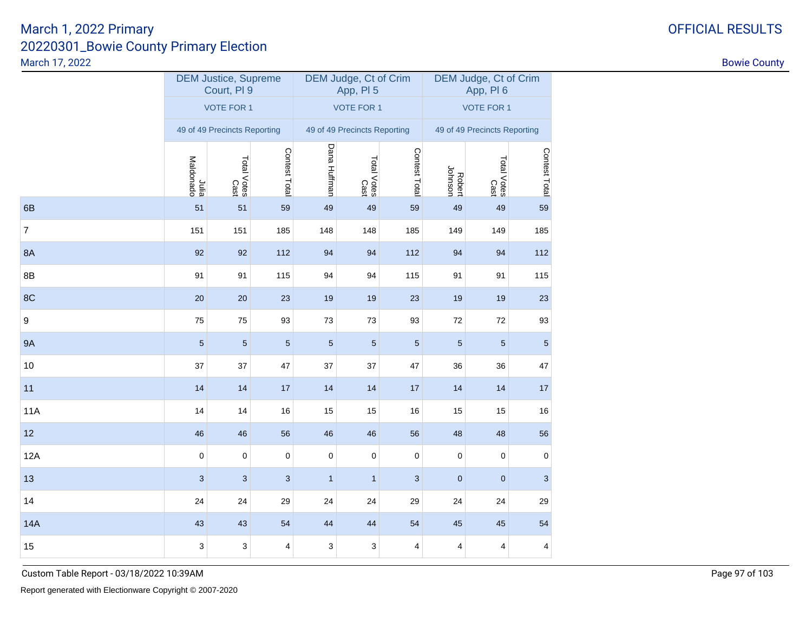| <b>VOTE FOR 1</b><br><b>VOTE FOR 1</b><br><b>VOTE FOR 1</b><br>49 of 49 Precincts Reporting<br>49 of 49 Precincts Reporting<br>Dana Huffman<br>Contest Total<br>Contest Total<br>Total Votes<br>Cast<br>Total Votes<br>Cast<br>Julia<br>Maldonado<br>Total Votes<br>Cast<br>Robert<br>Johnson<br>6B<br>51<br>49<br>51<br>59<br>49<br>59<br>49<br>49<br>7<br>151<br>151<br>185<br>148<br>148<br>185<br>149<br>149<br>8A<br>92<br>92<br>112<br>94<br>94<br>112<br>94<br>94<br>8B<br>91<br>115<br>94<br>94<br>115<br>91<br>91<br>91<br>8C<br>20<br>19<br>20<br>23<br>19<br>23<br>19<br>19<br>9<br>75<br>75<br>93<br>73<br>93<br>73<br>72<br>72<br>9A<br>5<br>$\sqrt{5}$<br>$\sqrt{5}$<br>$\sqrt{5}$<br>5<br>$\sqrt{5}$<br>$\sqrt{5}$<br>5<br>10<br>37<br>37<br>47<br>37<br>37<br>47<br>36<br>36<br>11<br>14<br>14<br>17<br>14<br>14<br>$17$<br>14<br>14<br>11A<br>14<br>14<br>$16$<br>15<br>15<br>$16$<br>15<br>15<br>12<br>46<br>46<br>56<br>46<br>46<br>56<br>48<br>48<br>12A<br>$\pmb{0}$<br>$\pmb{0}$<br>$\pmb{0}$<br>$\pmb{0}$<br>$\pmb{0}$<br>$\pmb{0}$<br>0<br>0<br>13<br>3<br>3<br>3<br>3<br>$\mathbf 0$<br>$\mathbf 0$<br>$\mathbf{1}$<br>$\mathbf{1}$<br>14<br>24<br>24<br>29<br>24<br>24<br>29<br>24<br>24<br>43<br>43<br>54<br><b>14A</b><br>44<br>44<br>54<br>45<br>45 |    |   | <b>DEM Justice, Supreme</b><br>Court, PI 9 |   |   | DEM Judge, Ct of Crim<br>App, PI 5 |   | DEM Judge, Ct of Crim<br>App, PI6 |   |               |  |
|----------------------------------------------------------------------------------------------------------------------------------------------------------------------------------------------------------------------------------------------------------------------------------------------------------------------------------------------------------------------------------------------------------------------------------------------------------------------------------------------------------------------------------------------------------------------------------------------------------------------------------------------------------------------------------------------------------------------------------------------------------------------------------------------------------------------------------------------------------------------------------------------------------------------------------------------------------------------------------------------------------------------------------------------------------------------------------------------------------------------------------------------------------------------------------------------------------------------------------------------------------------------------------|----|---|--------------------------------------------|---|---|------------------------------------|---|-----------------------------------|---|---------------|--|
|                                                                                                                                                                                                                                                                                                                                                                                                                                                                                                                                                                                                                                                                                                                                                                                                                                                                                                                                                                                                                                                                                                                                                                                                                                                                                  |    |   |                                            |   |   |                                    |   |                                   |   |               |  |
|                                                                                                                                                                                                                                                                                                                                                                                                                                                                                                                                                                                                                                                                                                                                                                                                                                                                                                                                                                                                                                                                                                                                                                                                                                                                                  |    |   |                                            |   |   |                                    |   | 49 of 49 Precincts Reporting      |   |               |  |
|                                                                                                                                                                                                                                                                                                                                                                                                                                                                                                                                                                                                                                                                                                                                                                                                                                                                                                                                                                                                                                                                                                                                                                                                                                                                                  |    |   |                                            |   |   |                                    |   |                                   |   | Contest Total |  |
|                                                                                                                                                                                                                                                                                                                                                                                                                                                                                                                                                                                                                                                                                                                                                                                                                                                                                                                                                                                                                                                                                                                                                                                                                                                                                  |    |   |                                            |   |   |                                    |   |                                   |   | 59            |  |
|                                                                                                                                                                                                                                                                                                                                                                                                                                                                                                                                                                                                                                                                                                                                                                                                                                                                                                                                                                                                                                                                                                                                                                                                                                                                                  |    |   |                                            |   |   |                                    |   |                                   |   | 185           |  |
|                                                                                                                                                                                                                                                                                                                                                                                                                                                                                                                                                                                                                                                                                                                                                                                                                                                                                                                                                                                                                                                                                                                                                                                                                                                                                  |    |   |                                            |   |   |                                    |   |                                   |   | 112           |  |
|                                                                                                                                                                                                                                                                                                                                                                                                                                                                                                                                                                                                                                                                                                                                                                                                                                                                                                                                                                                                                                                                                                                                                                                                                                                                                  |    |   |                                            |   |   |                                    |   |                                   |   | 115           |  |
|                                                                                                                                                                                                                                                                                                                                                                                                                                                                                                                                                                                                                                                                                                                                                                                                                                                                                                                                                                                                                                                                                                                                                                                                                                                                                  |    |   |                                            |   |   |                                    |   |                                   |   | 23            |  |
|                                                                                                                                                                                                                                                                                                                                                                                                                                                                                                                                                                                                                                                                                                                                                                                                                                                                                                                                                                                                                                                                                                                                                                                                                                                                                  |    |   |                                            |   |   |                                    |   |                                   |   | 93            |  |
|                                                                                                                                                                                                                                                                                                                                                                                                                                                                                                                                                                                                                                                                                                                                                                                                                                                                                                                                                                                                                                                                                                                                                                                                                                                                                  |    |   |                                            |   |   |                                    |   |                                   |   | $\sqrt{5}$    |  |
|                                                                                                                                                                                                                                                                                                                                                                                                                                                                                                                                                                                                                                                                                                                                                                                                                                                                                                                                                                                                                                                                                                                                                                                                                                                                                  |    |   |                                            |   |   |                                    |   |                                   |   | 47            |  |
|                                                                                                                                                                                                                                                                                                                                                                                                                                                                                                                                                                                                                                                                                                                                                                                                                                                                                                                                                                                                                                                                                                                                                                                                                                                                                  |    |   |                                            |   |   |                                    |   |                                   |   | 17            |  |
|                                                                                                                                                                                                                                                                                                                                                                                                                                                                                                                                                                                                                                                                                                                                                                                                                                                                                                                                                                                                                                                                                                                                                                                                                                                                                  |    |   |                                            |   |   |                                    |   |                                   |   | 16            |  |
|                                                                                                                                                                                                                                                                                                                                                                                                                                                                                                                                                                                                                                                                                                                                                                                                                                                                                                                                                                                                                                                                                                                                                                                                                                                                                  |    |   |                                            |   |   |                                    |   |                                   |   | 56            |  |
|                                                                                                                                                                                                                                                                                                                                                                                                                                                                                                                                                                                                                                                                                                                                                                                                                                                                                                                                                                                                                                                                                                                                                                                                                                                                                  |    |   |                                            |   |   |                                    |   |                                   |   | $\pmb{0}$     |  |
|                                                                                                                                                                                                                                                                                                                                                                                                                                                                                                                                                                                                                                                                                                                                                                                                                                                                                                                                                                                                                                                                                                                                                                                                                                                                                  |    |   |                                            |   |   |                                    |   |                                   |   | 3             |  |
|                                                                                                                                                                                                                                                                                                                                                                                                                                                                                                                                                                                                                                                                                                                                                                                                                                                                                                                                                                                                                                                                                                                                                                                                                                                                                  |    |   |                                            |   |   |                                    |   |                                   |   | 29            |  |
|                                                                                                                                                                                                                                                                                                                                                                                                                                                                                                                                                                                                                                                                                                                                                                                                                                                                                                                                                                                                                                                                                                                                                                                                                                                                                  |    |   |                                            |   |   |                                    |   |                                   |   | 54            |  |
|                                                                                                                                                                                                                                                                                                                                                                                                                                                                                                                                                                                                                                                                                                                                                                                                                                                                                                                                                                                                                                                                                                                                                                                                                                                                                  | 15 | 3 | 3                                          | 4 | 3 | 3                                  | 4 | 4                                 | 4 | 4             |  |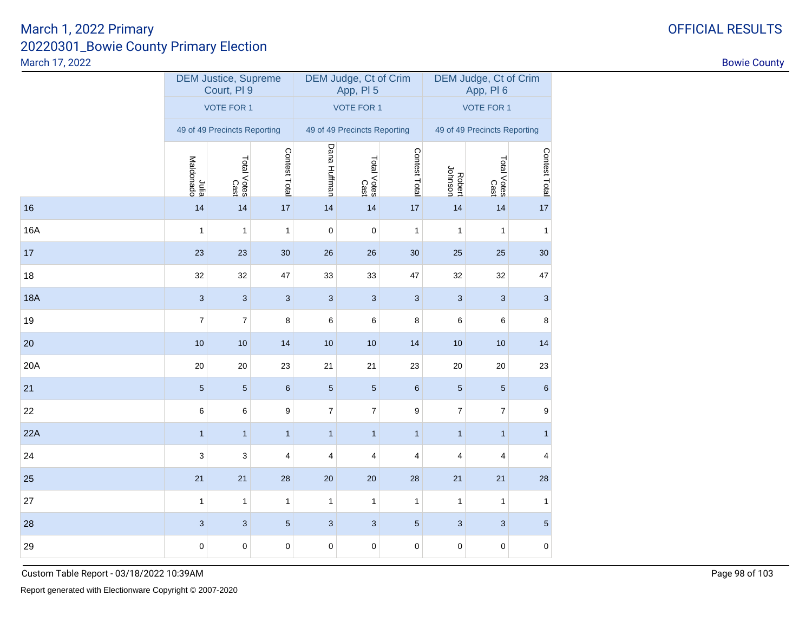|            |                              | <b>DEM Justice, Supreme</b><br>Court, PI 9 |                           |                  | DEM Judge, Ct of Crim<br>App, PI 5 |                           | DEM Judge, Ct of Crim<br>App, PI6 |                           |                |  |
|------------|------------------------------|--------------------------------------------|---------------------------|------------------|------------------------------------|---------------------------|-----------------------------------|---------------------------|----------------|--|
|            |                              | <b>VOTE FOR 1</b>                          |                           |                  | <b>VOTE FOR 1</b>                  |                           | <b>VOTE FOR 1</b>                 |                           |                |  |
|            | 49 of 49 Precincts Reporting |                                            |                           |                  | 49 of 49 Precincts Reporting       |                           | 49 of 49 Precincts Reporting      |                           |                |  |
|            | Julia<br>Maldonado           | Total Votes<br>Total Votes                 | Contest Total             | Dana Huffman     | Total Votes<br>Cast                | Contest Total             | Robert<br>Johnson                 | Total Votes<br>Cast       | Contest Total  |  |
| 16         | 14                           | 14                                         | 17                        | 14               | 14                                 | 17                        | 14                                | 14                        | 17             |  |
| <b>16A</b> | 1                            | $\mathbf{1}$                               | $\mathbf{1}$              | $\pmb{0}$        | $\mathbf 0$                        | 1                         | $\mathbf{1}$                      | $\mathbf{1}$              | $\mathbf{1}$   |  |
| 17         | 23                           | 23                                         | 30                        | 26               | 26                                 | 30                        | 25                                | 25                        | 30             |  |
| 18         | 32                           | 32                                         | 47                        | 33               | 33                                 | 47                        | 32                                | 32                        | 47             |  |
| <b>18A</b> | $\sqrt{3}$                   | $\sqrt{3}$                                 | $\ensuremath{\mathsf{3}}$ | $\sqrt{3}$       | $\ensuremath{\mathsf{3}}$          | $\ensuremath{\mathsf{3}}$ | $\ensuremath{\mathsf{3}}$         | $\ensuremath{\mathsf{3}}$ | $\mathbf{3}$   |  |
| 19         | $\overline{7}$               | $\boldsymbol{7}$                           | 8                         | 6                | 6                                  | 8                         | 6                                 | 6                         | 8              |  |
| 20         | 10                           | $10$                                       | 14                        | 10               | $10$                               | 14                        | 10                                | $10$                      | 14             |  |
| 20A        | 20                           | 20                                         | 23                        | 21               | 21                                 | 23                        | 20                                | 20                        | 23             |  |
| 21         | $\sqrt{5}$                   | $\sqrt{5}$                                 | $\,6$                     | $\sqrt{5}$       | $\sqrt{5}$                         | $\,6$                     | 5                                 | $\overline{5}$            | $\,6\,$        |  |
| 22         | 6                            | 6                                          | $\boldsymbol{9}$          | $\boldsymbol{7}$ | 7                                  | $\boldsymbol{9}$          | 7                                 | 7                         | 9              |  |
| 22A        | $\mathbf{1}$                 | $\mathbf{1}$                               | $\mathbf{1}$              | $\mathbf{1}$     | $\mathbf{1}$                       | $\mathbf{1}$              | $\mathbf{1}$                      | $\mathbf{1}$              | $\mathbf{1}$   |  |
| 24         | 3                            | 3                                          | 4                         | 4                | 4                                  | 4                         | 4                                 | 4                         | $\overline{4}$ |  |
| 25         | 21                           | 21                                         | 28                        | 20               | $20\,$                             | 28                        | 21                                | 21                        | 28             |  |
| 27         | 1                            | $\mathbf{1}$                               | $\mathbf{1}$              | $\mathbf{1}$     | $\mathbf{1}$                       | $\mathbf{1}$              | $\mathbf{1}$                      | $\mathbf{1}$              | $\mathbf{1}$   |  |
| 28         | $\mathbf{3}$                 | $\mathbf{3}$                               | $\sqrt{5}$                | 3                | $\sqrt{3}$                         | $\sqrt{5}$                | 3                                 | $\ensuremath{\mathsf{3}}$ | $\sqrt{5}$     |  |
| 29         | $\pmb{0}$                    | $\pmb{0}$                                  | $\mathbf 0$               | $\pmb{0}$        | $\pmb{0}$                          | 0                         | 0                                 | $\pmb{0}$                 | $\pmb{0}$      |  |

Custom Table Report - 03/18/2022 10:39AM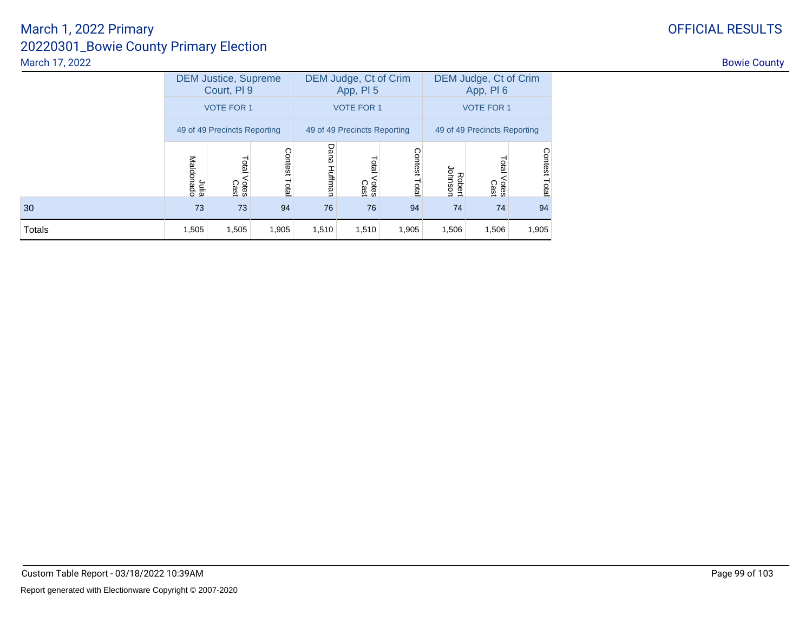|               | <b>DEM Justice, Supreme</b><br>Court, PI 9 |                        |                         |              | DEM Judge, Ct of Crim<br>App, PI 5 |                  | DEM Judge, Ct of Crim<br>App, PI6 |                       |                  |  |
|---------------|--------------------------------------------|------------------------|-------------------------|--------------|------------------------------------|------------------|-----------------------------------|-----------------------|------------------|--|
|               | <b>VOTE FOR 1</b>                          |                        |                         |              | <b>VOTE FOR 1</b>                  |                  | <b>VOTE FOR 1</b>                 |                       |                  |  |
|               | 49 of 49 Precincts Reporting               |                        |                         |              | 49 of 49 Precincts Reporting       |                  | 49 of 49 Precincts Reporting      |                       |                  |  |
|               | Julia<br>Maldonado                         | Total<br>Votes<br>Cast | <b>Contest</b><br>Total | Dana Huffman | Total<br>Votes<br>Cast             | Contest<br>Total | Johnson<br>Robert                 | Tota<br>Votes<br>Cast | Contest<br>Total |  |
| 30            | 73                                         | 73                     | 94                      | 76           | 76                                 | 94               | 74                                | 74                    | 94               |  |
| <b>Totals</b> | 1,505                                      | 1,505                  | 1,905                   | 1,510        | 1,510                              | 1,905            | 1,506                             | 1,506                 | 1,905            |  |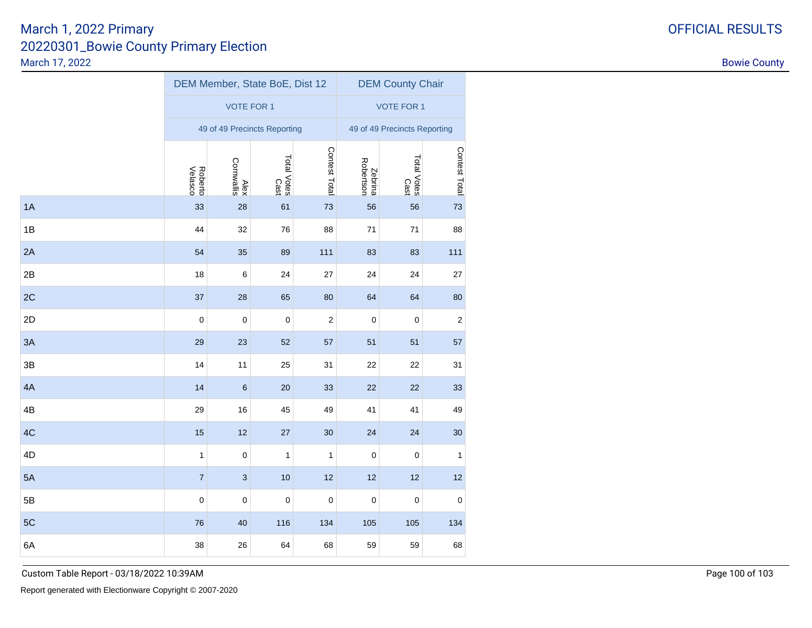# 20220301\_Bowie County Primary ElectionMarch 17, 2022March 1, 2022 Primary

1A

1B

2A

 $2B$ 

2C

2D

3A

3B

4A

4B

4C

4D

5A

5B

5C

6A

| arch 17, 2022 |                     |                    |                                |                     |                      |                              |               | <b>Bowie County</b> |
|---------------|---------------------|--------------------|--------------------------------|---------------------|----------------------|------------------------------|---------------|---------------------|
|               |                     |                    | DEM Member, State BoE, Dist 12 |                     |                      | <b>DEM County Chair</b>      |               |                     |
|               |                     | <b>VOTE FOR 1</b>  |                                |                     |                      | <b>VOTE FOR 1</b>            |               |                     |
|               |                     |                    | 49 of 49 Precincts Reporting   |                     |                      | 49 of 49 Precincts Reporting |               |                     |
|               | Roberto<br>Velasco  | Alex<br>Cornwallis | Total Votes<br>Cast            | Contest Total       | Zebrina<br>Robertson | Total Votes<br>Cast          | Contest Total |                     |
| A             | $33\,$              | 28                 | 61                             | $73\,$              | 56                   | 56                           | 73            |                     |
| B             | 44                  | 32                 | 76                             | 88                  | $71$                 | 71                           | 88            |                     |
| A             | 54                  | 35                 | 89                             | 111                 | 83                   | 83                           | 111           |                     |
| B             | 18                  | $\,6\,$            | 24                             | $27\,$              | 24                   | 24                           | 27            |                     |
| C             | 37                  | 28                 | 65                             | 80                  | 64                   | 64                           | 80            |                     |
| D             | $\mathbf 0$         | $\mathbf 0$        | $\mathbf 0$                    | $\overline{a}$      | $\pmb{0}$            | $\mathbf 0$                  | $\sqrt{2}$    |                     |
| A             | 29                  | 23                 | 52                             | 57                  | 51                   | 51                           | 57            |                     |
| B             | 14                  | 11                 | 25                             | 31                  | $22\,$               | 22                           | 31            |                     |
| A             | 14                  | $6\phantom{1}6$    | 20                             | 33                  | 22                   | 22                           | 33            |                     |
| В             | 29                  | 16                 | 45                             | 49                  | 41                   | 41                           | 49            |                     |
| C.            | 15                  | 12                 | $27\,$                         | 30                  | 24                   | 24                           | $30\,$        |                     |
| D             | 1                   | $\overline{0}$     | $\vert$ 1                      | $\mathbf{1}$        | $\pmb{0}$            | $\mathsf{O}\xspace$          | $\mathbf{1}$  |                     |
| A             | 7 <sup>1</sup>      | $\mathbf{3}$       | 10                             | $12$                | 12                   | 12                           | 12            |                     |
| B             | $\mathsf{O}\xspace$ | $\mathbf 0$        | $\pmb{0}$                      | $\mathsf{O}\xspace$ | $\pmb{0}$            | $\mathbf 0$                  | $\pmb{0}$     |                     |
|               |                     |                    |                                |                     |                      |                              |               |                     |

C 105 134 105 134 134 105 134 134 105 134 134 135 136

A 38 26 64 68 59 59 68

# OFFICIAL RESULTS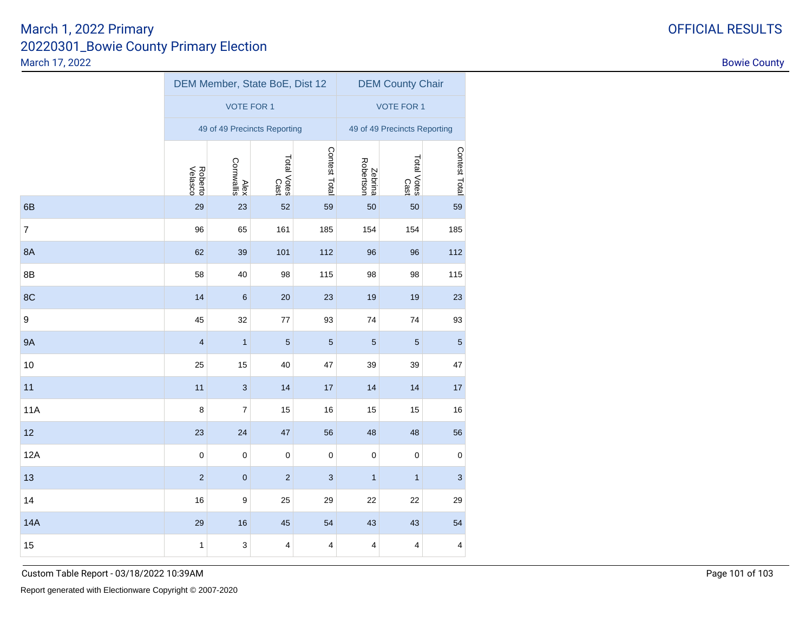|                  |                    | DEM Member, State BoE, Dist 12 |                     |                | <b>DEM County Chair</b>      |                         |                |  |  |
|------------------|--------------------|--------------------------------|---------------------|----------------|------------------------------|-------------------------|----------------|--|--|
|                  |                    | <b>VOTE FOR 1</b>              |                     |                | <b>VOTE FOR 1</b>            |                         |                |  |  |
|                  |                    | 49 of 49 Precincts Reporting   |                     |                | 49 of 49 Precincts Reporting |                         |                |  |  |
|                  | Roberto<br>Velasco | Alex<br>Cornwallis             | Total Votes<br>Cast | Contest Total  | Zebrina<br>Robertson         | Total Votes<br>Cast     | Contest Total  |  |  |
| 6B               | 29                 | 23                             | 52                  | 59             | 50                           | 50                      | 59             |  |  |
| $\overline{7}$   | 96                 | 65                             | 161                 | 185            | 154                          | 154                     | 185            |  |  |
| <b>8A</b>        | 62                 | 39                             | 101                 | 112            | 96                           | 96                      | 112            |  |  |
| 8B               | 58                 | 40                             | 98                  | 115            | 98                           | 98                      | 115            |  |  |
| 8C               | 14                 | $\,$ 6 $\,$                    | 20                  | 23             | 19                           | $19$                    | 23             |  |  |
| $\boldsymbol{9}$ | 45                 | 32                             | $77$                | 93             | 74                           | 74                      | 93             |  |  |
| <b>9A</b>        | $\overline{4}$     | $\mathbf{1}$                   | $\sqrt{5}$          | $\overline{5}$ | $\sqrt{5}$                   | $\sqrt{5}$              | $\overline{5}$ |  |  |
| $10$             | 25                 | 15                             | 40                  | 47             | 39                           | 39                      | 47             |  |  |
| 11               | 11                 | $\ensuremath{\mathsf{3}}$      | 14                  | 17             | 14                           | 14                      | 17             |  |  |
| <b>11A</b>       | $\,8\,$            | $\boldsymbol{7}$               | 15                  | 16             | 15                           | 15                      | 16             |  |  |
| 12               | 23                 | 24                             | 47                  | 56             | 48                           | 48                      | 56             |  |  |
| 12A              | $\pmb{0}$          | $\pmb{0}$                      | $\pmb{0}$           | $\mathbf 0$    | $\pmb{0}$                    | $\pmb{0}$               | $\pmb{0}$      |  |  |
| 13               | $\sqrt{2}$         | $\pmb{0}$                      | $\sqrt{2}$          | $\sqrt{3}$     | $\mathbf{1}$                 | $\mathbf{1}$            | $\sqrt{3}$     |  |  |
| 14               | 16                 | $\boldsymbol{9}$               | 25                  | 29             | 22                           | 22                      | 29             |  |  |
| <b>14A</b>       | 29                 | 16                             | 45                  | 54             | 43                           | 43                      | 54             |  |  |
| 15               | $\mathbf{1}$       | $\ensuremath{\mathsf{3}}$      | $\pmb{4}$           | $\pmb{4}$      | 4                            | $\overline{\mathbf{4}}$ | 4              |  |  |

Custom Table Report - 03/18/2022 10:39AM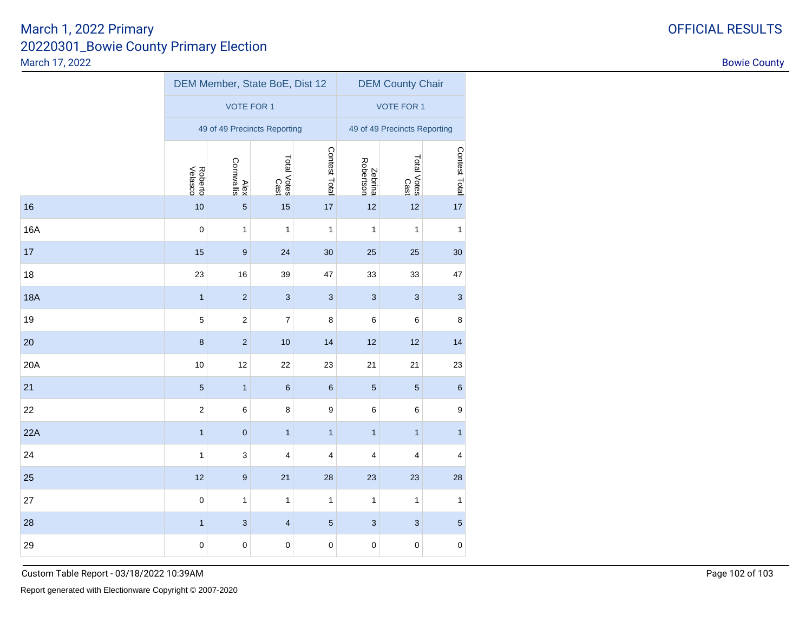|            |                    | DEM Member, State BoE, Dist 12 |                           |                  | <b>DEM County Chair</b>      |                     |                           |  |  |
|------------|--------------------|--------------------------------|---------------------------|------------------|------------------------------|---------------------|---------------------------|--|--|
|            |                    | <b>VOTE FOR 1</b>              |                           |                  | <b>VOTE FOR 1</b>            |                     |                           |  |  |
|            |                    | 49 of 49 Precincts Reporting   |                           |                  | 49 of 49 Precincts Reporting |                     |                           |  |  |
|            | Roberto<br>Velasco | Cornwallis<br>Alex             | Total Votes<br>Cast       | Contest Total    | Zebrina<br>Robertson         | Total Votes<br>Cast | Contest Total             |  |  |
| 16         | 10                 | $\overline{5}$                 | 15                        | 17               | 12                           | 12                  | 17                        |  |  |
| <b>16A</b> | 0                  | $\mathbf{1}$                   | $\mathbf{1}$              | $\mathbf{1}$     | $\mathbf{1}$                 | $\mathbf 1$         | 1                         |  |  |
| 17         | 15                 | $\boldsymbol{9}$               | 24                        | 30               | 25                           | 25                  | 30                        |  |  |
| 18         | 23                 | $16\,$                         | 39                        | 47               | 33                           | 33                  | 47                        |  |  |
| <b>18A</b> | $\mathbf{1}$       | $\overline{c}$                 | $\ensuremath{\mathsf{3}}$ | $\sqrt{3}$       | $\ensuremath{\mathsf{3}}$    | $\sqrt{3}$          | $\ensuremath{\mathsf{3}}$ |  |  |
| 19         | 5                  | $\overline{c}$                 | $\boldsymbol{7}$          | $\bf8$           | 6                            | 6                   | 8                         |  |  |
| 20         | $\bf8$             | $\overline{c}$                 | 10                        | 14               | 12                           | 12                  | 14                        |  |  |
| 20A        | 10                 | 12                             | 22                        | 23               | 21                           | 21                  | 23                        |  |  |
| 21         | $\overline{5}$     | $\mathbf{1}$                   | $\,6\,$                   | $\,6\,$          | $\overline{5}$               | $\sqrt{5}$          | 6                         |  |  |
| 22         | $\boldsymbol{2}$   | 6                              | 8                         | $\boldsymbol{9}$ | 6                            | 6                   | 9                         |  |  |
| 22A        | $\mathbf{1}$       | $\pmb{0}$                      | $\mathbf{1}$              | $\mathbf{1}$     | $\mathbf{1}$                 | $\mathbf{1}$        | $\mathbf{1}$              |  |  |
| 24         | 1                  | 3                              | 4                         | 4                | 4                            | 4                   | 4                         |  |  |
| 25         | 12                 | $\boldsymbol{9}$               | 21                        | 28               | 23                           | 23                  | 28                        |  |  |
| 27         | 0                  | 1                              | 1                         | 1                | 1                            | 1                   | 1                         |  |  |
| 28         | $\mathbf{1}$       | $\mathbf{3}$                   | $\overline{\mathbf{4}}$   | $\overline{5}$   | $\mathbf{3}$                 | $\mathbf{3}$        | $\sqrt{5}$                |  |  |
| 29         | $\mathbf 0$        | $\mathbf 0$                    | $\mathbf 0$               | $\mathsf 0$      | $\mathbf 0$                  | $\mathsf 0$         | $\mathbf 0$               |  |  |